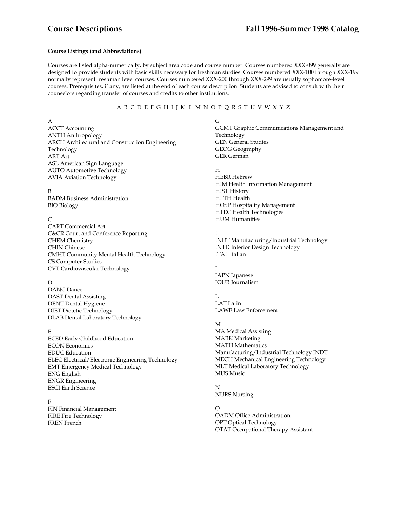# **Course Listings (and Abbreviations)**

Courses are listed alpha-numerically, by subject area code and course number. Courses numbered XXX-099 generally are designed to provide students with basic skills necessary for freshman studies. Courses numbered XXX-100 through XXX-199 normally represent freshman level courses. Courses numbered XXX-200 through XXX-299 are usually sophomore-level courses. Prerequisites, if any, are listed at the end of each course description. Students are advised to consult with their counselors regarding transfer of courses and credits to other institutions.

## A B C D E F G H I J K L M N O P Q R S T U V W X Y Z

A

ACCT Accounting ANTH Anthropology ARCH Architectural and Construction Engineering Technology ART Art ASL American Sign Language AUTO Automotive Technology AVIA Aviation Technology

#### B

BADM Business Administration BIO Biology

#### $\overline{C}$

CART Commercial Art C&CR Court and Conference Reporting CHEM Chemistry CHIN Chinese CMHT Community Mental Health Technology CS Computer Studies CVT Cardiovascular Technology

# D

DANC Dance DAST Dental Assisting DENT Dental Hygiene DIET Dietetic Technology DLAB Dental Laboratory Technology

#### E

ECED Early Childhood Education ECON Economics EDUC Education ELEC Electrical/Electronic Engineering Technology EMT Emergency Medical Technology ENG English ENGR Engineering ESCI Earth Science

# F

FIN Financial Management FIRE Fire Technology FREN French

#### G

GCMT Graphic Communications Management and Technology GEN General Studies GEOG Geography GER German

#### H

HEBR Hebrew HIM Health Information Management HIST History HLTH Health HOSP Hospitality Management HTEC Health Technologies HUM Humanities

#### I

INDT Manufacturing/Industrial Technology INTD Interior Design Technology ITAL Italian

# J

JAPN Japanese JOUR Journalism

#### $L$ LAT Latin LAWE Law Enforcement

#### M

MA Medical Assisting MARK Marketing MATH Mathematics Manufacturing/Industrial Technology INDT MECH Mechanical Engineering Technology MLT Medical Laboratory Technology MUS Music

#### N NURS Nursing

O OADM Office Administration OPT Optical Technology OTAT Occupational Therapy Assistant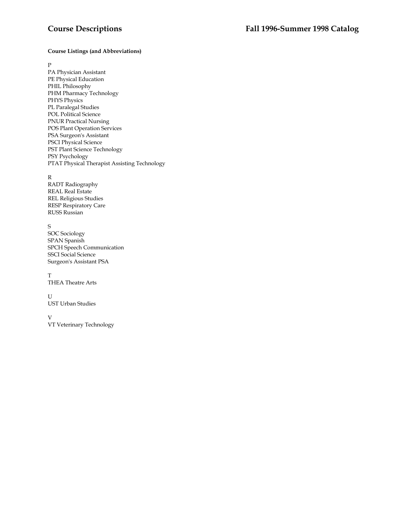# **Course Listings (and Abbreviations)**

#### $\, {\bf P}$

PA Physician Assistant PE Physical Education PHIL Philosophy PHM Pharmacy Technology PHYS Physics PL Paralegal Studies POL Political Science PNUR Practical Nursing POS Plant Operation Services PSA Surgeon's Assistant PSCI Physical Science PST Plant Science Technology PSY Psychology PTAT Physical Therapist Assisting Technology

#### R

RADT Radiography REAL Real Estate REL Religious Studies RESP Respiratory Care RUSS Russian

# S

SOC Sociology SPAN Spanish SPCH Speech Communication SSCI Social Science Surgeon's Assistant PSA

T THEA Theatre Arts

# ${\bf U}$

UST Urban Studies

#### V

VT Veterinary Technology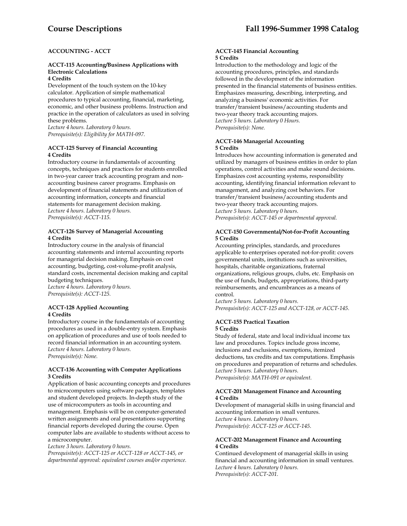# **ACCOUNTING - ACCT**

# **ACCT-115 Accounting/Business Applications with Electronic Calculations**

# **4 Credits**

Development of the touch system on the 10-key calculator. Application of simple mathematical procedures to typical accounting, financial, marketing, economic, and other business problems. Instruction and practice in the operation of calculators as used in solving these problems.

*Lecture 4 hours. Laboratory 0 hours. Prerequisite(s): Eligibility for MATH-097.* 

# **ACCT-125 Survey of Financial Accounting 4 Credits**

Introductory course in fundamentals of accounting concepts, techniques and practices for students enrolled in two-year career track accounting program and nonaccounting business career programs. Emphasis on development of financial statements and utilization of accounting information, concepts and financial statements for management decision making. *Lecture 4 hours. Laboratory 0 hours. Prerequisite(s): ACCT-115.* 

# **ACCT-126 Survey of Managerial Accounting 4 Credits**

Introductory course in the analysis of financial accounting statements and internal accounting reports for managerial decision making. Emphasis on cost accounting, budgeting, cost-volume-profit analysis, standard costs, incremental decision making and capital budgeting techniques.

*Lecture 4 hours. Laboratory 0 hours. Prerequisite(s): ACCT-125.* 

# **ACCT-128 Applied Accounting 4 Credits**

Introductory course in the fundamentals of accounting procedures as used in a double-entry system. Emphasis on application of procedures and use of tools needed to record financial information in an accounting system. *Lecture 4 hours. Laboratory 0 hours. Prerequisite(s): None.* 

### **ACCT-136 Accounting with Computer Applications 3 Credits**

Application of basic accounting concepts and procedures to microcomputers using software packages, templates and student developed projects. In-depth study of the use of microcomputers as tools in accounting and management. Emphasis will be on computer-generated written assignments and oral presentations supporting financial reports developed during the course. Open computer labs are available to students without access to a microcomputer.

*Lecture 3 hours. Laboratory 0 hours.* 

*Prerequisite(s): ACCT-125 or ACCT-128 or ACCT-145, or departmental approval: equivalent courses and/or experience.* 

#### **ACCT-145 Financial Accounting 5 Credits**

Introduction to the methodology and logic of the accounting procedures, principles, and standards followed in the development of the information presented in the financial statements of business entities. Emphasizes measuring, describing, interpreting, and analyzing a business' economic activities. For transfer/transient business/accounting students and two-year theory track accounting majors. *Lecture 5 hours. Laboratory 0 Hours. Prerequisite(s): None.* 

#### **ACCT-146 Managerial Accounting 5 Credits**

Introduces how accounting information is generated and utilized by managers of business entities in order to plan operations, control activities and make sound decisions. Emphasizes cost accounting systems, responsibility accounting, identifying financial information relevant to management, and analyzing cost behaviors. For transfer/transient business/accounting students and two-year theory track accounting majors. *Lecture 5 hours. Laboratory 0 hours. Prerequisite(s): ACCT-145 or departmental approval.* 

## **ACCT-150 Governmental/Not-for-Profit Accounting 5 Credits**

Accounting principles, standards, and procedures applicable to enterprises operated not-for-profit: covers governmental units, institutions such as universities, hospitals, charitable organizations, fraternal organizations, religious groups, clubs, etc. Emphasis on the use of funds, budgets, appropriations, third-party reimbursements, and encumbrances as a means of control.

*Lecture 5 hours. Laboratory 0 hours. Prerequisite(s): ACCT-125 and ACCT-128, or ACCT-145.* 

#### **ACCT-155 Practical Taxation 5 Credits**

Study of federal, state and local individual income tax law and procedures. Topics include gross income, inclusions and exclusions, exemptions, itemized deductions, tax credits and tax computations. Emphasis on procedures and preparation of returns and schedules. *Lecture 5 hours. Laboratory 0 hours. Prerequisite(s): MATH-091 or equivalent*.

**ACCT-201 Management Finance and Accounting 4 Credits** 

Development of managerial skills in using financial and accounting information in small ventures. *Lecture 4 hours. Laboratory 0 hours. Prerequisite(s): ACCT-125 or ACCT-145*.

# **ACCT-202 Management Finance and Accounting 4 Credits**

Continued development of managerial skills in using financial and accounting information in small ventures. *Lecture 4 hours. Laboratory 0 hours. Prerequisite(s): ACCT-201.*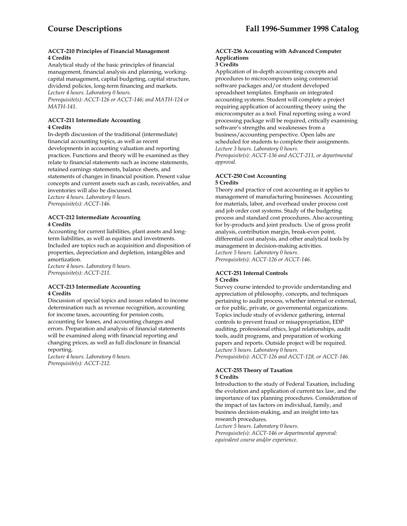## **ACCT-210 Principles of Financial Management 4 Credits**

Analytical study of the basic principles of financial management, financial analysis and planning, workingcapital management, capital budgeting, capital structure, dividend policies, long-term financing and markets. *Lecture 4 hours. Laboratory 0 hours.* 

*Prerequisite(s): ACCT-126 or ACCT-146; and MATH-124 or MATH-141*.

# **ACCT-211 Intermediate Accounting 4 Credits**

In-depth discussion of the traditional (intermediate) financial accounting topics, as well as recent developments in accounting valuation and reporting practices. Functions and theory will be examined as they relate to financial statements such as income statements, retained earnings statements, balance sheets, and statements of changes in financial position. Present value concepts and current assets such as cash, receivables, and inventories will also be discussed. *Lecture 4 hours. Laboratory 0 hours.* 

*Prerequisite(s): ACCT-146.* 

## **ACCT-212 Intermediate Accounting 4 Credits**

Accounting for current liabilities, plant assets and longterm liabilities, as well as equities and investments. Included are topics such as acquisition and disposition of properties, depreciation and depletion, intangibles and amortization.

*Lecture 4 hours. Laboratory 0 hours. Prerequisite(s): ACCT-211.* 

# **ACCT-213 Intermediate Accounting 4 Credits**

Discussion of special topics and issues related to income determination such as revenue recognition, accounting for income taxes, accounting for pension costs, accounting for leases, and accounting changes and errors. Preparation and analysis of financial statements will be examined along with financial reporting and changing prices, as well as full disclosure in financial reporting.

*Lecture 4 hours. Laboratory 0 hours. Prerequisite(s): ACCT-212.* 

# **ACCT-236 Accounting with Advanced Computer Applications**

## **3 Credits**

Application of in-depth accounting concepts and procedures to microcomputers using commercial software packages and/or student developed spreadsheet templates. Emphasis on integrated accounting systems. Student will complete a project requiring application of accounting theory using the microcomputer as a tool. Final reporting using a word processing package will be required, critically examining software's strengths and weaknesses from a business/accounting perspective. Open labs are scheduled for students to complete their assignments. *Lecture 3 hours. Laboratory 0 hours. Prerequisite(s): ACCT-136 and ACCT-211, or departmental approval.* 

# **ACCT-250 Cost Accounting 5 Credits**

Theory and practice of cost accounting as it applies to management of manufacturing businesses. Accounting for materials, labor, and overhead under process cost and job order cost systems. Study of the budgeting process and standard cost procedures. Also accounting for by-products and joint products. Use of gross profit analysis, contribution margin, break-even point, differential cost analysis, and other analytical tools by management in decision-making activities. *Lecture 5 hours. Laboratory 0 hours. Prerequisite(s): ACCT-126 or ACCT-146.* 

#### **ACCT-251 Internal Controls 5 Credits**

Survey course intended to provide understanding and appreciation of philosophy, concepts, and techniques pertaining to audit process, whether internal or external, or for public, private, or governmental organizations. Topics include study of evidence gathering, internal controls to prevent fraud or misappropriation, EDP auditing, professional ethics, legal relationships, audit tools, audit programs, and preparation of working papers and reports. Outside project will be required. *Lecture 5 hours. Laboratory 0 hours. Prerequisite(s): ACCT-126 and ACCT-128, or ACCT-146.* 

#### **ACCT-255 Theory of Taxation 5 Credits**

Introduction to the study of Federal Taxation, including the evolution and application of current tax law, and the importance of tax planning procedures. Consideration of the impact of tax factors on individual, family, and business decision-making, and an insight into tax research procedures.

*Lecture 5 hours. Laboratory 0 hours. Prerequisite(s): ACCT-146 or departmental approval: equivalent course and/or experience.*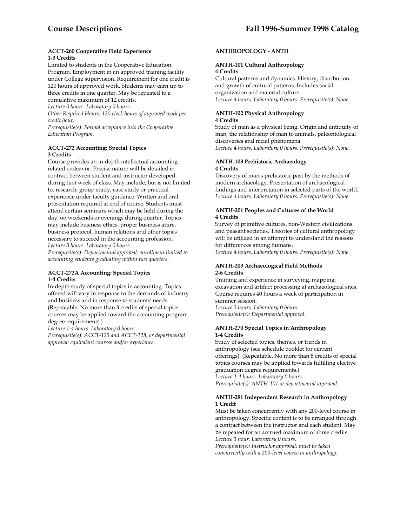### **ACCT-260 Cooperative Field Experience 1-3 Credits**

Limited to students in the Cooperative Education Program. Employment in an approved training facility under College supervision. Requirement for one credit is 120 hours of approved work. Students may earn up to three credits in one quarter. May be repeated to a

cumulative maximum of 12 credits.

*Lecture 0 hours. Laboratory 0 hours.* 

*Other Required Hours: 120 clock hours of approved work per credit hour.* 

*Prerequisite(s): Formal acceptance into the Cooperative Education Program.* 

# **ACCT-272 Accounting: Special Topics 3 Credits**

Course provides an in-depth intellectual accountingrelated endeavor. Precise nature will be detailed in contract between student and instructor developed during first week of class. May include, but is not limited to, research, group study, case study or practical experience under faculty guidance. Written and oral presentation required at end of course. Students must attend certain seminars which may be held during the day, on weekends or evenings during quarter. Topics may include business ethics, proper business attire, business protocol, human relations and other topics necessary to succeed in the accounting profession. *Lecture 3 hours. Laboratory 0 hours.* 

*Prerequisite(s): Departmental approval: enrollment limited to accounting students graduating within two quarters.* 

#### **ACCT-272A Accounting: Special Topics 1-4 Credits**

In-depth study of special topics in accounting. Topics offered will vary in response to the demands of industry and business and in response to students' needs. (Repeatable. No more than 3 credits of special topics courses may be applied toward the accounting program degree requirements.)

*Lecture 1-4 hours. Laboratory 0 hours.* 

*Prerequisite(s): ACCT-125 and ACCT-128, or departmental approval: equivalent courses and/or experience.* 

# **ANTHROPOLOGY - ANTH**

# **ANTH-101 Cultural Anthropology**

#### **4 Credits**

Cultural patterns and dynamics. History, distribution and growth of cultural patterns. Includes social organization and material culture. *Lecture 4 hours. Laboratory 0 hours. Prerequisite(s): None.* 

#### **ANTH-102 Physical Anthropology 4 Credits**

Study of man as a physical being. Origin and antiquity of man, the relationship of man to animals, paleontological discoveries and racial phenomena. *Lecture 4 hours. Laboratory 0 hours. Prerequisite(s): None*.

#### **ANTH-103 Prehistoric Archaeology 4 Credits**

Discovery of man's prehistoric past by the methods of modern archaeology. Presentation of archaeological findings and interpretation in selected parts of the world. *Lecture 4 hours. Laboratory 0 hours. Prerequisite(s): None.* 

# **ANTH-201 Peoples and Cultures of the World 4 Credits**

Survey of primitive cultures, non-Western civilizations and peasant societies. Theories of cultural anthropology will be utilized in an attempt to understand the reasons for differences among humans.

*Lecture 4 hours. Laboratory 0 hours. Prerequisite(s): None*.

# **ANTH-203 Archaeological Field Methods 2-6 Credits**

Training and experience in surveying, mapping, excavation and artifact processing at archaeological sites. Course requires 40 hours a week of participation in summer session. *Lecture 3 hours. Laboratory 0 hours. Prerequisite(s): Departmental approval.* 

### **ANTH-270 Special Topics in Anthropology 1-4 Credits**

Study of selected topics, themes, or trends in anthropology (see schedule booklet for current offerings). (Repeatable. No more than 8 credits of special topics courses may be applied towards fulfilling elective graduation degree requirements.) *Lecture 1-4 hours. Laboratory 0 hours. Prerequisite(s): ANTH-101 or departmental approval*.

#### **ANTH-281 Independent Research in Anthropology 1 Credit**

Must be taken concurrently with any 200-level course in anthropology. Specific content is to be arranged through a contract between the instructor and each student. May be repeated for an accrued maximum of three credits.

*Lecture 1 hour. Laboratory 0 hours.* 

*Prerequisite(s): Instructor approval: must be taken concurrently with a 200-level course in anthropology.*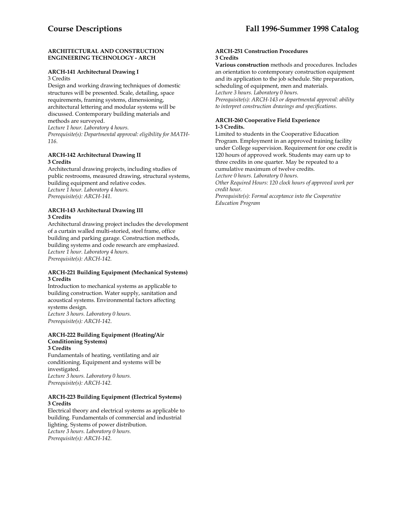#### **ARCHITECTURAL AND CONSTRUCTION ENGINEERING TECHNOLOGY - ARCH**

## **ARCH-141 Architectural Drawing I**

3 Credits

Design and working drawing techniques of domestic structures will be presented. Scale, detailing, space requirements, framing systems, dimensioning, architectural lettering and modular systems will be discussed. Contemporary building materials and methods are surveyed.

*Lecture 1 hour. Laboratory 4 hours.* 

*Prerequisite(s): Departmental approval: eligibility for MATH-116.* 

# **ARCH-142 Architectural Drawing II 3 Credits**

Architectural drawing projects, including studies of public restrooms, measured drawing, structural systems, building equipment and relative codes. *Lecture 1 hour. Laboratory 4 hours. Prerequisite(s): ARCH-141.* 

# **ARCH-143 Architectural Drawing III 3 Credits**

Architectural drawing project includes the development of a curtain walled multi-storied, steel frame, office building and parking garage. Construction methods, building systems and code research are emphasized. *Lecture 1 hour. Laboratory 4 hours. Prerequisite(s): ARCH-142.* 

#### **ARCH-221 Building Equipment (Mechanical Systems) 3 Credits**

Introduction to mechanical systems as applicable to building construction. Water supply, sanitation and acoustical systems. Environmental factors affecting systems design. *Lecture 3 hours. Laboratory 0 hours. Prerequisite(s): ARCH-142*.

#### **ARCH-222 Building Equipment (Heating/Air Conditioning Systems) 3 Credits**

Fundamentals of heating, ventilating and air conditioning. Equipment and systems will be investigated. *Lecture 3 hours. Laboratory 0 hours. Prerequisite(s): ARCH-142.* 

# **ARCH-223 Building Equipment (Electrical Systems) 3 Credits**

Electrical theory and electrical systems as applicable to building. Fundamentals of commercial and industrial lighting. Systems of power distribution. *Lecture 3 hours. Laboratory 0 hours. Prerequisite(s): ARCH-142.* 

#### **ARCH-251 Construction Procedures 3 Credits**

**Various construction** methods and procedures. Includes an orientation to contemporary construction equipment and its application to the job schedule. Site preparation, scheduling of equipment, men and materials. *Lecture 3 hours. Laboratory 0 hours. Prerequisite(s): ARCH-143 or departmental approval: ability to interpret construction drawings and specifications.* 

# **ARCH-260 Cooperative Field Experience 1-3 Credits.**

Limited to students in the Cooperative Education Program. Employment in an approved training facility under College supervision. Requirement for one credit is 120 hours of approved work. Students may earn up to three credits in one quarter. May be repeated to a cumulative maximum of twelve credits.

*Lecture 0 hours. Laboratory 0 hours.* 

*Other Required Hours: 120 clock hours of approved work per credit hour.* 

*Prerequisite(s): Formal acceptance into the Cooperative Education Program*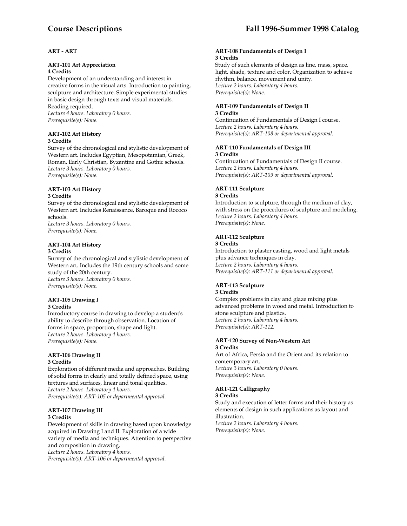# **ART - ART**

# **ART-101 Art Appreciation**

## **4 Credits**

Development of an understanding and interest in creative forms in the visual arts. Introduction to painting, sculpture and architecture. Simple experimental studies in basic design through texts and visual materials. Reading required. *Lecture 4 hours. Laboratory 0 hours. Prerequisite(s): None.* 

#### **ART-102 Art History 3 Credits**

Survey of the chronological and stylistic development of Western art. Includes Egyptian, Mesopotamian, Greek, Roman, Early Christian, Byzantine and Gothic schools. *Lecture 3 hours. Laboratory 0 hours. Prerequisite(s): None.* 

# **ART-103 Art History**

# **3 Credits**

Survey of the chronological and stylistic development of Western art. Includes Renaissance, Baroque and Rococo schools. *Lecture 3 hours. Laboratory 0 hours.* 

*Prerequisite(s): None.* 

#### **ART-104 Art History 3 Credits**

Survey of the chronological and stylistic development of Western art. Includes the 19th century schools and some study of the 20th century. *Lecture 3 hours. Laboratory 0 hours. Prerequisite(s): None.* 

#### **ART-105 Drawing I 3 Credits**

Introductory course in drawing to develop a student's ability to describe through observation. Location of forms in space, proportion, shape and light. *Lecture 2 hours. Laboratory 4 hours. Prerequisite(s): None.* 

#### **ART-106 Drawing II 3 Credits**

Exploration of different media and approaches. Building of solid forms in clearly and totally defined space, using textures and surfaces, linear and tonal qualities. *Lecture 2 hours. Laboratory 4 hours. Prerequisite(s): ART-105 or departmental approval.* 

# **ART-107 Drawing III 3 Credits**

Development of skills in drawing based upon knowledge acquired in Drawing I and II. Exploration of a wide variety of media and techniques. Attention to perspective and composition in drawing. *Lecture 2 hours. Laboratory 4 hours.* 

*Prerequisite(s): ART-106 or departmental approval.* 

## **ART-108 Fundamentals of Design I 3 Credits**

Study of such elements of design as line, mass, space, light, shade, texture and color. Organization to achieve rhythm, balance, movement and unity. *Lecture 2 hours. Laboratory 4 hours. Prerequisite(s): None.* 

#### **ART-109 Fundamentals of Design II 3 Credits**

Continuation of Fundamentals of Design I course. *Lecture 2 hours. Laboratory 4 hours. Prerequisite(s): ART-108 or departmental approval.* 

## **ART-110 Fundamentals of Design III 3 Credits**

Continuation of Fundamentals of Design II course. *Lecture 2 hours. Laboratory 4 hours. Prerequisite(s): ART-109 or departmental approval.* 

# **ART-111 Sculpture**

# **3 Credits**

Introduction to sculpture, through the medium of clay, with stress on the procedures of sculpture and modeling. *Lecture 2 hours. Laboratory 4 hours. Prerequisite(s): None.* 

# **ART-112 Sculpture**

# **3 Credits**

Introduction to plaster casting, wood and light metals plus advance techniques in clay. *Lecture 2 hours. Laboratory 4 hours. Prerequisite(s): ART-111 or departmental approval.* 

#### **ART-113 Sculpture 3 Credits**

Complex problems in clay and glaze mixing plus advanced problems in wood and metal. Introduction to stone sculpture and plastics. *Lecture 2 hours. Laboratory 4 hours. Prerequisite(s): ART-112.* 

#### **ART-120 Survey of Non-Western Art 3 Credits**

Art of Africa, Persia and the Orient and its relation to contemporary art. *Lecture 3 hours. Laboratory 0 hours. Prerequisite(s): None.* 

# **ART-121 Calligraphy**

#### **3 Credits**

Study and execution of letter forms and their history as elements of design in such applications as layout and illustration. *Lecture 2 hours. Laboratory 4 hours. Prerequisite(s): None.*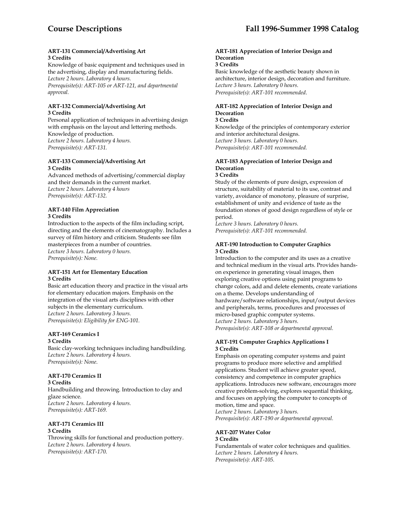#### **ART-131 Commercial/Advertising Art 3 Credits**

Knowledge of basic equipment and techniques used in the advertising, display and manufacturing fields. *Lecture 2 hours. Laboratory 4 hours. Prerequisite(s): ART-105 or ART-121, and departmental approval.* 

#### **ART-132 Commercial/Advertising Art 3 Credits**

Personal application of techniques in advertising design with emphasis on the layout and lettering methods. Knowledge of production. *Lecture 2 hours. Laboratory 4 hours. Prerequisite(s): ART-131.* 

# **ART-133 Commercial/Advertising Art 3 Credits**

Advanced methods of advertising/commercial display and their demands in the current market. *Lecture 2 hours. Laboratory 4 hours Prerequisite(s): ART-132.* 

# **ART-140 Film Appreciation 3 Credits**

Introduction to the aspects of the film including script, directing and the elements of cinematography. Includes a survey of film history and criticism. Students see film masterpieces from a number of countries. *Lecture 3 hours. Laboratory 0 hours. Prerequisite(s): None.* 

#### **ART-151 Art for Elementary Education 3 Credits**

Basic art education theory and practice in the visual arts for elementary education majors. Emphasis on the integration of the visual arts disciplines with other subjects in the elementary curriculum. *Lecture 2 hours. Laboratory 3 hours. Prerequisite(s): Eligibility for ENG-101.* 

#### **ART-169 Ceramics I 3 Credits**

Basic clay-working techniques including handbuilding. *Lecture 2 hours. Laboratory 4 hours. Prerequisite(s): None*.

# **ART-170 Ceramics II**

**3 Credits**  Handbuilding and throwing. Introduction to clay and glaze science. *Lecture 2 hours. Laboratory 4 hours. Prerequisite(s): ART-169.* 

#### **ART-171 Ceramics III 3 Credits**

Throwing skills for functional and production pottery. *Lecture 2 hours. Laboratory 4 hours. Prerequisite(s): ART-170*.

# **ART-181 Appreciation of Interior Design and Decoration**

#### **3 Credits**

Basic knowledge of the aesthetic beauty shown in architecture, interior design, decoration and furniture. *Lecture 3 hours. Laboratory 0 hours. Prerequisite(s): ART-101 recommended*.

#### **ART-182 Appreciation of Interior Design and Decoration 3 Credits**

# Knowledge of the principles of contemporary exterior and interior architectural designs.

*Lecture 3 hours. Laboratory 0 hours.* 

*Prerequisite(s): ART-101 recommended.* 

#### **ART-183 Appreciation of Interior Design and Decoration 3 Credits**

Study of the elements of pure design, expression of structure, suitability of material to its use, contrast and variety, avoidance of monotony, pleasure of surprise, establishment of unity and evidence of taste as the foundation stones of good design regardless of style or period.

*Lecture 3 hours. Laboratory 0 hours. Prerequisite(s): ART-101 recommended.* 

# **ART-190 Introduction to Computer Graphics 3 Credits**

Introduction to the computer and its uses as a creative and technical medium in the visual arts. Provides handson experience in generating visual images, then exploring creative options using paint programs to change colors, add and delete elements, create variations on a theme. Develops understanding of hardware/software relationships, input/output devices and peripherals, terms, procedures and processes of micro-based graphic computer systems. *Lecture 2 hours. Laboratory 3 hours. Prerequisite(s): ART-108 or departmental approval.* 

#### **ART-191 Computer Graphics Applications I 3 Credits**

Emphasis on operating computer systems and paint programs to produce more selective and amplified applications. Student will achieve greater speed, consistency and competence in computer graphics applications. Introduces new software, encourages more creative problem-solving, explores sequential thinking, and focuses on applying the computer to concepts of motion, time and space.

*Lecture 2 hours. Laboratory 3 hours. Prerequisite(s): ART-190 or departmental approval.* 

# **ART-207 Water Color 3 Credits**

Fundamentals of water color techniques and qualities. *Lecture 2 hours. Laboratory 4 hours. Prerequisite(s): ART-105.*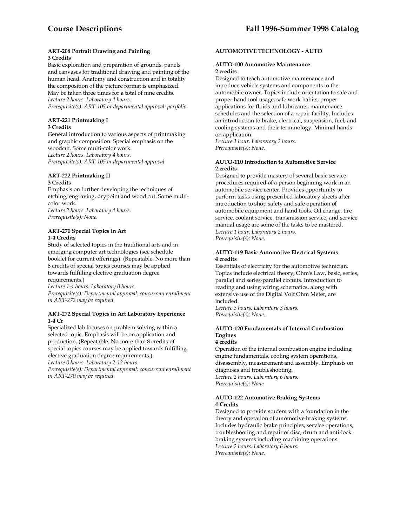## **ART-208 Portrait Drawing and Painting 3 Credits**

Basic exploration and preparation of grounds, panels and canvases for traditional drawing and painting of the human head. Anatomy and construction and in totality the composition of the picture format is emphasized.

May be taken three times for a total of nine credits. *Lecture 2 hours. Laboratory 4 hours.* 

*Prerequisite(s): ART-105 or departmental approval: portfolio.* 

# **ART-221 Printmaking I 3 Credits**

General introduction to various aspects of printmaking and graphic composition. Special emphasis on the woodcut. Some multi-color work. *Lecture 2 hours. Laboratory 4 hours. Prerequisite(s): ART-105 or departmental approval.* 

#### **ART-222 Printmaking II 3 Credits**

Emphasis on further developing the techniques of etching, engraving, drypoint and wood cut. Some multicolor work. *Lecture 2 hours. Laboratory 4 hours. Prerequisite(s): None.* 

# **ART-270 Special Topics in Art 1-4 Credits**

Study of selected topics in the traditional arts and in emerging computer art technologies (see schedule booklet for current offerings). (Repeatable. No more than 8 credits of special topics courses may be applied towards fulfilling elective graduation degree requirements.)

*Lecture 1-4 hours. Laboratory 0 hours. Prerequisite(s): Departmental approval: concurrent enrollment in ART-272 may be required.* 

# **ART-272 Special Topics in Art Laboratory Experience 1-4 Cr**

Specialized lab focuses on problem solving within a selected topic. Emphasis will be on application and production. (Repeatable. No more than 8 credits of special topics courses may be applied towards fulfilling elective graduation degree requirements.)

*Lecture 0 hours. Laboratory 2-12 hours.* 

*Prerequisite(s): Departmental approval: concurrent enrollment in ART-270 may be required.* 

# **AUTOMOTIVE TECHNOLOGY - AUTO**

## **AUTO-100 Automotive Maintenance 2 credits**

Designed to teach automotive maintenance and introduce vehicle systems and components to the automobile owner. Topics include orientation to safe and proper hand tool usage, safe work habits, proper applications for fluids and lubricants, maintenance schedules and the selection of a repair facility. Includes an introduction to brake, electrical, suspension, fuel, and cooling systems and their terminology. Minimal handson application.

*Lecture 1 hour. Laboratory 2 hours. Prerequisite(s): None.* 

## **AUTO-110 Introduction to Automotive Service 2 credits**

Designed to provide mastery of several basic service procedures required of a person beginning work in an automobile service center. Provides opportunity to perform tasks using prescribed laboratory sheets after introduction to shop safety and safe operation of automobile equipment and hand tools. Oil change, tire service, coolant service, transmission service, and service manual usage are some of the tasks to be mastered. *Lecture 1 hour. Laboratory 2 hours. Prerequisite(s): None.* 

# **AUTO-119 Basic Automotive Electrical Systems 4 credits**

Essentials of electricity for the automotive technician. Topics include electrical theory, Ohm's Law, basic, series, parallel and series-parallel circuits. Introduction to reading and using wiring schematics, along with extensive use of the Digital Volt Ohm Meter, are included.

*Lecture 3 hours. Laboratory 3 hours. Prerequisite(s): None.* 

#### **AUTO-120 Fundamentals of Internal Combustion Engines 4 credits**

Operation of the internal combustion engine including engine fundamentals, cooling system operations, disassembly, measurement and assembly. Emphasis on diagnosis and troubleshooting. *Lecture 2 hours. Laboratory 6 hours. Prerequisite(s): None* 

# **AUTO-122 Automotive Braking Systems 4 Credits**

Designed to provide student with a foundation in the theory and operation of automotive braking systems. Includes hydraulic brake principles, service operations, troubleshooting and repair of disc, drum and anti-lock braking systems including machining operations. *Lecture 2 hours. Laboratory 6 hours. Prerequisite(s): None.*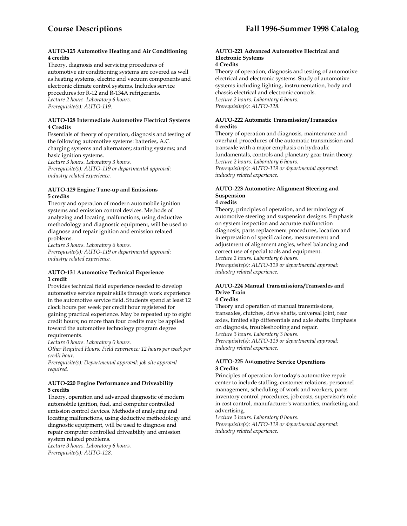# **AUTO-125 Automotive Heating and Air Conditioning 4 credits**

Theory, diagnosis and servicing procedures of automotive air conditioning systems are covered as well as heating systems, electric and vacuum components and electronic climate control systems. Includes service procedures for R-12 and R-134A refrigerants. *Lecture 2 hours. Laboratory 6 hours. Prerequisite(s): AUTO-119.* 

#### **AUTO-128 Intermediate Automotive Electrical Systems 4 Credits**

Essentials of theory of operation, diagnosis and testing of the following automotive systems: batteries, A.C. charging systems and alternators; starting systems; and basic ignition systems.

*Lecture 3 hours. Laboratory 3 hours. Prerequisite(s): AUTO-119 or departmental approval: industry related experience.* 

# **AUTO-129 Engine Tune-up and Emissions 5 credits**

Theory and operation of modern automobile ignition systems and emission control devices. Methods of analyzing and locating malfunctions, using deductive methodology and diagnostic equipment, will be used to diagnose and repair ignition and emission related problems.

*Lecture 3 hours. Laboratory 6 hours. Prerequisite(s): AUTO-119 or departmental approval: industry related experience.* 

# **AUTO-131 Automotive Technical Experience 1 credit**

Provides technical field experience needed to develop automotive service repair skills through work experience in the automotive service field. Students spend at least 12 clock hours per week per credit hour registered for gaining practical experience. May be repeated up to eight credit hours; no more than four credits may be applied toward the automotive technology program degree requirements.

*Lecture 0 hours. Laboratory 0 hours.* 

*Other Required Hours: Field experience: 12 hours per week per credit hour.* 

*Prerequisite(s): Departmental approval: job site approval required.* 

# **AUTO-220 Engine Performance and Driveability 5 credits**

Theory, operation and advanced diagnostic of modern automobile ignition, fuel, and computer controlled emission control devices. Methods of analyzing and locating malfunctions, using deductive methodology and diagnostic equipment, will be used to diagnose and repair computer controlled driveability and emission system related problems. *Lecture 3 hours. Laboratory 6 hours. Prerequisite(s): AUTO-128.* 

# **AUTO-221 Advanced Automotive Electrical and Electronic Systems**

**4 Credits** 

Theory of operation, diagnosis and testing of automotive electrical and electronic systems. Study of automotive systems including lighting, instrumentation, body and chassis electrical and electronic controls. *Lecture 2 hours. Laboratory 6 hours. Prerequisite(s): AUTO-128.* 

# **AUTO-222 Automatic Transmission/Transaxles 4 credits**

Theory of operation and diagnosis, maintenance and overhaul procedures of the automatic transmission and transaxle with a major emphasis on hydraulic fundamentals, controls and planetary gear train theory. *Lecture 2 hours. Laboratory 6 hours. Prerequisite(s): AUTO-119 or departmental approval: industry related experience.* 

# **AUTO-223 Automotive Alignment Steering and Suspension**

# **4 credits**

Theory, principles of operation, and terminology of automotive steering and suspension designs. Emphasis on system inspection and accurate malfunction diagnosis, parts replacement procedures, location and interpretation of specifications, measurement and adjustment of alignment angles, wheel balancing and correct use of special tools and equipment. *Lecture 2 hours. Laboratory 6 hours. Prerequisite(s): AUTO-119 or departmental approval: industry related experience.* 

# **AUTO-224 Manual Transmissions/Transaxles and Drive Train**

# **4 Credits**

Theory and operation of manual transmissions, transaxles, clutches, drive shafts, universal joint, rear axles, limited slip differentials and axle shafts. Emphasis on diagnosis, troubleshooting and repair. *Lecture 3 hours. Laboratory 3 hours. Prerequisite(s): AUTO-119 or departmental approval: industry related experience.* 

# **AUTO-225 Automotive Service Operations 3 Credits**

Principles of operation for today's automotive repair center to include staffing, customer relations, personnel management, scheduling of work and workers, parts inventory control procedures, job costs, supervisor's role in cost control, manufacturer's warranties, marketing and advertising.

*Lecture 3 hours. Laboratory 0 hours. Prerequisite(s): AUTO-119 or departmental approval: industry related experience.*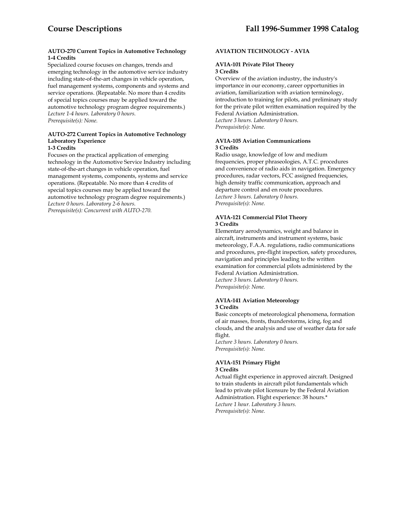## **AUTO-270 Current Topics in Automotive Technology 1-4 Credits**

Specialized course focuses on changes, trends and emerging technology in the automotive service industry including state-of-the-art changes in vehicle operation, fuel management systems, components and systems and service operations. (Repeatable. No more than 4 credits of special topics courses may be applied toward the automotive technology program degree requirements.) *Lecture 1-4 hours. Laboratory 0 hours. Prerequisite(s): None.* 

#### **AUTO-272 Current Topics in Automotive Technology Laboratory Experience 1-3 Credits**

Focuses on the practical application of emerging technology in the Automotive Service Industry including state-of-the-art changes in vehicle operation, fuel management systems, components, systems and service operations. (Repeatable. No more than 4 credits of special topics courses may be applied toward the automotive technology program degree requirements.) *Lecture 0 hours. Laboratory 2-6 hours. Prerequisite(s): Concurrent with AUTO-270.* 

# **AVIATION TECHNOLOGY - AVIA**

# **AVIA-101 Private Pilot Theory 3 Credits**

Overview of the aviation industry, the industry's importance in our economy, career opportunities in aviation, familiarization with aviation terminology, introduction to training for pilots, and preliminary study for the private pilot written examination required by the Federal Aviation Administration. *Lecture 3 hours. Laboratory 0 hours. Prerequisite(s): None.* 

#### **AVIA-105 Aviation Communications 3 Credits**

Radio usage, knowledge of low and medium frequencies, proper phraseologies, A.T.C. procedures and convenience of radio aids in navigation. Emergency procedures, radar vectors, FCC assigned frequencies, high density traffic communication, approach and departure control and en route procedures. *Lecture 3 hours. Laboratory 0 hours. Prerequisite(s): None.* 

#### **AVIA-121 Commercial Pilot Theory 3 Credits**

Elementary aerodynamics, weight and balance in aircraft, instruments and instrument systems, basic meteorology, F.A.A. regulations, radio communications and procedures, pre-flight inspection, safety procedures, navigation and principles leading to the written examination for commercial pilots administered by the Federal Aviation Administration. *Lecture 3 hours. Laboratory 0 hours. Prerequisite(s): None.* 

#### **AVIA-141 Aviation Meteorology 3 Credits**

Basic concepts of meteorological phenomena, formation of air masses, fronts, thunderstorms, icing, fog and clouds, and the analysis and use of weather data for safe flight.

*Lecture 3 hours. Laboratory 0 hours. Prerequisite(s): None.* 

#### **AVIA-151 Primary Flight 3 Credits**

Actual flight experience in approved aircraft. Designed to train students in aircraft pilot fundamentals which lead to private pilot licensure by the Federal Aviation Administration. Flight experience: 38 hours.\* *Lecture 1 hour. Laboratory 3 hours. Prerequisite(s): None.*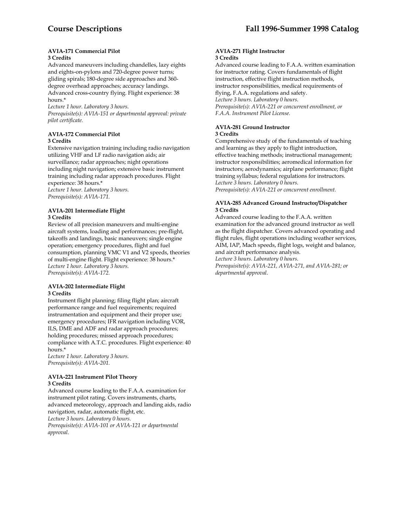#### **AVIA-171 Commercial Pilot 3 Credits**

Advanced maneuvers including chandelles, lazy eights and eights-on-pylons and 720-degree power turns; gliding spirals; 180-degree side approaches and 360 degree overhead approaches; accuracy landings. Advanced cross-country flying. Flight experience: 38 hours.\*

*Lecture 1 hour. Laboratory 3 hours.* 

*Prerequisite(s): AVIA-151 or departmental approval: private pilot certificate.* 

# **AVIA-172 Commercial Pilot 3 Credits**

Extensive navigation training including radio navigation utilizing VHF and LF radio navigation aids; air surveillance; radar approaches; night operations including night navigation; extensive basic instrument training including radar approach procedures. Flight experience: 38 hours.\*

*Lecture 1 hour. Laboratory 3 hours. Prerequisite(s): AVIA-171.* 

## **AVIA-201 Intermediate Flight 3 Credits**

Review of all precision maneuvers and multi-engine aircraft systems, loading and performances; pre-flight, takeoffs and landings, basic maneuvers; single engine operation; emergency procedures, flight and fuel consumption, planning VMC V1 and V2 speeds, theories of multi-engine flight. Flight experience: 38 hours.\* *Lecture 1 hour. Laboratory 3 hours. Prerequisite(s): AVIA-172.* 

#### **AVIA-202 Intermediate Flight 3 Credits**

Instrument flight planning; filing flight plan; aircraft performance range and fuel requirements; required instrumentation and equipment and their proper use; emergency procedures; IFR navigation including VOR, ILS, DME and ADF and radar approach procedures; holding procedures; missed approach procedures; compliance with A.T.C. procedures. Flight experience: 40 hours.\*

*Lecture 1 hour. Laboratory 3 hours. Prerequisite(s): AVIA-201.* 

#### **AVIA-221 Instrument Pilot Theory 3 Credits**

Advanced course leading to the F.A.A. examination for instrument pilot rating. Covers instruments, charts, advanced meteorology, approach and landing aids, radio navigation, radar, automatic flight, etc. *Lecture 3 hours. Laboratory 0 hours. Prerequisite(s): AVIA-101 or AVIA-121 or departmental approval*.

#### **AVIA-271 Flight Instructor 3 Credits**

Advanced course leading to F.A.A. written examination for instructor rating. Covers fundamentals of flight instruction, effective flight instruction methods, instructor responsibilities, medical requirements of flying, F.A.A. regulations and safety. *Lecture 3 hours. Laboratory 0 hours. Prerequisite(s): AVIA-221 or concurrent enrollment, or F.A.A. Instrument Pilot License.* 

# **AVIA-281 Ground Instructor**

**3 Credits** 

Comprehensive study of the fundamentals of teaching and learning as they apply to flight introduction, effective teaching methods; instructional management; instructor responsibilities; aeromedical information for instructors; aerodynamics; airplane performance; flight training syllabus; federal regulations for instructors. *Lecture 3 hours. Laboratory 0 hours. Prerequisite(s): AVIA-221 or concurrent enrollment.* 

# **AVIA-285 Advanced Ground Instructor/Dispatcher 3 Credits**

Advanced course leading to the F.A.A. written examination for the advanced ground instructor as well as the flight dispatcher. Covers advanced operating and flight rules, flight operations including weather services, AIM, IAP, Mach speeds, flight logs, weight and balance, and aircraft performance analysis.

*Lecture 3 hours. Laboratory 0 hours.* 

*Prerequisite(s): AVIA-221, AVIA-271, and AVIA-281; or departmental approval*.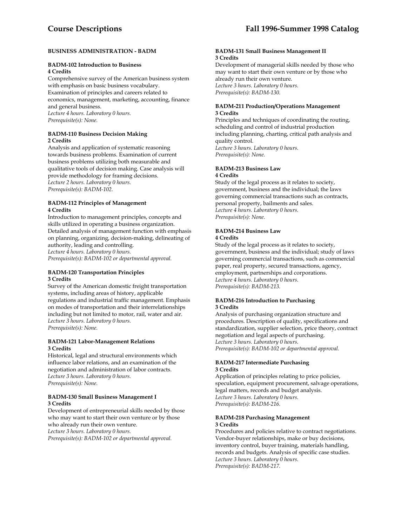# **BUSINESS ADMINISTRATION - BADM**

#### **BADM-102 Introduction to Business 4 Credits**

Comprehensive survey of the American business system with emphasis on basic business vocabulary. Examination of principles and careers related to economics, management, marketing, accounting, finance and general business. *Lecture 4 hours. Laboratory 0 hours. Prerequisite(s): None.* 

#### **BADM-110 Business Decision Making 2 Credits**

Analysis and application of systematic reasoning towards business problems. Examination of current business problems utilizing both measurable and qualitative tools of decision making. Case analysis will provide methodology for framing decisions. *Lecture 2 hours. Laboratory 0 hours. Prerequisite(s): BADM-102.* 

#### **BADM-112 Principles of Management 4 Credits**

Introduction to management principles, concepts and skills utilized in operating a business organization. Detailed analysis of management function with emphasis on planning, organizing, decision-making, delineating of authority, leading and controlling. *Lecture 4 hours. Laboratory 0 hours.* 

*Prerequisite(s): BADM-102 or departmental approval.* 

#### **BADM-120 Transportation Principles 3 Credits**

Survey of the American domestic freight transportation systems, including areas of history, applicable regulations and industrial traffic management. Emphasis on modes of transportation and their interrelationships including but not limited to motor, rail, water and air. *Lecture 3 hours. Laboratory 0 hours. Prerequisite(s): None.* 

#### **BADM-121 Labor-Management Relations 3 Credits**

Historical, legal and structural environments which influence labor relations, and an examination of the negotiation and administration of labor contracts. *Lecture 3 hours. Laboratory 0 hours. Prerequisite(s): None.* 

#### **BADM-130 Small Business Management I 3 Credits**

Development of entrepreneurial skills needed by those who may want to start their own venture or by those who already run their own venture. *Lecture 3 hours. Laboratory 0 hours. Prerequisite(s): BADM-102 or departmental approval.* 

#### **BADM-131 Small Business Management II 3 Credits**

Development of managerial skills needed by those who may want to start their own venture or by those who already run their own venture. *Lecture 3 hours. Laboratory 0 hours. Prerequisite(s): BADM-130.* 

# **BADM-211 Production/Operations Management 3 Credits**

Principles and techniques of coordinating the routing, scheduling and control of industrial production including planning, charting, critical path analysis and quality control. *Lecture 3 hours. Laboratory 0 hours. Prerequisite(s): None.* 

# **BADM-213 Business Law 4 Credits**

Study of the legal process as it relates to society, government, business and the individual; the laws governing commercial transactions such as contracts, personal property, bailments and sales. *Lecture 4 hours. Laboratory 0 hours. Prerequisite(s): None*.

# **BADM-214 Business Law 4 Credits**

Study of the legal process as it relates to society, government, business and the individual; study of laws governing commercial transactions, such as commercial paper, real property, secured transactions, agency, employment, partnerships and corporations. *Lecture 4 hours. Laboratory 0 hours. Prerequisite(s): BADM-213.* 

#### **BADM-216 Introduction to Purchasing 3 Credits**

Analysis of purchasing organization structure and procedures. Description of quality, specifications and standardization, supplier selection, price theory, contract negotiation and legal aspects of purchasing. *Lecture 3 hours. Laboratory 0 hours. Prerequisite(s): BADM-102 or departmental approval.* 

#### **BADM-217 Intermediate Purchasing 3 Credits**

Application of principles relating to price policies, speculation, equipment procurement, salvage operations, legal matters, records and budget analysis. *Lecture 3 hours. Laboratory 0 hours. Prerequisite(s): BADM-216.* 

#### **BADM-218 Purchasing Management 3 Credits**

Procedures and policies relative to contract negotiations. Vendor-buyer relationships, make or buy decisions, inventory control, buyer training, materials handling, records and budgets. Analysis of specific case studies. *Lecture 3 hours. Laboratory 0 hours. Prerequisite(s): BADM-217.*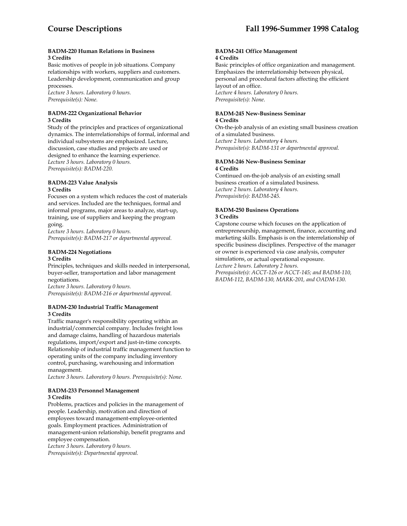#### **BADM-220 Human Relations in Business 3 Credits**

Basic motives of people in job situations. Company relationships with workers, suppliers and customers. Leadership development, communication and group processes.

*Lecture 3 hours. Laboratory 0 hours. Prerequisite(s): None.* 

### **BADM-222 Organizational Behavior 3 Credits**

Study of the principles and practices of organizational dynamics. The interrelationships of formal, informal and individual subsystems are emphasized. Lecture, discussion, case studies and projects are used or designed to enhance the learning experience. *Lecture 3 hours. Laboratory 0 hours. Prerequisite(s): BADM-220.* 

#### **BADM-223 Value Analysis 3 Credits**

Focuses on a system which reduces the cost of materials and services. Included are the techniques, formal and informal programs, major areas to analyze, start-up, training, use of suppliers and keeping the program going.

*Lecture 3 hours. Laboratory 0 hours. Prerequisite(s): BADM-217 or departmental approval.* 

## **BADM-224 Negotiations 3 Credits**

Principles, techniques and skills needed in interpersonal, buyer-seller, transportation and labor management negotiations.

*Lecture 3 hours. Laboratory 0 hours. Prerequisite(s): BADM-216 or departmental approval.* 

# **BADM-230 Industrial Traffic Management 3 Credits**

Traffic manager's responsibility operating within an industrial/commercial company. Includes freight loss and damage claims, handling of hazardous materials regulations, import/export and just-in-time concepts. Relationship of industrial traffic management function to operating units of the company including inventory control, purchasing, warehousing and information management.

*Lecture 3 hours. Laboratory 0 hours. Prerequisite(s): None.* 

#### **BADM-233 Personnel Management 3 Credits**

Problems, practices and policies in the management of people. Leadership, motivation and direction of employees toward management-employee-oriented goals. Employment practices. Administration of management-union relationship, benefit programs and employee compensation.

*Lecture 3 hours. Laboratory 0 hours. Prerequisite(s): Departmental approval.* 

#### **BADM-241 Office Management 4 Credits**

Basic principles of office organization and management. Emphasizes the interrelationship between physical, personal and procedural factors affecting the efficient layout of an office. *Lecture 4 hours. Laboratory 0 hours. Prerequisite(s): None*.

# **BADM-245 New-Business Seminar**

# **4 Credits**

On-the-job analysis of an existing small business creation of a simulated business. *Lecture 2 hours. Laboratory 4 hours. Prerequisite(s): BADM-131 or departmental approval.* 

## **BADM-246 New-Business Seminar 4 Credits**

Continued on-the-job analysis of an existing small business creation of a simulated business. *Lecture 2 hours. Laboratory 4 hours. Prerequisite(s): BADM-245.* 

#### **BADM-250 Business Operations 3 Credits**

Capstone course which focuses on the application of entrepreneurship, management, finance, accounting and marketing skills. Emphasis is on the interrelationship of specific business disciplines. Perspective of the manager or owner is experienced via case analysis, computer simulations, or actual operational exposure. *Lecture 2 hours. Laboratory 2 hours. Prerequisite(s): ACCT-126 or ACCT-145; and BADM-110, BADM-112, BADM-130, MARK-201, and OADM-130.*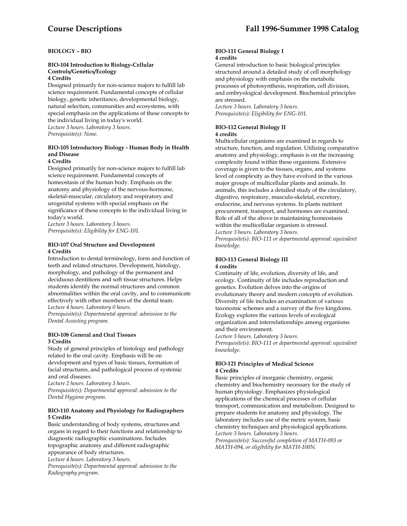# **BIOLOGY – BIO**

#### **BIO-104 Introduction to Biology-Cellular Controls/Genetics/Ecology 4 Credits**

Designed primarily for non-science majors to fulfill lab science requirement. Fundamental concepts of cellular biology, genetic inheritance, developmental biology, natural selection, communities and ecosystems, with special emphasis on the applications of these concepts to the individual living in today's world. *Lecture 3 hours. Laboratory 3 hours. Prerequisite(s): None.* 

# **BIO-105 Introductory Biology - Human Body in Health and Disease**

#### **4 Credits**

Designed primarily for non-science majors to fulfill lab science requirement. Fundamental concepts of homeostasis of the human body. Emphasis on the anatomy and physiology of the nervous-hormone, skeletal-muscular, circulatory and respiratory and urogenital systems with special emphasis on the significance of these concepts to the individual living in today's world.

*Lecture 3 hours. Laboratory 3 hours. Prerequisite(s): Eligibility for ENG-101.* 

## **BIO-107 Oral Structure and Development 4 Credits**

Introduction to dental terminology, form and function of teeth and related structures. Development, histology, morphology, and pathology of the permanent and deciduous dentitions and soft tissue structures. Helps students identify the normal structures and common abnormalities within the oral cavity, and to communicate effectively with other members of the dental team. *Lecture 4 hours. Laboratory 0 hours.* 

*Prerequisite(s): Departmental approval: admission to the Dental Assisting program.* 

#### **BIO-108 General and Oral Tissues 3 Credits**

Study of general principles of histology and pathology related to the oral cavity. Emphasis will be on development and types of basic tissues, formation of facial structures, and pathological process of systemic and oral diseases.

*Lecture 2 hours. Laboratory 3 hours. Prerequisite(s): Departmental approval: admission to the* 

*Dental Hygiene program.* 

# **BIO-110 Anatomy and Physiology for Radiographers 5 Credits**

Basic understanding of body systems, structures and organs in regard to their functions and relationship to diagnostic radiographic examinations. Includes topographic anatomy and different radiographic appearance of body structures.

*Lecture 4 hours. Laboratory 3 hours.* 

*Prerequisite(s): Departmental approval: admission to the Radiography program.* 

#### **BIO-111 General Biology I 4 credits**

General introduction to basic biological principles structured around a detailed study of cell morphology and physiology with emphasis on the metabolic processes of photosynthesis, respiration, cell division, and embryological development. Biochemical principles are stressed.

*Lecture 3 hours. Laboratory 3 hours. Prerequisite(s): Eligibility for ENG-101.* 

# **BIO-112 General Biology II**

**4 credits** 

Multicellular organisms are examined in regards to structure, function, and regulation. Utilizing comparative anatomy and physiology, emphasis is on the increasing complexity found within these organisms. Extensive coverage is given to the tissues, organs, and systems level of complexity as they have evolved in the various major groups of multicellular plants and animals. In animals, this includes a detailed study of the circulatory, digestive, respiratory, musculo-skeletal, excretory, endocrine, and nervous systems. In plants nutrient procurement, transport, and hormones are examined. Role of all of the above in maintaining homeostasis within the multicellular organism is stressed. *Lecture 3 hours. Laboratory 3 hours.* 

*Prerequisite(s): BIO-111 or departmental approval: equivalent knowledge.* 

# **BIO-113 General Biology III 4 credits**

Continuity of life, evolution, diversity of life, and ecology. Continuity of life includes reproduction and genetics. Evolution delves into the origins of evolutionary theory and modern concepts of evolution. Diversity of life includes an examination of various taxonomic schemes and a survey of the five kingdoms. Ecology explores the various levels of ecological organization and interrelationships among organisms and their environment.

## *Lecture 3 hours. Laboratory 3 hours.*

*Prerequisite(s): BIO-111 or departmental approval: equivalent knowledge.* 

#### **BIO-121 Principles of Medical Science 4 Credits**

Basic principles of inorganic chemistry, organic chemistry and biochemistry necessary for the study of human physiology. Emphasizes physiological applications of the chemical processes of cellular transport, communication and metabolism. Designed to prepare students for anatomy and physiology. The laboratory includes use of the metric system, basic chemistry techniques and physiological applications. *Lecture 3 hours. Laboratory 3 hours. Prerequisite(s): Successful completion of MATH-093 or MATH-094, or eligibility for MATH-100N.*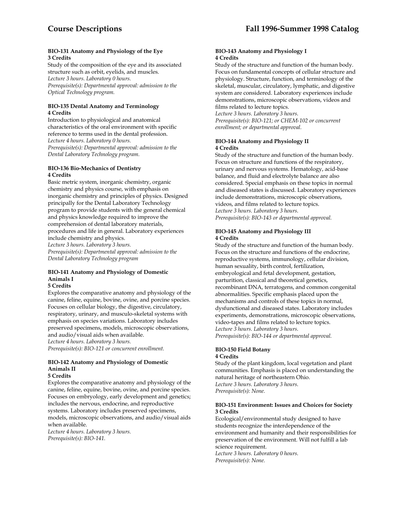#### **BIO-131 Anatomy and Physiology of the Eye 3 Credits**

Study of the composition of the eye and its associated structure such as orbit, eyelids, and muscles. *Lecture 3 hours. Laboratory 0 hours. Prerequisite(s): Departmental approval: admission to the Optical Technology program.* 

#### **BIO-135 Dental Anatomy and Terminology 4 Credits**

Introduction to physiological and anatomical characteristics of the oral environment with specific reference to terms used in the dental profession. *Lecture 4 hours. Laboratory 0 hours. Prerequisite(s): Departmental approval: admission to the Dental Laboratory Technology program.* 

## **BIO-136 Bio-Mechanics of Dentistry 4 Credits**

Basic metric system, inorganic chemistry, organic chemistry and physics course, with emphasis on inorganic chemistry and principles of physics. Designed principally for the Dental Laboratory Technology program to provide students with the general chemical and physics knowledge required to improve the comprehension of dental laboratory materials, procedures and life in general. Laboratory experiences include chemistry and physics. *Lecture 3 hours. Laboratory 3 hours. Prerequisite(s): Departmental approval: admission to the Dental Laboratory Technology program* 

# **BIO-141 Anatomy and Physiology of Domestic Animals I**

#### **5 Credits**

Explores the comparative anatomy and physiology of the canine, feline, equine, bovine, ovine, and porcine species. Focuses on cellular biology, the digestive, circulatory, respiratory, urinary, and musculo-skeletal systems with emphasis on species variations. Laboratory includes preserved specimens, models, microscopic observations, and audio/visual aids when available. *Lecture 4 hours. Laboratory 3 hours. Prerequisite(s): BIO-121 or concurrent enrollment.* 

# **BIO-142 Anatomy and Physiology of Domestic Animals II**

# **5 Credits**

Explores the comparative anatomy and physiology of the canine, feline, equine, bovine, ovine, and porcine species. Focuses on embryology, early development and genetics; includes the nervous, endocrine, and reproductive systems. Laboratory includes preserved specimens, models, microscopic observations, and audio/visual aids when available. *Lecture 4 hours. Laboratory 3 hours.* 

*Prerequisite(s): BIO-141.* 

#### **BIO-143 Anatomy and Physiology I 4 Credits**

Study of the structure and function of the human body. Focus on fundamental concepts of cellular structure and physiology. Structure, function, and terminology of the skeletal, muscular, circulatory, lymphatic, and digestive system are considered. Laboratory experiences include demonstrations, microscopic observations, videos and films related to lecture topics.

*Lecture 3 hours. Laboratory 3 hours. Prerequisite(s): BIO-121; or CHEM-102 or concurrent enrollment; or departmental approval.* 

## **BIO-144 Anatomy and Physiology II 4 Credits**

Study of the structure and function of the human body. Focus on structure and functions of the respiratory, urinary and nervous systems. Hematology, acid-base balance, and fluid and electrolyte balance are also considered. Special emphasis on these topics in normal and diseased states is discussed. Laboratory experiences include demonstrations, microscopic observations, videos, and films related to lecture topics. *Lecture 3 hours. Laboratory 3 hours. Prerequisite(s): BIO-143 or departmental approval.* 

# **BIO-145 Anatomy and Physiology III 4 Credits**

Study of the structure and function of the human body. Focus on the structure and functions of the endocrine, reproductive systems, immunology, cellular division, human sexuality, birth control, fertilization, embryological and fetal development, gestation, parturition, classical and theoretical genetics, recombinant DNA, terratogens, and common congenital abnormalities. Specific emphasis placed upon the mechanisms and controls of these topics in normal, dysfunctional and diseased states. Laboratory includes experiments, demonstrations, microscopic observations, video-tapes and films related to lecture topics. *Lecture 3 hours. Laboratory 3 hours. Prerequisite(s): BIO-144 or departmental approval.* 

#### **BIO-150 Field Botany 4 Credits**

Study of the plant kingdom, local vegetation and plant communities. Emphasis is placed on understanding the natural heritage of northeastern Ohio. *Lecture 3 hours. Laboratory 3 hours. Prerequisite(s): None.* 

#### **BIO-151 Environment: Issues and Choices for Society 3 Credits**

Ecological/environmental study designed to have students recognize the interdependence of the environment and humanity and their responsibilities for preservation of the environment. Will not fulfill a lab science requirement. *Lecture 3 hours. Laboratory 0 hours.* 

*Prerequisite(s): None.*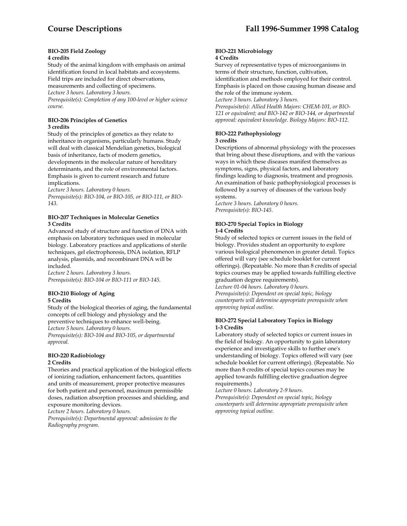#### **BIO-205 Field Zoology 4 credits**

Study of the animal kingdom with emphasis on animal identification found in local habitats and ecosystems. Field trips are included for direct observations, measurements and collecting of specimens. *Lecture 3 hours. Laboratory 3 hours. Prerequisite(s): Completion of any 100-level or higher science course.* 

# **BIO-206 Principles of Genetics 3 credits**

Study of the principles of genetics as they relate to inheritance in organisms, particularly humans. Study will deal with classical Mendelian genetics, biological basis of inheritance, facts of modern genetics, developments in the molecular nature of hereditary determinants, and the role of environmental factors. Emphasis is given to current research and future implications.

*Lecture 3 hours. Laboratory 0 hours. Prerequisite(s): BIO-104, or BIO-105, or BIO-111, or BIO-143.* 

#### **BIO-207 Techniques in Molecular Genetics 3 Credits**

Advanced study of structure and function of DNA with emphasis on laboratory techniques used in molecular biology. Laboratory practices and applications of sterile techniques, gel electrophoresis, DNA isolation, RFLP analysis, plasmids, and recombinant DNA will be included.

*Lecture 2 hours. Laboratory 3 hours. Prerequisite(s): BIO-104 or BIO-111 or BIO-145.* 

#### **BIO-210 Biology of Aging 5 Credits**

Study of the biological theories of aging, the fundamental concepts of cell biology and physiology and the preventive techniques to enhance well-being. *Lecture 5 hours. Laboratory 0 hours.* 

*Prerequisite(s): BIO-104 and BIO-105, or departmental approval.* 

#### **BIO-220 Radiobiology 2 Credits**

Theories and practical application of the biological effects of ionizing radiation, enhancement factors, quantities and units of measurement, proper protective measures for both patient and personnel, maximum permissible doses, radiation absorption processes and shielding, and exposure monitoring devices.

*Lecture 2 hours. Laboratory 0 hours.* 

*Prerequisite(s): Departmental approval: admission to the Radiography program.* 

#### **BIO-221 Microbiology 4 Credits**

Survey of representative types of microorganisms in terms of their structure, function, cultivation, identification and methods employed for their control. Emphasis is placed on those causing human disease and the role of the immune system.

*Lecture 3 hours. Laboratory 3 hours.* 

*Prerequisite(s): Allied Health Majors: CHEM-101, or BIO-121 or equivalent; and BIO-142 or BIO-144, or departmental approval: equivalent knowledge. Biology Majors: BIO-112.* 

#### **BIO-222 Pathophysiology 3 credits**

Descriptions of abnormal physiology with the processes that bring about these disruptions, and with the various ways in which these diseases manifest themselves as symptoms, signs, physical factors, and laboratory findings leading to diagnosis, treatment and prognosis. An examination of basic pathophysiological processes is followed by a survey of diseases of the various body systems.

*Lecture 3 hours. Laboratory 0 hours. Prerequisite(s): BIO-145.* 

# **BIO-270 Special Topics in Biology 1-4 Credits**

Study of selected topics or current issues in the field of biology. Provides student an opportunity to explore various biological phenomenon in greater detail. Topics offered will vary (see schedule booklet for current offerings). (Repeatable. No more than 8 credits of special topics courses may be applied towards fulfilling elective graduation degree requirements).

*Lecture 01-04 hours. Laboratory 0 hours. Prerequisite(s): Dependent on special topic, biology counterparts will determine appropriate prerequisite when approving topical outline.*

# **BIO-272 Special Laboratory Topics in Biology 1-3 Credits**

Laboratory study of selected topics or current issues in the field of biology. An opportunity to gain laboratory experience and investigative skills to further one's understanding of biology. Topics offered will vary (see schedule booklet for current offerings). (Repeatable. No more than 8 credits of special topics courses may be applied towards fulfilling elective graduation degree requirements.)

*Lecture 0 hours. Laboratory 2-9 hours. Prerequisite(s): Dependent on special topic, biology counterparts will determine appropriate prerequisite when approving topical outline.*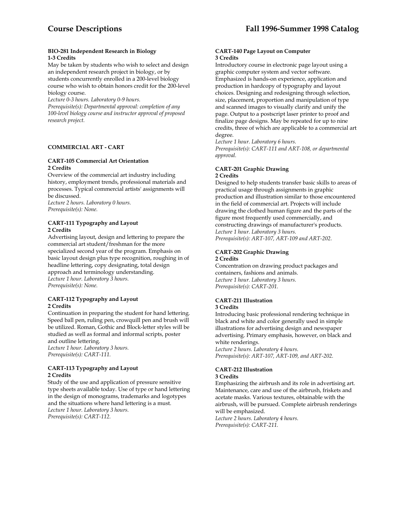#### **BIO-281 Independent Research in Biology 1-3 Credits**

May be taken by students who wish to select and design an independent research project in biology, or by students concurrently enrolled in a 200-level biology course who wish to obtain honors credit for the 200-level biology course.

*Lecture 0-3 hours. Laboratory 0-9 hours.* 

*Prerequisite(s): Departmental approval: completion of any 100-level biology course and instructor approval of proposed research project.* 

# **COMMERCIAL ART - CART**

## **CART-105 Commercial Art Orientation 2 Credits**

Overview of the commercial art industry including history, employment trends, professional materials and processes. Typical commercial artists' assignments will be discussed.

*Lecture 2 hours. Laboratory 0 hours. Prerequisite(s): None.* 

# **CART-111 Typography and Layout 2 Credits**

Advertising layout, design and lettering to prepare the commercial art student/freshman for the more specialized second year of the program. Emphasis on basic layout design plus type recognition, roughing in of headline lettering, copy designating, total design approach and terminology understanding. *Lecture 1 hour. Laboratory 3 hours. Prerequisite(s): None.* 

# **CART-112 Typography and Layout 2 Credits**

Continuation in preparing the student for hand lettering. Speed ball pen, ruling pen, crowquill pen and brush will be utilized. Roman, Gothic and Block-letter styles will be studied as well as formal and informal scripts, poster

and outline lettering. *Lecture 1 hour. Laboratory 3 hours. Prerequisite(s): CART-111.* 

# **CART-113 Typography and Layout 2 Credits**

Study of the use and application of pressure sensitive type sheets available today. Use of type or hand lettering in the design of monograms, trademarks and logotypes and the situations where hand lettering is a must. *Lecture 1 hour. Laboratory 3 hours. Prerequisite(s): CART-112.* 

#### **CART-140 Page Layout on Computer 3 Credits**

Introductory course in electronic page layout using a graphic computer system and vector software. Emphasized is hands-on experience, application and production in hardcopy of typography and layout choices. Designing and redesigning through selection, size, placement, proportion and manipulation of type and scanned images to visually clarify and unify the page. Output to a postscript laser printer to proof and finalize page designs. May be repeated for up to nine credits, three of which are applicable to a commercial art degree.

*Lecture 1 hour. Laboratory 6 hours. Prerequisite(s): CART-111 and ART-108, or departmental approval.* 

# **CART-201 Graphic Drawing 2 Credits**

Designed to help students transfer basic skills to areas of practical usage through assignments in graphic production and illustration similar to those encountered in the field of commercial art. Projects will include drawing the clothed human figure and the parts of the figure most frequently used commercially, and constructing drawings of manufacturer's products. *Lecture 1 hour. Laboratory 3 hours. Prerequisite(s): ART-107, ART-109 and ART-202.* 

#### **CART-202 Graphic Drawing 2 Credits**

Concentration on drawing product packages and containers, fashions and animals. *Lecture 1 hour. Laboratory 3 hours. Prerequisite(s): CART-201.* 

# **CART-211 Illustration**

#### **3 Credits**

Introducing basic professional rendering technique in black and white and color generally used in simple illustrations for advertising design and newspaper advertising. Primary emphasis, however, on black and white renderings. *Lecture 2 hours. Laboratory 4 hours.* 

*Prerequisite(s): ART-107, ART-109, and ART-202.* 

# **CART-212 Illustration**

# **3 Credits**

Emphasizing the airbrush and its role in advertising art. Maintenance, care and use of the airbrush, friskets and acetate masks. Various textures, obtainable with the airbrush, will be pursued. Complete airbrush renderings will be emphasized.

*Lecture 2 hours. Laboratory 4 hours. Prerequisite(s): CART-211.*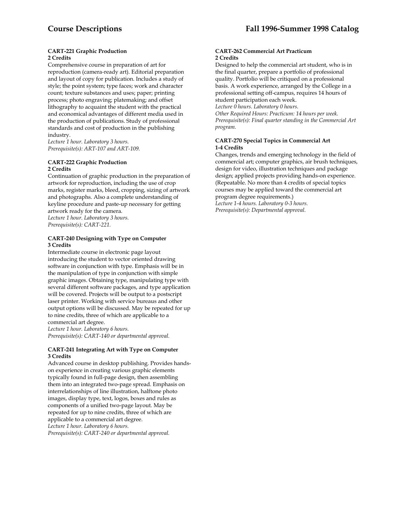#### **CART-221 Graphic Production 2 Credits**

Comprehensive course in preparation of art for reproduction (camera-ready art). Editorial preparation and layout of copy for publication. Includes a study of style; the point system; type faces; work and character count; texture substances and uses; paper; printing process; photo engraving; platemaking; and offset lithography to acquaint the student with the practical and economical advantages of different media used in the production of publications. Study of professional standards and cost of production in the publishing industry.

*Lecture 1 hour. Laboratory 3 hours. Prerequisite(s): ART-107 and ART-109.* 

#### **CART-222 Graphic Production 2 Credits**

Continuation of graphic production in the preparation of artwork for reproduction, including the use of crop marks, register marks, bleed, cropping, sizing of artwork and photographs. Also a complete understanding of keyline procedure and paste-up necessary for getting artwork ready for the camera. *Lecture 1 hour. Laboratory 3 hours. Prerequisite(s): CART-221.* 

#### **CART-240 Designing with Type on Computer 3 Credits**

Intermediate course in electronic page layout introducing the student to vector oriented drawing software in conjunction with type. Emphasis will be in the manipulation of type in conjunction with simple graphic images. Obtaining type, manipulating type with several different software packages, and type application will be covered. Projects will be output to a postscript laser printer. Working with service bureaus and other output options will be discussed. May be repeated for up to nine credits, three of which are applicable to a commercial art degree.

*Lecture 1 hour. Laboratory 6 hours. Prerequisite(s): CART-140 or departmental approval.* 

#### **CART-241 Integrating Art with Type on Computer 3 Credits**

Advanced course in desktop publishing. Provides handson experience in creating various graphic elements typically found in full-page design, then assembling them into an integrated two-page spread. Emphasis on interrelationships of line illustration, halftone photo images, display type, text, logos, boxes and rules as components of a unified two-page layout. May be repeated for up to nine credits, three of which are applicable to a commercial art degree. *Lecture 1 hour. Laboratory 6 hours. Prerequisite(s): CART-240 or departmental approval.* 

#### **CART-262 Commercial Art Practicum 2 Credits**

Designed to help the commercial art student, who is in the final quarter, prepare a portfolio of professional quality. Portfolio will be critiqued on a professional basis. A work experience, arranged by the College in a professional setting off-campus, requires 14 hours of student participation each week.

*Lecture 0 hours. Laboratory 0 hours. Other Required Hours: Practicum: 14 hours per week. Prerequisite(s): Final quarter standing in the Commercial Art program.* 

# **CART-270 Special Topics in Commercial Art 1-4 Credits**

Changes, trends and emerging technology in the field of commercial art; computer graphics, air brush techniques, design for video, illustration techniques and package design; applied projects providing hands-on experience. (Repeatable. No more than 4 credits of special topics courses may be applied toward the commercial art program degree requirements.) *Lecture 1-4 hours. Laboratory 0-3 hours. Prerequisite(s): Departmental approval.*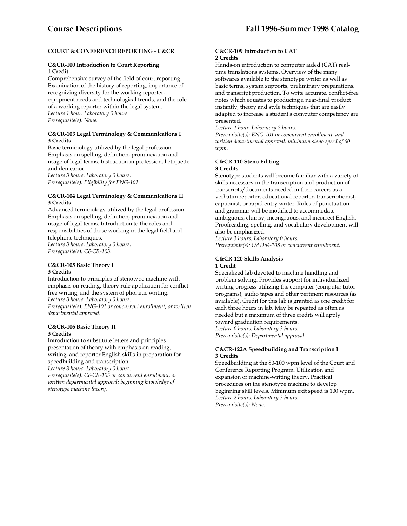# **COURT & CONFERENCE REPORTING - C&CR**

# **C&CR-100 Introduction to Court Reporting 1 Credit**

Comprehensive survey of the field of court reporting. Examination of the history of reporting, importance of recognizing diversity for the working reporter, equipment needs and technological trends, and the role of a working reporter within the legal system. *Lecture 1 hour. Laboratory 0 hours. Prerequisite(s): None.* 

#### **C&CR-103 Legal Terminology & Communications I 3 Credits**

Basic terminology utilized by the legal profession. Emphasis on spelling, definition, pronunciation and usage of legal terms. Instruction in professional etiquette and demeanor.

*Lecture 3 hours. Laboratory 0 hours. Prerequisite(s): Eligibility for ENG-101.* 

#### **C&CR-104 Legal Terminology & Communications II 3 Credits**

Advanced terminology utilized by the legal profession. Emphasis on spelling, definition, pronunciation and usage of legal terms. Introduction to the roles and responsibilities of those working in the legal field and telephone techniques.

*Lecture 3 hours. Laboratory 0 hours. Prerequisite(s): C&CR-103.* 

#### **C&CR-105 Basic Theory I 3 Credits**

Introduction to principles of stenotype machine with emphasis on reading, theory rule application for conflictfree writing, and the system of phonetic writing. *Lecture 3 hours. Laboratory 0 hours.* 

*Prerequisite(s): ENG-101 or concurrent enrollment, or written departmental approval.* 

#### **C&CR-106 Basic Theory II 3 Credits**

Introduction to substitute letters and principles presentation of theory with emphasis on reading, writing, and reporter English skills in preparation for speedbuilding and transcription.

*Lecture 3 hours. Laboratory 0 hours.* 

*Prerequisite(s): C&CR-105 or concurrent enrollment, or written departmental approval: beginning knowledge of stenotype machine theory.* 

#### **C&CR-109 Introduction to CAT 2 Credits**

Hands-on introduction to computer aided (CAT) realtime translations systems. Overview of the many softwares available to the stenotype writer as well as basic terms, system supports, preliminary preparations, and transcript production. To write accurate, conflict-free notes which equates to producing a near-final product instantly, theory and style techniques that are easily adapted to increase a student's computer competency are presented.

*Lecture 1 hour. Laboratory 2 hours.* 

*Prerequisite(s): ENG-101 or concurrent enrollment, and written departmental approval: minimum steno speed of 60 wpm.* 

#### **C&CR-110 Steno Editing 3 Credits**

Stenotype students will become familiar with a variety of skills necessary in the transcription and production of transcripts/documents needed in their careers as a verbatim reporter, educational reporter, transcriptionist, captionist, or rapid entry writer. Rules of punctuation and grammar will be modified to accommodate ambiguous, clumsy, incongruous, and incorrect English. Proofreading, spelling, and vocabulary development will also be emphasized.

*Lecture 3 hours. Laboratory 0 hours. Prerequisite(s): OADM-108 or concurrent enrollment.* 

#### **C&CR-120 Skills Analysis 1 Credit**

Specialized lab devoted to machine handling and problem solving. Provides support for individualized writing progress utilizing the computer (computer tutor programs), audio tapes and other pertinent resources (as available). Credit for this lab is granted as one credit for each three hours in lab. May be repeated as often as needed but a maximum of three credits will apply toward graduation requirements. *Lecture 0 hours. Laboratory 3 hours. Prerequisite(s): Departmental approval.* 

# **C&CR-122A Speedbuilding and Transcription I 3 Credits**

Speedbuilding at the 80-100 wpm level of the Court and Conference Reporting Program. Utilization and expansion of machine-writing theory. Practical procedures on the stenotype machine to develop beginning skill levels. Minimum exit speed is 100 wpm. *Lecture 2 hours. Laboratory 3 hours. Prerequisite(s): None.*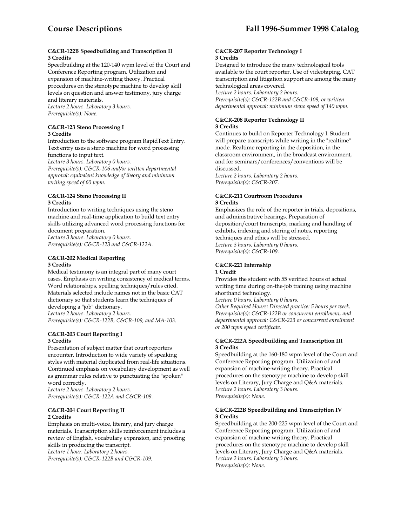## **C&CR-122B Speedbuilding and Transcription II 3 Credits**

Speedbuilding at the 120-140 wpm level of the Court and Conference Reporting program. Utilization and expansion of machine-writing theory. Practical procedures on the stenotype machine to develop skill levels on question and answer testimony, jury charge and literary materials. *Lecture 2 hours. Laboratory 3 hours.* 

*Prerequisite(s): None.* 

### **C&CR-123 Steno Processing I 3 Credits**

Introduction to the software program RapidText Entry. Text entry uses a steno machine for word processing functions to input text.

*Lecture 3 hours. Laboratory 0 hours. Prerequisite(s): C&CR-106 and/or written departmental approval: equivalent knowledge of theory and minimum writing speed of 60 wpm.* 

# **C&CR-124 Steno Processing II 3 Credits**

Introduction to writing techniques using the steno machine and real-time application to build text entry skills utilizing advanced word processing functions for document preparation.

*Lecture 3 hours. Laboratory 0 hours. Prerequisite(s): C&CR-123 and C&CR-122A.* 

# **C&CR-202 Medical Reporting 3 Credits**

Medical testimony is an integral part of many court cases. Emphasis on writing consistency of medical terms. Word relationships, spelling techniques/rules cited. Materials selected include names not in the basic CAT dictionary so that students learn the techniques of developing a "job" dictionary.

*Lecture 2 hours. Laboratory 2 hours. Prerequisite(s): C&CR-122B, C&CR-109, and MA-103.* 

# **C&CR-203 Court Reporting I 3 Credits**

Presentation of subject matter that court reporters encounter. Introduction to wide variety of speaking styles with material duplicated from real-life situations. Continued emphasis on vocabulary development as well as grammar rules relative to punctuating the "spoken" word correctly.

*Lecture 2 hours. Laboratory 2 hours. Prerequisite(s): C&CR-122A and C&CR-109.* 

# **C&CR-204 Court Reporting II 2 Credits**

Emphasis on multi-voice, literary, and jury charge materials. Transcription skills reinforcement includes a review of English, vocabulary expansion, and proofing skills in producing the transcript. *Lecture 1 hour. Laboratory 2 hours.* 

*Prerequisite(s): C&CR-122B and C&CR-109.* 

#### **C&CR-207 Reporter Technology I 3 Credits**

Designed to introduce the many technological tools available to the court reporter. Use of videotaping, CAT transcription and litigation support are among the many technological areas covered.

*Lecture 2 hours. Laboratory 2 hours.* 

*Prerequisite(s): C&CR-122B and C&CR-109, or written departmental approval: minimum steno speed of 140 wpm.* 

# **C&CR-208 Reporter Technology II 3 Credits**

Continues to build on Reporter Technology I. Student will prepare transcripts while writing in the "realtime" mode. Realtime reporting in the deposition, in the classroom environment, in the broadcast environment, and for seminars/conferences/conventions will be discussed. *Lecture 2 hours. Laboratory 2 hours.* 

*Prerequisite(s): C&CR-207.* 

#### **C&CR-211 Courtroom Procedures 3 Credits**

Emphasizes the role of the reporter in trials, depositions, and administrative hearings. Preparation of deposition/court transcripts, marking and handling of exhibits, indexing and storing of notes, reporting techniques and ethics will be stressed. *Lecture 3 hours. Laboratory 0 hours. Prerequisite(s): C&CR-109.* 

#### **C&CR-221 Internship 1 Credit**

# Provides the student with 55 verified hours of actual writing time during on-the-job training using machine shorthand technology.

*Lecture 0 hours. Laboratory 0 hours.* 

*Other Required Hours: Directed practice: 5 hours per week. Prerequisite(s): C&CR-122B or concurrent enrollment, and departmental approval: C&CR-223 or concurrent enrollment or 200 wpm speed certificate.* 

# **C&CR-222A Speedbuilding and Transcription III 3 Credits**

Speedbuilding at the 160-180 wpm level of the Court and Conference Reporting program. Utilization of and expansion of machine-writing theory. Practical procedures on the stenotype machine to develop skill levels on Literary, Jury Charge and Q&A materials. *Lecture 2 hours. Laboratory 3 hours. Prerequisite(s): None.* 

# **C&CR-222B Speedbuilding and Transcription IV 3 Credits**

Speedbuilding at the 200-225 wpm level of the Court and Conference Reporting program. Utilization of and expansion of machine-writing theory. Practical procedures on the stenotype machine to develop skill levels on Literary, Jury Charge and Q&A materials. *Lecture 2 hours. Laboratory 3 hours. Prerequisite(s): None.*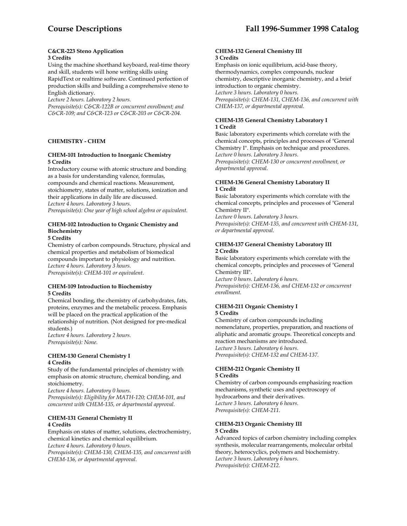#### **C&CR-223 Steno Application 3 Credits**

Using the machine shorthand keyboard, real-time theory and skill, students will hone writing skills using RapidText or realtime software. Continued perfection of production skills and building a comprehensive steno to

English dictionary.

*Lecture 2 hours. Laboratory 2 hours.* 

*Prerequisite(s): C&CR-122B or concurrent enrollment; and C&CR-109; and C&CR-123 or C&CR-203 or C&CR-204.* 

# **CHEMISTRY - CHEM**

# **CHEM-101 Introduction to Inorganic Chemistry 5 Credits**

Introductory course with atomic structure and bonding as a basis for understanding valence, formulas, compounds and chemical reactions. Measurement, stoichiometry, states of matter, solutions, ionization and their applications in daily life are discussed. *Lecture 4 hours. Laboratory 3 hours. Prerequisite(s): One year of high school algebra or equivalent.* 

# **CHEM-102 Introduction to Organic Chemistry and Biochemistry**

**5 Credits** 

Chemistry of carbon compounds. Structure, physical and chemical properties and metabolism of biomedical compounds important to physiology and nutrition. *Lecture 4 hours. Laboratory 3 hours. Prerequisite(s): CHEM-101 or equivalent*.

# **CHEM-109 Introduction to Biochemistry 5 Credits**

Chemical bonding, the chemistry of carbohydrates, fats, proteins, enzymes and the metabolic process. Emphasis will be placed on the practical application of the relationship of nutrition. (Not designed for pre-medical students.)

*Lecture 4 hours. Laboratory 2 hours. Prerequisite(s): None.* 

#### **CHEM-130 General Chemistry I 4 Credits**

Study of the fundamental principles of chemistry with emphasis on atomic structure, chemical bonding, and stoichiometry.

*Lecture 4 hours. Laboratory 0 hours. Prerequisite(s): Eligibility for MATH-120; CHEM-101, and concurrent with CHEM-135, or departmental approval.* 

# **CHEM-131 General Chemistry II 4 Credits**

Emphasis on states of matter, solutions, electrochemistry, chemical kinetics and chemical equilibrium. *Lecture 4 hours. Laboratory 0 hours.* 

*Prerequisite(s): CHEM-130, CHEM-135, and concurrent with CHEM-136, or departmental approval.* 

#### **CHEM-132 General Chemistry III 3 Credits**

Emphasis on ionic equilibrium, acid-base theory, thermodynamics, complex compounds, nuclear chemistry, descriptive inorganic chemistry, and a brief introduction to organic chemistry. *Lecture 3 hours. Laboratory 0 hours. Prerequisite(s): CHEM-131, CHEM-136, and concurrent with CHEM-137, or departmental approval.* 

# **CHEM-135 General Chemistry Laboratory I 1 Credit**

Basic laboratory experiments which correlate with the chemical concepts, principles and processes of "General Chemistry I". Emphasis on technique and procedures. *Lecture 0 hours. Laboratory 3 hours. Prerequisite(s): CHEM-130 or concurrent enrollment, or departmental approval.* 

# **CHEM-136 General Chemistry Laboratory II 1 Credit**

Basic laboratory experiments which correlate with the chemical concepts, principles and processes of "General Chemistry II".

*Lecture 0 hours. Laboratory 3 hours. Prerequisite(s): CHEM-135, and concurrent with CHEM-131, or departmental approval.* 

## **CHEM-137 General Chemistry Laboratory III 2 Credits**

Basic laboratory experiments which correlate with the chemical concepts, principles and processes of "General Chemistry III".

*Lecture 0 hours. Laboratory 6 hours. Prerequisite(s): CHEM-136, and CHEM-132 or concurrent enrollment.* 

#### **CHEM-211 Organic Chemistry I 5 Credits**

Chemistry of carbon compounds including nomenclature, properties, preparation, and reactions of aliphatic and aromatic groups. Theoretical concepts and reaction mechanisms are introduced. *Lecture 3 hours. Laboratory 6 hours. Prerequisite(s): CHEM-132 and CHEM-137.* 

#### **CHEM-212 Organic Chemistry II 5 Credits**

Chemistry of carbon compounds emphasizing reaction mechanisms, synthetic uses and spectroscopy of hydrocarbons and their derivatives. *Lecture 3 hours. Laboratory 6 hours. Prerequisite(s): CHEM-211*.

#### **CHEM-213 Organic Chemistry III 5 Credits**

Advanced topics of carbon chemistry including complex synthesis, molecular rearrangements, molecular orbital theory, heterocyclics, polymers and biochemistry. *Lecture 3 hours. Laboratory 6 hours. Prerequisite(s): CHEM-212.*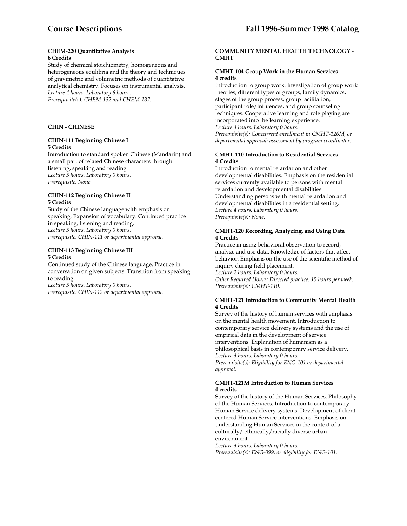#### **CHEM-220 Quantitative Analysis 6 Credits**

Study of chemical stoichiometry, homogeneous and heterogeneous equlibria and the theory and techniques of gravimetric and volumetric methods of quantitative analytical chemistry. Focuses on instrumental analysis. *Lecture 4 hours. Laboratory 6 hours. Prerequisite(s): CHEM-132 and CHEM-137.* 

#### **CHIN - CHINESE**

#### **CHIN-111 Beginning Chinese I 5 Credits**

Introduction to standard spoken Chinese (Mandarin) and a small part of related Chinese characters through listening, speaking and reading. *Lecture 5 hours. Laboratory 0 hours. Prerequisite: None.* 

#### **CHIN-112 Beginning Chinese II 5 Credits**

Study of the Chinese language with emphasis on speaking. Expansion of vocabulary. Continued practice in speaking, listening and reading. *Lecture 5 hours. Laboratory 0 hours. Prerequisite: CHIN-111 or departmental approval.* 

#### **CHIN-113 Beginning Chinese III 5 Credits**

Continued study of the Chinese language. Practice in conversation on given subjects. Transition from speaking to reading.

*Lecture 5 hours. Laboratory 0 hours. Prerequisite: CHIN-112 or departmental approval.* 

## **COMMUNITY MENTAL HEALTH TECHNOLOGY - CMHT**

### **CMHT-104 Group Work in the Human Services 4 credits**

Introduction to group work. Investigation of group work theories, different types of groups, family dynamics, stages of the group process, group facilitation, participant role/influences, and group counseling techniques. Cooperative learning and role playing are incorporated into the learning experience. *Lecture 4 hours. Laboratory 0 hours. Prerequisite(s): Concurrent enrollment in CMHT-126M, or* 

*departmental approval: assessment by program coordinator.* 

## **CMHT-110 Introduction to Residential Services 4 Credits**

Introduction to mental retardation and other developmental disabilities. Emphasis on the residential services currently available to persons with mental retardation and developmental disabilities. Understanding persons with mental retardation and developmental disabilities in a residential setting. *Lecture 4 hours. Laboratory 0 hours. Prerequisite(s): None.* 

#### **CMHT-120 Recording, Analyzing, and Using Data 4 Credits**

Practice in using behavioral observation to record, analyze and use data. Knowledge of factors that affect behavior. Emphasis on the use of the scientific method of inquiry during field placement.

*Lecture 2 hours. Laboratory 0 hours. Other Required Hours: Directed practice: 15 hours per week. Prerequisite(s): CMHT-110.* 

#### **CMHT-121 Introduction to Community Mental Health 4 Credits**

Survey of the history of human services with emphasis on the mental health movement. Introduction to contemporary service delivery systems and the use of empirical data in the development of service interventions. Explanation of humanism as a philosophical basis in contemporary service delivery. *Lecture 4 hours. Laboratory 0 hours. Prerequisite(s): Eligibility for ENG-101 or departmental approval.* 

#### **CMHT-121M Introduction to Human Services 4 credits**

Survey of the history of the Human Services. Philosophy of the Human Services. Introduction to contemporary Human Service delivery systems. Development of clientcentered Human Service interventions. Emphasis on understanding Human Services in the context of a culturally/ ethnically/racially diverse urban environment.

*Lecture 4 hours. Laboratory 0 hours. Prerequisite(s): ENG-099, or eligibility for ENG-101.*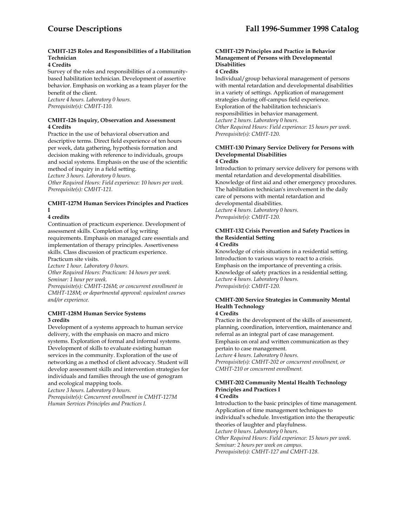# **CMHT-125 Roles and Responsibilities of a Habilitation Technician**

# **4 Credits**

Survey of the roles and responsibilities of a communitybased habilitation technician. Development of assertive behavior. Emphasis on working as a team player for the benefit of the client.

*Lecture 4 hours. Laboratory 0 hours. Prerequisite(s): CMHT-110.* 

#### **CMHT-126 Inquiry, Observation and Assessment 4 Credits**

Practice in the use of behavioral observation and descriptive terms. Direct field experience of ten hours per week, data gathering, hypothesis formation and decision making with reference to individuals, groups and social systems. Emphasis on the use of the scientific method of inquiry in a field setting.

*Lecture 3 hours. Laboratory 0 hours.* 

*Other Required Hours: Field experience: 10 hours per week. Prerequisite(s): CMHT-121.* 

# **CMHT-127M Human Services Principles and Practices I**

# **4 credits**

Continuation of practicum experience. Development of assessment skills. Completion of log writing requirements. Emphasis on managed care essentials and implementation of therapy principles. Assertiveness skills. Class discussion of practicum experience. Practicum site visits.

*Lecture 1 hour. Laboratory 0 hours.* 

*Other Required Hours: Practicum: 14 hours per week. Seminar: 1 hour per week.* 

*Prerequisite(s): CMHT-126M; or concurrent enrollment in CMHT-128M; or departmental approval: equivalent courses and/or experience.* 

#### **CMHT-128M Human Service Systems 3 credits**

Development of a systems approach to human service delivery, with the emphasis on macro and micro systems. Exploration of formal and informal systems. Development of skills to evaluate existing human services in the community. Exploration of the use of networking as a method of client advocacy. Student will develop assessment skills and intervention strategies for individuals and families through the use of genogram and ecological mapping tools.

*Lecture 3 hours. Laboratory 0 hours.* 

*Prerequisite(s): Concurrent enrollment in CMHT-127M Human Services Principles and Practices I.* 

# **CMHT-129 Principles and Practice in Behavior Management of Persons with Developmental Disabilities**

**4 Credits** 

Individual/group behavioral management of persons with mental retardation and developmental disabilities in a variety of settings. Application of management strategies during off-campus field experience. Exploration of the habilitation technician's responsibilities in behavior management. *Lecture 2 hours. Laboratory 0 hours. Other Required Hours: Field experience: 15 hours per week. Prerequisite(s): CMHT-120.* 

#### **CMHT-130 Primary Service Delivery for Persons with Developmental Disabilities 4 Credits**

Introduction to primary service delivery for persons with mental retardation and developmental disabilities. Knowledge of first aid and other emergency procedures. The habilitation technician's involvement in the daily care of persons with mental retardation and developmental disabilities. *Lecture 4 hours. Laboratory 0 hours. Prerequisite(s): CMHT-120.* 

# **CMHT-132 Crisis Prevention and Safety Practices in the Residential Setting**

**4 Credits** 

Knowledge of crisis situations in a residential setting. Introduction to various ways to react to a crisis. Emphasis on the importance of preventing a crisis. Knowledge of safety practices in a residential setting. *Lecture 4 hours. Laboratory 0 hours. Prerequisite(s): CMHT-120.* 

#### **CMHT-200 Service Strategies in Community Mental Health Technology 4 Credits**

Practice in the development of the skills of assessment, planning, coordination, intervention, maintenance and referral as an integral part of case management. Emphasis on oral and written communication as they pertain to case management. *Lecture 4 hours. Laboratory 0 hours. Prerequisite(s): CMHT-202 or concurrent enrollment, or CMHT-210 or concurrent enrollment.* 

#### **CMHT-202 Community Mental Health Technology Principles and Practices I 4 Credits**

Introduction to the basic principles of time management. Application of time management techniques to individual's schedule. Investigation into the therapeutic theories of laughter and playfulness. *Lecture 0 hours. Laboratory 0 hours. Other Required Hours: Field experience: 15 hours per week. Seminar: 2 hours per week on campus. Prerequisite(s): CMHT-127 and CMHT-128.*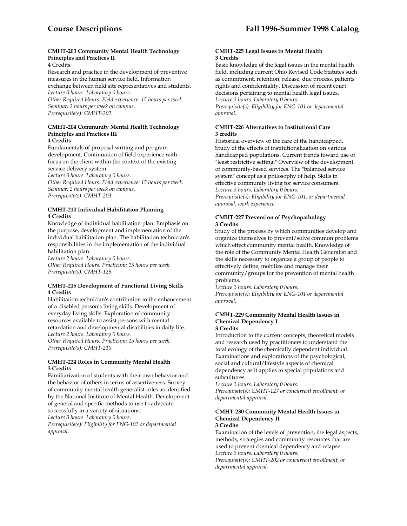# **CMHT-203 Community Mental Health Technology Principles and Practices II**

4 Credits

Research and practice in the development of preventive measures in the human service field. Information exchange between field site representatives and students. *Lecture 0 hours. Laboratory 0 hours.* 

*Other Required Hours: Field experience: 15 hours per week. Seminar: 2 hours per week on campus. Prerequisite(s): CMHT-202.* 

#### **CMHT-204 Community Mental Health Technology Principles and Practices III 4 Credits**

Fundamentals of proposal writing and program development. Continuation of field experience with focus on the client within the context of the existing service delivery system.

*Lecture 0 hours. Laboratory 0 hours.* 

*Other Required Hours: Field experience: 15 hours per week. Seminar: 2 hours per week on campus. Prerequisite(s): CMHT-203.* 

# **CMHT-210 Individual Habilitation Planning 4 Credits**

Knowledge of individual habilitation plan. Emphasis on the purpose, development and implementation of the individual habilitation plan. The habilitation technician's responsibilities in the implementation of the individual habilitation plan.

*Lecture 2 hours. Laboratory 0 hours. Other Required Hours: Practicum: 15 hours per week. Prerequisite(s): CMHT-129.* 

# **CMHT-215 Development of Functional Living Skills 4 Credits**

Habilitation technician's contribution to the enhancement of a disabled person's living skills. Development of everyday living skills. Exploration of community resources available to assist persons with mental retardation and developmental disabilities in daily life. *Lecture 2 hours. Laboratory 0 hours.* 

*Other Required Hours: Practicum: 15 hours per week. Prerequisite(s): CMHT-210.* 

# **CMHT-224 Roles in Community Mental Health 3 Credits**

Familiarization of students with their own behavior and the behavior of others in terms of assertiveness. Survey of community mental health generalist roles as identified by the National Institute of Mental Health. Development of general and specific methods to use to advocate successfully in a variety of situations.

*Lecture 3 hours. Laboratory 0 hours.* 

*Prerequisite(s): Eligibility for ENG-101 or departmental approval*.

## **CMHT-225 Legal Issues in Mental Health 3 Credits**

Basic knowledge of the legal issues in the mental health field, including current Ohio Revised Code Statutes such as commitment, retention, release, due process, patients' rights and confidentiality. Discussion of recent court decisions pertaining to mental health legal issues. *Lecture 3 hours. Laboratory 0 hours. Prerequisite(s): Eligibility for ENG-101 or departmental approval.* 

# **CMHT-226 Alternatives to Institutional Care 3 credits**

Historical overview of the care of the handicapped. Study of the effects of institutionalization on various handicapped populations. Current trends toward use of "least restrictive setting." Overview of the development of community-based services. The "balanced service system" concept as a philosophy of help. Skills in effective community living for service consumers. *Lecture 3 hours. Laboratory 0 hours. Prerequisite(s): Eligibility for ENG-101, or departmental approval: work experience*.

# **CMHT-227 Prevention of Psychopathology 3 Credits**

Study of the process by which communities develop and organize themselves to prevent/solve common problems which effect community mental health. Knowledge of the role of the Community Mental Health Generalist and the skills necessary to organize a group of people to effectively define, mobilize and manage their community/groups for the prevention of mental health problems.

*Lecture 3 hours. Laboratory 0 hours. Prerequisite(s): Eligibility for ENG-101 or departmental approval.* 

#### **CMHT-229 Community Mental Health Issues in Chemical Dependency I 3 Credits**

Introduction to the current concepts, theoretical models and research used by practitioners to understand the total ecology of the chemically dependent individual. Examinations and explorations of the psychological, social and cultural/lifestyle aspects of chemical dependency as it applies to special populations and subcultures.

*Lecture 3 hours. Laboratory 0 hours. Prerequisite(s): CMHT-127 or concurrent enrollment, or departmental approval.* 

#### **CMHT-230 Community Mental Health Issues in Chemical Dependency II 3 Credits**

Examination of the levels of prevention, the legal aspects, methods, strategies and community resources that are used to prevent chemical dependency and relapse. *Lecture 3 hours. Laboratory 0 hours. Prerequisite(s): CMHT-202 or concurrent enrollment, or* 

*departmental approval.*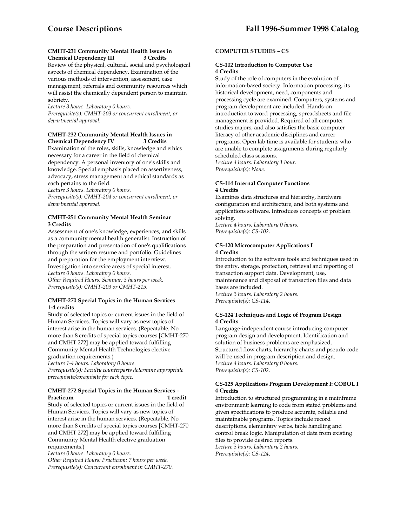#### **CMHT-231 Community Mental Health Issues in Chemical Dependency III 3 Credits**

Review of the physical, cultural, social and psychological aspects of chemical dependency. Examination of the various methods of intervention, assessment, case management, referrals and community resources which will assist the chemically dependent person to maintain sobriety.

*Lecture 3 hours. Laboratory 0 hours. Prerequisite(s): CMHT-203 or concurrent enrollment, or departmental approval*.

## **CMHT-232 Community Mental Health Issues in Chemical Dependency IV**

Examination of the roles, skills, knowledge and ethics necessary for a career in the field of chemical dependency. A personal inventory of one's skills and knowledge. Special emphasis placed on assertiveness, advocacy, stress management and ethical standards as each pertains to the field.

*Lecture 3 hours. Laboratory 0 hours.* 

*Prerequisite(s): CMHT-204 or concurrent enrollment, or departmental approval*.

## **CMHT-251 Community Mental Health Seminar 3 Credits**

Assessment of one's knowledge, experiences, and skills as a community mental health generalist. Instruction of the preparation and presentation of one's qualifications through the written resume and portfolio. Guidelines and preparation for the employment interview. Investigation into service areas of special interest. *Lecture 0 hours. Laboratory 0 hours. Other Required Hours: Seminar: 3 hours per week. Prerequisite(s): CMHT-203 or CMHT-215.* 

# **CMHT-270 Special Topics in the Human Services 1-4 credits**

Study of selected topics or current issues in the field of Human Services. Topics will vary as new topics of interest arise in the human services. (Repeatable. No more than 8 credits of special topics courses [CMHT-270 and CMHT 272] may be applied toward fulfilling Community Mental Health Technologies elective graduation requirements.)

*Lecture 1-4 hours. Laboratory 0 hours. Prerequisite(s): Faculty counterparts determine appropriate prerequisite/corequisite for each topic.* 

# **CMHT-272 Special Topics in the Human Services –**  Practicum 1 credit

Study of selected topics or current issues in the field of Human Services. Topics will vary as new topics of interest arise in the human services. (Repeatable. No more than 8 credits of special topics courses [CMHT-270 and CMHT 272] may be applied toward fulfilling Community Mental Health elective graduation requirements.)

*Lecture 0 hours. Laboratory 0 hours. Other Required Hours: Practicum: 7 hours per week. Prerequisite(s): Concurrent enrollment in CMHT-270.* 

# **COMPUTER STUDIES – CS**

# **CS-102 Introduction to Computer Use 4 Credits**

Study of the role of computers in the evolution of information-based society. Information processing, its historical development, need, components and processing cycle are examined. Computers, systems and program development are included. Hands-on introduction to word processing, spreadsheets and file management is provided. Required of all computer studies majors, and also satisfies the basic computer literacy of other academic disciplines and career programs. Open lab time is available for students who are unable to complete assignments during regularly scheduled class sessions. *Lecture 4 hours. Laboratory 1 hour. Prerequisite(s): None.* 

#### **CS-114 Internal Computer Functions 4 Credits**

Examines data structures and hierarchy, hardware configuration and architecture, and both systems and applications software. Introduces concepts of problem solving.

*Lecture 4 hours. Laboratory 0 hours. Prerequisite(s): CS-102.* 

# **CS-120 Microcomputer Applications I 4 Credits**

Introduction to the software tools and techniques used in the entry, storage, protection, retrieval and reporting of transaction support data. Development, use, maintenance and disposal of transaction files and data bases are included. *Lecture 3 hours. Laboratory 2 hours. Prerequisite(s): CS-114.* 

# **CS-124 Techniques and Logic of Program Design 4 Credits**

Language-independent course introducing computer program design and development. Identification and solution of business problems are emphasized. Structured flow charts, hierarchy charts and pseudo code will be used in program description and design. *Lecture 4 hours. Laboratory 0 hours. Prerequisite(s): CS-102.* 

#### **CS-125 Applications Program Development I: COBOL I 4 Credits**

Introduction to structured programming in a mainframe environment; learning to code from stated problems and given specifications to produce accurate, reliable and maintainable programs. Topics include record descriptions, elementary verbs, table handling and control break logic. Manipulation of data from existing files to provide desired reports. *Lecture 3 hours. Laboratory 2 hours. Prerequisite(s): CS-124*.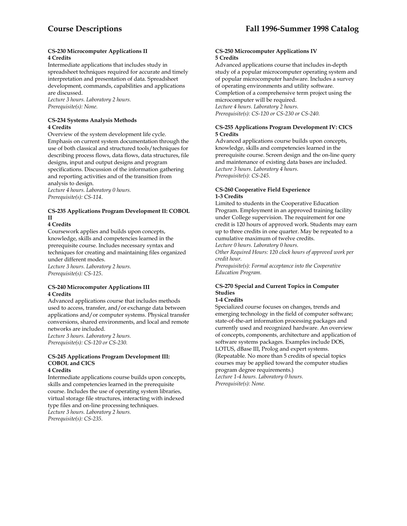#### **CS-230 Microcomputer Applications II 4 Credits**

Intermediate applications that includes study in spreadsheet techniques required for accurate and timely interpretation and presentation of data. Spreadsheet development, commands, capabilities and applications are discussed.

*Lecture 3 hours. Laboratory 2 hours. Prerequisite(s): None.* 

#### **CS-234 Systems Analysis Methods 4 Credits**

Overview of the system development life cycle. Emphasis on current system documentation through the use of both classical and structured tools/techniques for describing process flows, data flows, data structures, file designs, input and output designs and program specifications. Discussion of the information gathering and reporting activities and of the transition from analysis to design.

*Lecture 4 hours. Laboratory 0 hours. Prerequisite(s): CS-114*.

# **CS-235 Applications Program Development II: COBOL II**

# **4 Credits**

Coursework applies and builds upon concepts, knowledge, skills and competencies learned in the prerequisite course. Includes necessary syntax and techniques for creating and maintaining files organized under different modes.

*Lecture 3 hours. Laboratory 2 hours. Prerequisite(s): CS-125*.

#### **CS-240 Microcomputer Applications III 4 Credits**

Advanced applications course that includes methods used to access, transfer, and/or exchange data between applications and/or computer systems. Physical transfer conversions, shared environments, and local and remote networks are included.

*Lecture 3 hours. Laboratory 2 hours. Prerequisite(s): CS-120 or CS-230.* 

#### **CS-245 Applications Program Development III: COBOL and CICS 4 Credits**

Intermediate applications course builds upon concepts, skills and competencies learned in the prerequisite course. Includes the use of operating system libraries, virtual storage file structures, interacting with indexed type files and on-line processing techniques. *Lecture 3 hours. Laboratory 2 hours. Prerequisite(s): CS-235.* 

# **CS-250 Microcomputer Applications IV 5 Credits**

Advanced applications course that includes in-depth study of a popular microcomputer operating system and of popular microcomputer hardware. Includes a survey of operating environments and utility software. Completion of a comprehensive term project using the microcomputer will be required. *Lecture 4 hours. Laboratory 2 hours. Prerequisite(s): CS-120 or CS-230 or CS-240.* 

# **CS-255 Applications Program Development IV: CICS 5 Credits**

Advanced applications course builds upon concepts, knowledge, skills and competencies learned in the prerequisite course. Screen design and the on-line query and maintenance of existing data bases are included. *Lecture 3 hours. Laboratory 4 hours. Prerequisite(s): CS-245.* 

#### **CS-260 Cooperative Field Experience 1-3 Credits**

Limited to students in the Cooperative Education Program. Employment in an approved training facility under College supervision. The requirement for one credit is 120 hours of approved work. Students may earn up to three credits in one quarter. May be repeated to a cumulative maximum of twelve credits.

*Lecture 0 hours. Laboratory 0 hours.* 

*Other Required Hours: 120 clock hours of approved work per credit hour.* 

*Prerequisite(s): Formal acceptance into the Cooperative Education Program.* 

# **CS-270 Special and Current Topics in Computer Studies**

# **1-4 Credits**

Specialized course focuses on changes, trends and emerging technology in the field of computer software; state-of-the-art information processing packages and currently used and recognized hardware. An overview of concepts, components, architecture and application of software systems packages. Examples include DOS, LOTUS, dBase III, Prolog and expert systems. (Repeatable. No more than 5 credits of special topics courses may be applied toward the computer studies program degree requirements.) *Lecture 1-4 hours. Laboratory 0 hours. Prerequisite(s): None.*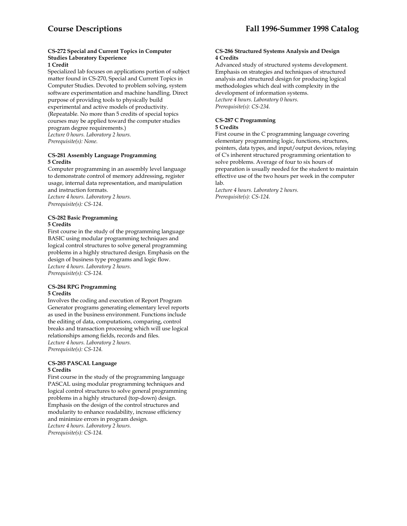# **CS-272 Special and Current Topics in Computer Studies Laboratory Experience**

# **1 Credit**

Specialized lab focuses on applications portion of subject matter found in CS-270, Special and Current Topics in Computer Studies. Devoted to problem solving, system software experimentation and machine handling. Direct purpose of providing tools to physically build experimental and active models of productivity. (Repeatable. No more than 5 credits of special topics courses may be applied toward the computer studies program degree requirements.) *Lecture 0 hours. Laboratory 2 hours.* 

*Prerequisite(s): None.* 

#### **CS-281 Assembly Language Programming 5 Credits**

Computer programming in an assembly level language to demonstrate control of memory addressing, register usage, internal data representation, and manipulation and instruction formats. *Lecture 4 hours. Laboratory 2 hours. Prerequisite(s): CS-124*.

# **CS-282 Basic Programming 5 Credits**

First course in the study of the programming language BASIC using modular programming techniques and logical control structures to solve general programming problems in a highly structured design. Emphasis on the design of business type programs and logic flow. *Lecture 4 hours. Laboratory 2 hours. Prerequisite(s): CS-124.* 

#### **CS-284 RPG Programming 5 Credits**

Involves the coding and execution of Report Program Generator programs generating elementary level reports as used in the business environment. Functions include the editing of data, computations, comparing, control breaks and transaction processing which will use logical relationships among fields, records and files. *Lecture 4 hours. Laboratory 2 hours. Prerequisite(s): CS-124.* 

#### **CS-285 PASCAL Language 5 Credits**

First course in the study of the programming language PASCAL using modular programming techniques and logical control structures to solve general programming problems in a highly structured (top-down) design. Emphasis on the design of the control structures and modularity to enhance readability, increase efficiency and minimize errors in program design. *Lecture 4 hours. Laboratory 2 hours. Prerequisite(s): CS-124.* 

#### **CS-286 Structured Systems Analysis and Design 4 Credits**

Advanced study of structured systems development. Emphasis on strategies and techniques of structured analysis and structured design for producing logical methodologies which deal with complexity in the development of information systems. *Lecture 4 hours. Laboratory 0 hours. Prerequisite(s): CS-234.* 

#### **CS-287 C Programming 5 Credits**

First course in the C programming language covering elementary programming logic, functions, structures, pointers, data types, and input/output devices, relaying of C's inherent structured programming orientation to solve problems. Average of four to six hours of preparation is usually needed for the student to maintain effective use of the two hours per week in the computer lab.

*Lecture 4 hours. Laboratory 2 hours. Prerequisite(s): CS-124.*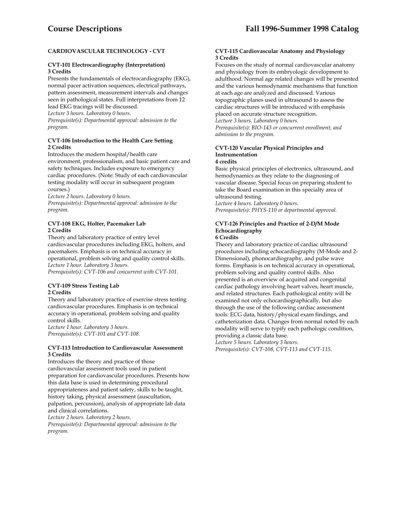# **CARDIOVASCULAR TECHNOLOGY - CVT**

# **CVT-101 Electrocardiography (Interpretation) 3 Credits**

Presents the fundamentals of electrocardiography (EKG), normal pacer activation sequences, electrical pathways, pattern assessment, measurement intervals and changes seen in pathological states. Full interpretations from 12 lead EKG tracings will be discussed. *Lecture 3 hours. Laboratory 0 hours. Prerequisite(s): Departmental approval: admission to the program.* 

#### **CVT-106 Introduction to the Health Care Setting 2 Credits**

Introduces the modern hospital/health care environment, professionalism, and basic patient care and safety techniques. Includes exposure to emergency cardiac procedures. (Note: Study of each cardiovascular testing modality will occur in subsequent program courses.)

*Lecture 2 hours. Laboratory 0 hours.* 

*Prerequisite(s): Departmental approval: admission to the program.* 

## **CVT-108 EKG, Holter, Pacemaker Lab 2 Credits**

Theory and laboratory practice of entry level cardiovascular procedures including EKG, holters, and pacemakers. Emphasis is on technical accuracy in operational, problem solving and quality control skills. *Lecture 1 hour. Laboratory 3 hours. Prerequisite(s): CVT-106 and concurrent with CVT-101.* 

# **CVT-109 Stress Testing Lab 2 Credits**

Theory and laboratory practice of exercise stress testing cardiovascular procedures. Emphasis is on technical accuracy in operational, problem solving and quality control skills.

*Lecture 1 hour. Laboratory 3 hours. Prerequisite(s): CVT-101 and CVT-108.* 

#### **CVT-113 Introduction to Cardiovascular Assessment 3 Credits**

Introduces the theory and practice of those cardiovascular assessment tools used in patient preparation for cardiovascular procedures. Presents how this data base is used in determining procedural appropriateness and patient safety, skills to be taught, history taking, physical assessment (auscultation, palpation, percussion), analysis of appropriate lab data and clinical correlations.

*Lecture 2 hours. Laboratory 2 hours.* 

*Prerequisite(s): Departmental approval: admission to the program.* 

#### **CVT-115 Cardiovascular Anatomy and Physiology 3 Credits**

Focuses on the study of normal cardiovascular anatomy and physiology from its embryologic development to adulthood. Normal age related changes will be presented and the various hemodynamic mechanisms that function at each age are analyzed and discussed. Various topographic planes used in ultrasound to assess the cardiac structures will be introduced with emphasis placed on accurate structure recognition.

*Lecture 3 hours. Laboratory 0 hours. Prerequisite(s): BIO-143 or concurrent enrollment, and admission to the program.* 

#### **CVT-120 Vascular Physical Principles and Instrumentation 4 credits**

Basic physical principles of electronics, ultrasound, and hemodynamics as they relate to the diagnosing of vascular disease. Special focus on preparing student to take the Board examination in this specialty area of ultrasound testing.

*Lecture 4 hours. Laboratory 0 hours. Prerequisite(s): PHYS-110 or departmental approval.* 

#### **CVT-126 Principles and Practice of 2-D/M Mode Echocardiography 6 Credits**

Theory and laboratory practice of cardiac ultrasound procedures including echocardiography (M-Mode and 2- Dimensional), phonocardiography, and pulse wave forms. Emphasis is on technical accuracy in operational, problem solving and quality control skills. Also presented is an overview of acquired and congenital cardiac pathology involving heart valves, heart muscle, and related structures. Each pathological entity will be examined not only echocardiographically, but also through the use of the following cardiac assessment tools: ECG data, history/physical exam findings, and catheterization data. Changes from normal noted by each modality will serve to typify each pathologic condition, providing a classic data base. *Lecture 5 hours. Laboratory 3 hours.* 

*Prerequisite(s): CVT-108, CVT-113 and CVT-115.*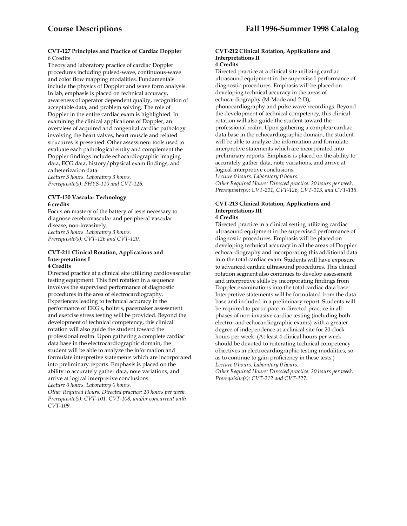#### **CVT-127 Principles and Practice of Cardiac Doppler**  6 Credits

Theory and laboratory practice of cardiac Doppler procedures including pulsed-wave, continuous-wave and color flow mapping modalities. Fundamentals include the physics of Doppler and wave form analysis. In lab, emphasis is placed on technical accuracy, awareness of operator dependent quality, recognition of acceptable data, and problem solving. The role of Doppler in the entire cardiac exam is highlighted. In examining the clinical applications of Doppler, an overview of acquired and congenital cardiac pathology involving the heart valves, heart muscle and related structures is presented. Other assessment tools used to evaluate each pathological entity and complement the Doppler findings include echocardiographic imaging data, ECG data, history/physical exam findings, and catheterization data.

*Lecture 5 hours. Laboratory 3 hours. Prerequisite(s): PHYS-110 and CVT-126.* 

#### **CVT-130 Vascular Technology 6 credits**

Focus on mastery of the battery of tests necessary to diagnose cerebrovascular and peripheral vascular disease, non-invasively. *Lecture 5 hours. Laboratory 3 hours.* 

*Prerequisite(s): CVT-126 and CVT-120.* 

# **CVT-211 Clinical Rotation, Applications and Interpretations I**

# **4 Credits**

Directed practice at a clinical site utilizing cardiovascular testing equipment. This first rotation in a sequence involves the supervised performance of diagnostic procedures in the area of electrocardiography. Experiences leading to technical accuracy in the performance of EKG's, holters, pacemaker assessment and exercise stress testing will be provided. Beyond the development of technical competency, this clinical rotation will also guide the student toward the professional realm. Upon gathering a complete cardiac data base in the electrocardiographic domain, the student will be able to analyze the information and formulate interpretive statements which are incorporated into preliminary reports. Emphasis is placed on the ability to accurately gather data, note variations, and arrive at logical interpretive conclusions.

*Lecture 0 hours. Laboratory 0 hours.* 

*Other Required Hours: Directed practice: 20 hours per week. Prerequisite(s): CVT-101, CVT-108, and/or concurrent with CVT-109.* 

# **CVT-212 Clinical Rotation, Applications and Interpretations II**

## **4 Credits**

Directed practice at a clinical site utilizing cardiac ultrasound equipment in the supervised performance of diagnostic procedures. Emphasis will be placed on developing technical accuracy in the areas of echocardiography (M-Mode and 2-D), phonocardiography and pulse wave recordings. Beyond the development of technical competency, this clinical rotation will also guide the student toward the professional realm. Upon gathering a complete cardiac data base in the echocardiographic domain, the student will be able to analyze the information and formulate interpretive statements which are incorporated into preliminary reports. Emphasis is placed on the ability to accurately gather data, note variations, and arrive at logical interpretive conclusions*.* 

*Lecture 0 hours. Laboratory 0 hours. Other Required Hours: Directed practice: 20 hours per week. Prerequisite(s): CVT-211, CVT-126, CVT-113, and CVT-115.* 

#### **CVT-213 Clinical Rotation, Applications and Interpretations III 4 Credits**

Directed practice in a clinical setting utilizing cardiac ultrasound equipment in the supervised performance of diagnostic procedures. Emphasis will be placed on developing technical accuracy in all the areas of Doppler echocardiography and incorporating this additional data into the total cardiac exam. Students will have exposure to advanced cardiac ultrasound procedures. This clinical rotation segment also continues to develop assessment and interpretive skills by incorporating findings from Doppler examinations into the total cardiac data base. Interpretive statements will be formulated from the data base and included in a preliminary report. Students will be required to participate in directed practice in all phases of non-invasive cardiac testing (including both electro- and echocardiographic exams) with a greater degree of independence at a clinical site for 20 clock hours per week. (At least 4 clinical hours per week should be devoted to reiterating technical competency objectives in electrocardiographic testing modalities, so as to continue to gain proficiency in these tests.) *Lecture 0 hours. Laboratory 0 hours.* 

*Other Required Hours: Directed practice: 20 hours per week. Prerequisite(s): CVT-212 and CVT-127.*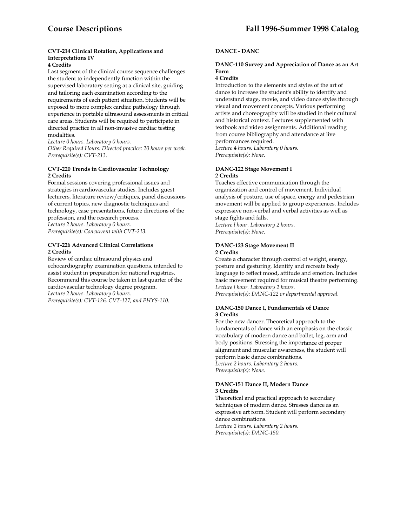# **CVT-214 Clinical Rotation, Applications and Interpretations IV**

# **4 Credits**

Last segment of the clinical course sequence challenges the student to independently function within the supervised laboratory setting at a clinical site, guiding and tailoring each examination according to the requirements of each patient situation. Students will be exposed to more complex cardiac pathology through experience in portable ultrasound assessments in critical care areas. Students will be required to participate in directed practice in all non-invasive cardiac testing modalities.

*Lecture 0 hours. Laboratory 0 hours. Other Required Hours: Directed practice: 20 hours per week. Prerequisite(s): CVT-213.* 

#### **CVT-220 Trends in Cardiovascular Technology 2 Credits**

Formal sessions covering professional issues and strategies in cardiovascular studies. Includes guest lecturers, literature review/critiques, panel discussions of current topics, new diagnostic techniques and technology, case presentations, future directions of the profession, and the research process. *Lecture 2 hours. Laboratory 0 hours. Prerequisite(s): Concurrent with CVT-213.* 

## **CVT-226 Advanced Clinical Correlations 2 Credits**

Review of cardiac ultrasound physics and echocardiography examination questions, intended to assist student in preparation for national registries. Recommend this course be taken in last quarter of the cardiovascular technology degree program. *Lecture 2 hours. Laboratory 0 hours. Prerequisite(s): CVT-126, CVT-127, and PHYS-110.* 

# **DANCE - DANC**

# **DANC-110 Survey and Appreciation of Dance as an Art Form**

# **4 Credits**

Introduction to the elements and styles of the art of dance to increase the student's ability to identify and understand stage, movie, and video dance styles through visual and movement concepts. Various performing artists and choreography will be studied in their cultural and historical context. Lectures supplemented with textbook and video assignments. Additional reading from course bibliography and attendance at live performances required. *Lecture 4 hours. Laboratory 0 hours. Prerequisite(s): None*.

# **DANC-122 Stage Movement I 2 Credits**

Teaches effective communication through the organization and control of movement. Individual analysis of posture, use of space, energy and pedestrian movement will be applied to group experiences. Includes expressive non-verbal and verbal activities as well as stage fights and falls.

*Lecture l hour. Laboratory 2 hours. Prerequisite(s): None*.

#### **DANC-123 Stage Movement II 2 Credits**

Create a character through control of weight, energy, posture and gesturing. Identify and recreate body language to reflect mood, attitude and emotion. Includes basic movement required for musical theatre performing. *Lecture l hour. Laboratory 2 hours. Prerequisite(s): DANC-122 or departmental approval.* 

#### **DANC-150 Dance I, Fundamentals of Dance 3 Credits**

For the new dancer. Theoretical approach to the fundamentals of dance with an emphasis on the classic vocabulary of modern dance and ballet, leg, arm and body positions. Stressing the importance of proper alignment and muscular awareness, the student will perform basic dance combinations. *Lecture 2 hours. Laboratory 2 hours. Prerequisite(s): None.* 

#### **DANC-151 Dance II, Modern Dance 3 Credits**

Theoretical and practical approach to secondary techniques of modern dance. Stresses dance as an expressive art form. Student will perform secondary dance combinations. *Lecture 2 hours. Laboratory 2 hours. Prerequisite(s): DANC-150.*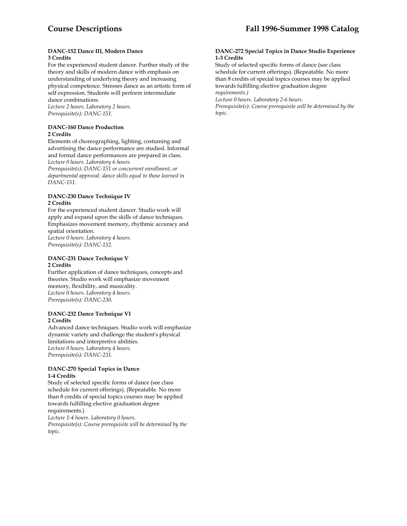#### **DANC-152 Dance III, Modern Dance 3 Credits**

For the experienced student dancer. Further study of the theory and skills of modern dance with emphasis on understanding of underlying theory and increasing physical competence. Stresses dance as an artistic form of self expression. Students will perform intermediate dance combinations.

*Lecture 2 hours. Laboratory 2 hours. Prerequisite(s): DANC-151.* 

#### **DANC-160 Dance Production 2 Credits**

Elements of choreographing, lighting, costuming and advertising the dance performance are studied. Informal and formal dance performances are prepared in class. *Lecture 0 hours. Laboratory 6 hours.* 

*Prerequisite(s): DANC-151 or concurrent enrollment, or departmental approval: dance skills equal to those learned in DANC-151.* 

# **DANC-230 Dance Technique IV 2 Credits**

For the experienced student dancer. Studio work will apply and expand upon the skills of dance techniques. Emphasizes movement memory, rhythmic accuracy and spatial orientation. *Lecture 0 hours. Laboratory 4 hours. Prerequisite(s): DANC-152.* 

# **DANC-231 Dance Technique V 2 Credits**

Further application of dance techniques, concepts and theories. Studio work will emphasize movement memory, flexibility, and musicality. *Lecture 0 hours. Laboratory 4 hours. Prerequisite(s): DANC-230.* 

#### **DANC-232 Dance Technique VI 2 Credits**

Advanced dance techniques. Studio work will emphasize dynamic variety and challenge the student's physical limitations and interpretive abilities. *Lecture 0 hours. Laboratory 4 hours. Prerequisite(s): DANC-231.* 

# **DANC-270 Special Topics in Dance 1-4 Credits**

Study of selected specific forms of dance (see class schedule for current offerings). (Repeatable. No more than 8 credits of special topics courses may be applied towards fulfilling elective graduation degree requirements.)

*Lecture 1-4 hours. Laboratory 0 hours. Prerequisite(s): Course prerequisite will be determined by the topic.* 

## **DANC-272 Special Topics in Dance Studio Experience 1-3 Credits**

Study of selected specific forms of dance (see class schedule for current offerings). (Repeatable. No more than 8 credits of special topics courses may be applied towards fulfilling elective graduation degree *requirements.)* 

*Lecture 0 hours. Laboratory 2-6 hours.* 

*Prerequisite(s): Course prerequisite will be determined by the topic.*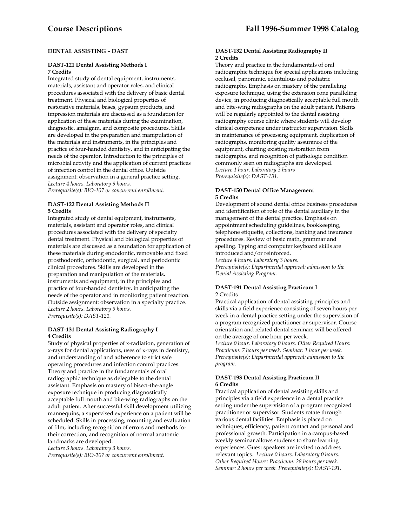# **DENTAL ASSISTING – DAST**

#### **DAST-121 Dental Assisting Methods I 7 Credits**

Integrated study of dental equipment, instruments, materials, assistant and operator roles, and clinical procedures associated with the delivery of basic dental treatment. Physical and biological properties of restorative materials, bases, gypsum products, and impression materials are discussed as a foundation for application of these materials during the examination, diagnostic, amalgam, and composite procedures. Skills are developed in the preparation and manipulation of the materials and instruments, in the principles and practice of four-handed dentistry, and in anticipating the needs of the operator. Introduction to the principles of microbial activity and the application of current practices of infection control in the dental office. Outside assignment: observation in a general practice setting. *Lecture 4 hours. Laboratory 9 hours. Prerequisite(s): BIO-107 or concurrent enrollment.* 

#### **DAST-122 Dental Assisting Methods II 5 Credits**

Integrated study of dental equipment, instruments, materials, assistant and operator roles, and clinical procedures associated with the delivery of specialty dental treatment. Physical and biological properties of materials are discussed as a foundation for application of these materials during endodontic, removable and fixed prosthodontic, orthodontic, surgical, and periodontic clinical procedures. Skills are developed in the preparation and manipulation of the materials, instruments and equipment, in the principles and practice of four-handed dentistry, in anticipating the needs of the operator and in monitoring patient reaction. Outside assignment: observation in a specialty practice. *Lecture 2 hours. Laboratory 9 hours. Prerequisite(s): DAST-121.* 

# **DAST-131 Dental Assisting Radiography I 4 Credits**

Study of physical properties of x-radiation, generation of x-rays for dental applications, uses of x-rays in dentistry, and understanding of and adherence to strict safe operating procedures and infection control practices. Theory and practice in the fundamentals of oral radiographic technique as delegable to the dental assistant. Emphasis on mastery of bisect-the-angle exposure technique in producing diagnostically acceptable full mouth and bite-wing radiographs on the adult patient. After successful skill development utilizing mannequins, a supervised experience on a patient will be scheduled. Skills in processing, mounting and evaluation of film, including recognition of errors and methods for their correction, and recognition of normal anatomic landmarks are developed.

*Lecture 3 hours. Laboratory 3 hours.* 

*Prerequisite(s): BIO-107 or concurrent enrollment.* 

#### **DAST-132 Dental Assisting Radiography II 2 Credits**

Theory and practice in the fundamentals of oral radiographic technique for special applications including occlusal, panoramic, edentulous and pediatric radiographs. Emphasis on mastery of the paralleling exposure technique, using the extension cone paralleling device, in producing diagnostically acceptable full mouth and bite-wing radiographs on the adult patient. Patients will be regularly appointed to the dental assisting radiography course clinic where students will develop clinical competence under instructor supervision. Skills in maintenance of processing equipment, duplication of radiographs, monitoring quality assurance of the equipment, charting existing restoration from radiographs, and recognition of pathologic condition commonly seen on radiographs are developed. *Lecture 1 hour. Laboratory 3 hours Prerequisite(s): DAST-131.* 

## **DAST-150 Dental Office Management 5 Credits**

Development of sound dental office business procedures and identification of role of the dental auxiliary in the management of the dental practice. Emphasis on appointment scheduling guidelines, bookkeeping, telephone etiquette, collections, banking and insurance procedures. Review of basic math, grammar and spelling. Typing and computer keyboard skills are introduced and/or reinforced.

*Lecture 4 hours. Laboratory 3 hours. Prerequisite(s): Departmental approval: admission to the Dental Assisting Program.* 

# **DAST-191 Dental Assisting Practicum I**  2 Credits

Practical application of dental assisting principles and skills via a field experience consisting of seven hours per week in a dental practice setting under the supervision of a program recognized practitioner or supervisor. Course orientation and related dental seminars will be offered on the average of one hour per week.

*Lecture 0 hour. Laboratory 0 hours. Other Required Hours: Practicum: 7 hours per week. Seminar: 1 hour per week. Prerequisite(s): Departmental approval: admission to the program.* 

# **DAST-193 Dental Assisting Practicum II 6 Credits**

Practical application of dental assisting skills and principles via a field experience in a dental practice setting under the supervision of a program recognized practitioner or supervisor. Students rotate through various dental facilities. Emphasis is placed on techniques, efficiency, patient contact and personal and professional growth. Participation in a campus-based weekly seminar allows students to share learning experiences. Guest speakers are invited to address relevant topics. *Lecture 0 hours. Laboratory 0 hours. Other Required Hours: Practicum: 28 hours per week. Seminar: 2 hours per week. Prerequisite(s): DAST-191.*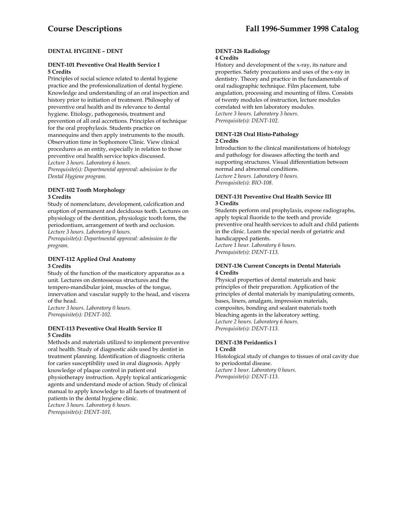# **DENTAL HYGIENE – DENT**

### **DENT-101 Preventive Oral Health Service I 5 Credits**

Principles of social science related to dental hygiene practice and the professionalization of dental hygiene. Knowledge and understanding of an oral inspection and history prior to initiation of treatment. Philosophy of preventive oral health and its relevance to dental hygiene. Etiology, pathogenesis, treatment and prevention of all oral accretions. Principles of technique for the oral prophylaxis. Students practice on mannequins and then apply instruments to the mouth. Observation time in Sophomore Clinic. View clinical procedures as an entity, especially in relation to those preventive oral health service topics discussed. *Lecture 3 hours. Laboratory 6 hours.* 

*Prerequisite(s): Departmental approval: admission to the Dental Hygiene program.* 

# **DENT-102 Tooth Morphology 3 Credits**

Study of nomenclature, development, calcification and eruption of permanent and deciduous teeth. Lectures on physiology of the dentition, physiologic tooth form, the periodontium, arrangement of teeth and occlusion. *Lecture 3 hours. Laboratory 0 hours.* 

*Prerequisite(s): Departmental approval: admission to the program.* 

# **DENT-112 Applied Oral Anatomy 3 Credits**

Study of the function of the masticatory apparatus as a unit. Lectures on dentosseous structures and the tempero-mandibular joint, muscles of the tongue, innervation and vascular supply to the head, and viscera of the head.

*Lecture 3 hours. Laboratory 0 hours. Prerequisite(s): DENT-102.* 

# **DENT-113 Preventive Oral Health Service II 5 Credits**

Methods and materials utilized to implement preventive oral health. Study of diagnostic aids used by dentist in treatment planning. Identification of diagnostic criteria for caries susceptibility used in oral diagnosis. Apply knowledge of plaque control in patient oral physiotherapy instruction. Apply topical anticariogenic agents and understand mode of action. Study of clinical manual to apply knowledge to all facets of treatment of

patients in the dental hygiene clinic. *Lecture 3 hours. Laboratory 6 hours. Prerequisite(s): DENT-101.* 

#### **DENT-126 Radiology 4 Credits**

History and development of the x-ray, its nature and properties. Safety precautions and uses of the x-ray in dentistry. Theory and practice in the fundamentals of oral radiographic technique. Film placement, tube angulation, processing and mounting of films. Consists of twenty modules of instruction, lecture modules correlated with ten laboratory modules. *Lecture 3 hours. Laboratory 3 hours. Prerequisite(s): DENT-102.* 

# **DENT-128 Oral Histo-Pathology 2 Credits**

Introduction to the clinical manifestations of histology and pathology for diseases affecting the teeth and supporting structures. Visual differentiation between normal and abnormal conditions. *Lecture 2 hours. Laboratory 0 hours. Prerequisite(s): BIO-108.* 

## **DENT-131 Preventive Oral Health Service III 3 Credits**

Students perform oral prophylaxis, expose radiographs, apply topical fluoride to the teeth and provide preventive oral health services to adult and child patients in the clinic. Learn the special needs of geriatric and handicapped patients. *Lecture 1 hour. Laboratory 6 hours. Prerequisite(s): DENT-113.* 

#### **DENT-136 Current Concepts in Dental Materials 4 Credits**

Physical properties of dental materials and basic principles of their preparation. Application of the principles of dental materials by manipulating cements, bases, liners, amalgam, impression materials, composites, bonding and sealant materials tooth bleaching agents in the laboratory setting. *Lecture 2 hours. Laboratory 6 hours. Prerequisite(s): DENT-113.* 

#### **DENT-138 Peridontics I 1 Credit**

Histological study of changes to tissues of oral cavity due to periodontal disease. *Lecture 1 hour. Laboratory 0 hours. Prerequisite(s): DENT-113.*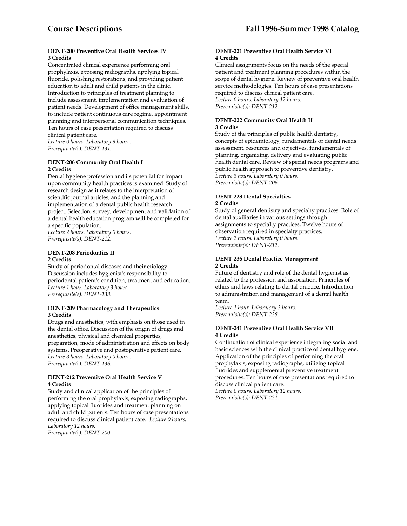# **DENT-200 Preventive Oral Health Services IV 3 Credits**

Concentrated clinical experience performing oral prophylaxis, exposing radiographs, applying topical fluoride, polishing restorations, and providing patient education to adult and child patients in the clinic. Introduction to principles of treatment planning to include assessment, implementation and evaluation of patient needs. Development of office management skills, to include patient continuous care regime, appointment planning and interpersonal communication techniques. Ten hours of case presentation required to discuss clinical patient care.

*Lecture 0 hours. Laboratory 9 hours. Prerequisite(s): DENT-131.* 

#### **DENT-206 Community Oral Health I 2 Credits**

Dental hygiene profession and its potential for impact upon community health practices is examined. Study of research design as it relates to the interpretation of scientific journal articles, and the planning and implementation of a dental public health research project. Selection, survey, development and validation of a dental health education program will be completed for a specific population.

*Lecture 2 hours. Laboratory 0 hours. Prerequisite(s): DENT-212.* 

# **DENT-208 Periodontics II 2 Credits**

Study of periodontal diseases and their etiology. Discussion includes hygienist's responsibility to periodontal patient's condition, treatment and education. *Lecture 1 hour. Laboratory 3 hours. Prerequisite(s): DENT-138.* 

# **DENT-209 Pharmacology and Therapeutics 3 Credits**

Drugs and anesthetics, with emphasis on those used in the dental office. Discussion of the origin of drugs and anesthetics, physical and chemical properties, preparation, mode of administration and effects on body systems. Preoperative and postoperative patient care. *Lecture 3 hours. Laboratory 0 hours. Prerequisite(s): DENT-136.* 

#### **DENT-212 Preventive Oral Health Service V 4 Credits**

Study and clinical application of the principles of performing the oral prophylaxis, exposing radiographs, applying topical fluorides and treatment planning on adult and child patients. Ten hours of case presentations required to discuss clinical patient care. *Lecture 0 hours. Laboratory 12 hours. Prerequisite(s): DENT-200.* 

### **DENT-221 Preventive Oral Health Service VI 4 Credits**

Clinical assignments focus on the needs of the special patient and treatment planning procedures within the scope of dental hygiene. Review of preventive oral health service methodologies. Ten hours of case presentations required to discuss clinical patient care. *Lecture 0 hours. Laboratory 12 hours. Prerequisite(s): DENT-212.* 

### **DENT-222 Community Oral Health II 3 Credits**

Study of the principles of public health dentistry, concepts of epidemiology, fundamentals of dental needs assessment, resources and objectives, fundamentals of planning, organizing, delivery and evaluating public health dental care. Review of special needs programs and public health approach to preventive dentistry. *Lecture 3 hours. Laboratory 0 hours. Prerequisite(s): DENT-206.* 

#### **DENT-228 Dental Specialties 2 Credits**

Study of general dentistry and specialty practices. Role of dental auxiliaries in various settings through assignments to specialty practices. Twelve hours of observation required in specialty practices. *Lecture 2 hours. Laboratory 0 hours. Prerequisite(s): DENT-212.* 

# **DENT-236 Dental Practice Management 2 Credits**

Future of dentistry and role of the dental hygienist as related to the profession and association. Principles of ethics and laws relating to dental practice. Introduction to administration and management of a dental health team.

*Lecture 1 hour. Laboratory 3 hours. Prerequisite(s): DENT-228.* 

# **DENT-241 Preventive Oral Health Service VII 4 Credits**

Continuation of clinical experience integrating social and basic sciences with the clinical practice of dental hygiene. Application of the principles of performing the oral prophylaxis, exposing radiographs, utilizing topical fluorides and supplemental preventive treatment procedures. Ten hours of case presentations required to discuss clinical patient care. *Lecture 0 hours. Laboratory 12 hours.* 

*Prerequisite(s): DENT-221.*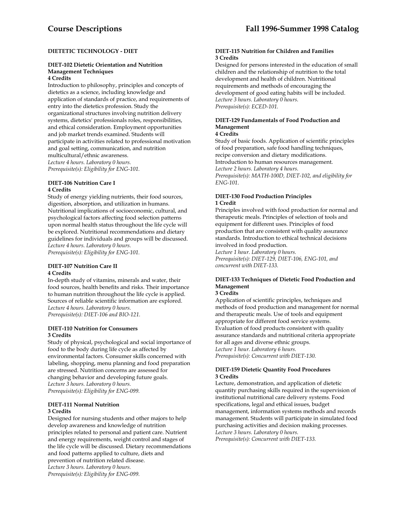# **DIETETIC TECHNOLOGY - DIET**

#### **DIET-102 Dietetic Orientation and Nutrition Management Techniques 4 Credits**

Introduction to philosophy, principles and concepts of dietetics as a science, including knowledge and application of standards of practice, and requirements of entry into the dietetics profession. Study the organizational structures involving nutrition delivery systems, dietetics' professionals roles, responsibilities, and ethical consideration. Employment opportunities and job market trends examined. Students will participate in activities related to professional motivation and goal setting, communication, and nutrition multicultural/ethnic awareness. *Lecture 4 hours. Laboratory 0 hours. Prerequisite(s): Eligibility for ENG-101.* 

#### **DIET-106 Nutrition Care I 4 Credits**

Study of energy yielding nutrients, their food sources, digestion, absorption, and utilization in humans. Nutritional implications of socioeconomic, cultural, and psychological factors affecting food selection patterns upon normal health status throughout the life cycle will be explored. Nutritional recommendations and dietary guidelines for individuals and groups will be discussed. *Lecture 4 hours. Laboratory 0 hours. Prerequisite(s): Eligibility for ENG-101.* 

# **DIET-107 Nutrition Care II 4 Credits**

In-depth study of vitamins, minerals and water, their food sources, health benefits and risks. Their importance to human nutrition throughout the life cycle is applied. Sources of reliable scientific information are explored. *Lecture 4 hours. Laboratory 0 hours. Prerequisite(s): DIET-106 and BIO-121.* 

# **DIET-110 Nutrition for Consumers 3 Credits**

Study of physical, psychological and social importance of food to the body during life cycle as affected by environmental factors. Consumer skills concerned with labeling, shopping, menu planning and food preparation are stressed. Nutrition concerns are assessed for changing behavior and developing future goals. *Lecture 3 hours. Laboratory 0 hours. Prerequisite(s): Eligibility for ENG-099.* 

# **DIET-111 Normal Nutrition 3 Credits**

Designed for nursing students and other majors to help develop awareness and knowledge of nutrition principles related to personal and patient care. Nutrient and energy requirements, weight control and stages of the life cycle will be discussed. Dietary recommendations and food patterns applied to culture, diets and prevention of nutrition related disease. *Lecture 3 hours. Laboratory 0 hours. Prerequisite(s): Eligibility for ENG-099.* 

## **DIET-115 Nutrition for Children and Families 3 Credits**

Designed for persons interested in the education of small children and the relationship of nutrition to the total development and health of children. Nutritional requirements and methods of encouraging the development of good eating habits will be included. *Lecture 3 hours. Laboratory 0 hours. Prerequisite(s): ECED-101.* 

# **DIET-129 Fundamentals of Food Production and Management**

# **4 Credits**

Study of basic foods. Application of scientific principles of food preparation, safe food handling techniques, recipe conversion and dietary modifications. Introduction to human resources management. *Lecture 2 hours. Laboratory 4 hours. Prerequisite(s): MATH-100D, DIET-102, and eligibility for ENG-101*.

# **DIET-130 Food Production Principles 1 Credit**

Principles involved with food production for normal and therapeutic meals. Principles of selection of tools and equipment for different uses. Principles of food production that are consistent with quality assurance standards. Introduction to ethical technical decisions involved in food production.

*Lecture 1 hour. Laboratory 0 hours. Prerequisite(s): DIET-129, DIET-106, ENG-101, and concurrent with DIET-133.* 

# **DIET-133 Techniques of Dietetic Food Production and Management**

# **3 Credits**

Application of scientific principles, techniques and methods of food production and management for normal and therapeutic meals. Use of tools and equipment appropriate for different food service systems. Evaluation of food products consistent with quality assurance standards and nutritional criteria appropriate for all ages and diverse ethnic groups. *Lecture 1 hour. Laboratory 6 hours. Prerequisite(s): Concurrent with DIET-130.* 

# **DIET-159 Dietetic Quantity Food Procedures 3 Credits**

Lecture, demonstration, and application of dietetic quantity purchasing skills required in the supervision of institutional nutritional care delivery systems. Food specifications, legal and ethical issues, budget management, information systems methods and records management. Students will participate in simulated food purchasing activities and decision making processes. *Lecture 3 hours. Laboratory 0 hours. Prerequisite(s): Concurrent with DIET-133.*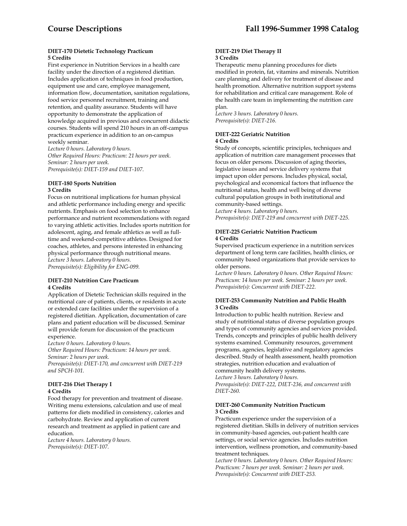#### **DIET-170 Dietetic Technology Practicum 5 Credits**

First experience in Nutrition Services in a health care facility under the direction of a registered dietitian. Includes application of techniques in food production, equipment use and care, employee management, information flow, documentation, sanitation regulations, food service personnel recruitment, training and retention, and quality assurance. Students will have opportunity to demonstrate the application of knowledge acquired in previous and concurrent didactic courses. Students will spend 210 hours in an off-campus practicum experience in addition to an on-campus weekly seminar.

*Lecture 0 hours. Laboratory 0 hours. Other Required Hours: Practicum: 21 hours per week. Seminar: 2 hours per week. Prerequisite(s): DIET-159 and DIET-107*.

#### **DIET-180 Sports Nutrition 3 Credits**

Focus on nutritional implications for human physical and athletic performance including energy and specific nutrients. Emphasis on food selection to enhance performance and nutrient recommendations with regard to varying athletic activities. Includes sports nutrition for adolescent, aging, and female athletics as well as fulltime and weekend-competitive athletes. Designed for coaches, athletes, and persons interested in enhancing physical performance through nutritional means. *Lecture 3 hours. Laboratory 0 hours. Prerequisite(s): Eligibility for ENG-099.* 

#### **DIET-210 Nutrition Care Practicum 4 Credits**

Application of Dietetic Technician skills required in the nutritional care of patients, clients, or residents in acute or extended care facilities under the supervision of a registered dietitian. Application, documentation of care plans and patient education will be discussed. Seminar will provide forum for discussion of the practicum experience.

*Lecture 0 hours. Laboratory 0 hours. Other Required Hours: Practicum: 14 hours per week.* 

*Seminar: 2 hours per week. Prerequisite(s): DIET-170, and concurrent with DIET-219 and SPCH-101.* 

#### **DIET-216 Diet Therapy I 4 Credits**

Food therapy for prevention and treatment of disease. Writing menu extensions, calculation and use of meal patterns for diets modified in consistency, calories and carbohydrate. Review and application of current research and treatment as applied in patient care and education.

*Lecture 4 hours. Laboratory 0 hours. Prerequisite(s): DIET-107.* 

#### **DIET-219 Diet Therapy II 3 Credits**

Therapeutic menu planning procedures for diets modified in protein, fat, vitamins and minerals. Nutrition care planning and delivery for treatment of disease and health promotion. Alternative nutrition support systems for rehabilitation and critical care management. Role of the health care team in implementing the nutrition care plan.

*Lecture 3 hours. Laboratory 0 hours. Prerequisite(s): DIET-216.* 

# **DIET-222 Geriatric Nutrition 4 Credits**

Study of concepts, scientific principles, techniques and application of nutrition care management processes that focus on older persons. Discussion of aging theories, legislative issues and service delivery systems that impact upon older persons. Includes physical, social, psychological and economical factors that influence the nutritional status, health and well being of diverse cultural population groups in both institutional and community-based settings.

*Lecture 4 hours. Laboratory 0 hours. Prerequisite(s): DIET-219 and concurrent with DIET-225.* 

# **DIET-225 Geriatric Nutrition Practicum 4 Credits**

Supervised practicum experience in a nutrition services department of long term care facilities, health clinics, or community based organizations that provide services to older persons.

*Lecture 0 hours. Laboratory 0 hours. Other Required Hours: Practicum: 14 hours per week. Seminar: 2 hours per week. Prerequisite(s): Concurrent with DIET-222.* 

#### **DIET-253 Community Nutrition and Public Health 3 Credits**

Introduction to public health nutrition. Review and study of nutritional status of diverse population groups and types of community agencies and services provided. Trends, concepts and principles of public health delivery systems examined. Community resources, government programs, agencies, legislative and regulatory agencies described. Study of health assessment, health promotion strategies, nutrition education and evaluation of community health delivery systems.

*Lecture 3 hours. Laboratory 0 hours. Prerequisite(s): DIET-222, DIET-236, and concurrent with DIET-260.* 

#### **DIET-260 Community Nutrition Practicum 3 Credits**

Practicum experience under the supervision of a registered dietitian. Skills in delivery of nutrition services in community-based agencies, out-patient health care settings, or social service agencies. Includes nutrition intervention, wellness promotion, and community-based treatment techniques.

*Lecture 0 hours. Laboratory 0 hours. Other Required Hours: Practicum: 7 hours per week. Seminar: 2 hours per week. Prerequisite(s): Concurrent with DIET-253.*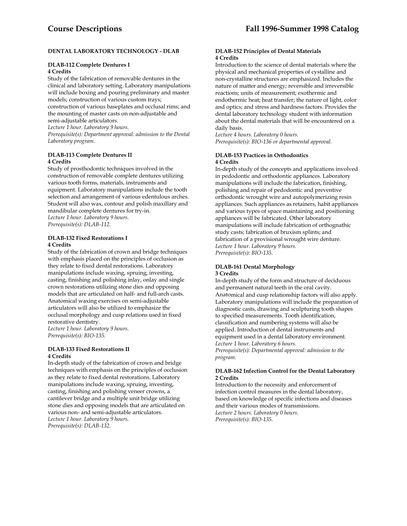# **DENTAL LABORATORY TECHNOLOGY - DLAB**

#### **DLAB-112 Complete Dentures I 4 Credits**

Study of the fabrication of removable dentures in the clinical and laboratory setting. Laboratory manipulations will include boxing and pouring preliminary and master models; construction of various custom trays; construction of various baseplates and occlusal rims; and the mounting of master casts on non-adjustable and semi-adjustable articulators.

*Lecture 1 hour. Laboratory 9 hours. Prerequisite(s): Department approval: admission to the Dental Laboratory program.* 

# **DLAB-113 Complete Dentures II 4 Credits**

Study of prosthodontic techniques involved in the construction of removable complete dentures utilizing various tooth forms, materials, instruments and equipment. Laboratory manipulations include the tooth selection and arrangement of various edentulous arches. Student will also wax, contour and polish maxillary and mandibular complete dentures for try-in. *Lecture 1 hour. Laboratory 9 hours. Prerequisite(s): DLAB-112.* 

#### **DLAB-132 Fixed Restorations I 4 Credits**

Study of the fabrication of crown and bridge techniques with emphasis placed on the principles of occlusion as they relate to fixed dental restorations. Laboratory manipulations include waxing, spruing, investing, casting, finishing and polishing inlay, onlay and single crown restorations utilizing stone dies and opposing models that are articulated on half- and full-arch casts. Anatomical waxing exercises on semi-adjustable articulators will also be utilized to emphasize the occlusal morphology and cusp relations used in fixed restorative dentistry.

*Lecture 1 hour. Laboratory 9 hours. Prerequisite(s): BIO-135.* 

# **DLAB-133 Fixed Restorations II 4 Credits**

In-depth study of the fabrication of crown and bridge techniques with emphasis on the principles of occlusion as they relate to fixed dental restorations. Laboratory manipulations include waxing, spruing, investing, casting, finishing and polishing veneer crowns, a cantilever bridge and a multiple unit bridge utilizing stone dies and opposing models that are articulated on various non- and semi-adjustable articulators. *Lecture 1 hour. Laboratory 9 hours. Prerequisite(s): DLAB-132.* 

#### **DLAB-152 Principles of Dental Materials 4 Credits**

Introduction to the science of dental materials where the physical and mechanical properties of cystalline and non-crystalline structures are emphasized. Includes the nature of matter and energy; reversible and irreversible reactions; units of measurement; exothermic and endothermic heat; heat transfer; the nature of light, color and optics; and stress and hardness factors. Provides the dental laboratory technology student with information about the dental materials that will be encountered on a daily basis.

*Lecture 4 hours. Laboratory 0 hours. Prerequisite(s): BIO-136 or departmental approval.* 

# **DLAB-153 Practices in Orthodontics 4 Credits**

In-depth study of the concepts and applications involved in pedodontic and orthodontic appliances. Laboratory manipulations will include the fabrication, finishing, polishing and repair of pedodontic and preventive orthodontic wrought wire and autopolymerizing resin appliances. Such appliances as retainers, habit appliances and various types of space maintaining and positioning appliances will be fabricated. Other laboratory manipulations will include fabrication of orthognathic study casts; fabrication of bruxism splints; and fabrication of a provisional wrought wire denture. *Lecture 1 hour. Laboratory 9 hours. Prerequisite(s): BIO-135.* 

#### **DLAB-161 Dental Morphology 3 Credits**

In-depth study of the form and structure of deciduous and permanent natural teeth in the oral cavity. Anatomical and cusp relationship factors will also apply. Laboratory manipulations will include the preparation of diagnostic casts, drawing and sculpturing tooth shapes to specified measurements. Tooth identification, classification and numbering systems will also be applied. Introduction of dental instruments and equipment used in a dental laboratory environment. *Lecture 1 hour. Laboratory 6 hours. Prerequisite(s): Departmental approval: admission to the program.* 

#### **DLAB-162 Infection Control for the Dental Laboratory 2 Credits**

Introduction to the necessity and enforcement of infection control measures in the dental laboratory, based on knowledge of specific infections and diseases and their various modes of transmissions. *Lecture 2 hours. Laboratory 0 hours. Prerequisite(s): BIO-135.*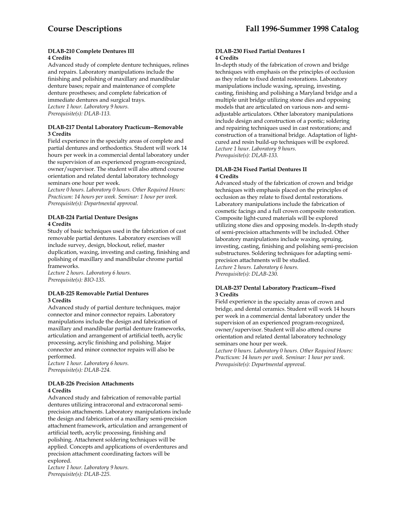#### **DLAB-210 Complete Dentures III 4 Credits**

Advanced study of complete denture techniques, relines and repairs. Laboratory manipulations include the finishing and polishing of maxillary and mandibular denture bases; repair and maintenance of complete denture prostheses; and complete fabrication of immediate dentures and surgical trays. *Lecture 1 hour. Laboratory 9 hours. Prerequisite(s): DLAB-113.* 

#### **DLAB-217 Dental Laboratory Practicum--Removable 3 Credits**

Field experience in the specialty areas of complete and partial dentures and orthodontics. Student will work 14 hours per week in a commercial dental laboratory under the supervision of an experienced program-recognized, owner/supervisor. The student will also attend course orientation and related dental laboratory technology seminars one hour per week.

*Lecture 0 hours. Laboratory 0 hours. Other Required Hours: Practicum: 14 hours per week. Seminar: 1 hour per week. Prerequisite(s): Departmental approval.* 

#### **DLAB-224 Partial Denture Designs 4 Credits**

Study of basic techniques used in the fabrication of cast removable partial dentures. Laboratory exercises will include survey, design, blockout, relief, master duplication, waxing, investing and casting, finishing and polishing of maxillary and mandibular chrome partial frameworks.

*Lecture 2 hours. Laboratory 6 hours. Prerequisite(s): BIO-135.* 

#### **DLAB-225 Removable Partial Dentures 3 Credits**

Advanced study of partial denture techniques, major connector and minor connector repairs. Laboratory manipulations include the design and fabrication of maxillary and mandibular partial denture frameworks, articulation and arrangement of artificial teeth, acrylic processing, acrylic finishing and polishing. Major connector and minor connector repairs will also be performed.

*Lecture 1 hour. Laboratory 6 hours. Prerequisite(s): DLAB-224.* 

#### **DLAB-226 Precision Attachments 4 Credits**

Advanced study and fabrication of removable partial dentures utilizing intracoronal and extracoronal semiprecision attachments. Laboratory manipulations include the design and fabrication of a maxillary semi-precision attachment framework, articulation and arrangement of artificial teeth, acrylic processing, finishing and polishing. Attachment soldering techniques will be applied. Concepts and applications of overdentures and precision attachment coordinating factors will be explored.

*Lecture 1 hour. Laboratory 9 hours. Prerequisite(s): DLAB-225.* 

#### **DLAB-230 Fixed Partial Dentures I 4 Credits**

In-depth study of the fabrication of crown and bridge techniques with emphasis on the principles of occlusion as they relate to fixed dental restorations. Laboratory manipulations include waxing, spruing, investing, casting, finishing and polishing a Maryland bridge and a multiple unit bridge utilizing stone dies and opposing models that are articulated on various non- and semiadjustable articulators. Other laboratory manipulations include design and construction of a pontic; soldering and repairing techniques used in cast restorations; and construction of a transitional bridge. Adaptation of lightcured and resin build-up techniques will be explored. *Lecture 1 hour. Laboratory 9 hours. Prerequisite(s): DLAB-133.* 

#### **DLAB-234 Fixed Partial Dentures II 4 Credits**

Advanced study of the fabrication of crown and bridge techniques with emphasis placed on the principles of occlusion as they relate to fixed dental restorations. Laboratory manipulations include the fabrication of cosmetic facings and a full crown composite restoration. Composite light-cured materials will be explored utilizing stone dies and opposing models. In-depth study of semi-precision attachments will be included. Other laboratory manipulations include waxing, spruing, investing, casting, finishing and polishing semi-precision substructures. Soldering techniques for adapting semiprecision attachments will be studied. *Lecture 2 hours. Laboratory 6 hours. Prerequisite(s): DLAB-230.* 

#### **DLAB-237 Dental Laboratory Practicum--Fixed 3 Credits**

Field experience in the specialty areas of crown and bridge, and dental ceramics. Student will work 14 hours per week in a commercial dental laboratory under the supervision of an experienced program-recognized, owner/supervisor. Student will also attend course orientation and related dental laboratory technology seminars one hour per week.

*Lecture 0 hours. Laboratory 0 hours. Other Required Hours: Practicum: 14 hours per week. Seminar: 1 hour per week. Prerequisite(s): Departmental approval.*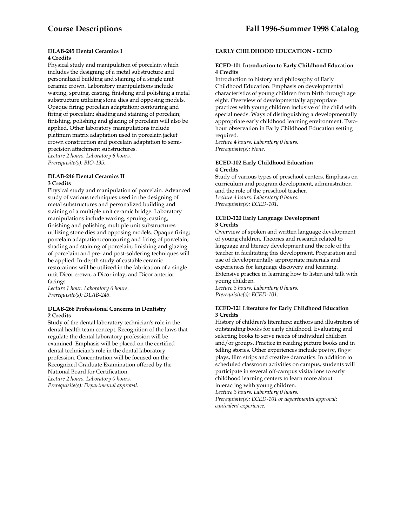#### **DLAB-245 Dental Ceramics I 4 Credits**

Physical study and manipulation of porcelain which includes the designing of a metal substructure and personalized building and staining of a single unit ceramic crown. Laboratory manipulations include waxing, spruing, casting, finishing and polishing a metal substructure utilizing stone dies and opposing models. Opaque firing; porcelain adaptation; contouring and firing of porcelain; shading and staining of porcelain; finishing, polishing and glazing of porcelain will also be applied. Other laboratory manipulations include platinum matrix adaptation used in porcelain jacket crown construction and porcelain adaptation to semiprecision attachment substructures. *Lecture 2 hours. Laboratory 6 hours. Prerequisite(s): BIO-135.* 

#### **DLAB-246 Dental Ceramics II 3 Credits**

Physical study and manipulation of porcelain. Advanced study of various techniques used in the designing of metal substructures and personalized building and staining of a multiple unit ceramic bridge. Laboratory manipulations include waxing, spruing, casting, finishing and polishing multiple unit substructures utilizing stone dies and opposing models. Opaque firing; porcelain adaptation; contouring and firing of porcelain; shading and staining of porcelain; finishing and glazing of porcelain; and pre- and post-soldering techniques will be applied. In-depth study of castable ceramic restorations will be utilized in the fabrication of a single unit Dicor crown, a Dicor inlay, and Dicor anterior facings.

*Lecture 1 hour. Laboratory 6 hours. Prerequisite(s): DLAB-245.* 

#### **DLAB-266 Professional Concerns in Dentistry 2 Credits**

Study of the dental laboratory technician's role in the dental health team concept. Recognition of the laws that regulate the dental laboratory profession will be examined. Emphasis will be placed on the certified dental technician's role in the dental laboratory profession. Concentration will be focused on the Recognized Graduate Examination offered by the National Board for Certification. *Lecture 2 hours. Laboratory 0 hours. Prerequisite(s): Departmental approval.* 

# **EARLY CHILDHOOD EDUCATION - ECED**

#### **ECED-101 Introduction to Early Childhood Education 4 Credits**

Introduction to history and philosophy of Early Childhood Education. Emphasis on developmental characteristics of young children from birth through age eight. Overview of developmentally appropriate practices with young children inclusive of the child with special needs. Ways of distinguishing a developmentally appropriate early childhood learning environment. Twohour observation in Early Childhood Education setting required.

*Lecture 4 hours. Laboratory 0 hours. Prerequisite(s): None.* 

#### **ECED-102 Early Childhood Education 4 Credits**

Study of various types of preschool centers. Emphasis on curriculum and program development, administration and the role of the preschool teacher. *Lecture 4 hours. Laboratory 0 hours. Prerequisite(s): ECED-101.* 

#### **ECED-120 Early Language Development 3 Credits**

Overview of spoken and written language development of young children. Theories and research related to language and literacy development and the role of the teacher in facilitating this development. Preparation and use of developmentally appropriate materials and experiences for language discovery and learning. Extensive practice in learning how to listen and talk with young children*.* 

*Lecture 3 hours. Laboratory 0 hours. Prerequisite(s): ECED-101.* 

#### **ECED-121 Literature for Early Childhood Education 3 Credits**

History of children's literature; authors and illustrators of outstanding books for early childhood. Evaluating and selecting books to serve needs of individual children and/or groups. Practice in reading picture books and in telling stories. Other experiences include poetry, finger plays, film strips and creative dramatics. In addition to scheduled classroom activities on campus, students will participate in several off-campus visitations to early childhood learning centers to learn more about interacting with young children.

*Lecture 3 hours. Laboratory 0 hours. Prerequisite(s): ECED-101 or departmental approval: equivalent experience.*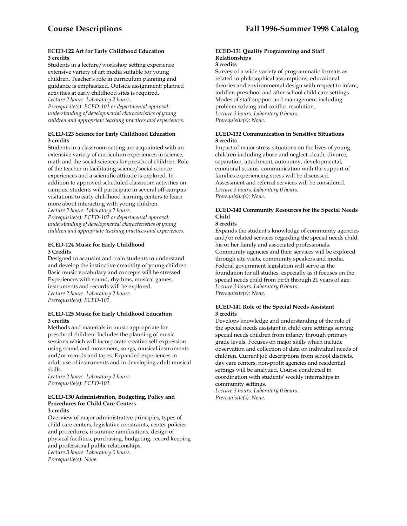#### **ECED-122 Art for Early Childhood Education 3 credits**

Students in a lecture/workshop setting experience extensive variety of art media suitable for young children. Teacher's role in curriculum planning and guidance is emphasized. Outside assignment: planned activities at early childhood sites is required.

*Lecture 2 hours. Laboratory 2 hours.* 

*Prerequisite(s): ECED-101 or departmental approval: understanding of developmental characteristics of young children and appropriate teaching practices and experiences.* 

# **ECED-123 Science for Early Childhood Education 3 credits**

Students in a classroom setting are acquainted with an extensive variety of curriculum experiences in science, math and the social sciences for preschool children. Role of the teacher in facilitating science/social science experiences and a scientific attitude is explored. In addition to approved scheduled classroom activities on campus, students will participate in several off-campus visitations to early childhood learning centers to learn more about interacting with young children. *Lecture 2 hours. Laboratory 2 hours.* 

*Prerequisite(s): ECED-102 or departmental approval: understanding of developmental characteristics of young children and appropriate teaching practices and experiences.* 

# **ECED-124 Music for Early Childhood 3 Credits**

Designed to acquaint and train students to understand and develop the instinctive creativity of young children. Basic music vocabulary and concepts will be stressed. Experiences with sound, rhythms, musical games, instruments and records will be explored. *Lecture 2 hours. Laboratory 2 hours. Prerequisite(s): ECED-101.* 

#### **ECED-125 Music for Early Childhood Education 3 credits**

Methods and materials in music appropriate for preschool children. Includes the planning of music sessions which will incorporate creative self-expression using sound and movement, songs, musical instruments and/or records and tapes. Expanded experiences in adult use of instruments and in developing adult musical skills.

*Lecture 2 hours. Laboratory 2 hours. Prerequisite(s): ECED-101.* 

#### **ECED-130 Administration, Budgeting, Policy and Procedures for Child Care Centers 3 credits**

Overview of major administrative principles, types of child care centers, legislative constraints, center policies and procedures, insurance ramifications, design of physical facilities, purchasing, budgeting, record keeping and professional public relationships. *Lecture 3 hours. Laboratory 0 hours. Prerequisite(s): None.* 

# **ECED-131 Quality Programming and Staff Relationships**

#### **3 credits**

Survey of a wide variety of programmatic formats as related to philosophical assumptions, educational theories and environmental design with respect to infant, toddler, preschool and after-school child care settings. Modes of staff support and management including problem solving and conflict resolution. *Lecture 3 hours. Laboratory 0 hours. Prerequisite(s): None.* 

#### **ECED-132 Communication in Sensitive Situations 3 credits**

Impact of major stress situations on the lives of young children including abuse and neglect, death, divorce, separation, attachment, autonomy, developmental, emotional strains, communication with the support of families experiencing stress will be discussed. Assessment and referral services will be considered. *Lecture 3 hours. Laboratory 0 hours. Prerequisite(s): None.* 

# **ECED-140 Community Resources for the Special Needs Child**

#### **3 credits**

Expands the student's knowledge of community agencies and/or related services regarding the special needs child, his or her family and associated professionals. Community agencies and their services will be explored through site visits, community speakers and media. Federal government legislation will serve as the foundation for all studies, especially as it focuses on the special needs child from birth through 21 years of age. *Lecture 3 hours. Laboratory 0 hours. Prerequisite(s): None.* 

#### **ECED-141 Role of the Special Needs Assistant 3 credits**

Develops knowledge and understanding of the role of the special needs assistant in child care settings serving special needs children from infancy through primary grade levels. Focuses on major skills which include observation and collection of data on individual needs of children. Current job descriptions from school districts, day care centers, non-profit agencies and residential settings will be analyzed. Course conducted in coordination with students' weekly internships in community settings.

*Lecture 3 hours. Laboratory 0 hours. Prerequisite(s): None.*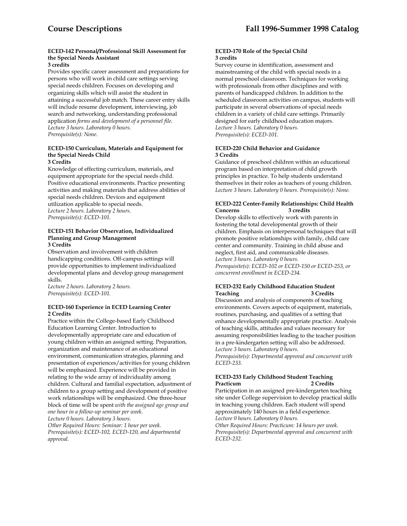# **ECED-142 Personal/Professional Skill Assessment for the Special Needs Assistant**

# **3 credits**

Provides specific career assessment and preparations for persons who will work in child care settings serving special needs children. Focuses on developing and organizing skills which will assist the student in attaining a successful job match. These career entry skills will include resume development, interviewing, job search and networking, understanding professional application *forms and development of a personnel file. Lecture 3 hours. Laboratory 0 hours. Prerequisite(s): None.* 

#### **ECED-150 Curriculum, Materials and Equipment for the Special Needs Child 3 Credits**

Knowledge of effecting curriculum, materials, and equipment appropriate for the special needs child. Positive educational environments. Practice presenting activities and making materials that address abilities of special needs children. Devices and equipment utilization applicable to special needs. *Lecture 2 hours. Laboratory 2 hours. Prerequisite(s): ECED-101.* 

#### **ECED-151 Behavior Observation, Individualized Planning and Group Management 3 Credits**

Observation and involvement with children handicapping conditions. Off-campus settings will provide opportunities to implement individualized developmental plans and develop group management skills.

*Lecture 2 hours. Laboratory 2 hours. Prerequisite(s): ECED-101.* 

#### **ECED-160 Experience in ECED Learning Center 2 Credits**

Practice within the College-based Early Childhood Education Learning Center. Introduction to developmentally appropriate care and education of young children within an assigned setting. Preparation, organization and maintenance of an educational environment, communication strategies, planning and presentation of experiences/activities for young children will be emphasized. Experience will be provided in relating to the wide array of individuality among children. Cultural and familial expectation, adjustment of children to a group setting and development of positive work relationships will be emphasized. One three-hour block of time will be spent *with the assigned age group and one hour in a follow-up seminar per week.* 

*Lecture 0 hours. Laboratory 3 hours.* 

*Other Required Hours: Seminar: 1 hour per week. Prerequisite(s): ECED-102, ECED-120, and departmental approval.* 

#### **ECED-170 Role of the Special Child 3 credits**

Survey course in identification, assessment and mainstreaming of the child with special needs in a normal preschool classroom. Techniques for working with professionals from other disciplines and with parents of handicapped children. In addition to the scheduled classroom activities on campus, students will participate in several observations of special needs children in a variety of child care settings. Primarily designed for early childhood education majors. *Lecture 3 hours. Laboratory 0 hours. Prerequisite(s): ECED-101.* 

#### **ECED-220 Child Behavior and Guidance 3 Credits**

Guidance of preschool children within an educational program based on interpretation of child growth principles in practice. To help students understand themselves in their roles as teachers of young children. *Lecture 3 hours. Laboratory 0 hours. Prerequisite(s): None.* 

#### **ECED-222 Center-Family Relationships: Child Health Concerns 3 credits**

Develop skills to effectively work with parents in fostering the total developmental growth of their children. Emphasis on interpersonal techniques that will promote positive relationships with family, child care center and community. Training in child abuse and neglect, first aid, and communicable diseases. *Lecture 3 hours. Laboratory 0 hours. Prerequisite(s): ECED-102 or ECED-150 or ECED-253, or concurrent enrollment in ECED-234.* 

# **ECED-232 Early Childhood Education Student Teaching 3 Credits**

Discussion and analysis of components of teaching environments. Covers aspects of equipment, materials, routines, purchasing, and qualities of a setting that enhance developmentally appropriate practice. Analysis of teaching skills, attitudes and values necessary for assuming responsibilities leading to the teacher position in a pre-kindergarten setting will also be addressed. *Lecture 3 hours. Laboratory 0 hours. Prerequisite(s): Departmental approval and concurrent with ECED-233.* 

#### **ECED-233 Early Childhood Student Teaching Practicum 2 Credits**

Participation in an assigned pre-kindergarten teaching site under College supervision to develop practical skills in teaching young children. Each student will spend approximately 140 hours in a field experience. *Lecture 0 hours. Laboratory 0 hours.* 

*Other Required Hours: Practicum: 14 hours per week. Prerequisite(s): Departmental approval and concurrent with ECED-232.*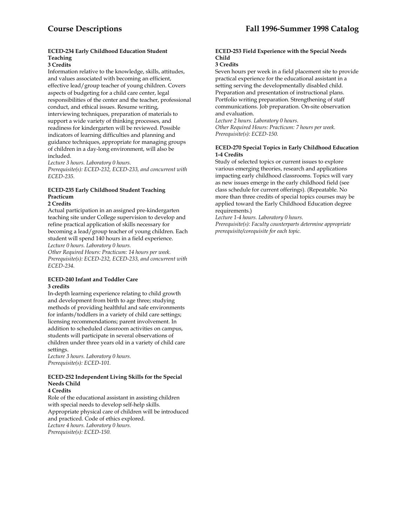# **ECED-234 Early Childhood Education Student Teaching**

#### **3 Credits**

Information relative to the knowledge, skills, attitudes, and values associated with becoming an efficient, effective lead/group teacher of young children. Covers aspects of budgeting for a child care center, legal responsibilities of the center and the teacher, professional conduct, and ethical issues. Resume writing, interviewing techniques, preparation of materials to support a wide variety of thinking processes, and readiness for kindergarten will be reviewed. Possible indicators of learning difficulties and planning and guidance techniques, appropriate for managing groups of children in a day-long environment, will also be included.

*Lecture 3 hours. Laboratory 0 hours.* 

*Prerequisite(s): ECED-232, ECED-233, and concurrent with ECED-235.* 

# **ECED-235 Early Childhood Student Teaching Practicum**

#### **2 Credits**

Actual participation in an assigned pre-kindergarten teaching site under College supervision to develop and refine practical application of skills necessary for becoming a lead/group teacher of young children. Each student will spend 140 hours in a field experience. *Lecture 0 hours. Laboratory 0 hours.* 

*Other Required Hours: Practicum: 14 hours per week. Prerequisite(s): ECED-232, ECED-233, and concurrent with ECED-234.* 

#### **ECED-240 Infant and Toddler Care 3 credits**

In-depth learning experience relating to child growth and development from birth to age three; studying methods of providing healthful and safe environments for infants/toddlers in a variety of child care settings; licensing recommendations; parent involvement. In addition to scheduled classroom activities on campus, students will participate in several observations of children under three years old in a variety of child care settings.

*Lecture 3 hours. Laboratory 0 hours. Prerequisite(s): ECED-101.* 

#### **ECED-252 Independent Living Skills for the Special Needs Child 4 Credits**

Role of the educational assistant in assisting children with special needs to develop self-help skills. Appropriate physical care of children will be introduced and practiced. Code of ethics explored. *Lecture 4 hours. Laboratory 0 hours. Prerequisite(s): ECED-150.* 

# **ECED-253 Field Experience with the Special Needs Child**

#### **3 Credits**

Seven hours per week in a field placement site to provide practical experience for the educational assistant in a setting serving the developmentally disabled child. Preparation and presentation of instructional plans. Portfolio writing preparation. Strengthening of staff communications. Job preparation. On-site observation and evaluation.

*Lecture 2 hours. Laboratory 0 hours. Other Required Hours: Practicum: 7 hours per week. Prerequisite(s): ECED-150.* 

#### **ECED-270 Special Topics in Early Childhood Education 1-4 Credits**

Study of selected topics or current issues to explore various emerging theories, research and applications impacting early childhood classrooms. Topics will vary as new issues emerge in the early childhood field (see class schedule for current offerings). (Repeatable. No more than three credits of special topics courses may be applied toward the Early Childhood Education degree requirements.)

*Lecture 1-4 hours. Laboratory 0 hours.* 

*Prerequisite(s): Faculty counterparts determine appropriate prerequisite/corequisite for each topic.*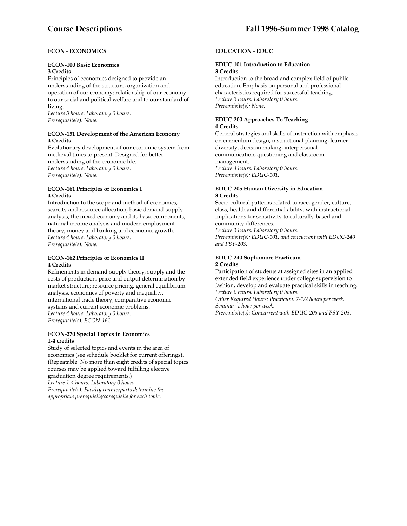# **ECON - ECONOMICS**

#### **ECON-100 Basic Economics**

#### **3 Credits**

Principles of economics designed to provide an understanding of the structure, organization and operation of our economy; relationship of our economy to our social and political welfare and to our standard of living.

*Lecture 3 hours. Laboratory 0 hours. Prerequisite(s): None.* 

# **ECON-151 Development of the American Economy 4 Credits**

Evolutionary development of our economic system from medieval times to present. Designed for better understanding of the economic life. *Lecture 4 hours. Laboratory 0 hours. Prerequisite(s): None.* 

#### **ECON-161 Principles of Economics I 4 Credits**

Introduction to the scope and method of economics, scarcity and resource allocation, basic demand-supply analysis, the mixed economy and its basic components, national income analysis and modern employment theory, money and banking and economic growth. *Lecture 4 hours. Laboratory 0 hours. Prerequisite(s): None.* 

#### **ECON-162 Principles of Economics II 4 Credits**

Refinements in demand-supply theory, supply and the costs of production, price and output determination by market structure; resource pricing, general equilibrium analysis, economics of poverty and inequality, international trade theory, comparative economic systems and current economic problems. *Lecture 4 hours. Laboratory 0 hours. Prerequisite(s): ECON-161.* 

#### **ECON-270 Special Topics in Economics 1-4 credits**

Study of selected topics and events in the area of economics (see schedule booklet for current offerings). (Repeatable. No more than eight credits of special topics courses may be applied toward fulfilling elective graduation degree requirements.) *Lecture 1-4 hours. Laboratory 0 hours. Prerequisite(s): Faculty counterparts determine the appropriate prerequisite/corequisite for each topic.* 

# **EDUCATION - EDUC**

#### **EDUC-101 Introduction to Education 3 Credits**

Introduction to the broad and complex field of public education. Emphasis on personal and professional characteristics required for successful teaching. *Lecture 3 hours. Laboratory 0 hours. Prerequisite(s): None.* 

#### **EDUC-200 Approaches To Teaching 4 Credits**

General strategies and skills of instruction with emphasis on curriculum design, instructional planning, learner diversity, decision making, interpersonal communication, questioning and classroom management. *Lecture 4 hours. Laboratory 0 hours. Prerequisite(s): EDUC-101.* 

#### **EDUC-205 Human Diversity in Education 3 Credits**

Socio-cultural patterns related to race, gender, culture, class, health and differential ability, with instructional implications for sensitivity to culturally-based and community differences.

*Lecture 3 hours. Laboratory 0 hours.* 

*Prerequisite(s): EDUC-101, and concurrent with EDUC-240 and PSY-203.* 

# **EDUC-240 Sophomore Practicum 2 Credits**

Participation of students at assigned sites in an applied extended field experience under college supervision to fashion, develop and evaluate practical skills in teaching. *Lecture 0 hours. Laboratory 0 hours.* 

*Other Required Hours: Practicum: 7-1/2 hours per week. Seminar: 1 hour per week.* 

*Prerequisite(s): Concurrent with EDUC-205 and PSY-203.*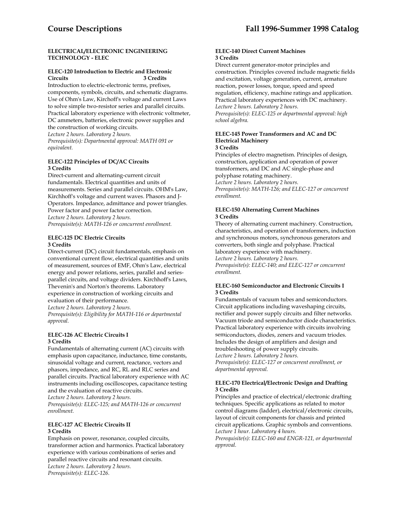#### **ELECTRICAL/ELECTRONIC ENGINEERING TECHNOLOGY - ELEC**

#### **ELEC-120 Introduction to Electric and Electronic Circuits 3 Credits**

Introduction to electric-electronic terms, prefixes, components, symbols, circuits, and schematic diagrams. Use of Ohm's Law, Kirchoff's voltage and current Laws to solve simple two-resistor series and parallel circuits. Practical laboratory experience with electronic voltmeter, DC ammeters, batteries, electronic power supplies and the construction of working circuits.

*Lecture 2 hours. Laboratory 2 hours.* 

*Prerequisite(s): Departmental approval: MATH 091 or equivalent.* 

#### **ELEC-122 Principles of DC/AC Circuits 3 Credits**

Direct-current and alternating-current circuit fundamentals. Electrical quantities and units of measurements. Series and parallel circuits. OHM's Law, Kirchhoff's voltage and current waves. Phasors and J-Operators. Impedance, admittance and power triangles. Power factor and power factor correction. *Lecture 2 hours. Laboratory 2 hours. Prerequisite(s): MATH-126 or concurrent enrollment.* 

#### **ELEC-125 DC Electric Circuits 3 Credits**

Direct-current (DC) circuit fundamentals, emphasis on conventional current flow, electrical quantities and units of measurement, sources of EMF, Ohm's Law, electrical energy and power relations, series, parallel and seriesparallel circuits, and voltage dividers. Kirchhoff's Laws, Thevenin's and Norton's theorems. Laboratory experience in construction of working circuits and evaluation of their performance.

*Lecture 2 hours. Laboratory 2 hours.* 

*Prerequisite(s): Eligibility for MATH-116 or departmental approval.* 

#### **ELEC-126 AC Electric Circuits I 3 Credits**

Fundamentals of alternating current (AC) circuits with emphasis upon capacitance, inductance, time constants, sinusoidal voltage and current, reactance, vectors and phasors, impedance, and RC, RL and RLC series and parallel circuits. Practical laboratory experience with AC instruments including oscilloscopes, capacitance testing and the evaluation of reactive circuits.

*Lecture 2 hours. Laboratory 2 hours.* 

*Prerequisite(s): ELEC-125; and MATH-126 or concurrent enrollment.* 

#### **ELEC-127 AC Electric Circuits II 3 Credits**

Emphasis on power, resonance, coupled circuits, transformer action and harmonics. Practical laboratory experience with various combinations of series and parallel reactive circuits and resonant circuits. *Lecture 2 hours. Laboratory 2 hours. Prerequisite(s): ELEC-126.* 

#### **ELEC-140 Direct Current Machines 3 Credits**

Direct current generator-motor principles and construction. Principles covered include magnetic fields and excitation, voltage generation, current, armature reaction, power losses, torque, speed and speed regulation, efficiency, machine ratings and application. Practical laboratory experiences with DC machinery. *Lecture 2 hours. Laboratory 2 hours. Prerequisite(s): ELEC-125 or departmental approval: high school algebra.* 

#### **ELEC-145 Power Transformers and AC and DC Electrical Machinery 3 Credits**

Principles of electro magnetism. Principles of design, construction, application and operation of power transformers, and DC and AC single-phase and polyphase rotating machinery. *Lecture 2 hours. Laboratory 2 hours.* 

*Prerequisite(s): MATH-126; and ELEC-127 or concurrent enrollment.* 

#### **ELEC-150 Alternating Current Machines 3 Credits**

Theory of alternating current machinery. Construction, characteristics, and operation of transformers, induction and synchronous motors, synchronous generators and converters, both single and polyphase. Practical laboratory experience with machinery.

*Lecture 2 hours. Laboratory 2 hours.* 

*Prerequisite(s): ELEC-140; and ELEC-127 or concurrent enrollment.* 

# **ELEC-160 Semiconductor and Electronic Circuits I 3 Credits**

Fundamentals of vacuum tubes and semiconductors. Circuit applications including waveshaping circuits, rectifier and power supply circuits and filter networks. Vacuum triode and semiconductor diode characteristics. Practical laboratory experience with circuits involving semiconductors, diodes, zeners and vacuum triodes. Includes the design of amplifiers and design and troubleshooting of power supply circuits. *Lecture 2 hours. Laboratory 2 hours. Prerequisite(s): ELEC-127 or concurrent enrollment, or departmental approval.* 

#### **ELEC-170 Electrical/Electronic Design and Drafting 3 Credits**

Principles and practice of electrical/electronic drafting techniques. Specific applications as related to motor control diagrams (ladder), electrical/electronic circuits, layout of circuit components for chassis and printed circuit applications. Graphic symbols and conventions. *Lecture 1 hour. Laboratory 4 hours.* 

*Prerequisite(s): ELEC-160 and ENGR-121, or departmental approval.*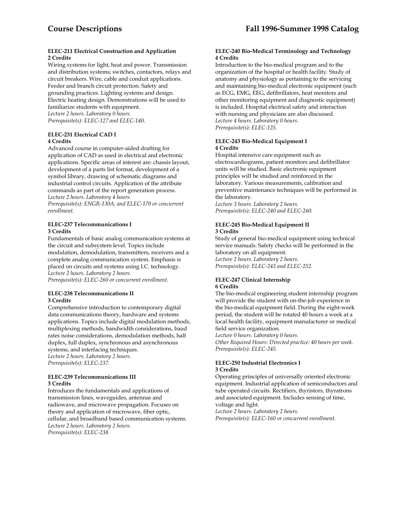#### **ELEC-211 Electrical Construction and Application 2 Credits**

Wiring systems for light, heat and power. Transmission and distribution systems; switches, contactors, relays and circuit breakers. Wire, cable and conduit applications. Feeder and branch circuit protection. Safety and grounding practices. Lighting systems and design. Electric heating design. Demonstrations will be used to familiarize students with equipment. *Lecture 2 hours. Laboratory 0 hours. Prerequisite(s): ELEC-127 and ELEC-140.* 

# **ELEC-231 Electrical CAD I 4 Credits**

Advanced course in computer-aided drafting for application of CAD as used in electrical and electronic applications. Specific areas of interest are: chassis layout, development of a parts list format, development of a symbol library, drawing of schematic diagrams and industrial control circuits. Application of the attribute commands as part of the report generation process. *Lecture 2 hours. Laboratory 4 hours.* 

*Prerequisite(s): ENGR-130A; and ELEC-170 or concurrent enrollment.* 

#### **ELEC-237 Telecommunications I 3 Credits**

Fundamentals of basic analog communication systems at the circuit and subsystem level. Topics include modulation, demodulation, transmitters, receivers and a complete analog communication system. Emphasis is placed on circuits and systems using I.C. technology. *Lecture 2 hours. Laboratory 2 hours. Prerequisite(s): ELEC-260 or concurrent enrollment.* 

#### **ELEC-238 Telecommunications II 3 Credits**

Comprehensive introduction to contemporary digital data communications theory, hardware and systems applications. Topics include digital modulation methods, multiplexing methods, bandwidth considerations, baud rates noise considerations, demodulation methods, half duplex, full duplex, synchronous and asynchronous systems, and interfacing techniques. *Lecture 2 hours. Laboratory 2 hours. Prerequisite(s): ELEC-237.* 

#### **ELEC-239 Telecommunications III 3 Credits**

Introduces the fundamentals and applications of transmission lines, waveguides, antennas and radiowave, and microwave propagation. Focuses on theory and application of microwave, fiber optic, cellular, and broadband based communication systems. *Lecture 2 hours. Laboratory 2 hours. Prerequisite(s): ELEC-238.* 

#### **ELEC-240 Bio-Medical Terminology and Technology 4 Credits**

Introduction to the bio-medical program and to the organization of the hospital or health facility. Study of anatomy and physiology as pertaining to the servicing and maintaining bio-medical electronic equipment (such as ECG, EMG, EEG, defibrillators, heat monitors and other monitoring equipment and diagnostic equipment) is included. Hospital electrical safety and interaction with nursing and physicians are also discussed. *Lecture 4 hours. Laboratory 0 hours. Prerequisite(s): ELEC-125.* 

#### **ELEC-243 Bio-Medical Equipment I 4 Credits**

Hospital intensive care equipment such as electrocardiograms, patient monitors and defibrillator units will be studied. Basic electronic equipment principles will be studied and reinforced in the laboratory. Various measurements, calibration and preventive maintenance techniques will be performed in the laboratory.

*Lecture 3 hours. Laboratory 2 hours. Prerequisite(s): ELEC-240 and ELEC-260.* 

# **ELEC-245 Bio-Medical Equipment II 3 Credits**

Study of general bio-medical equipment using technical service manuals. Safety checks will be performed in the laboratory on all equipment. *Lecture 2 hours. Laboratory 2 hours. Prerequisite(s): ELEC-243 and ELEC-252.* 

#### **ELEC-247 Clinical Internship 6 Credits**

The bio-medical engineering student internship program will provide the student with on-the-job experience in the bio-medical equipment field. During the eight-week period, the student will be rotated 40 hours a week at a local health facility, equipment manufacturer or medical field service organization.

*Lecture 0 hours. Laboratory 0 hours.* 

*Other Required Hours: Directed practice: 40 hours per week. Prerequisite(s): ELEC-245.* 

#### **ELEC-250 Industrial Electronics I 3 Credits**

Operating principles of universally oriented electronic equipment. Industrial application of semiconductors and tube operated circuits. Rectifiers, thyristors, thyratrons and associated equipment. Includes sensing of time, voltage and light.

*Lecture 2 hours. Laboratory 2 hours. Prerequisite(s): ELEC-160 or concurrent enrollment.*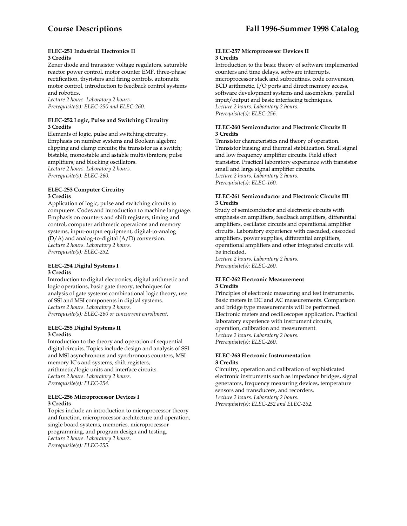#### **ELEC-251 Industrial Electronics II 3 Credits**

Zener diode and transistor voltage regulators, saturable reactor power control, motor counter EMF, three-phase rectification, thyristers and firing controls, automatic motor control, introduction to feedback control systems and robotics.

*Lecture 2 hours. Laboratory 2 hours. Prerequisite(s): ELEC-250 and ELEC-260.* 

#### **ELEC-252 Logic, Pulse and Switching Circuitry 3 Credits**

Elements of logic, pulse and switching circuitry. Emphasis on number systems and Boolean algebra; clipping and clamp circuits; the transistor as a switch; bistable, monostable and astable multivibrators; pulse amplifiers; and blocking oscillators. *Lecture 2 hours. Laboratory 2 hours. Prerequisite(s): ELEC-260.* 

#### **ELEC-253 Computer Circuitry 3 Credits**

Application of logic, pulse and switching circuits to computers. Codes and introduction to machine language. Emphasis on counters and shift registers, timing and control, computer arithmetic operations and memory systems, input-output equipment, digital-to-analog (D/A) and analog-to-digital (A/D) conversion. *Lecture 2 hours. Laboratory 2 hours. Prerequisite(s): ELEC-252.* 

# **ELEC-254 Digital Systems I 3 Credits**

Introduction to digital electronics, digital arithmetic and logic operations, basic gate theory, techniques for analysis of gate systems combinational logic theory, use of SSI and MSI components in digital systems. *Lecture 2 hours. Laboratory 2 hours. Prerequisite(s): ELEC-260 or concurrent enrollment.* 

#### **ELEC-255 Digital Systems II 3 Credits**

Introduction to the theory and operation of sequential digital circuits. Topics include design and analysis of SSI and MSI asynchronous and synchronous counters, MSI memory IC's and systems, shift registers, arithmetic/logic units and interface circuits. *Lecture 2 hours. Laboratory 2 hours. Prerequisite(s): ELEC-254.* 

#### **ELEC-256 Microprocessor Devices I 3 Credits**

Topics include an introduction to microprocessor theory and function, microprocessor architecture and operation, single board systems, memories, microprocessor programming, and program design and testing. *Lecture 2 hours. Laboratory 2 hours. Prerequisite(s): ELEC-255.* 

#### **ELEC-257 Microprocessor Devices II 3 Credits**

Introduction to the basic theory of software implemented counters and time delays, software interrupts, microprocessor stack and subroutines, code conversion, BCD arithmetic, I/O ports and direct memory access, software development systems and assemblers, parallel input/output and basic interfacing techniques. *Lecture 2 hours. Laboratory 2 hours. Prerequisite(s): ELEC-256.* 

#### **ELEC-260 Semiconductor and Electronic Circuits II 3 Credits**

Transistor characteristics and theory of operation. Transistor biasing and thermal stabilization. Small signal and low frequency amplifier circuits. Field effect transistor. Practical laboratory experience with transistor small and large signal amplifier circuits. *Lecture 2 hours. Laboratory 2 hours. Prerequisite(s): ELEC-160.* 

#### **ELEC-261 Semiconductor and Electronic Circuits III 3 Credits**

Study of semiconductor and electronic circuits with emphasis on amplifiers, feedback amplifiers, differential amplifiers, oscillator circuits and operational amplifier circuits. Laboratory experience with cascaded, cascoded amplifiers, power supplies, differential amplifiers, operational amplifiers and other integrated circuits will be included.

*Lecture 2 hours. Laboratory 2 hours. Prerequisite(s): ELEC-260.* 

#### **ELEC-262 Electronic Measurement 3 Credits**

Principles of electronic measuring and test instruments. Basic meters in DC and AC measurements. Comparison and bridge type measurements will be performed. Electronic meters and oscilloscopes application. Practical laboratory experience with instrument circuits, operation, calibration and measurement. *Lecture 2 hours. Laboratory 2 hours. Prerequisite(s): ELEC-260.* 

#### **ELEC-263 Electronic Instrumentation 3 Credits**

Circuitry, operation and calibration of sophisticated electronic instruments such as impedance bridges, signal generators, frequency measuring devices, temperature sensors and transducers, and recorders. *Lecture 2 hours. Laboratory 2 hours. Prerequisite(s): ELEC-252 and ELEC-262.*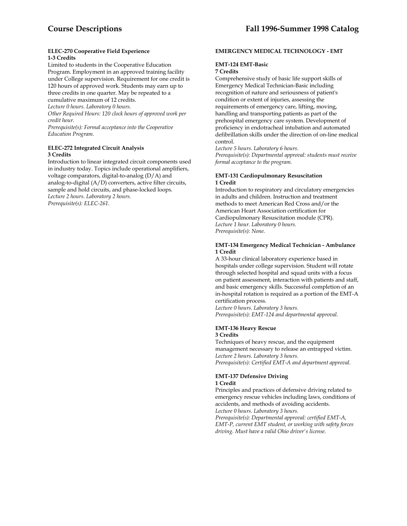#### **ELEC-270 Cooperative Field Experience 1-3 Credits**

Limited to students in the Cooperative Education Program. Employment in an approved training facility under College supervision. Requirement for one credit is 120 hours of approved work. Students may earn up to three credits in one quarter. May be repeated to a cumulative maximum of 12 credits. *Lecture 0 hours. Laboratory 0 hours.* 

*Other Required Hours: 120 clock hours of approved work per credit hour.* 

*Prerequisite(s): Formal acceptance into the Cooperative Education Program.* 

# **ELEC-272 Integrated Circuit Analysis 3 Credits**

Introduction to linear integrated circuit components used in industry today. Topics include operational amplifiers, voltage comparators, digital-to-analog (D/A) and analog-to-digital (A/D) converters, active filter circuits, sample and hold circuits, and phase-locked loops. *Lecture 2 hours. Laboratory 2 hours. Prerequisite(s): ELEC-261.* 

#### **EMERGENCY MEDICAL TECHNOLOGY - EMT**

# **EMT-124 EMT-Basic**

#### **7 Credits**

Comprehensive study of basic life support skills of Emergency Medical Technician-Basic including recognition of nature and seriousness of patient's condition or extent of injuries, assessing the requirements of emergency care, lifting, moving, handling and transporting patients as part of the prehospital emergency care system. Development of proficiency in endotracheal intubation and automated defibrillation skills under the direction of on-line medical control.

*Lecture 5 hours. Laboratory 6 hours. Prerequisite(s): Departmental approval: students must receive formal acceptance to the program.* 

# **EMT-131 Cardiopulmonary Resuscitation 1 Credit**

Introduction to respiratory and circulatory emergencies in adults and children. Instruction and treatment methods to meet American Red Cross and/or the American Heart Association certification for Cardiopulmonary Resuscitation module (CPR). *Lecture 1 hour. Laboratory 0 hours. Prerequisite(s): None.* 

#### **EMT-134 Emergency Medical Technician - Ambulance 1 Credit**

A 33-hour clinical laboratory experience based in hospitals under college supervision. Student will rotate through selected hospital and squad units with a focus on patient assessment, interaction with patients and staff, and basic emergency skills. Successful completion of an in-hospital rotation is required as a portion of the EMT-A certification process.

*Lecture 0 hours. Laboratory 3 hours. Prerequisite(s): EMT-124 and departmental approval.* 

# **EMT-136 Heavy Rescue 3 Credits**

Techniques of heavy rescue, and the equipment management necessary to release an entrapped victim. *Lecture 2 hours. Laboratory 3 hours. Prerequisite(s): Certified EMT-A and department approval.* 

#### **EMT-137 Defensive Driving 1 Credit**

Principles and practices of defensive driving related to emergency rescue vehicles including laws, conditions of accidents, and methods of avoiding accidents. *Lecture 0 hours. Laboratory 3 hours.* 

*Prerequisite(s): Departmental approval: certified EMT-A, EMT-P, current EMT student, or working with safety forces driving. Must have a valid Ohio driver's license.*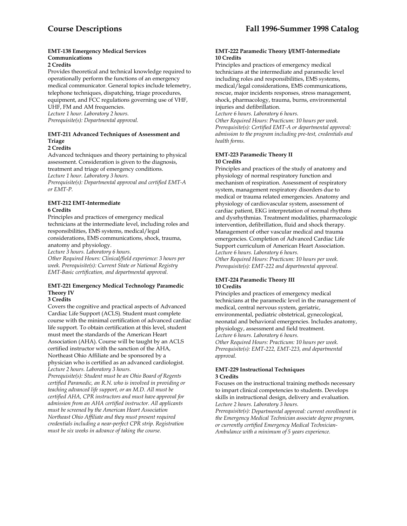#### **EMT-138 Emergency Medical Services Communications**

#### **2 Credits**

Provides theoretical and technical knowledge required to operationally perform the functions of an emergency medical communicator. General topics include telemetry, telephone techniques, dispatching, triage procedures, equipment, and FCC regulations governing use of VHF, UHF, FM and AM frequencies. *Lecture 1 hour. Laboratory 2 hours. Prerequisite(s): Departmental approval.* 

# **EMT-211 Advanced Techniques of Assessment and Triage**

# **2 Credits**

Advanced techniques and theory pertaining to physical assessment. Consideration is given to the diagnosis, treatment and triage of emergency conditions. *Lecture 1 hour. Laboratory 3 hours. Prerequisite(s): Departmental approval and certified EMT-A or EMT-P.* 

#### **EMT-212 EMT-Intermediate 6 Credits**

Principles and practices of emergency medical technicians at the intermediate level, including roles and responsibilities, EMS systems, medical/legal considerations, EMS communications, shock, trauma, anatomy and physiology.

*Lecture 3 hours. Laboratory 6 hours.* 

*Other Required Hours: Clinical/field experience: 3 hours per week. Prerequisite(s): Current State or National Registry EMT-Basic certification, and departmental approval.* 

# **EMT-221 Emergency Medical Technology Paramedic Theory IV**

# **3 Credits**

Covers the cognitive and practical aspects of Advanced Cardiac Life Support (ACLS). Student must complete course with the minimal certification of advanced cardiac life support. To obtain certification at this level, student must meet the standards of the American Heart Association (AHA). Course will be taught by an ACLS certified instructor with the sanction of the AHA, Northeast Ohio Affiliate and be sponsored by a physician who is certified as an advanced cardiologist. *Lecture 2 hours. Laboratory 3 hours.* 

*Prerequisite(s): Student must be an Ohio Board of Regents certified Paramedic, an R.N. who is involved in providing or teaching advanced life support, or an M.D. All must be certified AHA, CPR instructors and must have approval for admission from an AHA certified instructor. All applicants must be screened by the American Heart Association Northeast Ohio Affiliate and they must present required credentials including a near-perfect CPR strip. Registration must be six weeks in advance of taking the course.*

#### **EMT-222 Paramedic Theory I/EMT-Intermediate 10 Credits**

Principles and practices of emergency medical technicians at the intermediate and paramedic level including roles and responsibilities, EMS systems, medical/legal considerations, EMS communications, rescue, major incidents responses, stress management, shock, pharmacology, trauma, burns, environmental injuries and defibrillation.

*Lecture 6 hours. Laboratory 6 hours.* 

*Other Required Hours: Practicum: 10 hours per week. Prerequisite(s): Certified EMT-A or departmental approval: admission to the program including pre-test, credentials and health forms.* 

# **EMT-223 Paramedic Theory II 10 Credits**

Principles and practices of the study of anatomy and physiology of normal respiratory function and mechanism of respiration. Assessment of respiratory system, management respiratory disorders due to medical or trauma related emergencies. Anatomy and physiology of cardiovascular system, assessment of cardiac patient, EKG interpretation of normal rhythms and dysrhythmias. Treatment modalities, pharmacologic intervention, defibrillation, fluid and shock therapy. Management of other vascular medical and trauma emergencies. Completion of Advanced Cardiac Life Support curriculum of American Heart Association. *Lecture 6 hours. Laboratory 6 hours.* 

*Other Required Hours: Practicum: 10 hours per week. Prerequisite(s): EMT-222 and departmental approval.* 

#### **EMT-224 Paramedic Theory III 10 Credits**

Principles and practices of emergency medical technicians at the paramedic level in the management of medical, central nervous system, geriatric, environmental, pediatric obstetrical, gynecological, neonatal and behavioral emergencies. Includes anatomy, physiology, assessment and field treatment. *Lecture 6 hours. Laboratory 6 hours. Other Required Hours: Practicum: 10 hours per week. Prerequisite(s): EMT-222, EMT-223, and departmental approval.* 

#### **EMT-229 Instructional Techniques 3 Credits**

Focuses on the instructional training methods necessary to impart clinical competencies to students. Develops skills in instructional design, delivery and evaluation. *Lecture 2 hours. Laboratory 3 hours.* 

*Prerequisite(s): Departmental approval: current enrollment in the Emergency Medical Technician associate degree program, or currently certified Emergency Medical Technician-Ambulance with a minimum of 5 years experience.*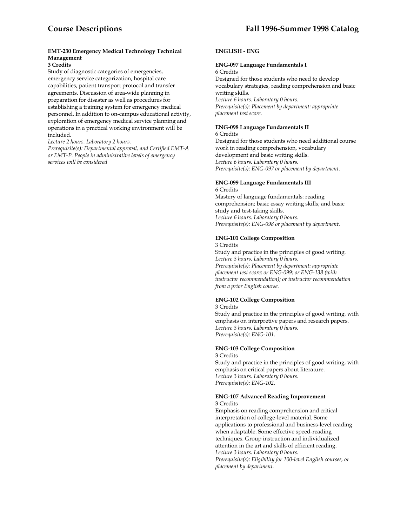# **EMT-230 Emergency Medical Technology Technical Management**

#### **3 Credits**

Study of diagnostic categories of emergencies, emergency service categorization, hospital care capabilities, patient transport protocol and transfer agreements. Discussion of area-wide planning in preparation for disaster as well as procedures for establishing a training system for emergency medical personnel. In addition to on-campus educational activity, exploration of emergency medical service planning and operations in a practical working environment will be included.

*Lecture 2 hours. Laboratory 2 hours.* 

*Prerequisite(s): Departmental approval, and Certified EMT-A or EMT-P. People in administrative levels of emergency services will be considered* 

#### **ENGLISH - ENG**

# **ENG-097 Language Fundamentals I**

6 Credits Designed for those students who need to develop vocabulary strategies, reading comprehension and basic writing skills. *Lecture 6 hours. Laboratory 0 hours. Prerequisite(s): Placement by department: appropriate placement test score.* 

# **ENG-098 Language Fundamentals II**

6 Credits Designed for those students who need additional course work in reading comprehension, vocabulary development and basic writing skills. *Lecture 6 hours. Laboratory 0 hours. Prerequisite(s): ENG-097 or placement by department.* 

#### **ENG-099 Language Fundamentals III**

6 Credits Mastery of language fundamentals: reading comprehension; basic essay writing skills; and basic study and test-taking skills. *Lecture 6 hours. Laboratory 0 hours. Prerequisite(s): ENG-098 or placement by department.* 

#### **ENG-101 College Composition**

3 Credits Study and practice in the principles of good writing. *Lecture 3 hours. Laboratory 0 hours. Prerequisite(s): Placement by department: appropriate placement test score; or ENG-099; or ENG-138 (with instructor recommendation); or instructor recommendation from a prior English course.* 

# **ENG-102 College Composition**

3 Credits

Study and practice in the principles of good writing, with emphasis on interpretive papers and research papers. *Lecture 3 hours. Laboratory 0 hours. Prerequisite(s): ENG-101.* 

#### **ENG-103 College Composition**

3 Credits Study and practice in the principles of good writing, with emphasis on critical papers about literature. *Lecture 3 hours. Laboratory 0 hours. Prerequisite(s): ENG-102.* 

#### **ENG-107 Advanced Reading Improvement**  3 Credits

Emphasis on reading comprehension and critical interpretation of college-level material. Some applications to professional and business-level reading when adaptable. Some effective speed-reading techniques. Group instruction and individualized attention in the art and skills of efficient reading. *Lecture 3 hours. Laboratory 0 hours. Prerequisite(s): Eligibility for 100-level English courses, or placement by department.*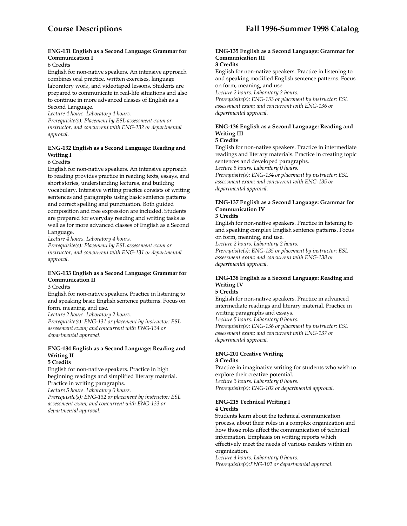#### **ENG-131 English as a Second Language: Grammar for Communication I**

#### 6 Credits

English for non-native speakers. An intensive approach combines oral practice, written exercises, language laboratory work, and videotaped lessons. Students are prepared to communicate in real-life situations and also to continue in more advanced classes of English as a Second Language.

*Lecture 4 hours. Laboratory 4 hours.* 

*Prerequisite(s): Placement by ESL assessment exam or instructor, and concurrent with ENG-132 or departmental approval.* 

### **ENG-132 English as a Second Language: Reading and Writing I**

# 6 Credits

English for non-native speakers. An intensive approach to reading provides practice in reading texts, essays, and short stories, understanding lectures, and building vocabulary. Intensive writing practice consists of writing sentences and paragraphs using basic sentence patterns and correct spelling and punctuation. Both guided composition and free expression are included. Students are prepared for everyday reading and writing tasks as well as for more advanced classes of English as a Second Language.

*Lecture 4 hours. Laboratory 4 hours.* 

*Prerequisite(s): Placement by ESL assessment exam or instructor, and concurrent with ENG-131 or departmental approval.* 

# **ENG-133 English as a Second Language: Grammar for Communication II**

3 Credits

English for non-native speakers. Practice in listening to and speaking basic English sentence patterns. Focus on form, meaning, and use.

*Lecture 2 hours. Laboratory 2 hours.* 

*Prerequisite(s): ENG-131 or placement by instructor: ESL assessment exam; and concurrent with ENG-134 or departmental approval.* 

# **ENG-134 English as a Second Language: Reading and Writing II**

#### **5 Credits**

English for non-native speakers. Practice in high beginning readings and simplified literary material. Practice in writing paragraphs.

*Lecture 5 hours. Laboratory 0 hours.* 

*Prerequisite(s): ENG-132 or placement by instructor: ESL assessment exam; and concurrent with ENG-133 or departmental approval.* 

# **ENG-135 English as a Second Language: Grammar for Communication III**

#### **3 Credits**

English for non-native speakers. Practice in listening to and speaking modified English sentence patterns. Focus on form, meaning, and use.

*Lecture 2 hours. Laboratory 2 hours.* 

*Prerequisite(s): ENG-133 or placement by instructor: ESL assessment exam; and concurrent with ENG-136 or departmental approval.* 

# **ENG-136 English as a Second Language: Reading and Writing III**

#### **5 Credits**

English for non-native speakers. Practice in intermediate readings and literary materials. Practice in creating topic sentences and developed paragraphs.

*Lecture 5 hours. Laboratory 0 hours.* 

*Prerequisite(s): ENG-134 or placement by instructor: ESL assessment exam; and concurrent with ENG-135 or departmental approval.* 

# **ENG-137 English as a Second Language: Grammar for Communication IV**

# **3 Credits**

English for non-native speakers. Practice in listening to and speaking complex English sentence patterns. Focus on form, meaning, and use.

*Lecture 2 hours. Laboratory 2 hours.* 

*Prerequisite(s): ENG-135 or placement by instructor: ESL assessment exam; and concurrent with ENG-138 or departmental approval.* 

# **ENG-138 English as a Second Language: Reading and Writing IV**

# **5 Credits**

English for non-native speakers. Practice in advanced intermediate readings and literary material. Practice in writing paragraphs and essays.

*Lecture 5 hours. Laboratory 0 hours.* 

*Prerequisite(s): ENG-136 or placement by instructor: ESL assessment exam; and concurrent with ENG-137 or departmental approval.* 

# **ENG-201 Creative Writing**

#### **3 Credits**

Practice in imaginative writing for students who wish to explore their creative potential. *Lecture 3 hours. Laboratory 0 hours. Prerequisite(s): ENG-102 or departmental approval.* 

#### **ENG-215 Technical Writing I 4 Credits**

Students learn about the technical communication process, about their roles in a complex organization and how those roles affect the communication of technical information. Emphasis on writing reports which effectively meet the needs of various readers within an organization.

*Lecture 4 hours. Laboratory 0 hours. Prerequisite(s):ENG-102 or departmental approval.*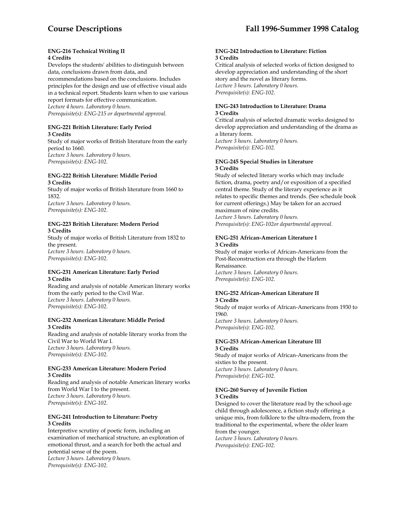#### **ENG-216 Technical Writing II 4 Credits**

Develops the students' abilities to distinguish between data, conclusions drawn from data, and recommendations based on the conclusions. Includes principles for the design and use of effective visual aids in a technical report. Students learn when to use various report formats for effective communication. *Lecture 4 hours. Laboratory 0 hours. Prerequisite(s): ENG-215 or departmental approval.* 

#### **ENG-221 British Literature: Early Period 3 Credits**

Study of major works of British literature from the early period to 1660. *Lecture 3 hours. Laboratory 0 hours. Prerequisite(s): ENG-102.* 

#### **ENG-222 British Literature: Middle Period 3 Credits**

Study of major works of British literature from 1660 to 1832. *Lecture 3 hours. Laboratory 0 hours. Prerequisite(s): ENG-102.* 

#### **ENG-223 British Literature: Modern Period 3 Credits**

Study of major works of British Literature from 1832 to the present. *Lecture 3 hours. Laboratory 0 hours. Prerequisite(s): ENG-102.* 

#### **ENG-231 American Literature: Early Period 3 Credits**

Reading and analysis of notable American literary works from the early period to the Civil War. *Lecture 3 hours. Laboratory 0 hours. Prerequisite(s): ENG-102.* 

#### **ENG-232 American Literature: Middle Period 3 Credits**

Reading and analysis of notable literary works from the Civil War to World War I. *Lecture 3 hours. Laboratory 0 hours. Prerequisite(s): ENG-102.* 

#### **ENG-233 American Literature: Modern Period 3 Credits**

Reading and analysis of notable American literary works from World War I to the present. *Lecture 3 hours. Laboratory 0 hours. Prerequisite(s): ENG-102.* 

#### **ENG-241 Introduction to Literature: Poetry 3 Credits**

Interpretive scrutiny of poetic form, including an examination of mechanical structure, an exploration of emotional thrust, and a search for both the actual and potential sense of the poem. *Lecture 3 hours. Laboratory 0 hours. Prerequisite(s): ENG-102.* 

#### **ENG-242 Introduction to Literature: Fiction 3 Credits**

Critical analysis of selected works of fiction designed to develop appreciation and understanding of the short story and the novel as literary forms. *Lecture 3 hours. Laboratory 0 hours. Prerequisite(s): ENG-102.* 

#### **ENG-243 Introduction to Literature: Drama 3 Credits**

Critical analysis of selected dramatic works designed to develop appreciation and understanding of the drama as a literary form. *Lecture 3 hours. Laboratory 0 hours. Prerequisite(s): ENG-102.* 

#### **ENG-245 Special Studies in Literature 3 Credits**

Study of selected literary works which may include fiction, drama, poetry and/or exposition of a specified central theme. Study of the literary experience as it relates to specific themes and trends. (See schedule book for current offerings.) May be taken for an accrued maximum of nine credits. *Lecture 3 hours. Laboratory 0 hours. Prerequisite(s): ENG-102or departmental approval.* 

#### **ENG-251 African-American Literature I 3 Credits**

Study of major works of African-Americans from the Post-Reconstruction era through the Harlem Renaissance. *Lecture 3 hours. Laboratory 0 hours. Prerequisite(s): ENG-102.* 

#### **ENG-252 African-American Literature II 3 Credits**

Study of major works of African-Americans from 1930 to 1960. *Lecture 3 hours. Laboratory 0 hours. Prerequisite(s): ENG-102.* 

#### **ENG-253 African-American Literature III 3 Credits**

Study of major works of African-Americans from the sixties to the present. *Lecture 3 hours. Laboratory 0 hours. Prerequisite(s): ENG-102.* 

#### **ENG-260 Survey of Juvenile Fiction 3 Credits**

Designed to cover the literature read by the school-age child through adolescence, a fiction study offering a unique mix, from folklore to the ultra-modern, from the traditional to the experimental, where the older learn from the younger. *Lecture 3 hours. Laboratory 0 hours. Prerequisite(s): ENG-102.*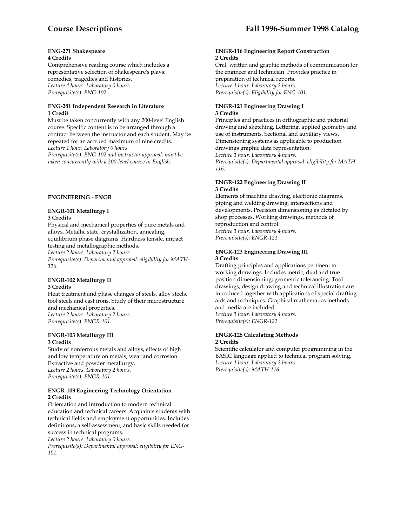#### **ENG-271 Shakespeare 4 Credits**

Comprehensive reading course which includes a representative selection of Shakespeare's plays: comedies, tragedies and histories. *Lecture 4 hours. Laboratory 0 hours. Prerequisite(s): ENG-102* 

#### **ENG-281 Independent Research in Literature 1 Credit**

Must be taken concurrently with any 200-level English course. Specific content is to be arranged through a contract between the instructor and each student. May be repeated for an accrued maximum of nine credits. *Lecture 1 hour. Laboratory 0 hours.* 

*Prerequisite(s): ENG-102 and instructor approval: must be taken concurrently with a 200-level course in English.* 

#### **ENGINEERING - ENGR**

#### **ENGR-101 Metallurgy I 3 Credits**

Physical and mechanical properties of pure metals and alloys. Metallic state, crystallization, annealing, equilibrium phase diagrams. Hardness tensile, impact testing and metallographic methods.

*Lecture 2 hours. Laboratory 2 hours.* 

*Prerequisite(s): Departmental approval: eligibility for MATH-116.* 

#### **ENGR-102 Metallurgy II 3 Credits**

Heat treatment and phase changes of steels, alloy steels, tool steels and cast irons. Study of their microstructure and mechanical properties. *Lecture 2 hours. Laboratory 2 hours. Prerequisite(s): ENGR-101.* 

# **ENGR-103 Metallurgy III 3 Credits**

Study of nonferrous metals and alloys, effects of high and low temperature on metals, wear and corrosion. Extractive and powder metallurgy. *Lecture 2 hours. Laboratory 2 hours. Prerequisite(s): ENGR-101.* 

#### **ENGR-109 Engineering Technology Orientation 2 Credits**

Orientation and introduction to modern technical education and technical careers. Acquaints students with technical fields and employment opportunities. Includes definitions, a self-assessment, and basic skills needed for success in technical programs.

*Lecture 2 hours. Laboratory 0 hours. Prerequisite(s): Departmental approval: eligibility for ENG-101.* 

#### **ENGR-116 Engineering Report Construction 2 Credits**

Oral, written and graphic methods of communication for the engineer and technician. Provides practice in preparation of technical reports. *Lecture 1 hour. Laboratory 2 hours. Prerequisite(s): Eligibility for ENG-101.* 

#### **ENGR-121 Engineering Drawing I 3 Credits**

Principles and practices in orthographic and pictorial drawing and sketching. Lettering, applied geometry and use of instruments. Sectional and auxiliary views. Dimensioning systems as applicable to production drawings graphic data representation. *Lecture 1 hour. Laboratory 4 hours. Prerequisite(s): Departmental approval: eligibility for MATH-116.* 

#### **ENGR-122 Engineering Drawing II 3 Credits**

Elements of machine drawing, electronic diagrams, piping and welding drawing, intersections and developments. Precision dimensioning as dictated by shop processes. Working drawings, methods of reproduction and control. *Lecture 1 hour. Laboratory 4 hours. Prerequisite(s): ENGR-121.* 

#### **ENGR-123 Engineering Drawing III 3 Credits**

Drafting principles and applications pertinent to working drawings. Includes metric, dual and true position dimensioning; geometric tolerancing. Tool drawings, design drawing and technical illustration are introduced together with applications of special drafting aids and techniques. Graphical mathematics methods and media are included. *Lecture 1 hour. Laboratory 4 hours. Prerequisite(s): ENGR-122.* 

#### **ENGR-128 Calculating Methods 2 Credits**

Scientific calculator and computer programming in the BASIC language applied to technical program solving. *Lecture 1 hour. Laboratory 2 hours. Prerequisite(s): MATH-116.*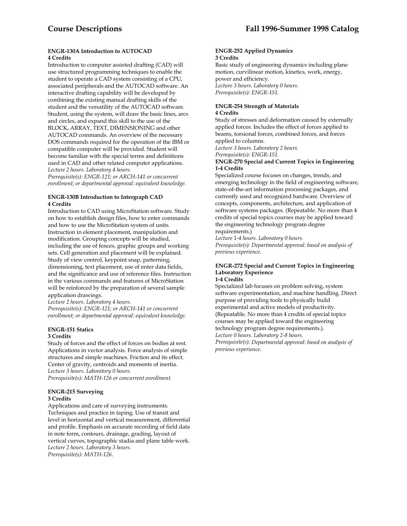#### **ENGR-130A Introduction to AUTOCAD 4 Credits**

Introduction to computer assisted drafting (CAD) will use structured programming techniques to enable the student to operate a CAD system consisting of a CPU, associated peripherals and the AUTOCAD software. An interactive drafting capability will be developed by combining the existing manual drafting skills of the student and the versatility of the AUTOCAD software. Student, using the system, will draw the basic lines, arcs and circles, and expand this skill to the use of the BLOCK, ARRAY, TEXT, DIMENSIONING and other AUTOCAD commands. An overview of the necessary DOS commands required for the operation of the IBM or compatible computer will be provided. Student will become familiar with the special terms and definitions used in CAD and other related computer applications. *Lecture 2 hours. Laboratory 4 hours.* 

*Prerequisite(s): ENGR-121; or ARCH-141 or concurrent enrollment; or departmental approval: equivalent knowledge.* 

#### **ENGR-130B Introduction to Intergraph CAD 4 Credits**

Introduction to CAD using MicroStation software. Study on how to establish design files, how to enter commands and how to use the MicroStation system of units. Instruction in element placement, manipulation and modification. Grouping concepts will be studied, including the use of fences, graphic groups and working sets. Cell generation and placement will be explained. Study of view control, keypoint snap, patterning, dimensioning, text placement, use of enter data fields, and the significance and use of reference files. Instruction in the various commands and features of MicroStation will be reinforced by the preparation of several sample application drawings.

*Lecture 2 hours. Laboratory 4 hours. Prerequisite(s): ENGR-121; or ARCH-141 or concurrent enrollment; or departmental approval: equivalent knowledge*.

# **ENGR-151 Statics 3 Credits**

Study of forces and the effect of forces on bodies at rest. Applications in vector analysis. Force analysis of simple structures and simple machines. Friction and its effect. Center of gravity, centroids and moments of inertia. *Lecture 3 hours. Laboratory 0 hours. Prerequisite(s): MATH-126 or concurrent enrollment.* 

# **ENGR-215 Surveying 3 Credits**

Applications and care of surveying instruments. Techniques and practice in taping. Use of transit and level in horizontal and vertical measurement, differential and profile. Emphasis on accurate recording of field data in note form, contours, drainage, grading, layout of vertical curves, topographic stadia and plane table work. *Lecture 2 hours. Laboratory 3 hours. Prerequisite(s): MATH-126*.

#### **ENGR-252 Applied Dynamics 3 Credits**

Basic study of engineering dynamics including plane motion, curvilinear motion, kinetics, work, energy, power and efficiency. *Lecture 3 hours. Laboratory 0 hours. Prerequisite(s): ENGR-151.* 

#### **ENGR-254 Strength of Materials 4 Credits**

Study of stresses and deformation caused by externally applied forces. Includes the effect of forces applied to beams, torsional forces, combined forces, and forces applied to columns.

*Lecture 3 hours. Laboratory 2 hours. Prerequisite(s): ENGR-151.* 

#### **ENGR-270 Special and Current Topics in Engineering 1-4 Credits**

Specialized course focuses on changes, trends, and emerging technology in the field of engineering software, state-of-the-art information processing packages, and currently used and recognized hardware. Overview of concepts, components, architecture, and application of software systems packages. (Repeatable. No more than 4 credits of special topics courses may be applied toward the engineering technology program degree requirements.)

*Lecture 1-4 hours. Laboratory 0 hours.* 

*Prerequisite(s): Departmental approval: based on analysis of previous experience.* 

#### **ENGR-272 Special and Current Topics in Engineering Laboratory Experience 1-4 Credits**

Specialized lab focuses on problem solving, system software experimentation, and machine handling. Direct purpose of providing tools to physically build experimental and active models of productivity. (Repeatable. No more than 4 credits of special topics courses may be applied toward the engineering technology program degree requirements.). *Lecture 0 hours. Laboratory 2-8 hours. Prerequisite(s): Departmental approval: based on analysis of previous experience*.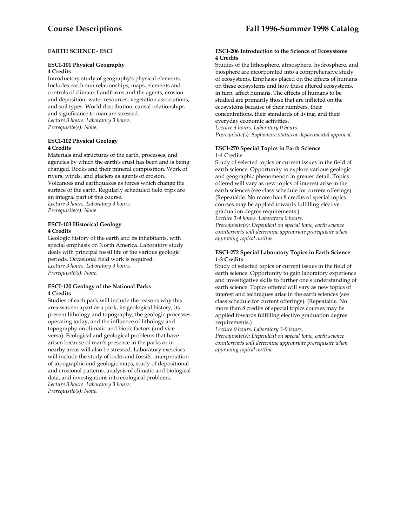# **EARTH SCIENCE - ESCI**

#### **ESCI-101 Physical Geography 4 Credits**

Introductory study of geography's physical elements. Includes earth-sun relationships, maps, elements and controls of climate. Landforms and the agents, erosion and deposition, water resources, vegetation associations, and soil types. World distribution, causal relationships and significance to man are stressed. *Lecture 3 hours. Laboratory 3 hours. Prerequisite(s): None.* 

# **ESCI-102 Physical Geology 4 Credits**

Materials and structures of the earth, processes, and agencies by which the earth's crust has been and is being changed. Rocks and their mineral composition. Work of rivers, winds, and glaciers as agents of erosion. Volcanoes and earthquakes as forces which change the surface of the earth. Regularly scheduled field trips are an integral part of this course. *Lecture 3 hours. Laboratory 3 hours. Prerequisite(s): None.* 

#### **ESCI-103 Historical Geology 4 Credits**

Geologic history of the earth and its inhabitants, with special emphasis on North America. Laboratory study deals with principal fossil life of the various geologic periods. Occasional field work is required. *Lecture 3 hours. Laboratory 3 hours. Prerequisite(s): None.* 

#### **ESCI-120 Geology of the National Parks 4 Credits**

Studies of each park will include the reasons why this area was set apart as a park, its geological history, its present lithology and topography, the geologic processes operating today, and the influence of lithology and topography on climatic and biotic factors (and vice versa). Ecological and geological problems that have arisen because of man's presence in the parks or in nearby areas will also be stressed. Laboratory exercises will include the study of rocks and fossils, interpretation of topographic and geologic maps, study of depositional and erosional patterns, analysis of climatic and biological data, and investigations into ecological problems. *Lecture 3 hours. Laboratory 3 hours. Prerequisite(s): None.* 

#### **ESCI-206 Introduction to the Science of Ecosystems 4 Credits**

Studies of the lithosphere, atmosphere, hydrosphere, and biosphere are incorporated into a comprehensive study of ecosystems. Emphasis placed on the effects of humans on these ecosystems and how these altered ecosystems, in turn, affect humans. The effects of humans to be studied are primarily those that are inflicted on the ecosystems because of their numbers, their concentrations, their standards of living, and their everyday economic activities. *Lecture 4 hours. Laboratory 0 hours. Prerequisite(s): Sophomore status or departmental approval.* 

#### **ESCI-270 Special Topics in Earth Science**  1-4 Credits

Study of selected topics or current issues in the field of earth science. Opportunity to explore various geologic and geographic phenomenon in greater detail. Topics offered will vary as new topics of interest arise in the earth sciences (see class schedule for current offerings). (Repeatable. No more than 8 credits of special topics courses may be applied towards fulfilling elective graduation degree requirements.)

*Lecture 1-4 hours. Laboratory 0 hours.* 

*Prerequisite(s): Dependent on special topic, earth science counterparts will determine appropriate prerequisite when approving topical outline.* 

#### **ESCI-272 Special Laboratory Topics in Earth Science 1-3 Credits**

Study of selected topics or current issues in the field of earth science. Opportunity to gain laboratory experience and investigative skills to further one's understanding of earth science. Topics offered will vary as new topics of interest and techniques arise in the earth sciences (see class schedule for current offerings). (Repeatable. No more than 8 credits of special topics courses may be applied towards fulfilling elective graduation degree requirements.)

*Lecture 0 hours. Laboratory 3-9 hours.* 

*Prerequisite(s): Dependent on special topic, earth science counterparts will determine appropriate prerequisite when approving topical outline.*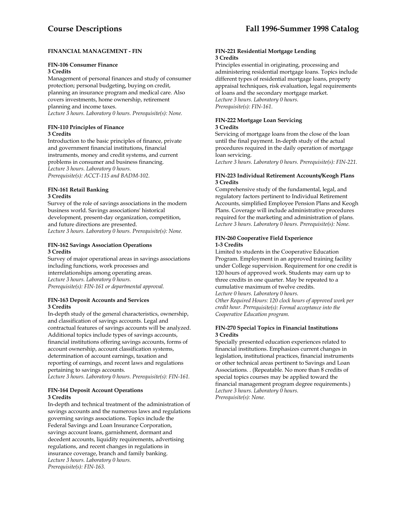# **FINANCIAL MANAGEMENT - FIN**

# **FIN-106 Consumer Finance**

#### **3 Credits**

Management of personal finances and study of consumer protection; personal budgeting, buying on credit, planning an insurance program and medical care. Also covers investments, home ownership, retirement planning and income taxes. *Lecture 3 hours. Laboratory 0 hours. Prerequisite(s): None.* 

**FIN-110 Principles of Finance 3 Credits** 

Introduction to the basic principles of finance, private and government financial institutions, financial instruments, money and credit systems, and current problems in consumer and business financing. *Lecture 3 hours. Laboratory 0 hours. Prerequisite(s): ACCT-115 and BADM-102.* 

#### **FIN-161 Retail Banking 3 Credits**

Survey of the role of savings associations in the modern business world. Savings associations' historical development, present-day organization, competition, and future directions are presented. *Lecture 3 hours. Laboratory 0 hours. Prerequisite(s): None.* 

#### **FIN-162 Savings Association Operations 3 Credits**

Survey of major operational areas in savings associations including functions, work processes and interrelationships among operating areas. *Lecture 3 hours. Laboratory 0 hours. Prerequisite(s): FIN-161 or departmental approval.* 

# **FIN-163 Deposit Accounts and Services 3 Credits**

In-depth study of the general characteristics, ownership, and classification of savings accounts. Legal and contractual features of savings accounts will be analyzed. Additional topics include types of savings accounts, financial institutions offering savings accounts, forms of account ownership, account classification systems, determination of account earnings, taxation and reporting of earnings, and recent laws and regulations pertaining to savings accounts.

*Lecture 3 hours. Laboratory 0 hours. Prerequisite(s): FIN-161.* 

#### **FIN-164 Deposit Account Operations 3 Credits**

In-depth and technical treatment of the administration of savings accounts and the numerous laws and regulations governing savings associations. Topics include the Federal Savings and Loan Insurance Corporation, savings account loans, garnishment, dormant and decedent accounts, liquidity requirements, advertising regulations, and recent changes in regulations in insurance coverage, branch and family banking. *Lecture 3 hours. Laboratory 0 hours. Prerequisite(s): FIN-163.* 

#### **FIN-221 Residential Mortgage Lending 3 Credits**

Principles essential in originating, processing and administering residential mortgage loans. Topics include different types of residential mortgage loans, property appraisal techniques, risk evaluation, legal requirements of loans and the secondary mortgage market. *Lecture 3 hours. Laboratory 0 hours. Prerequisite(s): FIN-161.* 

#### **FIN-222 Mortgage Loan Servicing 3 Credits**

Servicing of mortgage loans from the close of the loan until the final payment. In-depth study of the actual procedures required in the daily operation of mortgage loan servicing.

*Lecture 3 hours. Laboratory 0 hours. Prerequisite(s): FIN-221.* 

# **FIN-223 Individual Retirement Accounts/Keogh Plans 3 Credits**

Comprehensive study of the fundamental, legal, and regulatory factors pertinent to Individual Retirement Accounts, simplified Employee Pension Plans and Keogh Plans. Coverage will include administrative procedures required for the marketing and administration of plans. *Lecture 3 hours. Laboratory 0 hours. Prerequisite(s): None.* 

#### **FIN-260 Cooperative Field Experience 1-3 Credits**

Limited to students in the Cooperative Education Program. Employment in an approved training facility under College supervision. Requirement for one credit is 120 hours of approved work. Students may earn up to three credits in one quarter. May be repeated to a cumulative maximum of twelve credits. *Lecture 0 hours. Laboratory 0 hours. Other Required Hours: 120 clock hours of approved work per* 

*credit hour. Prerequisite(s): Formal acceptance into the Cooperative Education program.* 

#### **FIN-270 Special Topics in Financial Institutions 3 Credits**

Specially presented education experiences related to financial institutions. Emphasizes current changes in legislation, institutional practices, financial instruments or other technical areas pertinent to Savings and Loan Associations. . (Repeatable. No more than 8 credits of special topics courses may be applied toward the financial management program degree requirements.) *Lecture 3 hours. Laboratory 0 hours. Prerequisite(s): None.*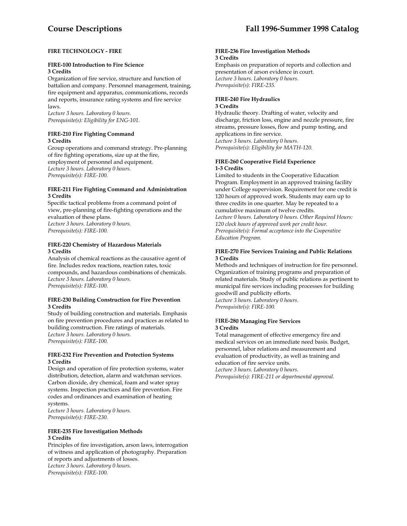# **FIRE TECHNOLOGY - FIRE**

#### **FIRE-100 Introduction to Fire Science 3 Credits**

Organization of fire service, structure and function of battalion and company. Personnel management, training, fire equipment and apparatus, communications, records and reports, insurance rating systems and fire service laws.

*Lecture 3 hours. Laboratory 0 hours. Prerequisite(s): Eligibility for ENG-101.* 

#### **FIRE-210 Fire Fighting Command 3 Credits**

Group operations and command strategy. Pre-planning of fire fighting operations, size up at the fire, employment of personnel and equipment. *Lecture 3 hours. Laboratory 0 hours. Prerequisite(s): FIRE-100.* 

#### **FIRE-211 Fire Fighting Command and Administration 3 Credits**

Specific tactical problems from a command point of view, pre-planning of fire-fighting operations and the evaluation of these plans. *Lecture 3 hours. Laboratory 0 hours. Prerequisite(s): FIRE-100.* 

#### **FIRE-220 Chemistry of Hazardous Materials 3 Credits**

Analysis of chemical reactions as the causative agent of fire. Includes redox reactions, reaction rates, toxic compounds, and hazardous combinations of chemicals. *Lecture 3 hours. Laboratory 0 hours. Prerequisite(s): FIRE-100.* 

#### **FIRE-230 Building Construction for Fire Prevention 3 Credits**

Study of building construction and materials. Emphasis on fire prevention procedures and practices as related to building construction. Fire ratings of materials. *Lecture 3 hours. Laboratory 0 hours. Prerequisite(s): FIRE-100.* 

#### **FIRE-232 Fire Prevention and Protection Systems 3 Credits**

Design and operation of fire protection systems, water distribution, detection, alarm and watchman services. Carbon dioxide, dry chemical, foam and water spray systems. Inspection practices and fire prevention. Fire codes and ordinances and examination of heating systems.

*Lecture 3 hours. Laboratory 0 hours. Prerequisite(s): FIRE-230.* 

#### **FIRE-235 Fire Investigation Methods 3 Credits**

Principles of fire investigation, arson laws, interrogation of witness and application of photography. Preparation of reports and adjustments of losses. *Lecture 3 hours. Laboratory 0 hours. Prerequisite(s): FIRE-100.* 

#### **FIRE-236 Fire Investigation Methods 3 Credits**

Emphasis on preparation of reports and collection and presentation of arson evidence in court. *Lecture 3 hours. Laboratory 0 hours. Prerequisite(s): FIRE-235.* 

# **FIRE-240 Fire Hydraulics 3 Credits**

Hydraulic theory. Drafting of water, velocity and discharge, friction loss, engine and nozzle pressure, fire streams, pressure losses, flow and pump testing, and applications in fire service. *Lecture 3 hours. Laboratory 0 hours. Prerequisite(s): Eligibility for MATH-120.* 

#### **FIRE-260 Cooperative Field Experience 1-3 Credits**

Limited to students in the Cooperative Education Program. Employment in an approved training facility under College supervision. Requirement for one credit is 120 hours of approved work. Students may earn up to three credits in one quarter. May be repeated to a cumulative maximum of twelve credits. *Lecture 0 hours. Laboratory 0 hours. Other Required Hours:* 

*120 clock hours of approved work per credit hour. Prerequisite(s): Formal acceptance into the Cooperative Education Program.* 

#### **FIRE-270 Fire Services Training and Public Relations 3 Credits**

Methods and techniques of instruction for fire personnel. Organization of training programs and preparation of related materials. Study of public relations as pertinent to municipal fire services including processes for building goodwill and publicity efforts. *Lecture 3 hours. Laboratory 0 hours. Prerequisite(s): FIRE-100.* 

#### F**IRE-280 Managing Fire Services 3 Credits**

Total management of effective emergency fire and medical services on an immediate need basis. Budget, personnel, labor relations and measurement and evaluation of productivity, as well as training and education of fire service units. *Lecture 3 hours. Laboratory 0 hours. Prerequisite(s): FIRE-211 or departmental approval.*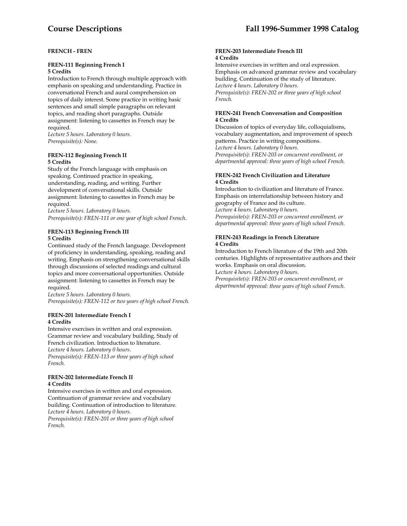#### **FRENCH - FREN**

#### **FREN-111 Beginning French I 5 Credits**

Introduction to French through multiple approach with emphasis on speaking and understanding. Practice in conversational French and aural comprehension on topics of daily interest. Some practice in writing basic sentences and small simple paragraphs on relevant topics, and reading short paragraphs. Outside assignment: listening to cassettes in French may be required.

*Lecture 5 hours. Laboratory 0 hours. Prerequisite(s): None*.

#### **FREN-112 Beginning French II 5 Credits**

Study of the French language with emphasis on speaking. Continued practice in speaking, understanding, reading, and writing. Further development of conversational skills. Outside assignment: listening to cassettes in French may be required.

*Lecture 5 hours. Laboratory 0 hours. Prerequisite(s): FREN-111 or one year of high school French*.

#### **FREN-113 Beginning French III 5 Credits**

Continued study of the French language. Development of proficiency in understanding, speaking, reading and writing. Emphasis on strengthening conversational skills through discussions of selected readings and cultural topics and more conversational opportunities. Outside assignment: listening to cassettes in French may be required.

*Lecture 5 hours. Laboratory 0 hours. Prerequisite(s): FREN-112 or two years of high school French.* 

#### **FREN-201 Intermediate French I 4 Credits**

Intensive exercises in written and oral expression. Grammar review and vocabulary building. Study of French civilization. Introduction to literature. *Lecture 4 hours. Laboratory 0 hours. Prerequisite(s): FREN-113 or three years of high school French.* 

#### **FREN-202 Intermediate French II 4 Credits**

Intensive exercises in written and oral expression. Continuation of grammar review and vocabulary building. Continuation of introduction to literature. *Lecture 4 hours. Laboratory 0 hours.* 

*Prerequisite(s): FREN-201 or three years of high school French.* 

#### **FREN-203 Intermediate French III 4 Credits**

Intensive exercises in written and oral expression. Emphasis on advanced grammar review and vocabulary building. Continuation of the study of literature. *Lecture 4 hours. Laboratory 0 hours. Prerequisite(s): FREN-202 or three years of high school French.* 

#### **FREN-241 French Conversation and Composition 4 Credits**

Discussion of topics of everyday life, colloquialisms, vocabulary augmentation, and improvement of speech patterns. Practice in writing compositions. *Lecture 4 hours. Laboratory 0 hours. Prerequisite(s): FREN-203 or concurrent enrollment, or departmental approval: three years of high school French.* 

#### **FREN-242 French Civilization and Literature 4 Credits**

Introduction to civilization and literature of France. Emphasis on interrelationship between history and geography of France and its culture. *Lecture 4 hours. Laboratory 0 hours. Prerequisite(s): FREN-203 or concurrent enrollment, or departmental approval: three years of high school French.* 

#### **FREN-243 Readings in French Literature 4 Credits**

Introduction to French literature of the 19th and 20th centuries. Highlights of representative authors and their works. Emphasis on oral discussion. L*ecture 4 hours. Laboratory 0 hours.* 

*Prerequisite(s): FREN-203 or concurrent enrollment, or departmental approval: three years of high school French*.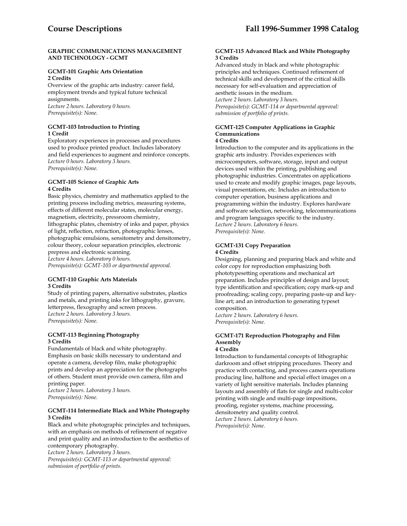#### **GRAPHIC COMMUNICATIONS MANAGEMENT AND TECHNOLOGY - GCMT**

#### **GCMT-101 Graphic Arts Orientation 2 Credits**

Overview of the graphic arts industry: career field, employment trends and typical future technical assignments.

*Lecture 2 hours. Laboratory 0 hours. Prerequisite(s): None.* 

#### **GCMT-103 Introduction to Printing 1 Credit**

Exploratory experiences in processes and procedures used to produce printed product. Includes laboratory and field experiences to augment and reinforce concepts. *Lecture 0 hours. Laboratory 3 hours. Prerequisite(s): None.* 

#### **GCMT-105 Science of Graphic Arts 4 Credits**

Basic physics, chemistry and mathematics applied to the printing process including metrics, measuring systems, effects of different molecular states, molecular energy, magnetism, electricity, pressroom chemistry, lithographic plates, chemistry of inks and paper, physics of light, reflection, refraction, photographic lenses, photographic emulsions, sensitometry and densitometry, colour theory, colour separation principles, electronic prepress and electronic scanning. *Lecture 4 hours. Laboratory 0 hours.* 

*Prerequisite(s): GCMT-103 or departmental approval.* 

#### **GCMT-110 Graphic Arts Materials 3 Credits**

Study of printing papers, alternative substrates, plastics and metals, and printing inks for lithography, gravure, letterpress, flexography and screen process. *Lecture 2 hours. Laboratory 3 hours. Prerequisite(s): None.* 

#### **GCMT-113 Beginning Photography 3 Credits**

Fundamentals of black and white photography. Emphasis on basic skills necessary to understand and operate a camera, develop film, make photographic prints and develop an appreciation for the photographs of others. Student must provide own camera, film and printing paper.

*Lecture 2 hours. Laboratory 3 hours. Prerequisite(s): None.* 

#### **GCMT-114 Intermediate Black and White Photography 3 Credits**

Black and white photographic principles and techniques, with an emphasis on methods of refinement of negative and print quality and an introduction to the aesthetics of contemporary photography.

*Lecture 2 hours. Laboratory 3 hours. Prerequisite(s): GCMT-113 or departmental approval: submission of portfolio of prints.* 

#### **GCMT-115 Advanced Black and White Photography 3 Credits**

Advanced study in black and white photographic principles and techniques. Continued refinement of technical skills and development of the critical skills necessary for self-evaluation and appreciation of aesthetic issues in the medium. *Lecture 2 hours. Laboratory 3 hours. Prerequisite(s): GCMT-114 or departmental approval:* 

**GCMT-125 Computer Applications in Graphic Communications** 

*submission of portfolio of prints.* 

#### **4 Credits**

Introduction to the computer and its applications in the graphic arts industry. Provides experiences with microcomputers, software, storage, input and output devices used within the printing, publishing and photographic industries. Concentrates on applications used to create and modify graphic images, page layouts, visual presentations, etc. Includes an introduction to computer operation, business applications and programming within the industry. Explores hardware and software selection, networking, telecommunications and program languages specific to the industry. *Lecture 2 hours. Laboratory 6 hours. Prerequisite(s): None.* 

#### **GCMT-131 Copy Preparation 4 Credits**

Designing, planning and preparing black and white and color copy for reproduction emphasizing both phototypesetting operations and mechanical art preparation. Includes principles of design and layout; type identification and specification; copy mark-up and proofreading; scaling copy, preparing paste-up and keyline art; and an introduction to generating typeset composition.

*Lecture 2 hours. Laboratory 6 hours. Prerequisite(s): None.* 

# **GCMT-171 Reproduction Photography and Film Assembly**

**4 Credits** 

Introduction to fundamental concepts of lithographic darkroom and offset stripping procedures. Theory and practice with contacting, and process camera operations producing line, halftone and special effect images on a variety of light sensitive materials. Includes planning layouts and assembly of flats for single and multi-color printing with single and multi-page impositions, proofing, register systems, machine processing, densitometry and quality control. *Lecture 2 hours. Laboratory 6 hours.* 

*Prerequisite(s): None.*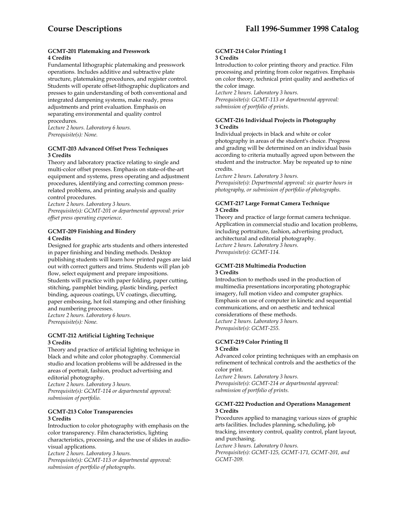#### **GCMT-201 Platemaking and Presswork 4 Credits**

Fundamental lithographic platemaking and presswork operations. Includes additive and subtractive plate structure, platemaking procedures, and register control. Students will operate offset-lithographic duplicators and presses to gain understanding of both conventional and integrated dampening systems, make ready, press adjustments and print evaluation. Emphasis on separating environmental and quality control procedures.

*Lecture 2 hours. Laboratory 6 hours. Prerequisite(s): None.* 

# **GCMT-203 Advanced Offset Press Techniques 3 Credits**

Theory and laboratory practice relating to single and multi-color offset presses. Emphasis on state-of-the-art equipment and systems, press operating and adjustment procedures, identifying and correcting common pressrelated problems, and printing analysis and quality control procedures.

*Lecture 2 hours. Laboratory 3 hours.* 

*Prerequisite(s): GCMT-201 or departmental approval: prior offset press operating experience.* 

# **GCMT-209 Finishing and Bindery 4 Credits**

Designed for graphic arts students and others interested in paper finishing and binding methods. Desktop publishing students will learn how printed pages are laid out with correct gutters and trims. Students will plan job flow, select equipment and prepare impositions. Students will practice with paper folding, paper cutting, stitching, pamphlet binding, plastic binding, perfect binding, aqueous coatings, UV coatings, diecutting, paper embossing, hot foil stamping and other finishing and numbering processes. *Lecture 2 hours. Laboratory 6 hours. Prerequisite(s): None.* 

#### **GCMT-212 Artificial Lighting Technique 3 Credits**

Theory and practice of artificial lighting technique in black and white and color photography. Commercial studio and location problems will be addressed in the areas of portrait, fashion, product advertising and editorial photography. *Lecture 2 hours. Laboratory 3 hours.* 

*Prerequisite(s): GCMT-114 or departmental approval: submission of portfolio.* 

#### **GCMT-213 Color Transparencies 3 Credits**

Introduction to color photography with emphasis on the color transparency. Film characteristics, lighting characteristics, processing, and the use of slides in audiovisual applications.

*Lecture 2 hours. Laboratory 3 hours.* 

*Prerequisite(s): GCMT-113 or departmental approval: submission of portfolio of photographs.* 

#### **GCMT-214 Color Printing I 3 Credits**

Introduction to color printing theory and practice. Film processing and printing from color negatives. Emphasis on color theory, technical print quality and aesthetics of the color image.

*Lecture 2 hours. Laboratory 3 hours. Prerequisite(s): GCMT-113 or departmental approval: submission of portfolio of prints*.

# **GCMT-216 Individual Projects in Photography 3 Credits**

Individual projects in black and white or color photography in areas of the student's choice. Progress and grading will be determined on an individual basis according to criteria mutually agreed upon between the student and the instructor. May be repeated up to nine credits.

*Lecture 2 hours. Laboratory 3 hours.* 

*Prerequisite(s): Departmental approval: six quarter hours in photography, or submission of portfolio of photographs.* 

# **GCMT-217 Large Format Camera Technique 3 Credits**

Theory and practice of large format camera technique. Application in commercial studio and location problems, including portraiture, fashion, advertising product, architectural and editorial photography. *Lecture 2 hours. Laboratory 3 hours. Prerequisite(s): GCMT-114.* 

#### **GCMT-218 Multimedia Production 3 Credits**

Introduction to methods used in the production of multimedia presentations incorporating photographic imagery, full motion video and computer graphics. Emphasis on use of computer in kinetic and sequential communications, and on aesthetic and technical considerations of these methods.

*Lecture 2 hours. Laboratory 3 hours. Prerequisite(s): GCMT-255.* 

#### **GCMT-219 Color Printing II 3 Credits**

Advanced color printing techniques with an emphasis on refinement of technical controls and the aesthetics of the color print.

*Lecture 2 hours. Laboratory 3 hours. Prerequisite(s): GCMT-214 or departmental approval: submission of portfolio of prints.* 

#### **GCMT-222 Production and Operations Management 3 Credits**

Procedures applied to managing various sizes of graphic arts facilities. Includes planning, scheduling, job tracking, inventory control, quality control, plant layout, and purchasing.

*Lecture 3 hours. Laboratory 0 hours.* 

*Prerequisite(s): GCMT-125, GCMT-171, GCMT-201, and GCMT-209.*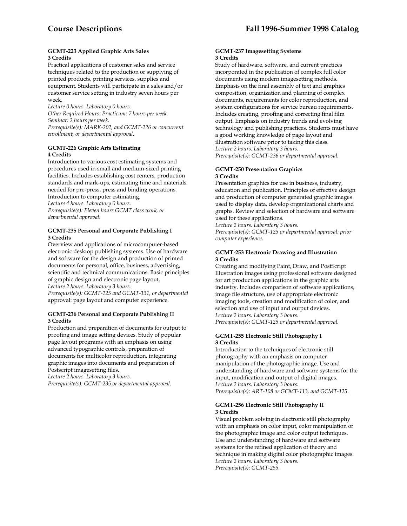#### **GCMT-223 Applied Graphic Arts Sales 3 Credits**

Practical applications of customer sales and service techniques related to the production or supplying of printed products, printing services, supplies and equipment. Students will participate in a sales and/or customer service setting in industry seven hours per week.

*Lecture 0 hours. Laboratory 0 hours. Other Required Hours: Practicum: 7 hours per week. Seminar: 2 hours per week. Prerequisite(s): MARK-202, and GCMT-226 or concurrent enrollment, or departmental approval.* 

#### **GCMT-226 Graphic Arts Estimating 4 Credits**

Introduction to various cost estimating systems and procedures used in small and medium-sized printing facilities. Includes establishing cost centers, production standards and mark-ups, estimating time and materials needed for pre-press, press and binding operations. Introduction to computer estimating. *Lecture 4 hours. Laboratory 0 hours. Prerequisite(s): Eleven hours GCMT class work, or departmental approval.* 

# **GCMT-235 Personal and Corporate Publishing I 3 Credits**

Overview and applications of microcomputer-based electronic desktop publishing systems. Use of hardware and software for the design and production of printed documents for personal, office, business, advertising, scientific and technical communications. Basic principles of graphic design and electronic page layout.

*Lecture 2 hours. Laboratory 3 hours.* 

*Prerequisite(s): GCMT-125 and GCMT-131, or departmental* approval: page layout and computer experience.

#### **GCMT-236 Personal and Corporate Publishing II 3 Credits**

Production and preparation of documents for output to proofing and image setting devices. Study of popular page layout programs with an emphasis on using advanced typographic controls, preparation of documents for multicolor reproduction, integrating graphic images into documents and preparation of Postscript imagesetting files.

*Lecture 2 hours. Laboratory 3 hours.* 

*Prerequisite(s): GCMT-235 or departmental approval.* 

#### **GCMT-237 Imagesetting Systems 3 Credits**

Study of hardware, software, and current practices incorporated in the publication of complex full color documents using modern imagesetting methods. Emphasis on the final assembly of text and graphics composition, organization and planning of complex documents, requirements for color reproduction, and system configurations for service bureau requirements. Includes creating, proofing and correcting final film output. Emphasis on industry trends and evolving technology and publishing practices. Students must have a good working knowledge of page layout and illustration software prior to taking this class. *Lecture 2 hours. Laboratory 3 hours. Prerequisite(s): GCMT-236 or departmental approval.* 

#### **GCMT-250 Presentation Graphics 3 Credits**

Presentation graphics for use in business, industry, education and publication. Principles of effective design and production of computer generated graphic images used to display data, develop organizational charts and graphs. Review and selection of hardware and software used for these applications.

*Lecture 2 hours. Laboratory 3 hours.* 

*Prerequisite(s): GCMT-125 or departmental approval: prior computer experience.* 

# **GCMT-253 Electronic Drawing and Illustration 3 Credits**

Creating and modifying Paint, Draw, and PostScript Illustration images using professional software designed for art production applications in the graphic arts industry. Includes comparison of software applications, image file structure, use of appropriate electronic imaging tools, creation and modification of color, and selection and use of input and output devices. *Lecture 2 hours. Laboratory 3 hours. Prerequisite(s): GCMT-125 or departmental approval.* 

# **GCMT-255 Electronic Still Photography I 3 Credits**

Introduction to the techniques of electronic still photography with an emphasis on computer manipulation of the photographic image. Use and understanding of hardware and software systems for the input, modification and output of digital images. *Lecture 2 hours. Laboratory 3 hours. Prerequisite(s): ART-108 or GCMT-113, and GCMT-125.* 

# **GCMT-256 Electronic Still Photography II 3 Credits**

Visual problem solving in electronic still photography with an emphasis on color input, color manipulation of the photographic image and color output techniques. Use and understanding of hardware and software systems for the refined application of theory and technique in making digital color photographic images. *Lecture 2 hours. Laboratory 3 hours. Prerequisite(s): GCMT-255.*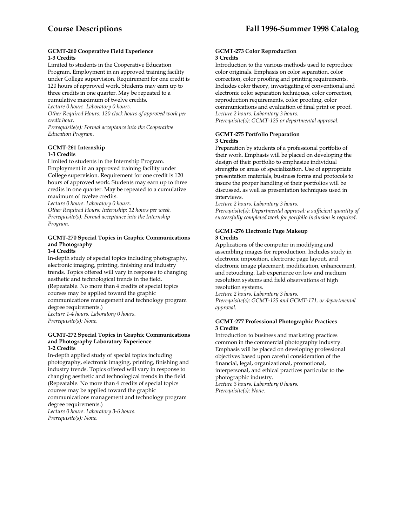#### **GCMT-260 Cooperative Field Experience 1-3 Credits**

Limited to students in the Cooperative Education Program. Employment in an approved training facility under College supervision. Requirement for one credit is 120 hours of approved work. Students may earn up to three credits in one quarter. May be repeated to a

cumulative maximum of twelve credits.

*Lecture 0 hours. Laboratory 0 hours. Other Required Hours: 120 clock hours of approved work per credit hour.* 

*Prerequisite(s): Formal acceptance into the Cooperative Education Program.* 

# **GCMT-261 Internship**

# **1-3 Credits**

Limited to students in the Internship Program. Employment in an approved training facility under College supervision. Requirement for one credit is 120 hours of approved work. Students may earn up to three credits in one quarter. May be repeated to a cumulative maximum of twelve credits.

*Lecture 0 hours. Laboratory 0 hours.* 

*Other Required Hours: Internship: 12 hours per week. Prerequisite(s): Formal acceptance into the Internship Program.* 

# **GCMT-270 Special Topics in Graphic Communications and Photography**

# **1-4 Credits**

In-depth study of special topics including photography, electronic imaging, printing, finishing and industry trends. Topics offered will vary in response to changing aesthetic and technological trends in the field. (Repeatable. No more than 4 credits of special topics courses may be applied toward the graphic communications management and technology program degree requirements.) *Lecture 1-4 hours. Laboratory 0 hours.* 

*Prerequisite(s): None.* 

#### **GCMT-272 Special Topics in Graphic Communications and Photography Laboratory Experience 1-2 Credits**

In-depth applied study of special topics including photography, electronic imaging, printing, finishing and industry trends. Topics offered will vary in response to changing aesthetic and technological trends in the field. (Repeatable. No more than 4 credits of special topics courses may be applied toward the graphic communications management and technology program degree requirements.)

*Lecture 0 hours. Laboratory 3-6 hours. Prerequisite(s): None.* 

#### **GCMT-273 Color Reproduction 3 Credits**

Introduction to the various methods used to reproduce color originals. Emphasis on color separation, color correction, color proofing and printing requirements. Includes color theory, investigating of conventional and electronic color separation techniques, color correction, reproduction requirements, color proofing, color communications and evaluation of final print or proof. *Lecture 2 hours. Laboratory 3 hours. Prerequisite(s): GCMT-125 or departmental approval.* 

# **GCMT-275 Portfolio Preparation 3 Credits**

Preparation by students of a professional portfolio of their work. Emphasis will be placed on developing the design of their portfolio to emphasize individual strengths or areas of specialization. Use of appropriate presentation materials, business forms and protocols to insure the proper handling of their portfolios will be discussed, as well as presentation techniques used in interviews.

*Lecture 2 hours. Laboratory 3 hours. Prerequisite(s): Departmental approval: a sufficient quantity of* 

*successfully completed work for portfolio inclusion is required.* 

# **GCMT-276 Electronic Page Makeup 3 Credits**

Applications of the computer in modifying and assembling images for reproduction. Includes study in electronic imposition, electronic page layout, and electronic image placement, modification, enhancement, and retouching. Lab experience on low and medium resolution systems and field observations of high resolution systems.

*Lecture 2 hours. Laboratory 3 hours. Prerequisite(s): GCMT-125 and GCMT-171, or departmental approval.* 

#### **GCMT-277 Professional Photographic Practices 3 Credits**

Introduction to business and marketing practices common in the commercial photography industry. Emphasis will be placed on developing professional objectives based upon careful consideration of the financial, legal, organizational, promotional, interpersonal, and ethical practices particular to the photographic industry.

*Lecture 3 hours. Laboratory 0 hours. Prerequisite(s): None.*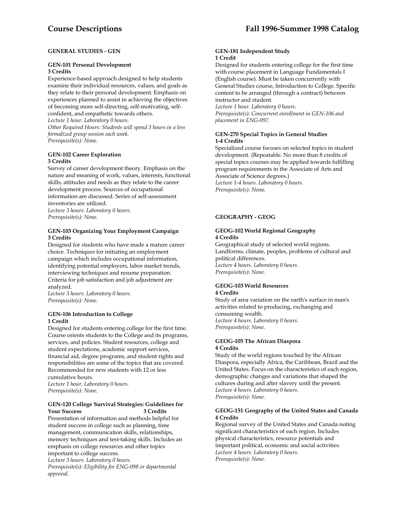# **GENERAL STUDIES - GEN**

#### **GEN-101 Personal Development 3 Credits**

Experience-based approach designed to help students examine their individual resources, values, and goals as they relate to their personal development. Emphasis on experiences planned to assist in achieving the objectives of becoming more self-directing, self-motivating, selfconfident, and empathetic towards others.

*Lecture 1 hour. Laboratory 0 hours.* 

*Other Required Hours: Students will spend 3 hours in a less formalized group session each week. Prerequisite(s): None.* 

# **GEN-102 Career Exploration 3 Credits**

Survey of career development theory. Emphasis on the nature and meaning of work, values, interests, functional skills, attitudes and needs as they relate to the career development process. Sources of occupational information are discussed. Series of self-assessment inventories are utilized.

*Lecture 3 hours. Laboratory 0 hours. Prerequisite(s): None.* 

#### **GEN-103 Organizing Your Employment Campaign 3 Credits**

Designed for students who have made a mature career choice. Techniques for initiating an employment campaign which includes occupational information, identifying potential employers, labor market trends, interviewing techniques and resume preparation. Criteria for job satisfaction and job adjustment are analyzed.

*Lecture 3 hours. Laboratory 0 hours. Prerequisite(s): None.* 

#### **GEN-106 Introduction to College 1 Credit**

Designed for students entering college for the first time. Course orients students to the College and its programs, services, and policies. Student resources, college and student expectations, academic support services, financial aid, degree programs, and student rights and responsibilities are some of the topics that are covered. Recommended for new students with 12 or less cumulative hours.

*Lecture 1 hour. Laboratory 0 hours. Prerequisite(s): None.* 

#### **GEN-120 College Survival Strategies: Guidelines for Your Success**

Presentation of information and methods helpful for student success in college such as planning, time management, communication skills, relationships, memory techniques and test-taking skills. Includes an emphasis on college resources and other topics important to college success.

*Lecture 3 hours. Laboratory 0 hours.* 

*Prerequisite(s): Eligibility for ENG-098 or departmental approval.* 

#### **GEN-181 Independent Study 1 Credit**

Designed for students entering college for the first time with course placement in Language Fundamentals I (English course). Must be taken concurrently with General Studies course, Introduction to College. Specific content to be arranged (through a contract) between instructor and student.

*Lecture 1 hour. Laboratory 0 hours. Prerequisite(s): Concurrent enrollment in GEN-106 and placement in ENG-097.* 

# **GEN-270 Special Topics in General Studies 1-4 Credits**

Specialized course focuses on selected topics in student development. (Repeatable. No more than 8 credits of special topics courses may be applied towards fulfilling program requirements in the Associate of Arts and Associate of Science degrees.) *Lecture 1-4 hours. Laboratory 0 hours. Prerequisite(s): Non*e.

# **GEOGRAPHY - GEOG**

# **GEOG-102 World Regional Geography 4 Credits**

Geographical study of selected world regions. Landforms, climate, peoples, problems of cultural and political differences. *Lecture 4 hours. Laboratory 0 hours. Prerequisite(s): None.* 

#### **GEOG-103 World Resources 4 Credits**

Study of area variation on the earth's surface in man's activities related to producing, exchanging and consuming wealth. *Lecture 4 hours. Laboratory 0 hours. Prerequisite(s): None.* 

#### **GEOG-105 The African Diaspora 4 Credits**

Study of the world regions touched by the African Diaspora, especially Africa, the Caribbean, Brazil and the United States. Focus on the characteristics of each region, demographic changes and variations that shaped the cultures during and after slavery until the present. *Lecture 4 hours. Laboratory 0 hours. Prerequisite(s): None.* 

#### **GEOG-151 Geography of the United States and Canada 4 Credits**

Regional survey of the United States and Canada noting significant characteristics of each region. Includes physical characteristics, resource potentials and important political, economic and social activities. *Lecture 4 hours. Laboratory 0 hours. Prerequisite(s): None.*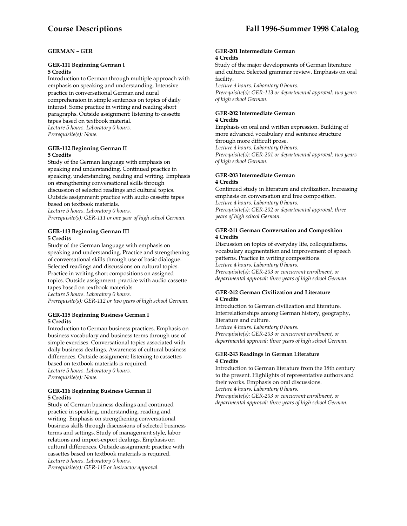#### **GERMAN – GER**

# **GER-111 Beginning German I 5 Credits**

Introduction to German through multiple approach with emphasis on speaking and understanding. Intensive practice in conversational German and aural comprehension in simple sentences on topics of daily interest. Some practice in writing and reading short paragraphs. Outside assignment: listening to cassette tapes based on textbook material. *Lecture 5 hours. Laboratory 0 hours. Prerequisite(s): None.* 

#### **GER-112 Beginning German II 5 Credits**

Study of the German language with emphasis on speaking and understanding. Continued practice in speaking, understanding, reading and writing. Emphasis on strengthening conversational skills through discussion of selected readings and cultural topics. Outside assignment: practice with audio cassette tapes based on textbook materials.

*Lecture 5 hours. Laboratory 0 hours.* 

*Prerequisite(s): GER-111 or one year of high school German.* 

#### **GER-113 Beginning German III 5 Credits**

Study of the German language with emphasis on speaking and understanding. Practice and strengthening of conversational skills through use of basic dialogue. Selected readings and discussions on cultural topics. Practice in writing short compositions on assigned topics. Outside assignment: practice with audio cassette tapes based on textbook materials. *Lecture 5 hours. Laboratory 0 hours. Prerequisite(s): GER-112 or two years of high school German.* 

#### **GER-115 Beginning Business German I 5 Credits**

Introduction to German business practices. Emphasis on business vocabulary and business terms through use of simple exercises. Conversational topics associated with daily business dealings. Awareness of cultural business differences. Outside assignment: listening to cassettes based on textbook materials is required. *Lecture 5 hours. Laboratory 0 hours. Prerequisite(s): None.* 

#### **GER-116 Beginning Business German II 5 Credits**

Study of German business dealings and continued practice in speaking, understanding, reading and writing. Emphasis on strengthening conversational business skills through discussions of selected business terms and settings. Study of management style, labor relations and import-export dealings. Emphasis on cultural differences. Outside assignment: practice with cassettes based on textbook materials is required. *Lecture 5 hours. Laboratory 0 hours.* 

*Prerequisite(s): GER-115 or instructor approval.* 

#### **GER-201 Intermediate German 4 Credits**

Study of the major developments of German literature and culture. Selected grammar review. Emphasis on oral facility.

*Lecture 4 hours. Laboratory 0 hours. Prerequisite(s): GER-113 or departmental approval: two years of high school German.* 

#### **GER-202 Intermediate German 4 Credits**

Emphasis on oral and written expression. Building of more advanced vocabulary and sentence structure through more difficult prose. *Lecture 4 hours. Laboratory 0 hours. Prerequisite(s): GER-201 or departmental approval: two years* 

*of high school German.* 

# **GER-203 Intermediate German 4 Credits**

Continued study in literature and civilization. Increasing emphasis on conversation and free composition. *Lecture 4 hours. Laboratory 0 hours. Prerequisite(s): GER-202 or departmental approval: three years of high school German.* 

#### **GER-241 German Conversation and Composition 4 Credits**

Discussion on topics of everyday life, colloquialisms, vocabulary augmentation and improvement of speech patterns. Practice in writing compositions. *Lecture 4 hours. Laboratory 0 hours. Prerequisite(s): GER-203 or concurrent enrollment, or departmental approval: three years of high school German.* 

#### **GER-242 German Civilization and Literature 4 Credits**

Introduction to German civilization and literature. Interrelationships among German history, geography, literature and culture.

*Lecture 4 hours. Laboratory 0 hours. Prerequisite(s): GER-203 or concurrent enrollment, or departmental approval: three years of high school German.* 

#### **GER-243 Readings in German Literature 4 Credits**

Introduction to German literature from the 18th century to the present. Highlights of representative authors and their works. Emphasis on oral discussions. *Lecture 4 hours. Laboratory 0 hours.* 

*Prerequisite(s): GER-203 or concurrent enrollment, or departmental approval: three years of high school German.*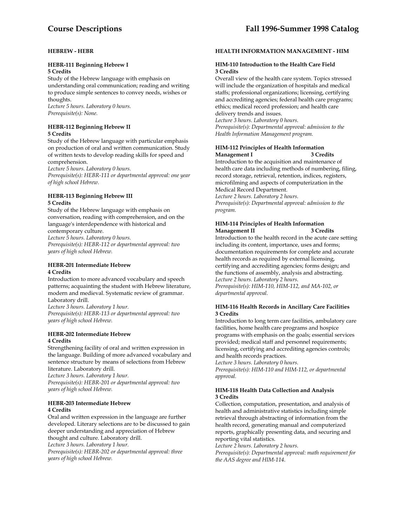# **HEBREW - HEBR**

#### **HEBR-111 Beginning Hebrew I 5 Credits**

Study of the Hebrew language with emphasis on understanding oral communication; reading and writing to produce simple sentences to convey needs, wishes or thoughts.

*Lecture 5 hours. Laboratory 0 hours. Prerequisite(s): None.* 

#### **HEBR-112 Beginning Hebrew II 5 Credits**

Study of the Hebrew language with particular emphasis on production of oral and written communication. Study of written texts to develop reading skills for speed and comprehension.

*Lecture 5 hours. Laboratory 0 hours.* 

*Prerequisite(s): HEBR-111 or departmental approval: one year of high school Hebrew.* 

# **HEBR-113 Beginning Hebrew III 5 Credits**

Study of the Hebrew language with emphasis on conversation, reading with comprehension, and on the language's interdependence with historical and

contemporary culture.

*Lecture 5 hours. Laboratory 0 hours. Prerequisite(s): HEBR-112 or departmental approval: two years of high school Hebrew.* 

#### **HEBR-201 Intermediate Hebrew 4 Credits**

Introduction to more advanced vocabulary and speech patterns; acquainting the student with Hebrew literature, modern and medieval. Systematic review of grammar. Laboratory drill.

*Lecture 3 hours. Laboratory 1 hour. Prerequisite(s): HEBR-113 or departmental approval: two years of high school Hebrew.* 

#### **HEBR-202 Intermediate Hebrew 4 Credits**

Strengthening facility of oral and written expression in the language. Building of more advanced vocabulary and sentence structure by means of selections from Hebrew literature. Laboratory drill.

*Lecture 3 hours. Laboratory 1 hour. Prerequisite(s): HEBR-201 or departmental approval: two years of high school Hebrew.* 

#### **HEBR-203 Intermediate Hebrew 4 Credits**

Oral and written expression in the language are further developed. Literary selections are to be discussed to gain deeper understanding and appreciation of Hebrew thought and culture. Laboratory drill. *Lecture 3 hours. Laboratory 1 hour. Prerequisite(s): HEBR-202 or departmental approval: three years of high school Hebrew.* 

#### **HEALTH INFORMATION MANAGEMENT - HIM**

#### **HIM-110 Introduction to the Health Care Field 3 Credits**

Overall view of the health care system. Topics stressed will include the organization of hospitals and medical staffs; professional organizations; licensing, certifying and accrediting agencies; federal health care programs; ethics; medical record profession; and health care delivery trends and issues. *Lecture 3 hours. Laboratory 0 hours.* 

*Prerequisite(s): Departmental approval: admission to the Health Information Management program.* 

#### **HIM-112 Principles of Health Information Management I**

Introduction to the acquisition and maintenance of health care data including methods of numbering, filing, record storage, retrieval, retention, indices, registers, microfilming and aspects of computerization in the Medical Record Department.

*Lecture 2 hours. Laboratory 2 hours. Prerequisite(s): Departmental approval: admission to the program.* 

# **HIM-114 Principles of Health Information Management II**

Introduction to the health record in the acute care setting including its content, importance, uses and forms; documentation requirements for complete and accurate health records as required by external licensing, certifying and accrediting agencies; forms design; and the functions of assembly, analysis and abstracting. *Lecture 2 hours. Laboratory 2 hours. Prerequisite(s): HIM-110, HIM-112, and MA-102, or departmental approval.* 

#### **HIM-116 Health Records in Ancillary Care Facilities 3 Credits**

Introduction to long term care facilities, ambulatory care facilities, home health care programs and hospice programs with emphasis on the goals; essential services provided; medical staff and personnel requirements; licensing, certifying and accrediting agencies controls; and health records practices.

*Lecture 3 hours. Laboratory 0 hours. Prerequisite(s): HIM-110 and HIM-112, or departmental approval.* 

# **HIM-118 Health Data Collection and Analysis 3 Credits**

Collection, computation, presentation, and analysis of health and administrative statistics including simple retrieval through abstracting of information from the health record, generating manual and computerized reports, graphically presenting data, and securing and reporting vital statistics.

*Lecture 2 hours. Laboratory 2 hours.* 

*Prerequisite(s): Departmental approval: math requirement for the AAS degree and HIM-114*.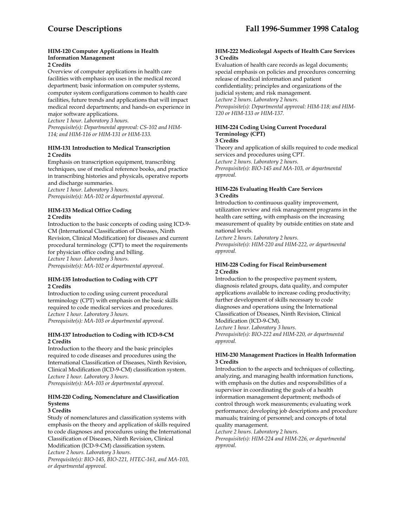# **HIM-120 Computer Applications in Health Information Management**

# **2 Credits**

Overview of computer applications in health care facilities with emphasis on uses in the medical record department; basic information on computer systems, computer system configurations common to health care facilities, future trends and applications that will impact medical record departments; and hands-on experience in major software applications.

*Lecture 1 hour. Laboratory 3 hours. Prerequisite(s): Departmental approval: CS-102 and HIM-114; and HIM-116 or HIM-131 or HIM-133.* 

#### **HIM-131 Introduction to Medical Transcription 2 Credits**

Emphasis on transcription equipment, transcribing techniques, use of medical reference books, and practice in transcribing histories and physicals, operative reports and discharge summaries.

*Lecture 1 hour. Laboratory 3 hours. Prerequisite(s): MA-102 or departmental approval.* 

# **HIM-133 Medical Office Coding 2 Credits**

Introduction to the basic concepts of coding using ICD-9- CM (International Classification of Diseases, Ninth Revision, Clinical Modification) for diseases and current procedural terminology (CPT) to meet the requirements for physician office coding and billing. *Lecture 1 hour. Laboratory 3 hours. Prerequisite(s): MA-102 or departmental approval.* 

#### **HIM-135 Introduction to Coding with CPT 2 Credits**

Introduction to coding using current procedural terminology (CPT) with emphasis on the basic skills required to code medical services and procedures. *Lecture 1 hour. Laboratory 3 hours. Prerequisite(s): MA-103 or departmental approval.* 

#### **HIM-137 Introduction to Coding with ICD-9-CM 2 Credits**

Introduction to the theory and the basic principles required to code diseases and procedures using the International Classification of Diseases, Ninth Revision, Clinical Modification (ICD-9-CM) classification system. *Lecture 1 hour. Laboratory 3 hours. Prerequisite(s): MA-103 or departmental approval.* 

#### **HIM-220 Coding, Nomenclature and Classification Systems 3 Credits**

Study of nomenclatures and classification systems with emphasis on the theory and application of skills required to code diagnoses and procedures using the International Classification of Diseases, Ninth Revision, Clinical Modification (ICD-9-CM) classification system. *Lecture 2 hours. Laboratory 3 hours. Prerequisite(s): BIO-145, BIO-221, HTEC-161, and MA-103, or departmental approval.* 

**HIM-222 Medicolegal Aspects of Health Care Services 3 Credits** 

Evaluation of health care records as legal documents; special emphasis on policies and procedures concerning release of medical information and patient confidentiality; principles and organizations of the judicial system; and risk management. *Lecture 2 hours. Laboratory 2 hours. Prerequisite(s): Departmental approval: HIM-118; and HIM-120 or HIM-133 or HIM-137.* 

#### **HIM-224 Coding Using Current Procedural Terminology (CPT) 3 Credits**

Theory and application of skills required to code medical services and procedures using CPT. *Lecture 2 hours. Laboratory 2 hours. Prerequisite(s): BIO-145 and MA-103, or departmental approval.* 

#### **HIM-226 Evaluating Health Care Services 3 Credits**

Introduction to continuous quality improvement, utilization review and risk management programs in the health care setting, with emphasis on the increasing measurement of quality by outside entities on state and national levels.

*Lecture 2 hours. Laboratory 2 hours. Prerequisite(s): HIM-220 and HIM-222, or departmental approval.* 

#### **HIM-228 Coding for Fiscal Reimbursement 2 Credits**

Introduction to the prospective payment system, diagnosis related groups, data quality, and computer applications available to increase coding productivity; further development of skills necessary to code diagnoses and operations using the International Classification of Diseases, Ninth Revision, Clinical Modification (ICD-9-CM). *Lecture 1 hour. Laboratory 3 hours.* 

*Prerequisite(s): BIO-222 and HIM-220, or departmental approval.* 

#### **HIM-230 Management Practices in Health Information 3 Credits**

Introduction to the aspects and techniques of collecting, analyzing, and managing health information functions, with emphasis on the duties and responsibilities of a supervisor in coordinating the goals of a health information management department; methods of control through work measurements; evaluating work performance; developing job descriptions and procedure manuals; training of personnel; and concepts of total quality management.

*Lecture 2 hours. Laboratory 2 hours. Prerequisite(s): HIM-224 and HIM-226, or departmental approval.*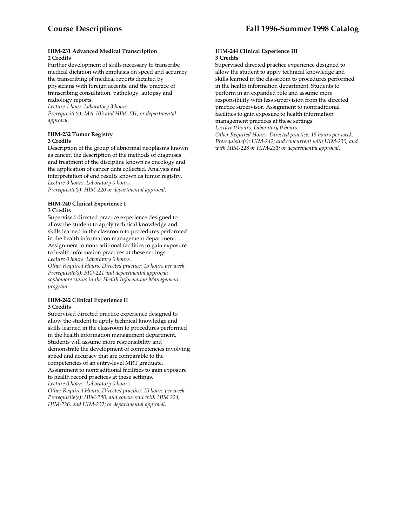#### **HIM-231 Advanced Medical Transcription 2 Credits**

Further development of skills necessary to transcribe medical dictation with emphasis on speed and accuracy, the transcribing of medical reports dictated by physicians with foreign accents, and the practice of transcribing consultation, pathology, autopsy and radiology reports.

*Lecture 1 hour. Laboratory 3 hours. Prerequisite(s): MA-103 and HIM-131, or departmental approval.* 

#### **HIM-232 Tumor Registry 3 Credits**

Description of the group of abnormal neoplasms known as cancer, the description of the methods of diagnosis and treatment of the discipline known as oncology and the application of cancer data collected. Analysis and interpretation of end results known as tumor registry. *Lecture 3 hours. Laboratory 0 hours. Prerequisite(s): HIM-220 or departmental approval.* 

#### **HIM-240 Clinical Experience I 3 Credits**

Supervised directed practice experience designed to allow the student to apply technical knowledge and skills learned in the classroom to procedures performed in the health information management department. Assignment to nontraditional facilities to gain exposure to health information practices at these settings. *Lecture 0 hours. Laboratory 0 hours.* 

*Other Required Hours: Directed practice: 15 hours per week. Prerequisite(s): BIO-221 and departmental approval: sophomore status in the Health Information Management program.* 

#### **HIM-242 Clinical Experience II 3 Credits**

Supervised directed practice experience designed to allow the student to apply technical knowledge and skills learned in the classroom to procedures performed in the health information management department. Students will assume more responsibility and demonstrate the development of competencies involving speed and accuracy that are comparable to the competencies of an entry-level MRT graduate. Assignment to nontraditional facilities to gain exposure to health record practices at these settings. *Lecture 0 hours. Laboratory 0 hours.* 

*Other Required Hours: Directed practice: 15 hours per week. Prerequisite(s): HIM-240; and concurrent with HIM 224, HIM-226, and HIM-232; or departmental approval.* 

#### **HIM-244 Clinical Experience III 3 Credits**

Supervised directed practice experience designed to allow the student to apply technical knowledge and skills learned in the classroom to procedures performed in the health information department. Students to perform in an expanded role and assume more responsibility with less supervision from the directed practice supervisor. Assignment to nontraditional facilities to gain exposure to health information management practices at these settings. *Lecture 0 hours. Laboratory 0 hours.* 

*Other Required Hours: Directed practice: 15 hours per week. Prerequisite(s): HIM-242; and concurrent with HIM-230, and with HIM-228 or HIM-231; or departmental approval.*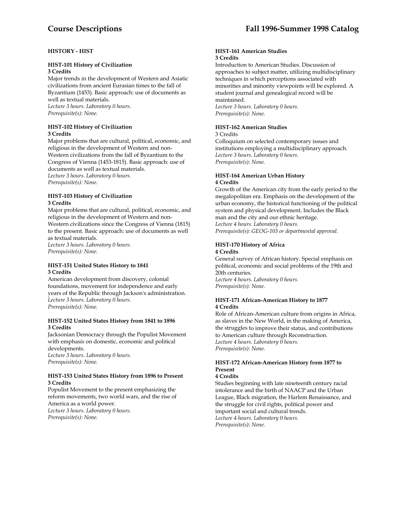# **HISTORY - HIST**

# **HIST-101 History of Civilization 3 Credits**

Major trends in the development of Western and Asiatic civilizations from ancient Eurasian times to the fall of Byzantium (1453). Basic approach: use of documents as well as textual materials. *Lecture 3 hours. Laboratory 0 hours. Prerequisite(s): None.* 

#### **HIST-102 History of Civilization 3 Credits**

Major problems that are cultural, political, economic, and religious in the development of Western and non-Western civilizations from the fall of Byzantium to the Congress of Vienna (1453-1815). Basic approach: use of documents as well as textual materials. *Lecture 3 hours. Laboratory 0 hours. Prerequisite(s): None.* 

# **HIST-103 History of Civilization 3 Credits**

Major problems that are cultural, political, economic, and religious in the development of Western and non-Western civilizations since the Congress of Vienna (1815) to the present. Basic approach: use of documents as well as textual materials. *Lecture 3 hours. Laboratory 0 hours.* 

*Prerequisite(s): None.* 

#### **HIST-151 United States History to 1841 3 Credits**

American development from discovery, colonial foundations, movement for independence and early years of the Republic through Jackson's administration. *Lecture 3 hours. Laboratory 0 hours. Prerequisite(s): None.* 

#### **HIST-152 United States History from 1841 to 1896 3 Credits**

Jacksonian Democracy through the Populist Movement with emphasis on domestic, economic and political developments. *Lecture 3 hours. Laboratory 0 hours. Prerequisite(s): None.* 

#### **HIST-153 United States History from 1896 to Present 3 Credits**

Populist Movement to the present emphasizing the reform movements, two world wars, and the rise of America as a world power. *Lecture 3 hours. Laboratory 0 hours. Prerequisite(s): None.* 

#### **HIST-161 American Studies 3 Credits**

Introduction to American Studies. Discussion of approaches to subject matter, utilizing multidisciplinary techniques in which perceptions associated with minorities and minority viewpoints will be explored. A student journal and genealogical record will be maintained.

*Lecture 3 hours. Laboratory 0 hours. Prerequisite(s): None.* 

# **HIST-162 American Studies**

3 Credits

Colloquium on selected contemporary issues and institutions employing a multidisciplinary approach. *Lecture 3 hours. Laboratory 0 hours. Prerequisite(s): None.* 

#### **HIST-164 American Urban History 4 Credits**

Growth of the American city from the early period to the megalopolitan era. Emphasis on the development of the urban economy, the historical functioning of the political system and physical development. Includes the Black man and the city and our ethnic heritage. *Lecture 4 hours. Laboratory 0 hours. Prerequisite(s): GEOG-103 or departmental approval.* 

# **HIST-170 History of Africa**

#### **4 Credits**

General survey of African history. Special emphasis on political, economic and social problems of the 19th and 20th centuries.

*Lecture 4 hours. Laboratory 0 hours. Prerequisite(s): None.* 

#### **HIST-171 African-American History to 1877 4 Credits**

Role of African-American culture from origins in Africa, as slaves in the New World, in the making of America, the struggles to improve their status, and contributions to American culture through Reconstruction. *Lecture 4 hours. Laboratory 0 hours. Prerequisite(s): None.* 

# **HIST-172 African-American History from 1877 to Present**

#### **4 Credits**

Studies beginning with late nineteenth century racial intolerance and the birth of NAACP and the Urban League, Black migration, the Harlem Renaissance, and the struggle for civil rights, political power and important social and cultural trends. *Lecture 4 hours. Laboratory 0 hours. Prerequisite(s): None.*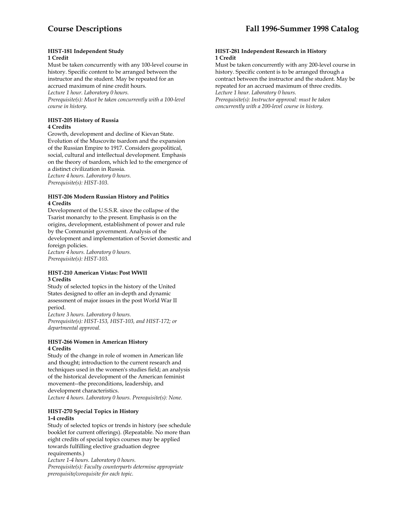#### **HIST-181 Independent Study 1 Credit**

Must be taken concurrently with any 100-level course in history. Specific content to be arranged between the instructor and the student. May be repeated for an accrued maximum of nine credit hours. *Lecture 1 hour. Laboratory 0 hours. Prerequisite(s): Must be taken concurrently with a 100-level* 

**HIST-205 History of Russia 4 Credits** 

*course in history.* 

Growth, development and decline of Kievan State. Evolution of the Muscovite tsardom and the expansion of the Russian Empire to 1917. Considers geopolitical, social, cultural and intellectual development. Emphasis on the theory of tsardom, which led to the emergence of a distinct civilization in Russia. *Lecture 4 hours. Laboratory 0 hours.* 

*Prerequisite(s): HIST-103.* 

#### **HIST-206 Modern Russian History and Politics 4 Credits**

Development of the U.S.S.R. since the collapse of the Tsarist monarchy to the present. Emphasis is on the origins, development, establishment of power and rule by the Communist government. Analysis of the development and implementation of Soviet domestic and foreign policies. *Lecture 4 hours. Laboratory 0 hours. Prerequisite(s): HIST-103.* 

#### **HIST-210 American Vistas: Post WWII 3 Credits**

Study of selected topics in the history of the United States designed to offer an in-depth and dynamic assessment of major issues in the post World War II period.

*Lecture 3 hours. Laboratory 0 hours. Prerequisite(s): HIST-153, HIST-103, and HIST-172; or departmental approval.* 

#### **HIST-266 Women in American History 4 Credits**

Study of the change in role of women in American life and thought; introduction to the current research and techniques used in the women's studies field; an analysis of the historical development of the American feminist movement--the preconditions, leadership, and development characteristics.

*Lecture 4 hours. Laboratory 0 hours. Prerequisite(s): None.* 

#### **HIST-270 Special Topics in History 1-4 credits**

Study of selected topics or trends in history (see schedule booklet for current offerings). (Repeatable. No more than eight credits of special topics courses may be applied towards fulfilling elective graduation degree requirements.)

*Lecture 1-4 hours. Laboratory 0 hours. Prerequisite(s): Faculty counterparts determine appropriate prerequisite/corequisite for each topic.* 

#### **HIST-281 Independent Research in History 1 Credit**

Must be taken concurrently with any 200-level course in history. Specific content is to be arranged through a contract between the instructor and the student. May be repeated for an accrued maximum of three credits. *Lecture 1 hour. Laboratory 0 hours. Prerequisite(s): Instructor approval: must be taken concurrently with a 200-level course in history.*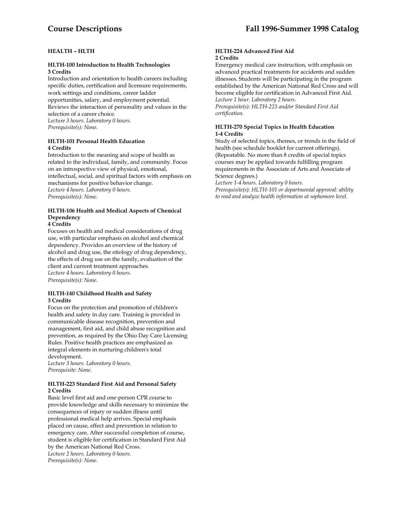# **HEALTH – HLTH**

#### **HLTH-100 Introduction to Health Technologies 3 Credits**

Introduction and orientation to health careers including specific duties, certification and licensure requirements, work settings and conditions, career ladder opportunities, salary, and employment potential. Reviews the interaction of personality and values in the selection of a career choice. *Lecture 3 hours. Laboratory 0 hours. Prerequisite(s): None.* 

#### **HLTH-101 Personal Health Education 4 Credits**

Introduction to the meaning and scope of health as related to the individual, family, and community. Focus on an introspective view of physical, emotional, intellectual, social, and spiritual factors with emphasis on mechanisms for positive behavior change. *Lecture 4 hours. Laboratory 0 hours. Prerequisite(s): None.* 

# **HLTH-106 Health and Medical Aspects of Chemical Dependency**

#### **4 Credits**

Focuses on health and medical considerations of drug use, with particular emphasis on alcohol and chemical dependency. Provides an overview of the history of alcohol and drug use, the etiology of drug dependency, the effects of drug use on the family, evaluation of the client and current treatment approaches. *Lecture 4 hours. Laboratory 0 hours. Prerequisite(s): None*.

#### **HLTH-140 Childhood Health and Safety 3 Credits**

Focus on the protection and promotion of children's health and safety in day care. Training is provided in communicable disease recognition, prevention and management, first aid, and child abuse recognition and prevention, as required by the Ohio Day Care Licensing Rules. Positive health practices are emphasized as integral elements in nurturing children's total development.

*Lecture 3 hours. Laboratory 0 hours. Prerequisite: None.* 

#### **HLTH-223 Standard First Aid and Personal Safety 2 Credits**

Basic level first aid and one-person CPR course to provide knowledge and skills necessary to minimize the consequences of injury or sudden illness until professional medical help arrives. Special emphasis placed on cause, effect and prevention in relation to emergency care. After successful completion of course, student is eligible for certification in Standard First Aid by the American National Red Cross. *Lecture 2 hours. Laboratory 0 hours. Prerequisite(s): None.* 

#### **HLTH-224 Advanced First Aid 2 Credits**

Emergency medical care instruction, with emphasis on advanced practical treatments for accidents and sudden illnesses. Students will be participating in the program established by the American National Red Cross and will become eligible for certification in Advanced First Aid. *Lecture 1 hour. Laboratory 2 hours.* 

*Prerequisite(s): HLTH-223 and/or Standard First Aid certification.* 

# **HLTH-270 Special Topics in Health Education 1-4 Credits**

Study of selected topics, themes, or trends in the field of health (see schedule booklet for current offerings). (Repeatable. No more than 8 credits of special topics courses may be applied towards fulfilling program requirements in the Associate of Arts and Associate of Science degrees.)

*Lecture 1-4 hours. Laboratory 0 hours.* 

*Prerequisite(s): HLTH-101 or departmental approval: ability to read and analyze health information at sophomore level.*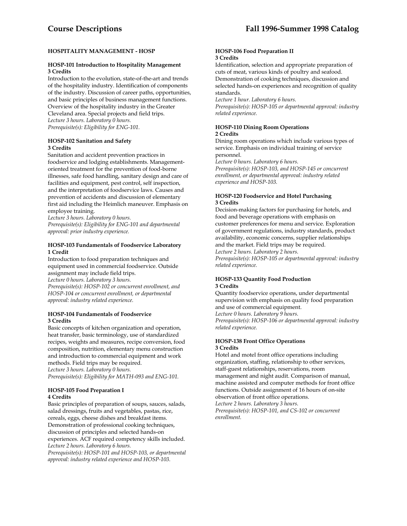# **HOSPITALITY MANAGEMENT - HOSP**

#### **HOSP-101 Introduction to Hospitality Management 3 Credits**

Introduction to the evolution, state-of-the-art and trends of the hospitality industry. Identification of components of the industry. Discussion of career paths, opportunities, and basic principles of business management functions. Overview of the hospitality industry in the Greater Cleveland area. Special projects and field trips. *Lecture 3 hours. Laboratory 0 hours. Prerequisite(s): Eligibility for ENG-101.* 

#### **HOSP-102 Sanitation and Safety 3 Credits**

Sanitation and accident prevention practices in foodservice and lodging establishments. Managementoriented treatment for the prevention of food-borne illnesses, safe food handling, sanitary design and care of facilities and equipment, pest control, self inspection, and the interpretation of foodservice laws. Causes and prevention of accidents and discussion of elementary first aid including the Heimlich maneuver. Emphasis on employee training.

*Lecture 3 hours. Laboratory 0 hours.* 

*Prerequisite(s): Eligibility for ENG-101 and departmental approval: prior industry experience.* 

#### **HOSP-103 Fundamentals of Foodservice Laboratory 1 Credit**

Introduction to food preparation techniques and equipment used in commercial foodservice. Outside assignment may include field trips. *Lecture 0 hours. Laboratory 3 hours. Prerequisite(s): HOSP-102 or concurrent enrollment, and HOSP-104 or concurrent enrollment, or departmental approval: industry related experience.* 

#### **HOSP-104 Fundamentals of Foodservice 3 Credits**

Basic concepts of kitchen organization and operation, heat transfer, basic terminology, use of standardized recipes, weights and measures, recipe conversion, food composition, nutrition, elementary menu construction and introduction to commercial equipment and work methods. Field trips may be required. *Lecture 3 hours. Laboratory 0 hours. Prerequisite(s): Eligibility for MATH-093 and ENG-101.* 

#### **HOSP-105 Food Preparation I 4 Credits**

Basic principles of preparation of soups, sauces, salads, salad dressings, fruits and vegetables, pastas, rice, cereals, eggs, cheese dishes and breakfast items. Demonstration of professional cooking techniques, discussion of principles and selected hands-on experiences. ACF required competency skills included. *Lecture 2 hours. Laboratory 6 hours.* 

*Prerequisite(s): HOSP-101 and HOSP-103, or departmental approval: industry related experience and HOSP-103.* 

#### **HOSP-106 Food Preparation II 3 Credits**

Identification, selection and appropriate preparation of cuts of meat, various kinds of poultry and seafood. Demonstration of cooking techniques, discussion and selected hands-on experiences and recognition of quality standards.

*Lecture 1 hour. Laboratory 6 hours.* 

*Prerequisite(s): HOSP-105 or departmental approval: industry related experience.* 

#### **HOSP-110 Dining Room Operations 2 Credits**

Dining room operations which include various types of service. Emphasis on individual training of service personnel.

*Lecture 0 hours. Laboratory 6 hours.* 

*Prerequisite(s): HOSP-103, and HOSP-145 or concurrent enrollment, or departmental approval: industry related experience and HOSP-103.* 

# **HOSP-120 Foodservice and Hotel Purchasing 3 Credits**

Decision-making factors for purchasing for hotels, and food and beverage operations with emphasis on customer preferences for menu and service. Exploration of government regulations, industry standards, product availability, economic concerns, supplier relationships and the market. Field trips may be required.

*Lecture 2 hours. Laboratory 2 hours. Prerequisite(s): HOSP-105 or departmental approval: industry related experience.* 

#### **HOSP-133 Quantity Food Production 3 Credits**

Quantity foodservice operations, under departmental supervision with emphasis on quality food preparation and use of commercial equipment. *Lecture 0 hours. Laboratory 9 hours.* 

*Prerequisite(s): HOSP-106 or departmental approval: industry related experience.* 

# **HOSP-138 Front Office Operations 3 Credits**

Hotel and motel front office operations including organization, staffing, relationship to other services, staff-guest relationships, reservations, room management and night audit. Comparison of manual, machine assisted and computer methods for front office functions. Outside assignment of 16 hours of on-site observation of front office operations.

*Lecture 2 hours. Laboratory 3 hours.* 

*Prerequisite(s): HOSP-101, and CS-102 or concurrent enrollment.*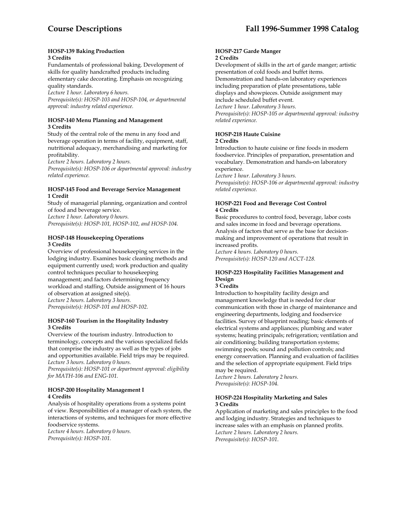#### **HOSP-139 Baking Production 3 Credits**

Fundamentals of professional baking. Development of skills for quality handcrafted products including elementary cake decorating. Emphasis on recognizing quality standards.

*Lecture 1 hour. Laboratory 6 hours.* 

*Prerequisite(s): HOSP-103 and HOSP-104, or departmental approval: industry related experience.* 

# **HOSP-140 Menu Planning and Management 3 Credits**

Study of the central role of the menu in any food and beverage operation in terms of facility, equipment, staff, nutritional adequacy, merchandising and marketing for profitability.

*Lecture 2 hours. Laboratory 2 hours.* 

*Prerequisite(s): HOSP-106 or departmental approval: industry related experience.* 

#### **HOSP-145 Food and Beverage Service Management 1 Credit**

Study of managerial planning, organization and control of food and beverage service. *Lecture 1 hour. Laboratory 0 hours.* 

*Prerequisite(s): HOSP-101, HOSP-102, and HOSP-104.* 

#### **HOSP-148 Housekeeping Operations 3 Credits**

Overview of professional housekeeping services in the lodging industry. Examines basic cleaning methods and equipment currently used; work production and quality control techniques peculiar to housekeeping management; and factors determining frequency workload and staffing. Outside assignment of 16 hours of observation at assigned site(s). *Lecture 2 hours. Laboratory 3 hours. Prerequisite(s): HOSP-101 and HOSP-102.* 

#### **HOSP-160 Tourism in the Hospitality Industry 3 Credits**

Overview of the tourism industry. Introduction to terminology, concepts and the various specialized fields that comprise the industry as well as the types of jobs and opportunities available. Field trips may be required. *Lecture 3 hours. Laboratory 0 hours.* 

*Prerequisite(s): HOSP-101 or department approval: eligibility for MATH-106 and ENG-101.* 

# **HOSP-200 Hospitality Management I 4 Credits**

Analysis of hospitality operations from a systems point of view. Responsibilities of a manager of each system, the interactions of systems, and techniques for more effective foodservice systems.

*Lecture 4 hours. Laboratory 0 hours. Prerequisite(s): HOSP-101.* 

#### **HOSP-217 Garde Manger 2 Credits**

Development of skills in the art of garde manger; artistic presentation of cold foods and buffet items.

Demonstration and hands-on laboratory experiences including preparation of plate presentations, table displays and showpieces. Outside assignment may include scheduled buffet event.

*Lecture 1 hour. Laboratory 3 hours.* 

*Prerequisite(s): HOSP-105 or departmental approval: industry related experience.* 

# **HOSP-218 Haute Cuisine 2 Credits**

Introduction to haute cuisine or fine foods in modern foodservice. Principles of preparation, presentation and vocabulary. Demonstration and hands-on laboratory experience.

*Lecture 1 hour. Laboratory 3 hours.* 

*Prerequisite(s): HOSP-106 or departmental approval: industry related experience.* 

# **HOSP-221 Food and Beverage Cost Control 4 Credits**

Basic procedures to control food, beverage, labor costs and sales income in food and beverage operations. Analysis of factors that serve as the base for decisionmaking and improvement of operations that result in increased profits. *Lecture 4 hours. Laboratory 0 hours.* 

*Prerequisite(s): HOSP-120 and ACCT-128.* 

#### **HOSP-223 Hospitality Facilities Management and Design**

#### **3 Credits**

Introduction to hospitality facility design and management knowledge that is needed for clear communication with those in charge of maintenance and engineering departments, lodging and foodservice facilities. Survey of blueprint reading; basic elements of electrical systems and appliances; plumbing and water systems; heating principals; refrigeration; ventilation and air conditioning; building transportation systems; swimming pools; sound and pollution controls; and energy conservation. Planning and evaluation of facilities and the selection of appropriate equipment. Field trips may be required.

*Lecture 2 hours. Laboratory 2 hours. Prerequisite(s): HOSP-104.* 

#### **HOSP-224 Hospitality Marketing and Sales 3 Credits**

Application of marketing and sales principles to the food and lodging industry. Strategies and techniques to increase sales with an emphasis on planned profits. *Lecture 2 hours. Laboratory 2 hours. Prerequisite(s): HOSP-101*.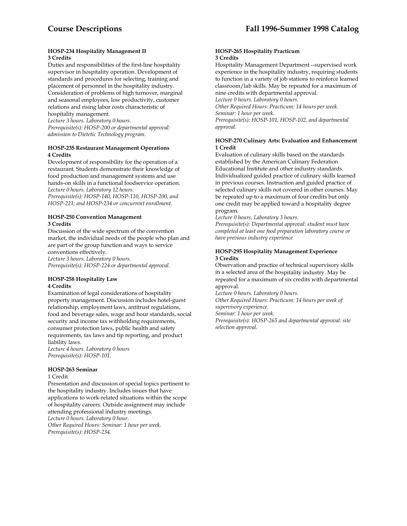#### **HOSP-234 Hospitality Management II 3 Credits**

Duties and responsibilities of the first-line hospitality supervisor in hospitality operation. Development of standards and procedures for selecting, training and placement of personnel in the hospitality industry. Consideration of problems of high turnover, marginal and seasonal employees, low productivity, customer relations and rising labor costs characteristic of hospitality management.

*Lecture 3 hours. Laboratory 0 hours. Prerequisite(s): HOSP-200 or departmental approval: admission to Dietetic Technology program.* 

#### **HOSP-235 Restaurant Management Operations 4 Credits**

Development of responsibility for the operation of a restaurant. Students demonstrate their knowledge of food production and management systems and use hands-on skills in a functional foodservice operation. *Lecture 0 hours. Laboratory 12 hours. Prerequisite(s): HOSP-140, HOSP-110, HOSP-200, and HOSP-221; and HOSP-234 or concurrent enrollment.* 

# **HOSP-250 Convention Management 3 Credits**

Discussion of the wide spectrum of the convention market, the individual needs of the people who plan and are part of the group function and ways to service conventions effectively.

*Lecture 3 hours. Laboratory 0 hours. Prerequisite(s): HOSP-224 or departmental approval.* 

# **HOSP-258 Hospitality Law 4 Credits**

Examination of legal considerations of hospitality property management. Discussion includes hotel-guest relationship, employment laws, antitrust regulations, food and beverage sales, wage and hour standards, social security and income tax withholding requirements, consumer protection laws, public health and safety requirements, tax laws and tip reporting, and product liability laws.

*Lecture 4 hours. Laboratory 0 hours Prerequisite(s): HOSP-101.* 

# **HOSP-263 Seminar**

#### 1 Credit

Presentation and discussion of special topics pertinent to the hospitality industry. Includes issues that have applications to work-related situations within the scope of hospitality careers. Outside assignment may include attending professional industry meetings. *Lecture 0 hours. Laboratory 0 hour. Other Required Hours: Seminar: 1 hour per week. Prerequisite(s): HOSP-234.* 

#### **HOSP-265 Hospitality Practicum 3 Credits**

Hospitality Management Department --supervised work experience in the hospitality industry, requiring students to function in a variety of job stations to reinforce learned classroom/lab skills. May be repeated for a maximum of nine credits with departmental approval.

*Lecture 0 hours. Laboratory 0 hours. Other Required Hours: Practicum: 14 hours per week. Seminar: 1 hour per week. Prerequisite(s): HOSP-101, HOSP-102, and departmental approval.* 

#### **HOSP-270 Culinary Arts: Evaluation and Enhancement 1 Credit**

Evaluation of culinary skills based on the standards established by the American Culinary Federation Educational Institute and other industry standards. Individualized guided practice of culinary skills learned in previous courses. Instruction and guided practice of selected culinary skills not covered in other courses. May be repeated up to a maximum of four credits but only one credit may be applied toward a hospitality degree program.

*Lecture 0 hours. Laboratory 3 hours.* 

*Prerequisite(s): Departmental approval: student must have completed at least one food preparation laboratory course or have previous industry experience* 

# **HOSP-295 Hospitality Management Experience 3 Credits**

Observation and practice of technical supervisory skills in a selected area of the hospitality industry. May be repeated for a maximum of six credits with departmental approval.

*Lecture 0 hours. Laboratory 0 hours.* 

*Other Required Hours: Practicum: 14 hours per week of supervisory experience.* 

*Seminar: 1 hour per week.* 

*Prerequisite(s): HOSP-265 and departmental approval: site selection approval.*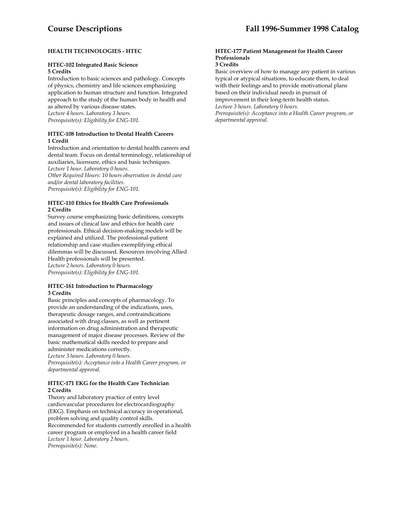# **HEALTH TECHNOLOGIES - HTEC**

# **HTEC-102 Integrated Basic Science 5 Credits**

Introduction to basic sciences and pathology. Concepts of physics, chemistry and life sciences emphasizing application to human structure and function. Integrated approach to the study of the human body in health and as altered by various disease states. *Lecture 4 hours. Laboratory 3 hours. Prerequisite(s): Eligibility for ENG-101.* 

# **HTEC-108 Introduction to Dental Health Careers 1 Credit**

Introduction and orientation to dental health careers and dental team. Focus on dental terminology, relationship of auxiliaries, licensure, ethics and basic techniques. *Lecture 1 hour. Laboratory 0 hours. Other Required Hours: 10 hours observation in dental care* 

*and/or dental laboratory facilities. Prerequisite(s): Eligibility for ENG-101.* 

#### **HTEC-110 Ethics for Health Care Professionals 2 Credits**

Survey course emphasizing basic definitions, concepts and issues of clinical law and ethics for health care professionals. Ethical decision-making models will be explained and utilized. The professional-patient relationship and case studies exemplifying ethical dilemmas will be discussed. Resources involving Allied Health professionals will be presented. *Lecture 2 hours. Laboratory 0 hours. Prerequisite(s): Eligibility for ENG-101.* 

#### **HTEC-161 Introduction to Pharmacology 3 Credits**

Basic principles and concepts of pharmacology. To provide an understanding of the indications, uses, therapeutic dosage ranges, and contraindications associated with drug classes, as well as pertinent information on drug administration and therapeutic management of major disease processes. Review of the basic mathematical skills needed to prepare and administer medications correctly. *Lecture 3 hours. Laboratory 0 hours. Prerequisite(s): Acceptance into a Health Career program, or departmental approval.* 

# **HTEC-171 EKG for the Health Care Technician 2 Credits**

Theory and laboratory practice of entry level cardiovascular procedures for electrocardiography (EKG). Emphasis on technical accuracy in operational, problem solving and quality control skills. Recommended for students currently enrolled in a health career program or employed in a health career field *Lecture 1 hour. Laboratory 2 hours. Prerequisite(s): None.* 

# **HTEC-177 Patient Management for Health Career Professionals**

# **3 Credits**

Basic overview of how to manage any patient in various typical or atypical situations, to educate them, to deal with their feelings and to provide motivational plans based on their individual needs in pursuit of improvement in their long-term health status. *Lecture 3 hours. Laboratory 0 hours.* 

*Prerequisite(s): Acceptance into a Health Career program, or departmental approval.*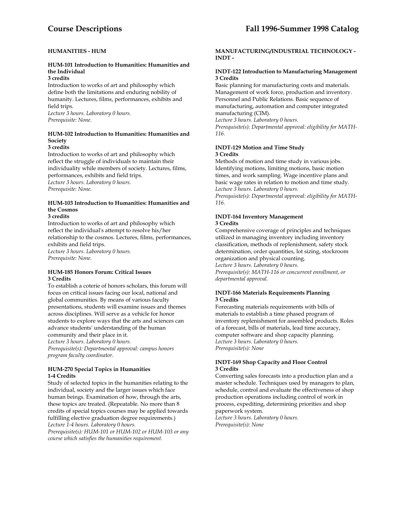# **HUMANITIES - HUM**

# **HUM-101 Introduction to Humanities: Humanities and the Individual**

# **3 credits**

Introduction to works of art and philosophy which define both the limitations and enduring nobility of humanity. Lectures, films, performances, exhibits and field trips.

*Lecture 3 hours. Laboratory 0 hours. Prerequisite: None.* 

# **HUM-102 Introduction to Humanities: Humanities and Society**

# **3 credits**

Introduction to works of art and philosophy which reflect the struggle of individuals to maintain their individuality while members of society. Lectures, films, performances, exhibits and field trips. *Lecture 3 hours. Laboratory 0 hours. Prerequisite: None.* 

# **HUM-103 Introduction to Humanities: Humanities and the Cosmos**

#### **3 credits**

Introduction to works of art and philosophy which reflect the individual's attempt to resolve his/her relationship to the cosmos. Lectures, films, performances, exhibits and field trips. *Lecture 3 hours. Laboratory 0 hours. Prerequisite: None.* 

#### **HUM-185 Honors Forum: Critical Issues 3 Credits**

To establish a coterie of honors scholars, this forum will focus on critical issues facing our local, national and global communities. By means of various faculty presentations, students will examine issues and themes across disciplines. Will serve as a vehicle for honor students to explore ways that the arts and sciences can advance students' understanding of the human community and their place in it.

*Lecture 3 hours. Laboratory 0 hours.* 

*Prerequisite(s): Departmental approval: campus honors program faculty coordinator.* 

#### **HUM-270 Special Topics in Humanities 1-4 Credits**

Study of selected topics in the humanities relating to the individual, society and the larger issues which face human beings. Examination of how, through the arts, these topics are treated. (Repeatable. No more than 8 credits of special topics courses may be applied towards fulfilling elective graduation degree requirements.) *Lecture 1-4 hours. Laboratory 0 hours. Prerequisite(s): HUM-101 or HUM-102 or HUM-103 or any course which satisfies the humanities requirement.* 

# **MANUFACTURING/INDUSTRIAL TECHNOLOGY - INDT -**

# **INDT-122 Introduction to Manufacturing Management 3 Credits**

Basic planning for manufacturing costs and materials. Management of work force, production and inventory. Personnel and Public Relations. Basic sequence of manufacturing, automation and computer integrated manufacturing (CIM).

*Lecture 3 hours. Laboratory 0 hours. Prerequisite(s): Departmental approval: eligibility for MATH-116.* 

# **INDT-129 Motion and Time Study 3 Credits**

Methods of motion and time study in various jobs. Identifying motions, limiting motions, basic motion times, and work sampling. Wage incentive plans and basic wage rates in relation to motion and time study. *Lecture 3 hours. Laboratory 0 hours.* 

*Prerequisite(s): Departmental approval: eligibility for MATH-116.* 

# **INDT-164 Inventory Management**

# **3 Credits**

Comprehensive coverage of principles and techniques utilized in managing inventory including inventory classification, methods of replenishment, safety stock determination, order quantities, lot sizing, stockroom organization and physical counting. *Lecture 3 hours. Laboratory 0 hours. Prerequisite(s): MATH-116 or concurrent enrollment, or* 

*departmental approval.* 

# **INDT-166 Materials Requirements Planning 3 Credits**

Forecasting materials requirements with bills of materials to establish a time phased program of inventory replenishment for assembled products. Roles of a forecast, bills of materials, lead time accuracy, computer software and shop capacity planning. *Lecture 3 hours. Laboratory 0 hours. Prerequisite(s): None* 

# **INDT-169 Shop Capacity and Floor Control 3 Credits**

Converting sales forecasts into a production plan and a master schedule. Techniques used by managers to plan, schedule, control and evaluate the effectiveness of shop production operations including control of work in process, expediting, determining priorities and shop paperwork system.

*Lecture 3 hours. Laboratory 0 hours. Prerequisite(s): None*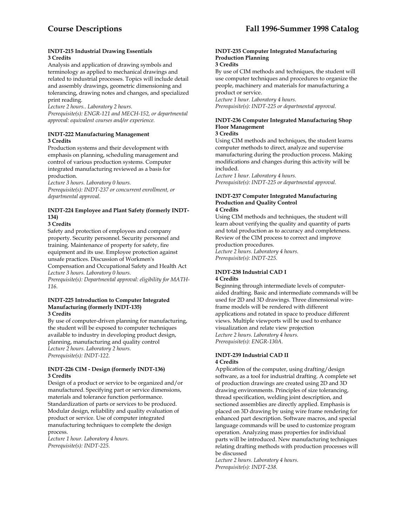#### **INDT-215 Industrial Drawing Essentials 3 Credits**

Analysis and application of drawing symbols and terminology as applied to mechanical drawings and related to industrial processes. Topics will include detail and assembly drawings, geometric dimensioning and tolerancing, drawing notes and changes, and specialized print reading.

*Lecture 2 hours.. Laboratory 2 hours. Prerequisite(s): ENGR-121 and MECH-152, or departmental approval: equivalent courses and/or experience.* 

# **INDT-222 Manufacturing Management 3 Credits**

Production systems and their development with emphasis on planning, scheduling management and control of various production systems. Computer integrated manufacturing reviewed as a basis for production.

*Lecture 3 hours. Laboratory 0 hours.* 

*Prerequisite(s): INDT-237 or concurrent enrollment, or departmental approval.* 

# **INDT-224 Employee and Plant Safety (formerly INDT-134)**

**3 Credits** 

Safety and protection of employees and company property. Security personnel. Security personnel and training. Maintenance of property for safety, fire equipment and its use. Employee protection against unsafe practices. Discussion of Workmen's Compensation and Occupational Safety and Health Act *Lecture 3 hours. Laboratory 0 hours. Prerequisite(s): Departmental approval: eligibility for MATH-116.* 

#### **INDT-225 Introduction to Computer Integrated Manufacturing (formerly INDT-135) 3 Credits**

By use of computer-driven planning for manufacturing, the student will be exposed to computer techniques available to industry in developing product design, planning, manufacturing and quality control *Lecture 2 hours. Laboratory 2 hours. Prerequisite(s): INDT-122.* 

# **INDT-226 CIM - Design (formerly INDT-136) 3 Credits**

Design of a product or service to be organized and/or manufactured. Specifying part or service dimensions, materials and tolerance function performance. Standardization of parts or services to be produced. Modular design, reliability and quality evaluation of product or service. Use of computer integrated manufacturing techniques to complete the design process.

*Lecture 1 hour. Laboratory 4 hours. Prerequisite(s): INDT-225.* 

#### **INDT-235 Computer Integrated Manufacturing Production Planning 3 Credits**

By use of CIM methods and techniques, the student will use computer techniques and procedures to organize the people, machinery and materials for manufacturing a product or service.

*Lecture 1 hour. Laboratory 4 hours. Prerequisite(s): INDT-225 or departmental approval.* 

# **INDT-236 Computer Integrated Manufacturing Shop Floor Management**

**3 Credits** 

Using CIM methods and techniques, the student learns computer methods to direct, analyze and supervise manufacturing during the production process. Making modifications and changes during this activity will be included.

*Lecture 1 hour. Laboratory 4 hours. Prerequisite(s): INDT-225 or departmental approval.* 

#### **INDT-237 Computer Integrated Manufacturing Production and Quality Control 4 Credits**

Using CIM methods and techniques, the student will learn about verifying the quality and quantity of parts and total production as to accuracy and completeness. Review of the CIM process to correct and improve production procedures.

*Lecture 2 hours. Laboratory 4 hours. Prerequisite(s): INDT-225.* 

#### **INDT-238 Industrial CAD I 4 Credits**

Beginning through intermediate levels of computeraided drafting. Basic and intermediate commands will be used for 2D and 3D drawings. Three dimensional wireframe models will be rendered with different applications and rotated in space to produce different views. Multiple viewports will be used to enhance visualization and relate view projection *Lecture 2 hours. Laboratory 4 hours. Prerequisite(s): ENGR-130A.* 

#### **INDT-239 Industrial CAD II 4 Credits**

Application of the computer, using drafting/design software, as a tool for industrial drafting. A complete set of production drawings are created using 2D and 3D drawing environments. Principles of size tolerancing, thread specification, welding joint description, and sectioned assemblies are directly applied. Emphasis is placed on 3D drawing by using wire frame rendering for enhanced part description. Software macros, and special language commands will be used to customize program operation. Analyzing mass properties for individual parts will be introduced. New manufacturing techniques relating drafting methods with production processes will be discussed

*Lecture 2 hours. Laboratory 4 hours. Prerequisite(s): INDT-238.*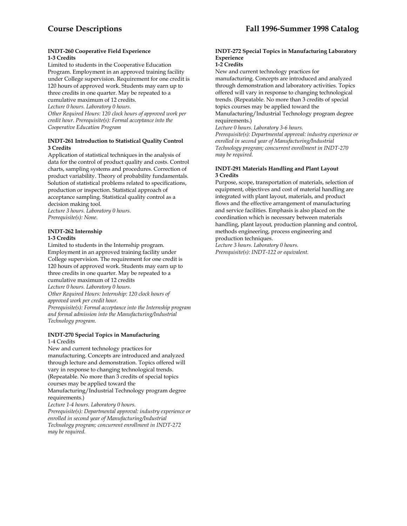#### **INDT-260 Cooperative Field Experience 1-3 Credits**

Limited to students in the Cooperative Education Program. Employment in an approved training facility under College supervision. Requirement for one credit is 120 hours of approved work. Students may earn up to three credits in one quarter. May be repeated to a cumulative maximum of 12 credits. *Lecture 0 hours. Laboratory 0 hours. Other Required Hours: 120 clock hours of approved work per credit hour. Prerequisite(s): Formal acceptance into the Cooperative Education Program* 

# **INDT-261 Introduction to Statistical Quality Control 3 Credits**

Application of statistical techniques in the analysis of data for the control of product quality and costs. Control charts, sampling systems and procedures. Correction of product variability. Theory of probability fundamentals. Solution of statistical problems related to specifications, production or inspection. Statistical approach of acceptance sampling. Statistical quality control as a decision making tool.

*Lecture 3 hours. Laboratory 0 hours. Prerequisite(s): None.* 

#### **INDT-262 Internship 1-3 Credits**

Limited to students in the Internship program. Employment in an approved training facility under College supervision. The requirement for one credit is 120 hours of approved work. Students may earn up to three credits in one quarter. May be repeated to a cumulative maximum of 12 credits *Lecture 0 hours. Laboratory 0 hours. Other Required Hours: Internship: 120 clock hours of approved work per credit hour.* 

*Prerequisite(s): Formal acceptance into the Internship program and formal admission into the Manufacturing/Industrial Technology program.* 

#### **INDT-270 Special Topics in Manufacturing**  1-4 Credits

New and current technology practices for manufacturing. Concepts are introduced and analyzed through lecture and demonstration. Topics offered will vary in response to changing technological trends. (Repeatable. No more than 3 credits of special topics courses may be applied toward the Manufacturing/Industrial Technology program degree requirements.) *Lecture 1-4 hours. Laboratory 0 hours.* 

*Prerequisite(s): Departmental approval: industry experience or enrolled in second year of Manufacturing/Industrial Technology program; concurrent enrollment in INDT-272 may be required.* 

# **INDT-272 Special Topics in Manufacturing Laboratory Experience**

## **1-2 Credits**

New and current technology practices for manufacturing. Concepts are introduced and analyzed through demonstration and laboratory activities. Topics offered will vary in response to changing technological trends. (Repeatable. No more than 3 credits of special topics courses may be applied toward the Manufacturing/Industrial Technology program degree requirements.)

*Lecture 0 hours. Laboratory 3-6 hours.* 

*Prerequisite(s): Departmental approval: industry experience or enrolled in second year of Manufacturing/Industrial Technology program; concurrent enrollment in INDT-270 may be required.* 

# **INDT-291 Materials Handling and Plant Layout 3 Credits**

Purpose, scope, transportation of materials, selection of equipment, objectives and cost of material handling are integrated with plant layout, materials, and product flows and the effective arrangement of manufacturing and service facilities. Emphasis is also placed on the coordination which is necessary between materials handling, plant layout, production planning and control, methods engineering, process engineering and production techniques.

*Lecture 3 hours. Laboratory 0 hours. Prerequisite(s): INDT-122 or equivalent.*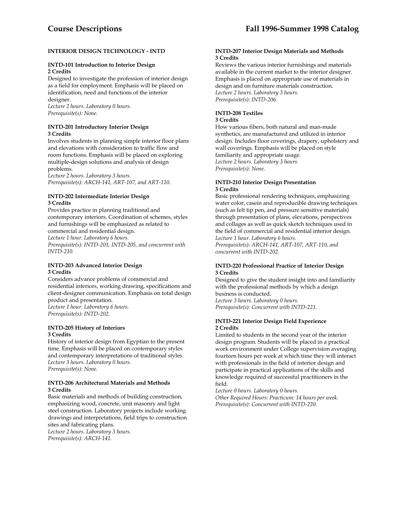# **INTERIOR DESIGN TECHNOLOGY - INTD**

# **INTD-101 Introduction to Interior Design 2 Credits**

Designed to investigate the profession of interior design as a field for employment. Emphasis will be placed on identification, need and functions of the interior designer.

*Lecture 2 hours. Laboratory 0 hours. Prerequisite(s): None.* 

#### **INTD-201 Introductory Interior Design 3 Credits**

Involves students in planning simple interior floor plans and elevations with consideration to traffic flow and room functions. Emphasis will be placed on exploring multiple-design solutions and analysis of design problems.

*Lecture 2 hours. Laboratory 3 hours. Prerequisite(s): ARCH-141, ART-107, and ART-110.* 

#### **INTD-202 Intermediate Interior Design 3 Credits**

Provides practice in planning traditional and contemporary interiors. Coordination of schemes, styles and furnishings will be emphasized as related to commercial and residential design. *Lecture 1 hour. Laboratory 6 hours. Prerequisite(s): INTD-201, INTD-205, and concurrent with INTD-210.* 

# **INTD-203 Advanced Interior Design 3 Credits**

Considers advance problems of commercial and residential interiors, working drawing, specifications and client-designer communication. Emphasis on total design product and presentation. *Lecture 1 hour. Laboratory 6 hours. Prerequisite(s): INTD-202.* 

# **INTD-205 History of Interiors 3 Credits**

History of interior design from Egyptian to the present time. Emphasis will be placed on contemporary styles and contemporary interpretations of traditional styles. *Lecture 3 hours. Laboratory 0 hours. Prerequisite(s): None.* 

#### **INTD-206 Architectural Materials and Methods 3 Credits**

Basic materials and methods of building construction, emphasizing wood, concrete, unit masonry and light steel construction. Laboratory projects include working drawings and interpretations, field trips to construction sites and fabricating plans. *Lecture 2 hours. Laboratory 3 hours.* 

*Prerequisite(s): ARCH-141.* 

#### **INTD-207 Interior Design Materials and Methods 3 Credits**

Reviews the various interior furnishings and materials available in the current market to the interior designer. Emphasis is placed on appropriate use of materials in design and on furniture materials construction. *Lecture 2 hours. Laboratory 3 hours. Prerequisite(s): INTD-206.* 

# **INTD-208 Textiles**

# **3 Credits**

How various fibers, both natural and man-made synthetics, are manufactured and utilized in interior design. Includes floor coverings, drapery, upholstery and wall coverings. Emphasis will be placed on style familiarity and appropriate usage. *Lecture 2 hours. Laboratory 3 hours. Prerequisite(s): None.* 

# **INTD-210 Interior Design Presentation 3 Credits**

Basic professional rendering techniques, emphasizing water color, casein and reproducible drawing techniques (such as felt tip pen, and pressure sensitive materials) through presentation of plans, elevations, perspectives and collages as well as quick sketch techniques used in the field of commercial and residential interior design. *Lecture 1 hour. Laboratory 6 hours.* 

*Prerequisite(s): ARCH-141, ART-107, ART-110, and concurrent with INTD-202*.

# **INTD-220 Professional Practice of Interior Design 3 Credits**

Designed to give the student insight into and familiarity with the professional methods by which a design business is conducted. *Lecture 3 hours. Laboratory 0 hours.* 

*Prerequisite(s): Concurrent with INTD-221.* 

# **INTD-221 Interior Design Field Experience 2 Credits**

Limited to students in the second year of the interior design program. Students will be placed in a practical work environment under College supervision averaging fourteen hours per week at which time they will interact with professionals in the field of interior design and participate in practical applications of the skills and knowledge required of successful practitioners in the field.

*Lecture 0 hours. Laboratory 0 hours. Other Required Hours: Practicum: 14 hours per week. Prerequisite(s): Concurrent with INTD-220.*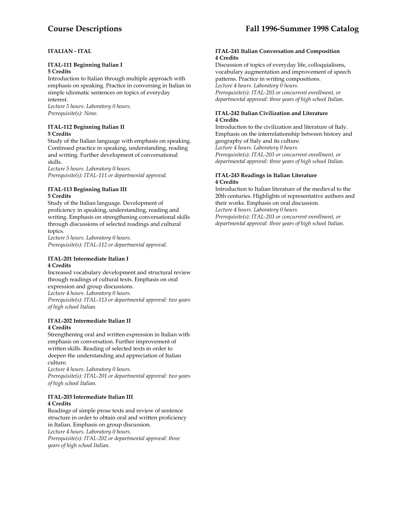# **ITALIAN - ITAL**

#### **ITAL-111 Beginning Italian I 5 Credits**

Introduction to Italian through multiple approach with emphasis on speaking. Practice in conversing in Italian in simple idiomatic sentences on topics of everyday interest.

*Lecture 5 hours. Laboratory 0 hours. Prerequisite(s): None.* 

# **ITAL-112 Beginning Italian II 5 Credits**

Study of the Italian language with emphasis on speaking. Continued practice in speaking, understanding, reading and writing. Further development of conversational skills.

*Lecture 5 hours. Laboratory 0 hours. Prerequisite(s): ITAL-111 or departmental approval.* 

# **ITAL-113 Beginning Italian III 5 Credits**

Study of the Italian language. Development of proficiency in speaking, understanding, reading and writing. Emphasis on strengthening conversational skills through discussions of selected readings and cultural topics.

*Lecture 5 hours. Laboratory 0 hours. Prerequisite(s): ITAL-112 or departmental approval.* 

# **ITAL-201 Intermediate Italian I 4 Credits**

Increased vocabulary development and structural review through readings of cultural texts. Emphasis on oral expression and group discussions. *Lecture 4 hours. Laboratory 0 hours. Prerequisite(s): ITAL-113 or departmental approval: two years of high school Italian.* 

# **ITAL-202 Intermediate Italian II 4 Credits**

Strengthening oral and written expression in Italian with emphasis on conversation. Further improvement of written skills. Reading of selected texts in order to deepen the understanding and appreciation of Italian culture.

*Lecture 4 hours. Laboratory 0 hours.* 

*Prerequisite(s): ITAL-201 or departmental approval: two years of high school Italian*.

# **ITAL-203 Intermediate Italian III 4 Credits**

Readings of simple prose texts and review of sentence structure in order to obtain oral and written proficiency in Italian. Emphasis on group discussion. *Lecture 4 hours. Laboratory 0 hours. Prerequisite(s): ITAL-202 or departmental approval: three years of high school Italian.* 

#### **ITAL-241 Italian Conversation and Composition 4 Credits**

Discussion of topics of everyday life, colloquialisms, vocabulary augmentation and improvement of speech patterns. Practice in writing compositions.

*Lecture 4 hours. Laboratory 0 hours. Prerequisite(s): ITAL-203 or concurrent enrollment, or departmental approval: three years of high school Italian.* 

# **ITAL-242 Italian Civilization and Literature 4 Credits**

Introduction to the civilization and literature of Italy. Emphasis on the interrelationship between history and geography of Italy and its culture. *Lecture 4 hours. Laboratory 0 hours. Prerequisite(s): ITAL-203 or concurrent enrollment, or departmental approval: three years of high school Italian.* 

# **ITAL-243 Readings in Italian Literature 4 Credits**

Introduction to Italian literature of the medieval to the 20th centuries. Highlights of representative authors and their works. Emphasis on oral discussion.

*Lecture 4 hours. Laboratory 0 hours. Prerequisite(s): ITAL-203 or concurrent enrollment, or* 

*departmental approval: three years of high school Italian.*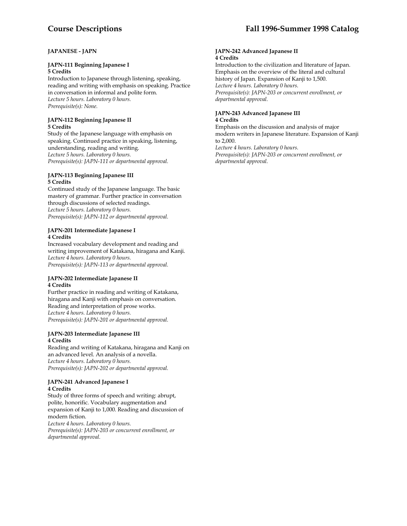# **JAPANESE - JAPN**

# **JAPN-111 Beginning Japanese I**

**5 Credits** 

Introduction to Japanese through listening, speaking, reading and writing with emphasis on speaking. Practice in conversation in informal and polite form. *Lecture 5 hours. Laboratory 0 hours. Prerequisite(s): None.* 

# **JAPN-112 Beginning Japanese II 5 Credits**

Study of the Japanese language with emphasis on speaking. Continued practice in speaking, listening, understanding, reading and writing. *Lecture 5 hours. Laboratory 0 hours. Prerequisite(s): JAPN-111 or departmental approval.* 

# **JAPN-113 Beginning Japanese III 5 Credits**

Continued study of the Japanese language. The basic mastery of grammar. Further practice in conversation through discussions of selected readings. *Lecture 5 hours. Laboratory 0 hours. Prerequisite(s): JAPN-112 or departmental approval.* 

# **JAPN-201 Intermediate Japanese I 4 Credits**

Increased vocabulary development and reading and writing improvement of Katakana, hiragana and Kanji. *Lecture 4 hours. Laboratory 0 hours. Prerequisite(s): JAPN-113 or departmental approval.* 

# **JAPN-202 Intermediate Japanese II 4 Credits**

Further practice in reading and writing of Katakana, hiragana and Kanji with emphasis on conversation. Reading and interpretation of prose works. *Lecture 4 hours. Laboratory 0 hours. Prerequisite(s): JAPN-201 or departmental approval.* 

# **JAPN-203 Intermediate Japanese III 4 Credits**

Reading and writing of Katakana, hiragana and Kanji on an advanced level. An analysis of a novella. *Lecture 4 hours. Laboratory 0 hours. Prerequisite(s): JAPN-202 or departmental approval.* 

# **JAPN-241 Advanced Japanese I 4 Credits**

Study of three forms of speech and writing: abrupt, polite, honorific. Vocabulary augmentation and expansion of Kanji to 1,000. Reading and discussion of modern fiction.

*Lecture 4 hours. Laboratory 0 hours. Prerequisite(s): JAPN-203 or concurrent enrollment, or departmental approval.* 

#### **JAPN-242 Advanced Japanese II 4 Credits**

Introduction to the civilization and literature of Japan. Emphasis on the overview of the literal and cultural history of Japan. Expansion of Kanji to 1,500. *Lecture 4 hours. Laboratory 0 hours. Prerequisite(s): JAPN-203 or concurrent enrollment, or departmental approval.* 

# **JAPN-243 Advanced Japanese III 4 Credits**

Emphasis on the discussion and analysis of major modern writers in Japanese literature. Expansion of Kanji to 2,000.

*Lecture 4 hours. Laboratory 0 hours. Prerequisite(s): JAPN-203 or concurrent enrollment, or departmental approval.*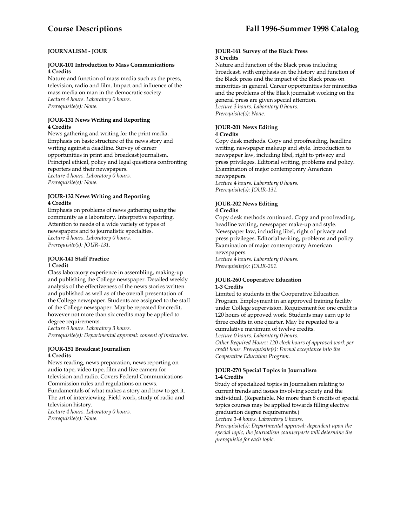# **JOURNALISM - JOUR**

#### **JOUR-101 Introduction to Mass Communications 4 Credits**

Nature and function of mass media such as the press, television, radio and film. Impact and influence of the mass media on man in the democratic society. *Lecture 4 hours. Laboratory 0 hours. Prerequisite(s): None.* 

# **JOUR-131 News Writing and Reporting 4 Credits**

News gathering and writing for the print media. Emphasis on basic structure of the news story and writing against a deadline. Survey of career opportunities in print and broadcast journalism. Principal ethical, policy and legal questions confronting reporters and their newspapers. *Lecture 4 hours. Laboratory 0 hours. Prerequisite(s): None.* 

# **JOUR-132 News Writing and Reporting 4 Credits**

Emphasis on problems of news gathering using the community as a laboratory. Interpretive reporting. Attention to needs of a wide variety of types of newspapers and to journalistic specialties. *Lecture 4 hours. Laboratory 0 hours. Prerequisite(s): JOUR-131.* 

#### **JOUR-141 Staff Practice 1 Credit**

Class laboratory experience in assembling, making-up and publishing the College newspaper. Detailed weekly analysis of the effectiveness of the news stories written and published as well as of the overall presentation of the College newspaper. Students are assigned to the staff of the College newspaper. May be repeated for credit, however not more than six credits may be applied to degree requirements.

*Lecture 0 hours. Laboratory 3 hours.* 

*Prerequisite(s): Departmental approval: consent of instructor.* 

#### **JOUR-151 Broadcast Journalism 4 Credits**

News reading, news preparation, news reporting on audio tape, video tape, film and live camera for television and radio. Covers Federal Communications Commission rules and regulations on news. Fundamentals of what makes a story and how to get it.

The art of interviewing. Field work, study of radio and television history. *Lecture 4 hours. Laboratory 0 hours.* 

*Prerequisite(s): None.* 

#### **JOUR-161 Survey of the Black Press 3 Credits**

Nature and function of the Black press including broadcast, with emphasis on the history and function of the Black press and the impact of the Black press on minorities in general. Career opportunities for minorities and the problems of the Black journalist working on the general press are given special attention. *Lecture 3 hours. Laboratory 0 hours. Prerequisite(s): None.* 

# **JOUR-201 News Editing**

#### **4 Credits**

Copy desk methods. Copy and proofreading, headline writing, newspaper makeup and style. Introduction to newspaper law, including libel, right to privacy and press privileges. Editorial writing, problems and policy. Examination of major contemporary American newspapers.

*Lecture 4 hours. Laboratory 0 hours. Prerequisite(s): JOUR-131.* 

#### **JOUR-202 News Editing 4 Credits**

Copy desk methods continued. Copy and proofreading, headline writing, newspaper make-up and style. Newspaper law, including libel, right of privacy and press privileges. Editorial writing, problems and policy. Examination of major contemporary American newspapers.

*Lecture 4 hours. Laboratory 0 hours. Prerequisite(s): JOUR-201.* 

# **JOUR-260 Cooperative Education 1-3 Credits**

Limited to students in the Cooperative Education Program. Employment in an approved training facility under College supervision. Requirement for one credit is 120 hours of approved work. Students may earn up to three credits in one quarter. May be repeated to a cumulative maximum of twelve credits. *Lecture 0 hours. Laboratory 0 hours.* 

*Other Required Hours: 120 clock hours of approved work per credit hour. Prerequisite(s): Formal acceptance into the Cooperative Education Program*.

# **JOUR-270 Special Topics in Journalism 1-4 Credits**

Study of specialized topics in Journalism relating to current trends and issues involving society and the individual. (Repeatable. No more than 8 credits of special topics courses may be applied towards filling elective graduation degree requirements.)

*Lecture 1-4 hours. Laboratory 0 hours.* 

*Prerequisite(s): Departmental approval: dependent upon the special topic, the Journalism counterparts will determine the prerequisite for each topic.*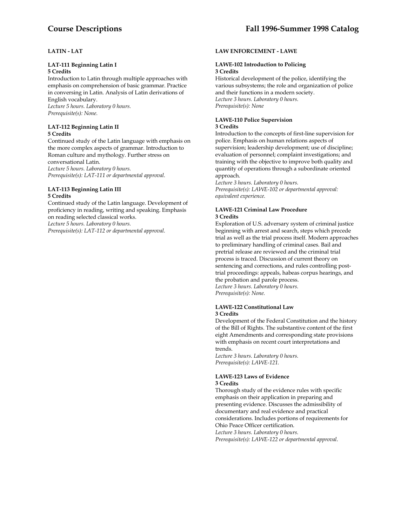# **LATIN - LAT**

# **LAT-111 Beginning Latin I**

# **5 Credits**

Introduction to Latin through multiple approaches with emphasis on comprehension of basic grammar. Practice in conversing in Latin. Analysis of Latin derivations of English vocabulary. *Lecture 5 hours. Laboratory 0 hours. Prerequisite(s): None.* 

#### **LAT-112 Beginning Latin II 5 Credits**

Continued study of the Latin language with emphasis on the more complex aspects of grammar. Introduction to Roman culture and mythology. Further stress on conversational Latin. *Lecture 5 hours. Laboratory 0 hours. Prerequisite(s): LAT-111 or departmental approval.* 

#### **LAT-113 Beginning Latin III 5 Credits**

Continued study of the Latin language. Development of proficiency in reading, writing and speaking. Emphasis on reading selected classical works. *Lecture 5 hours. Laboratory 0 hours. Prerequisite(s): LAT-112 or departmental approval.* 

# **LAW ENFORCEMENT - LAWE**

#### **LAWE-102 Introduction to Policing 3 Credits**

Historical development of the police, identifying the various subsystems; the role and organization of police and their functions in a modern society. *Lecture 3 hours. Laboratory 0 hours. Prerequisite(s): None* 

#### **LAWE-110 Police Supervision 3 Credits**

Introduction to the concepts of first-line supervision for police. Emphasis on human relations aspects of supervision; leadership development; use of discipline; evaluation of personnel; complaint investigations; and training with the objective to improve both quality and quantity of operations through a subordinate oriented approach.

*Lecture 3 hours. Laboratory 0 hours. Prerequisite(s): LAWE-102 or departmental approval: equivalent experience.* 

#### **LAWE-121 Criminal Law Procedure 3 Credits**

Exploration of U.S. adversary system of criminal justice beginning with arrest and search, steps which precede trial as well as the trial process itself. Modern approaches to preliminary handling of criminal cases. Bail and pretrial release are reviewed and the criminal trial process is traced. Discussion of current theory on sentencing and corrections, and rules controlling posttrial proceedings: appeals, habeas corpus hearings, and the probation and parole process. *Lecture 3 hours. Laboratory 0 hours.* 

*Prerequisite(s): None.* 

#### **LAWE-122 Constitutional Law 3 Credits**

Development of the Federal Constitution and the history of the Bill of Rights. The substantive content of the first eight Amendments and corresponding state provisions with emphasis on recent court interpretations and trends.

*Lecture 3 hours. Laboratory 0 hours. Prerequisite(s): LAWE-121.* 

#### **LAWE-123 Laws of Evidence 3 Credits**

Thorough study of the evidence rules with specific emphasis on their application in preparing and presenting evidence. Discusses the admissibility of documentary and real evidence and practical considerations. Includes portions of requirements for Ohio Peace Officer certification. *Lecture 3 hours. Laboratory 0 hours. Prerequisite(s): LAWE-122 or departmental approval*.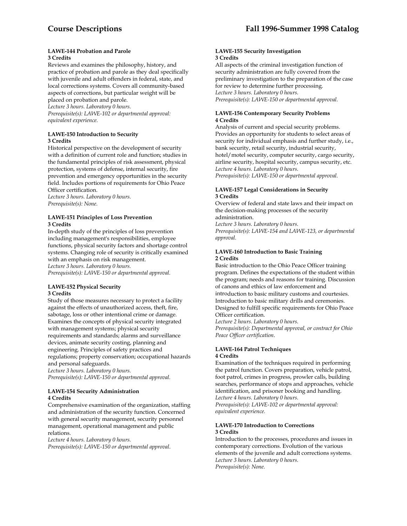#### **LAWE-144 Probation and Parole 3 Credits**

Reviews and examines the philosophy, history, and practice of probation and parole as they deal specifically with juvenile and adult offenders in federal, state, and local corrections systems. Covers all community-based aspects of corrections, but particular weight will be placed on probation and parole.

*Lecture 3 hours. Laboratory 0 hours.* 

*Prerequisite(s): LAWE-102 or departmental approval: equivalent experience.* 

# **LAWE-150 Introduction to Security 3 Credits**

Historical perspective on the development of security with a definition of current role and function; studies in the fundamental principles of risk assessment, physical protection, systems of defense, internal security, fire prevention and emergency opportunities in the security field. Includes portions of requirements for Ohio Peace Officer certification.

*Lecture 3 hours. Laboratory 0 hours. Prerequisite(s): None.* 

# **LAWE-151 Principles of Loss Prevention 3 Credits**

In-depth study of the principles of loss prevention including management's responsibilities, employee functions, physical security factors and shortage control systems. Changing role of security is critically examined with an emphasis on risk management. *Lecture 3 hours. Laboratory 0 hours.* 

*Prerequisite(s): LAWE-150 or departmental approval.* 

# **LAWE-152 Physical Security 3 Credits**

Study of those measures necessary to protect a facility against the effects of unauthorized access, theft, fire, sabotage, loss or other intentional crime or damage. Examines the concepts of physical security integrated with management systems; physical security requirements and standards; alarms and surveillance devices, animate security costing, planning and engineering. Principles of safety practices and regulations; property conservation; occupational hazards and personal safeguards.

*Lecture 3 hours. Laboratory 0 hours. Prerequisite(s): LAWE-150 or departmental approval.* 

# **LAWE-154 Security Administration 4 Credits**

Comprehensive examination of the organization, staffing and administration of the security function. Concerned with general security management, security personnel management, operational management and public relations.

*Lecture 4 hours. Laboratory 0 hours. Prerequisite(s): LAWE-150 or departmental approval*.

#### **LAWE-155 Security Investigation 3 Credits**

All aspects of the criminal investigation function of security administration are fully covered from the preliminary investigation to the preparation of the case for review to determine further processing. *Lecture 3 hours. Laboratory 0 hours. Prerequisite(s): LAWE-150 or departmental approval.* 

# **LAWE-156 Contemporary Security Problems 4 Credits**

Analysis of current and special security problems. Provides an opportunity for students to select areas of security for individual emphasis and further study, i.e., bank security, retail security, industrial security, hotel/motel security, computer security, cargo security, airline security, hospital security, campus security, etc. *Lecture 4 hours. Laboratory 0 hours. Prerequisite(s): LAWE-150 or departmental approval.* 

# **LAWE-157 Legal Considerations in Security 3 Credits**

Overview of federal and state laws and their impact on the decision-making processes of the security administration.

*Lecture 3 hours. Laboratory 0 hours. Prerequisite(s): LAWE-154 and LAWE-123, or departmental approval.* 

# **LAWE-160 Introduction to Basic Training 2 Credits**

Basic introduction to the Ohio Peace Officer training program. Defines the expectations of the student within the program; needs and reasons for training. Discussion of canons and ethics of law enforcement and introduction to basic military customs and courtesies. Introduction to basic military drills and ceremonies. Designed to fulfill specific requirements for Ohio Peace Officer certification.

*Lecture 2 hours. Laboratory 0 hours.* 

*Prerequisite(s): Departmental approval, or contract for Ohio Peace Officer certification*.

#### **LAWE-164 Patrol Techniques 4 Credits**

Examination of the techniques required in performing the patrol function. Covers preparation, vehicle patrol, foot patrol, crimes in progress, prowler calls, building searches, performance of stops and approaches, vehicle identification, and prisoner booking and handling. *Lecture 4 hours. Laboratory 0 hours.* 

*Prerequisite(s): LAWE-102 or departmental approval: equivalent experience.* 

# **LAWE-170 Introduction to Corrections 3 Credits**

Introduction to the processes, procedures and issues in contemporary corrections. Evolution of the various elements of the juvenile and adult corrections systems. *Lecture 3 hours. Laboratory 0 hours. Prerequisite(s): None.*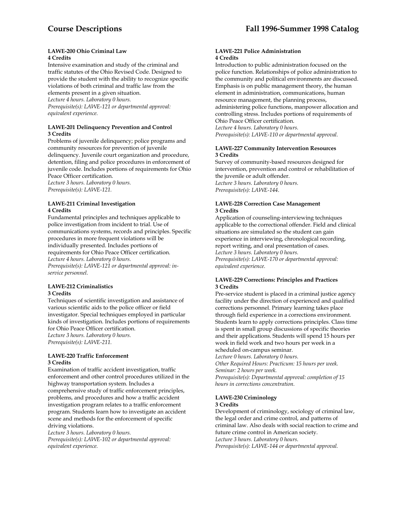#### **LAWE-200 Ohio Criminal Law 4 Credits**

Intensive examination and study of the criminal and traffic statutes of the Ohio Revised Code. Designed to provide the student with the ability to recognize specific violations of both criminal and traffic law from the

elements present in a given situation. *Lecture 4 hours. Laboratory 0 hours. Prerequisite(s): LAWE-121 or departmental approval: equivalent experience.* 

#### **LAWE-201 Delinquency Prevention and Control 3 Credits**

Problems of juvenile delinquency; police programs and community resources for prevention of juvenile delinquency. Juvenile court organization and procedure, detention, filing and police procedures in enforcement of juvenile code. Includes portions of requirements for Ohio Peace Officer certification.

*Lecture 3 hours. Laboratory 0 hours. Prerequisite(s): LAWE-121.* 

## **LAWE-211 Criminal Investigation 4 Credits**

Fundamental principles and techniques applicable to police investigation from incident to trial. Use of communications systems, records and principles. Specific procedures in more frequent violations will be individually presented. Includes portions of requirements for Ohio Peace Officer certification. *Lecture 4 hours. Laboratory 0 hours. Prerequisite(s): LAWE-121 or departmental approval: inservice personnel.* 

#### **LAWE-212 Criminalistics 3 Credits**

Techniques of scientific investigation and assistance of various scientific aids to the police officer or field investigator. Special techniques employed in particular kinds of investigation. Includes portions of requirements for Ohio Peace Officer certification. *Lecture 3 hours. Laboratory 0 hours. Prerequisite(s): LAWE-211.* 

#### **LAWE-220 Traffic Enforcement 3 Credits**

Examination of traffic accident investigation, traffic enforcement and other control procedures utilized in the highway transportation system. Includes a comprehensive study of traffic enforcement principles, problems, and procedures and how a traffic accident investigation program relates to a traffic enforcement program. Students learn how to investigate an accident scene and methods for the enforcement of specific driving violations.

*Lecture 3 hours. Laboratory 0 hours.* 

*Prerequisite(s): LAWE-102 or departmental approval: equivalent experience.* 

#### **LAWE-221 Police Administration 4 Credits**

Introduction to public administration focused on the police function. Relationships of police administration to the community and political environments are discussed. Emphasis is on public management theory, the human element in administration, communications, human resource management, the planning process, administering police functions, manpower allocation and controlling stress. Includes portions of requirements of Ohio Peace Officer certification. *Lecture 4 hours. Laboratory 0 hours. Prerequisite(s): LAWE-110 or departmental approval.* 

#### **LAWE-227 Community Intervention Resources 3 Credits**

Survey of community-based resources designed for intervention, prevention and control or rehabilitation of the juvenile or adult offender. *Lecture 3 hours. Laboratory 0 hours. Prerequisite(s): LAWE-144*.

# **LAWE-228 Correction Case Management 3 Credits**

Application of counseling-interviewing techniques applicable to the correctional offender. Field and clinical situations are simulated so the student can gain experience in interviewing, chronological recording, report writing, and oral presentation of cases. *Lecture 3 hours. Laboratory 0 hours. Prerequisite(s): LAWE-170 or departmental approval: equivalent experience.* 

# **LAWE-229 Corrections: Principles and Practices 3 Credits**

Pre-service student is placed in a criminal justice agency facility under the direction of experienced and qualified corrections personnel. Primary learning takes place through field experience in a corrections environment. Students learn to apply corrections principles. Class time is spent in small group discussions of specific theories and their applications. Students will spend 15 hours per week in field work and two hours per week in a scheduled on-campus seminar.

*Lecture 0 hours. Laboratory 0 hours.* 

*Other Required Hours: Practicum: 15 hours per week. Seminar: 2 hours per week. Prerequisite(s): Departmental approval: completion of 15 hours in corrections concentration.* 

# **LAWE-230 Criminology**

#### **3 Credits**

Development of criminology, sociology of criminal law, the legal order and crime control, and patterns of criminal law. Also deals with social reaction to crime and future crime control in American society. *Lecture 3 hours. Laboratory 0 hours. Prerequisite(s): LAWE-144 or departmental approval.*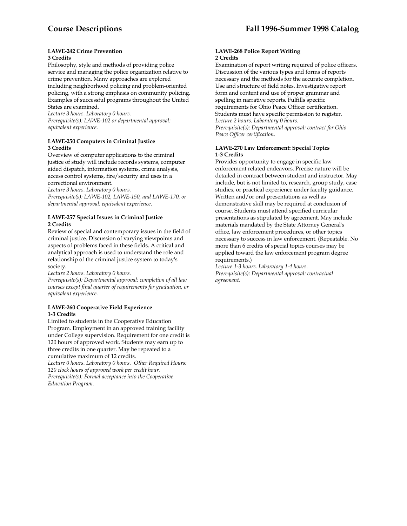#### **LAWE-242 Crime Prevention 3 Credits**

Philosophy, style and methods of providing police service and managing the police organization relative to crime prevention. Many approaches are explored including neighborhood policing and problem-oriented policing, with a strong emphasis on community policing. Examples of successful programs throughout the United States are examined.

*Lecture 3 hours. Laboratory 0 hours. Prerequisite(s): LAWE-102 or departmental approval: equivalent experience.* 

# **LAWE-250 Computers in Criminal Justice 3 Credits**

Overview of computer applications to the criminal justice of study will include records systems, computer aided dispatch, information systems, crime analysis, access control systems, fire/security and uses in a correctional environment.

*Lecture 3 hours. Laboratory 0 hours.* 

*Prerequisite(s): LAWE-102, LAWE-150, and LAWE-170, or departmental approval: equivalent experience*.

#### **LAWE-257 Special Issues in Criminal Justice 2 Credits**

Review of special and contemporary issues in the field of criminal justice. Discussion of varying viewpoints and aspects of problems faced in these fields. A critical and analytical approach is used to understand the role and relationship of the criminal justice system to today's society.

*Lecture 2 hours. Laboratory 0 hours.* 

*Prerequisite(s): Departmental approval: completion of all law courses except final quarter of requirements for graduation, or equivalent experience.* 

# **LAWE-260 Cooperative Field Experience 1-3 Credits**

Limited to students in the Cooperative Education Program. Employment in an approved training facility under College supervision. Requirement for one credit is 120 hours of approved work. Students may earn up to three credits in one quarter. May be repeated to a cumulative maximum of 12 credits.

*Lecture 0 hours. Laboratory 0 hours. Other Required Hours: 120 clock hours of approved work per credit hour. Prerequisite(s): Formal acceptance into the Cooperative Education Program.* 

#### **LAWE-268 Police Report Writing 2 Credits**

Examination of report writing required of police officers. Discussion of the various types and forms of reports necessary and the methods for the accurate completion. Use and structure of field notes. Investigative report form and content and use of proper grammar and spelling in narrative reports. Fulfills specific requirements for Ohio Peace Officer certification. Students must have specific permission to register. *Lecture 2 hours. Laboratory 0 hours. Prerequisite(s): Departmental approval: contract for Ohio Peace Officer certification.* 

# **LAWE-270 Law Enforcement: Special Topics 1-3 Credits**

Provides opportunity to engage in specific law enforcement related endeavors. Precise nature will be detailed in contract between student and instructor. May include, but is not limited to, research, group study, case studies, or practical experience under faculty guidance. Written and/or oral presentations as well as demonstrative skill may be required at conclusion of course. Students must attend specified curricular presentations as stipulated by agreement. May include materials mandated by the State Attorney General's office, law enforcement procedures, or other topics necessary to success in law enforcement. (Repeatable. No more than 6 credits of special topics courses may be applied toward the law enforcement program degree requirements.)

*Lecture 1-3 hours. Laboratory 1-4 hours. Prerequisite(s): Departmental approval: contractual agreement.*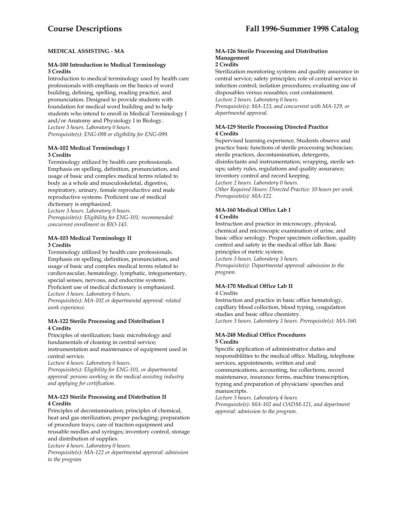# **MEDICAL ASSISTING - MA**

# **MA-100 Introduction to Medical Terminology 3 Credits**

Introduction to medical terminology used by health care professionals with emphasis on the basics of word building, defining, spelling, reading practice, and pronunciation. Designed to provide students with foundation for medical word building and to help students who intend to enroll in Medical Terminology I and/or Anatomy and Physiology I in Biology. *Lecture 3 hours. Laboratory 0 hours. Prerequisite(s): ENG-098 or eligibility for ENG-099.* 

# **MA-102 Medical Terminology I 3 Credits**

Terminology utilized by health care professionals. Emphasis on spelling, definition, pronunciation, and usage of basic and complex medical terms related to body as a whole and musculoskeletal, digestive, respiratory, urinary, female reproductive and male reproductive systems. Proficient use of medical dictionary is emphasized.

*Lecture 3 hours. Laboratory 0 hours. Prerequisite(s): Eligibility for ENG-101; recommended: concurrent enrollment in BIO-143.* 

# **MA-103 Medical Terminology II 3 Credits**

Terminology utilized by health care professionals. Emphasis on spelling, definition, pronunciation, and usage of basic and complex medical terms related to cardiovascular, hematology, lymphatic, integumentary, special senses, nervous, and endocrine systems. Proficient use of medical dictionary is emphasized. *Lecture 3 hours. Laboratory 0 hours. Prerequisite(s): MA-102 or departmental approval: related work experience.* 

# **MA-122 Sterile Processing and Distribution I 4 Credits**

Principles of sterilization; basic microbiology and fundamentals of cleaning in central service; instrumentation and maintenance of equipment used in central service.

*Lecture 4 hours. Laboratory 0 hours.* 

*Prerequisite(s): Eligibility for ENG-101, or departmental approval: persons working in the medical assisting industry and applying for certification.* 

# **MA-123 Sterile Processing and Distribution II 4 Credits**

Principles of decontamination; principles of chemical, heat and gas sterilization; proper packaging; preparation of procedure trays; care of traction equipment and reusable needles and syringes; inventory control, storage and distribution of supplies.

*Lecture 4 hours. Laboratory 0 hours.* 

*Prerequisite(s): MA-122 or departmental approval: admission to the program* 

# **MA-126 Sterile Processing and Distribution Management**

# **2 Credits**

Sterilization monitoring systems and quality assurance in central service; safety principles; role of central service in infection control; isolation procedures; evaluating use of disposables versus reusables; cost containment. *Lecture 2 hours. Laboratory 0 hours. Prerequisite(s): MA-123, and concurrent with MA-129, or departmental approval.* 

# **MA-129 Sterile Processing Directed Practice 4 Credits**

Supervised learning experience. Students observe and practice basic functions of sterile processing technician; sterile practices, decontamination, detergents, disinfectants and instrumentation; wrapping, sterile setups; safety rules, regulations and quality assurance; inventory control and record keeping. *Lecture 2 hours. Laboratory 0 hours. Other Required Hours: Directed Practice: 10 hours per week. Prerequisite(s): MA-122.* 

# **MA-160 Medical Office Lab I 4 Credits**

Instruction and practice in microscopy, physical, chemical and microscopic examination of urine, and basic office serology. Proper specimen collection, quality control and safety in the medical office lab. Basic principles of metric system.

*Lecture 3 hours. Laboratory 3 hours.* 

*Prerequisite(s): Departmental approval: admission to the program.* 

# **MA-170 Medical Office Lab II**

4 Credits

Instruction and practice in basic office hematology, capillary blood collection, blood typing, coagulation studies and basic office chemistry. *Lecture 3 hours. Laboratory 3 hours. Prerequisite(s): MA-160.* 

# **MA-248 Medical Office Procedures 5 Credits**

Specific application of administrative duties and responsibilities to the medical office. Mailing, telephone services, appointments, written and oral communications, accounting, fee collections, record maintenance, insurance forms, machine transcription, typing and preparation of physicians' speeches and manuscripts.

*Lecture 3 hours. Laboratory 4 hours. Prerequisite(s): MA-102 and OADM-121, and department approval: admission to the program.*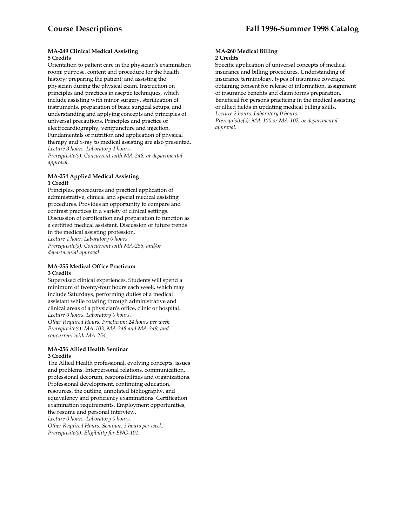#### **MA-249 Clinical Medical Assisting 5 Credits**

Orientation to patient care in the physician's examination room: purpose, content and procedure for the health history; preparing the patient; and assisting the physician during the physical exam. Instruction on principles and practices in aseptic techniques, which include assisting with minor surgery, sterilization of instruments, preparation of basic surgical setups, and understanding and applying concepts and principles of universal precautions. Principles and practice of electrocardiography, venipuncture and injection. Fundamentals of nutrition and application of physical therapy and x-ray to medical assisting are also presented. *Lecture 3 hours. Laboratory 4 hours.* 

*Prerequisite(s): Concurrent with MA-248, or departmental approval.* 

#### **MA-254 Applied Medical Assisting 1 Credit**

Principles, procedures and practical application of administrative, clinical and special medical assisting procedures. Provides an opportunity to compare and contrast practices in a variety of clinical settings. Discussion of certification and preparation to function as a certified medical assistant. Discussion of future trends in the medical assisting profession. *Lecture 1 hour. Laboratory 0 hours. Prerequisite(s): Concurrent with MA-255, and/or departmental approval.* 

# **MA-255 Medical Office Practicum 3 Credits**

Supervised clinical experiences. Students will spend a minimum of twenty-four hours each week, which may include Saturdays, performing duties of a medical assistant while rotating through administrative and clinical areas of a physician's office, clinic or hospital. *Lecture 0 hours. Laboratory 0 hours. Other Required Hours: Practicum: 24 hours per week.* 

*Prerequisite(s): MA-103, MA-248 and MA-249; and concurrent with MA-254.* 

#### **MA-256 Allied Health Seminar 3 Credits**

The Allied Health professional, evolving concepts, issues and problems. Interpersonal relations, communication, professional decorum, responsibilities and organizations. Professional development, continuing education, resources, the outline, annotated bibliography, and equivalency and proficiency examinations. Certification examination requirements. Employment opportunities, the resume and personal interview. *Lecture 0 hours. Laboratory 0 hours. Other Required Hours: Seminar: 3 hours per week. Prerequisite(s): Eligibility for ENG-101*.

#### **MA-260 Medical Billing 2 Credits**

Specific application of universal concepts of medical insurance and billing procedures. Understanding of insurance terminology, types of insurance coverage, obtaining consent for release of information, assignment of insurance benefits and claim forms preparation. Beneficial for persons practicing in the medical assisting or allied fields in updating medical billing skills. *Lecture 2 hours. Laboratory 0 hours. Prerequisite(s): MA-100 or MA-102, or departmental approval.*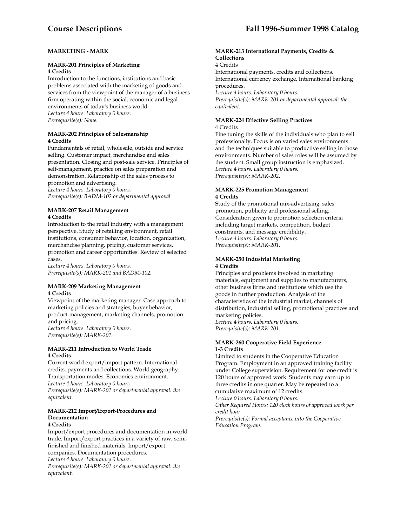# **MARKETING - MARK**

# **MARK-201 Principles of Marketing 4 Credits**

Introduction to the functions, institutions and basic problems associated with the marketing of goods and services from the viewpoint of the manager of a business firm operating within the social, economic and legal environments of today's business world. *Lecture 4 hours. Laboratory 0 hours. Prerequisite(s): None.* 

# **MARK-202 Principles of Salesmanship 4 Credits**

Fundamentals of retail, wholesale, outside and service selling. Customer impact, merchandise and sales presentation. Closing and post-sale service. Principles of self-management, practice on sales preparation and demonstration. Relationship of the sales process to promotion and advertising.

*Lecture 4 hours. Laboratory 0 hours. Prerequisite(s): BADM-102 or departmental approval.* 

# **MARK-207 Retail Management 4 Credits**

Introduction to the retail industry with a management perspective. Study of retailing environment, retail institutions, consumer behavior, location, organization, merchandise planning, pricing, customer services, promotion and career opportunities. Review of selected cases.

*Lecture 4 hours. Laboratory 0 hours. Prerequisite(s): MARK-201 and BADM-102.* 

# **MARK-209 Marketing Management 4 Credits**

Viewpoint of the marketing manager. Case approach to marketing policies and strategies, buyer behavior, product management, marketing channels, promotion and pricing. *Lecture 4 hours. Laboratory 0 hours. Prerequisite(s): MARK-201.* 

# **MARK-211 Introduction to World Trade 4 Credits**

Current world export/import pattern. International credits, payments and collections. World geography. Transportation modes. Economics environment. *Lecture 4 hours. Laboratory 0 hours. Prerequisite(s): MARK-201 or departmental approval: the equivalent.* 

# **MARK-212 Import/Export-Procedures and Documentation**

# **4 Credits**

Import/export procedures and documentation in world trade. Import/export practices in a variety of raw, semifinished and finished materials. Import/export companies. Documentation procedures. *Lecture 4 hours. Laboratory 0 hours. Prerequisite(s): MARK-201 or departmental approval: the equivalent.* 

## **MARK-213 International Payments, Credits & Collections**

4 Credits

International payments, credits and collections. International currency exchange. International banking procedures. *Lecture 4 hours. Laboratory 0 hours. Prerequisite(s): MARK-201 or departmental approval: the equivalent*.

#### **MARK-224 Effective Selling Practices**  4 Credits

Fine tuning the skills of the individuals who plan to sell professionally. Focus is on varied sales environments and the techniques suitable to productive selling in those environments. Number of sales roles will be assumed by the student. Small group instruction is emphasized. *Lecture 4 hours. Laboratory 0 hours. Prerequisite(s): MARK-202*.

#### **MARK-225 Promotion Management 4 Credits**

Study of the promotional mix-advertising, sales promotion, publicity and professional selling. Consideration given to promotion selection criteria including target markets, competition, budget constraints, and message credibility. *Lecture 4 hours. Laboratory 0 hours. Prerequisite(s): MARK-201.* 

# **MARK-250 Industrial Marketing 4 Credits**

Principles and problems involved in marketing materials, equipment and supplies to manufacturers, other business firms and institutions which use the goods in further production. Analysis of the characteristics of the industrial market, channels of distribution, industrial selling, promotional practices and marketing policies.

*Lecture 4 hours. Laboratory 0 hours. Prerequisite(s): MARK-201.* 

# **MARK-260 Cooperative Field Experience 1-3 Credits**

Limited to students in the Cooperative Education Program. Employment in an approved training facility under College supervision. Requirement for one credit is 120 hours of approved work. Students may earn up to three credits in one quarter. May be repeated to a cumulative maximum of 12 credits.

*Lecture 0 hours. Laboratory 0 hours.* 

*Other Required Hours: 120 clock hours of approved work per credit hour.* 

*Prerequisite(s): Formal acceptance into the Cooperative Education Program.*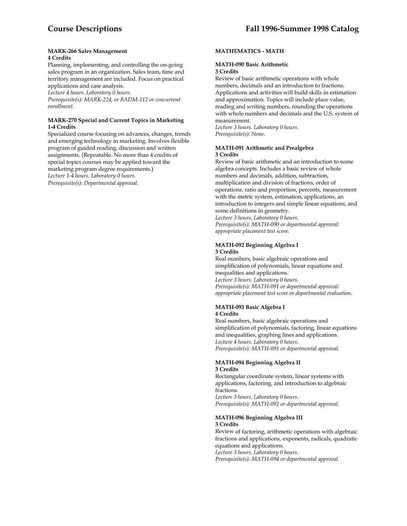#### **MARK-266 Sales Management 4 Credits**

Planning, implementing, and controlling the on-going sales program in an organization. Sales team, time and territory management are included. Focus on practical applications and case analysis.

*Lecture 4 hours. Laboratory 0 hours.* 

*Prerequisite(s): MARK-224, or BADM-112 or concurrent enrollment.* 

# **MARK-270 Special and Current Topics in Marketing 1-4 Credits**

Specialized course focusing on advances, changes, trends and emerging technology in marketing. Involves flexible program of guided reading, discussion and written assignments. (Repeatable. No more than 4 credits of special topics courses may be applied toward the marketing program degree requirements.) *Lecture 1-4 hours. Laboratory 0 hours. Prerequisite(s): Departmental approval*.

# **MATHEMATICS - MATH**

# **MATH-090 Basic Arithmetic 3 Credits**

Review of basic arithmetic operations with whole numbers, decimals and an introduction to fractions. Applications and activities will build skills in estimation and approximation. Topics will include place value, reading and writing numbers, rounding the operations with whole numbers and decimals and the U.S. system of measurement.

*Lecture 3 hours. Laboratory 0 hours. Prerequisite(s): None.* 

#### **MATH-091 Arithmetic and Prealgebra 3 Credits**

Review of basic arithmetic and an introduction to some algebra concepts. Includes a basic review of whole numbers and decimals, addition, subtraction, multiplication and division of fractions, order of operations, ratio and proportion, percents, measurement with the metric system, estimation, applications, an introduction to integers and simple linear equations, and some definitions in geometry.

*Lecture 3 hours. Laboratory 0 hours. Prerequisite(s): MATH-090 or departmental approval: appropriate placement test score.* 

# **MATH-092 Beginning Algebra I 3 Credits**

Real numbers, basic algebraic operations and simplification of polynomials, linear equations and inequalities and applications. *Lecture 3 hours. Laboratory 0 hours. Prerequisite(s): MATH-091 or departmental approval: appropriate placement test score or departmental evaluation.* 

# **MATH-093 Basic Algebra I 4 Credits**

Real numbers, basic algebraic operations and simplification of polynomials, factoring, linear equations and inequalities, graphing lines and applications. *Lecture 4 hours. Laboratory 0 hours. Prerequisite(s): MATH-091 or departmental approval.* 

# **MATH-094 Beginning Algebra II 3 Credits**

Rectangular coordinate system, linear systems with applications, factoring, and introduction to algebraic fractions.

*Lecture 3 hours. Laboratory 0 hours. Prerequisite(s): MATH-092 or departmental approval.* 

# **MATH-096 Beginning Algebra III**

# **3 Credits**

Review of factoring, arithmetic operations with algebraic fractions and applications, exponents, radicals, quadratic equations and applications.

*Lecture 3 hours. Laboratory 0 hours.* 

*Prerequisite(s): MATH-094 or departmental approval.*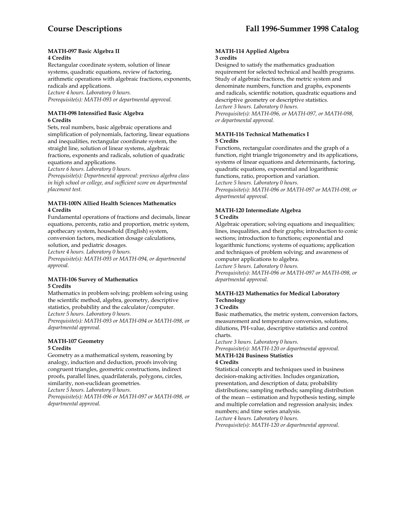#### **MATH-097 Basic Algebra II 4 Credits**

Rectangular coordinate system, solution of linear systems, quadratic equations, review of factoring, arithmetic operations with algebraic fractions, exponents, radicals and applications. *Lecture 4 hours. Laboratory 0 hours. Prerequisite(s): MATH-093 or departmental approval.* 

## **MATH-098 Intensified Basic Algebra 6 Credits**

Sets, real numbers, basic algebraic operations and simplification of polynomials, factoring, linear equations and inequalities, rectangular coordinate system, the straight line, solution of linear systems, algebraic fractions, exponents and radicals, solution of quadratic equations and applications.

*Lecture 6 hours. Laboratory 0 hours.* 

*Prerequisite(s): Departmental approval: previous algebra class in high school or college, and sufficient score on departmental placement test.* 

#### **MATH-100N Allied Health Sciences Mathematics 4 Credits**

Fundamental operations of fractions and decimals, linear equations, percents, ratio and proportion, metric system, apothecary system, household (English) system, conversion factors, medication dosage calculations, solution, and pediatric dosages.

*Lecture 4 hours. Laboratory 0 hours.* 

*Prerequisite(s): MATH-093 or MATH-094, or departmental approval.* 

## **MATH-106 Survey of Mathematics 5 Credits**

Mathematics in problem solving; problem solving using the scientific method, algebra, geometry, descriptive statistics, probability and the calculator/computer. *Lecture 5 hours. Laboratory 0 hours.* 

*Prerequisite(s): MATH-093 or MATH-094 or MATH-098, or departmental approval.* 

#### **MATH-107 Geometry 5 Credits**

Geometry as a mathematical system, reasoning by analogy, induction and deduction, proofs involving congruent triangles, geometric constructions, indirect proofs, parallel lines, quadrilaterals, polygons, circles, similarity, non-euclidean geometries.

*Lecture 5 hours. Laboratory 0 hours.* 

*Prerequisite(s): MATH-096 or MATH-097 or MATH-098, or departmental approval.* 

#### **MATH-114 Applied Algebra 3 credits**

Designed to satisfy the mathematics graduation requirement for selected technical and health programs. Study of algebraic fractions, the metric system and denominate numbers, function and graphs, exponents and radicals, scientific notation, quadratic equations and descriptive geometry or descriptive statistics. *Lecture 3 hours. Laboratory 0 hours.* 

*Prerequisite(s): MATH-096, or MATH-097, or MATH-098, or departmental approval.* 

# **MATH-116 Technical Mathematics I 5 Credits**

Functions, rectangular coordinates and the graph of a function, right triangle trigonometry and its applications, systems of linear equations and determinants, factoring, quadratic equations, exponential and logarithmic functions, ratio, proportion and variation. *Lecture 5 hours. Laboratory 0 hours.* 

*Prerequisite(s): MATH-096 or MATH-097 or MATH-098, or departmental approval.* 

#### **MATH-120 Intermediate Algebra 5 Credits**

Algebraic operation; solving equations and inequalities; lines, inequalities, and their graphs; introduction to conic sections; introduction to functions; exponential and logarithmic functions; systems of equations; application and techniques of problem solving; and awareness of computer applications to algebra. *Lecture 5 hours. Laboratory 0 hours.* 

*Prerequisite(s): MATH-096 or MATH-097 or MATH-098, or departmental approval.* 

# **MATH-123 Mathematics for Medical Laboratory Technology**

#### **3 Credits**

Basic mathematics, the metric system, conversion factors, measurement and temperature conversion, solutions, dilutions, PH-value, descriptive statistics and control charts.

*Lecture 3 hours. Laboratory 0 hours.* 

*Prerequisite(s): MATH-120 or departmental approval.*  **MATH-124 Business Statistics** 

#### **4 Credits**

Statistical concepts and techniques used in business decision-making activities. Includes organization, presentation, and description of data; probability distributions; sampling methods; sampling distribution of the mean -- estimation and hypothesis testing, simple and multiple correlation and regression analysis; index numbers; and time series analysis.

*Lecture 4 hours. Laboratory 0 hours.* 

*Prerequisite(s): MATH-120 or departmental approval.*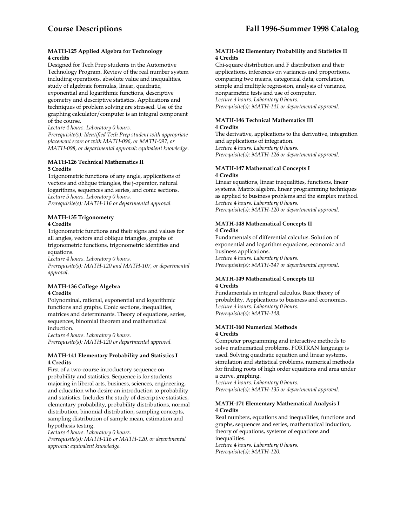# **MATH-125 Applied Algebra for Technology 4 credits**

Designed for Tech Prep students in the Automotive Technology Program. Review of the real number system including operations, absolute value and inequalities, study of algebraic formulas, linear, quadratic, exponential and logarithmic functions, descriptive geometry and descriptive statistics. Applications and techniques of problem solving are stressed. Use of the graphing calculator/computer is an integral component of the course.

*Lecture 4 hours. Laboratory 0 hours.* 

*Prerequisite(s): Identified Tech Prep student with appropriate placement score or with MATH-096, or MATH-097, or MATH-098, or departmental approval: equivalent knowledge.* 

# **MATH-126 Technical Mathematics II 5 Credits**

Trigonometric functions of any angle, applications of vectors and oblique triangles, the j-operator, natural logarithms, sequences and series, and conic sections. *Lecture 5 hours. Laboratory 0 hours. Prerequisite(s): MATH-116 or departmental approval.* 

**MATH-135 Trigonometry 4 Credits** 

Trigonometric functions and their signs and values for all angles, vectors and oblique triangles, graphs of trigonometric functions, trigonometric identities and equations.

*Lecture 4 hours. Laboratory 0 hours.* 

*Prerequisite(s): MATH-120 and MATH-107, or departmental approval.* 

# **MATH-136 College Algebra 4 Credits**

Polynominal, rational, exponential and logarithmic functions and graphs. Conic sections, inequalities, matrices and determinants. Theory of equations, series, sequences, binomial theorem and mathematical induction.

*Lecture 4 hours. Laboratory 0 hours. Prerequisite(s): MATH-120 or departmental approval.* 

# **MATH-141 Elementary Probability and Statistics I 4 Credits**

First of a two-course introductory sequence on probability and statistics. Sequence is for students majoring in liberal arts, business, sciences, engineering, and education who desire an introduction to probability and statistics. Includes the study of descriptive statistics, elementary probability, probability distributions, normal distribution, binomial distribution, sampling concepts, sampling distribution of sample mean, estimation and hypothesis testing.

*Lecture 4 hours. Laboratory 0 hours.* 

*Prerequisite(s): MATH-116 or MATH-120, or departmental approval: equivalent knowledge.* 

## **MATH-142 Elementary Probability and Statistics II 4 Credits**

Chi-square distribution and F distribution and their applications, inferences on variances and proportions, comparing two means, categorical data; correlation, simple and multiple regression, analysis of variance, nonparmetric tests and use of computer. *Lecture 4 hours. Laboratory 0 hours. Prerequisite(s): MATH-141 or departmental approval.* 

## **MATH-146 Technical Mathematics III 4 Credits**

The derivative, applications to the derivative, integration and applications of integration. *Lecture 4 hours. Laboratory 0 hours. Prerequisite(s): MATH-126 or departmental approval.* 

# **MATH-147 Mathematical Concepts I 4 Credits**

Linear equations, linear inequalities, functions, linear systems. Matrix algebra, linear programming techniques as applied to business problems and the simplex method. *Lecture 4 hours. Laboratory 0 hours. Prerequisite(s): MATH-120 or departmental approval.* 

#### **MATH-148 Mathematical Concepts II 4 Credits**

Fundamentals of differential calculus. Solution of exponential and logarithm equations, economic and business applications. *Lecture 4 hours. Laboratory 0 hours. Prerequisite(s): MATH-147 or departmental approval.* 

# **MATH-149 Mathematical Concepts III 4 Credits**

Fundamentals in integral calculus. Basic theory of probability. Applications to business and economics. *Lecture 4 hours. Laboratory 0 hours. Prerequisite(s): MATH-148.* 

#### **MATH-160 Numerical Methods 4 Credits**

Computer programming and interactive methods to solve mathematical problems. FORTRAN language is used. Solving quadratic equation and linear systems, simulation and statistical problems, numerical methods for finding roots of high order equations and area under a curve, graphing.

*Lecture 4 hours. Laboratory 0 hours. Prerequisite(s): MATH-135 or departmental approval.* 

#### **MATH-171 Elementary Mathematical Analysis I 4 Credits**

Real numbers, equations and inequalities, functions and graphs, sequences and series, mathematical induction, theory of equations, systems of equations and inequalities. *Lecture 4 hours. Laboratory 0 hours. Prerequisite(s): MATH-120.*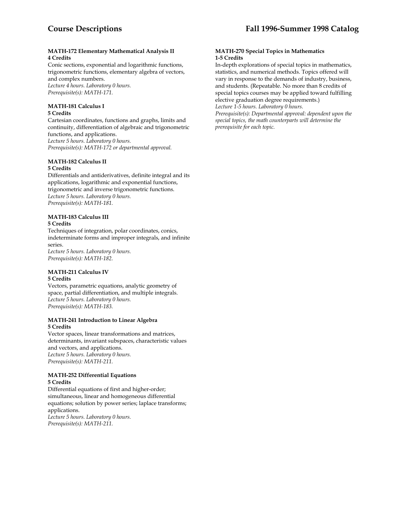## **MATH-172 Elementary Mathematical Analysis II 4 Credits**

Conic sections, exponential and logarithmic functions, trigonometric functions, elementary algebra of vectors, and complex numbers. *Lecture 4 hours. Laboratory 0 hours. Prerequisite(s): MATH-171.* 

#### **MATH-181 Calculus I 5 Credits**

Cartesian coordinates, functions and graphs, limits and continuity, differentiation of algebraic and trigonometric functions, and applications. *Lecture 5 hours. Laboratory 0 hours. Prerequisite(s): MATH-172 or departmental approval.* 

#### **MATH-182 Calculus II 5 Credits**

Differentials and antiderivatives, definite integral and its applications, logarithmic and exponential functions, trigonometric and inverse trigonometric functions. *Lecture 5 hours. Laboratory 0 hours. Prerequisite(s): MATH-181.* 

# **MATH-183 Calculus III**

# **5 Credits**

Techniques of integration, polar coordinates, conics, indeterminate forms and improper integrals, and infinite series. *Lecture 5 hours. Laboratory 0 hours.* 

*Prerequisite(s): MATH-182.* 

#### **MATH-211 Calculus IV 5 Credits**

Vectors, parametric equations, analytic geometry of space, partial differentiation, and multiple integrals. *Lecture 5 hours. Laboratory 0 hours. Prerequisite(s): MATH-183.* 

## **MATH-241 Introduction to Linear Algebra 5 Credits**

Vector spaces, linear transformations and matrices, determinants, invariant subspaces, characteristic values and vectors, and applications. *Lecture 5 hours. Laboratory 0 hours. Prerequisite(s): MATH-211.* 

# **MATH-252 Differential Equations 5 Credits**

Differential equations of first and higher-order; simultaneous, linear and homogeneous differential equations; solution by power series; laplace transforms; applications. *Lecture 5 hours. Laboratory 0 hours. Prerequisite(s): MATH-211.* 

# **MATH-270 Special Topics in Mathematics 1-5 Credits**

In-depth explorations of special topics in mathematics, statistics, and numerical methods. Topics offered will vary in response to the demands of industry, business, and students. (Repeatable. No more than 8 credits of special topics courses may be applied toward fulfilling elective graduation degree requirements.) *Lecture 1-5 hours. Laboratory 0 hours.* 

*Prerequisite(s): Departmental approval: dependent upon the special topics, the math counterparts will determine the prerequisite for each topic.*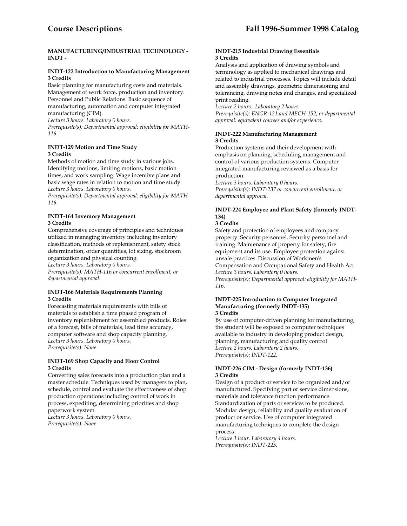#### **MANUFACTURING/INDUSTRIAL TECHNOLOGY - INDT -**

#### **INDT-122 Introduction to Manufacturing Management 3 Credits**

Basic planning for manufacturing costs and materials. Management of work force, production and inventory. Personnel and Public Relations. Basic sequence of manufacturing, automation and computer integrated manufacturing (CIM).

*Lecture 3 hours. Laboratory 0 hours. Prerequisite(s): Departmental approval: eligibility for MATH-116.* 

# **INDT-129 Motion and Time Study 3 Credits**

Methods of motion and time study in various jobs. Identifying motions, limiting motions, basic motion times, and work sampling. Wage incentive plans and basic wage rates in relation to motion and time study*. Lecture 3 hours. Laboratory 0 hours.* 

*Prerequisite(s): Departmental approval: eligibility for MATH-116.* 

# **INDT-164 Inventory Management 3 Credits**

Comprehensive coverage of principles and techniques utilized in managing inventory including inventory classification, methods of replenishment, safety stock determination, order quantities, lot sizing, stockroom organization and physical counting.

*Lecture 3 hours. Laboratory 0 hours. Prerequisite(s): MATH-116 or concurrent enrollment, or departmental approval.* 

#### **INDT-166 Materials Requirements Planning 3 Credits**

Forecasting materials requirements with bills of materials to establish a time phased program of inventory replenishment for assembled products. Roles of a forecast, bills of materials, lead time accuracy, computer software and shop capacity planning. *Lecture 3 hours. Laboratory 0 hours. Prerequisite(s): None* 

# **INDT-169 Shop Capacity and Floor Control 3 Credits**

Converting sales forecasts into a production plan and a master schedule. Techniques used by managers to plan, schedule, control and evaluate the effectiveness of shop production operations including control of work in process, expediting, determining priorities and shop paperwork system.

*Lecture 3 hours. Laboratory 0 hours. Prerequisite(s): None* 

# **INDT-215 Industrial Drawing Essentials 3 Credits**

Analysis and application of drawing symbols and terminology as applied to mechanical drawings and related to industrial processes. Topics will include detail and assembly drawings, geometric dimensioning and tolerancing, drawing notes and changes, and specialized print reading.

*Lecture 2 hours.. Laboratory 2 hours. Prerequisite(s): ENGR-121 and MECH-152, or departmental approval: equivalent courses and/or experience.* 

# **INDT-222 Manufacturing Management 3 Credits**

Production systems and their development with emphasis on planning, scheduling management and control of various production systems. Computer integrated manufacturing reviewed as a basis for production.

*Lecture 3 hours. Laboratory 0 hours. Prerequisite(s): INDT-237 or concurrent enrollment, or departmental approval.* 

# **INDT-224 Employee and Plant Safety (formerly INDT-134)**

# **3 Credits**

Safety and protection of employees and company property. Security personnel. Security personnel and training. Maintenance of property for safety, fire equipment and its use. Employee protection against unsafe practices. Discussion of Workmen's Compensation and Occupational Safety and Health Act *Lecture 3 hours. Laboratory 0 hours. Prerequisite(s): Departmental approval: eligibility for MATH-116.* 

#### **INDT-225 Introduction to Computer Integrated Manufacturing (formerly INDT-135) 3 Credits**

By use of computer-driven planning for manufacturing, the student will be exposed to computer techniques available to industry in developing product design, planning, manufacturing and quality control *Lecture 2 hours. Laboratory 2 hours. Prerequisite(s): INDT-122.* 

# **INDT-226 CIM - Design (formerly INDT-136) 3 Credits**

Design of a product or service to be organized and/or manufactured. Specifying part or service dimensions, materials and tolerance function performance. Standardization of parts or services to be produced. Modular design, reliability and quality evaluation of product or service. Use of computer integrated manufacturing techniques to complete the design process

*Lecture 1 hour. Laboratory 4 hours. Prerequisite(s): INDT-225.*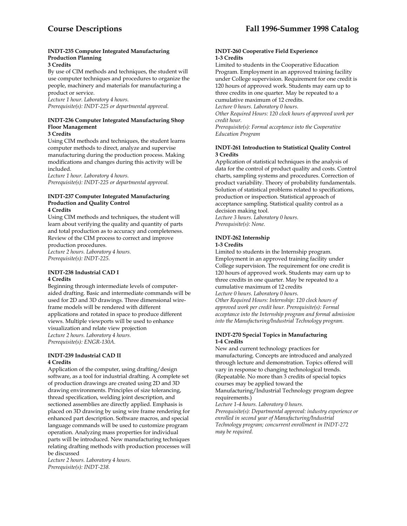# **INDT-235 Computer Integrated Manufacturing Production Planning**

# **3 Credits**

By use of CIM methods and techniques, the student will use computer techniques and procedures to organize the people, machinery and materials for manufacturing a product or service.

*Lecture 1 hour. Laboratory 4 hours. Prerequisite(s): INDT-225 or departmental approval.* 

# **INDT-236 Computer Integrated Manufacturing Shop Floor Management**

# **3 Credits**

Using CIM methods and techniques, the student learns computer methods to direct, analyze and supervise manufacturing during the production process. Making modifications and changes during this activity will be included.

*Lecture 1 hour. Laboratory 4 hours. Prerequisite(s): INDT-225 or departmental approval.* 

#### **INDT-237 Computer Integrated Manufacturing Production and Quality Control 4 Credits**

Using CIM methods and techniques, the student will learn about verifying the quality and quantity of parts and total production as to accuracy and completeness. Review of the CIM process to correct and improve production procedures. *Lecture 2 hours. Laboratory 4 hours. Prerequisite(s): INDT-225.* 

#### **INDT-238 Industrial CAD I 4 Credits**

Beginning through intermediate levels of computeraided drafting. Basic and intermediate commands will be used for 2D and 3D drawings. Three dimensional wireframe models will be rendered with different applications and rotated in space to produce different views. Multiple viewports will be used to enhance visualization and relate view projection *Lecture 2 hours. Laboratory 4 hours. Prerequisite(s): ENGR-130A.* 

# **INDT-239 Industrial CAD II 4 Credits**

Application of the computer, using drafting/design software, as a tool for industrial drafting. A complete set of production drawings are created using 2D and 3D drawing environments. Principles of size tolerancing, thread specification, welding joint description, and sectioned assemblies are directly applied. Emphasis is placed on 3D drawing by using wire frame rendering for enhanced part description. Software macros, and special language commands will be used to customize program operation. Analyzing mass properties for individual parts will be introduced. New manufacturing techniques relating drafting methods with production processes will be discussed

*Lecture 2 hours. Laboratory 4 hours. Prerequisite(s): INDT-238.* 

#### **INDT-260 Cooperative Field Experience 1-3 Credits**

Limited to students in the Cooperative Education Program. Employment in an approved training facility under College supervision. Requirement for one credit is 120 hours of approved work. Students may earn up to three credits in one quarter. May be repeated to a cumulative maximum of 12 credits. *Lecture 0 hours. Laboratory 0 hours.* 

*Other Required Hours: 120 clock hours of approved work per credit hour. Prerequisite(s): Formal acceptance into the Cooperative* 

*Education Program* 

# **INDT-261 Introduction to Statistical Quality Control 3 Credits**

Application of statistical techniques in the analysis of data for the control of product quality and costs. Control charts, sampling systems and procedures. Correction of product variability. Theory of probability fundamentals. Solution of statistical problems related to specifications, production or inspection. Statistical approach of acceptance sampling. Statistical quality control as a decision making tool. *Lecture 3 hours. Laboratory 0 hours.* 

*Prerequisite(s): None.* 

# **INDT-262 Internship**

# **1-3 Credits**

Limited to students in the Internship program. Employment in an approved training facility under College supervision. The requirement for one credit is 120 hours of approved work. Students may earn up to three credits in one quarter. May be repeated to a cumulative maximum of 12 credits *Lecture 0 hours. Laboratory 0 hours. Other Required Hours: Internship: 120 clock hours of approved work per credit hour. Prerequisite(s): Formal acceptance into the Internship program and formal admission into the Manufacturing/Industrial Technology program.* 

#### **INDT-270 Special Topics in Manufacturing 1-4 Credits**

New and current technology practices for manufacturing. Concepts are introduced and analyzed through lecture and demonstration. Topics offered will vary in response to changing technological trends. (Repeatable. No more than 3 credits of special topics courses may be applied toward the

Manufacturing/Industrial Technology program degree requirements.)

*Lecture 1-4 hours. Laboratory 0 hours. Prerequisite(s): Departmental approval: industry experience or enrolled in second year of Manufacturing/Industrial Technology program; concurrent enrollment in INDT-272 may be required.*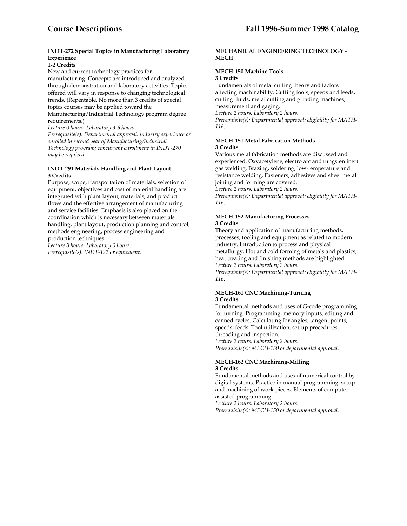# **INDT-272 Special Topics in Manufacturing Laboratory Experience**

# **1-2 Credits**

New and current technology practices for manufacturing. Concepts are introduced and analyzed through demonstration and laboratory activities. Topics offered will vary in response to changing technological trends. (Repeatable. No more than 3 credits of special topics courses may be applied toward the

Manufacturing/Industrial Technology program degree requirements.)

*Lecture 0 hours. Laboratory 3-6 hours.* 

*Prerequisite(s): Departmental approval: industry experience or enrolled in second year of Manufacturing/Industrial Technology program; concurrent enrollment in INDT-270 may be required.* 

#### **INDT-291 Materials Handling and Plant Layout 3 Credits**

Purpose, scope, transportation of materials, selection of equipment, objectives and cost of material handling are integrated with plant layout, materials, and product flows and the effective arrangement of manufacturing and service facilities. Emphasis is also placed on the coordination which is necessary between materials handling, plant layout, production planning and control, methods engineering, process engineering and production techniques.

*Lecture 3 hours. Laboratory 0 hours. Prerequisite(s): INDT-122 or equivalent.* 

## **MECHANICAL ENGINEERING TECHNOLOGY - MECH**

# **MECH-150 Machine Tools**

#### **3 Credits**

Fundamentals of metal cutting theory and factors affecting machinability. Cutting tools, speeds and feeds, cutting fluids, metal cutting and grinding machines, measurement and gaging. *Lecture 2 hours. Laboratory 2 hours. Prerequisite(s): Departmental approval: eligibility for MATH-116.* 

#### **MECH-151 Metal Fabrication Methods 3 Credits**

Various metal fabrication methods are discussed and experienced. Oxyacetylene, electro arc and tungsten inert gas welding. Brazing, soldering, low-temperature and resistance welding. Fasteners, adhesives and sheet metal joining and forming are covered.

*Lecture 2 hours. Laboratory 2 hours.* 

*Prerequisite(s): Departmental approval: eligibility for MATH-116.* 

# **MECH-152 Manufacturing Processes**

# **3 Credits**

Theory and application of manufacturing methods, processes, tooling and equipment as related to modern industry. Introduction to process and physical metallurgy. Hot and cold forming of metals and plastics, heat treating and finishing methods are highlighted. *Lecture 2 hours. Laboratory 2 hours.* 

*Prerequisite(s): Departmental approval: eligibility for MATH-116.* 

#### **MECH-161 CNC Machining-Turning 3 Credits**

Fundamental methods and uses of G-code programming for turning. Programming, memory inputs, editing and canned cycles. Calculating for angles, tangent points, speeds, feeds. Tool utilization, set-up procedures, threading and inspection. *Lecture 2 hours. Laboratory 2 hours. Prerequisite(s): MECH-150 or departmental approval.* 

#### **MECH-162 CNC Machining-Milling 3 Credits**

Fundamental methods and uses of numerical control by digital systems. Practice in manual programming, setup and machining of work pieces. Elements of computerassisted programming.

*Lecture 2 hours. Laboratory 2 hours.* 

*Prerequisite(s): MECH-150 or departmental approval.*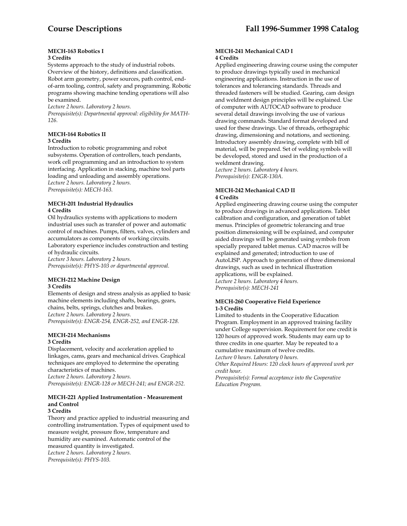# **MECH-163 Robotics I**

# **3 Credits**

Systems approach to the study of industrial robots. Overview of the history, definitions and classification. Robot arm geometry, power sources, path control, endof-arm tooling, control, safety and programming. Robotic programs showing machine tending operations will also be examined.

*Lecture 2 hours. Laboratory 2 hours.* 

*Prerequisite(s): Departmental approval: eligibility for MATH-126.* 

# **MECH-164 Robotics II**

# **3 Credits**

Introduction to robotic programming and robot subsystems. Operation of controllers, teach pendants, work cell programming and an introduction to system interfacing. Application in stacking, machine tool parts loading and unloading and assembly operations. *Lecture 2 hours. Laboratory 2 hours. Prerequisite(s): MECH-163.* 

## **MECH-201 Industrial Hydraulics 4 Credits**

Oil hydraulics systems with applications to modern industrial uses such as transfer of power and automatic control of machines. Pumps, filters, valves, cylinders and accumulators as components of working circuits.

Laboratory experience includes construction and testing of hydraulic circuits.

*Lecture 3 hours. Laboratory 2 hours. Prerequisite(s): PHYS-103 or departmental approval.* 

# **MECH-212 Machine Design 3 Credits**

Elements of design and stress analysis as applied to basic machine elements including shafts, bearings, gears, chains, belts, springs, clutches and brakes. *Lecture 2 hours. Laboratory 2 hours. Prerequisite(s): ENGR-254, ENGR-252, and ENGR-128.* 

# **MECH-214 Mechanisms 3 Credits**

Displacement, velocity and acceleration applied to linkages, cams, gears and mechanical drives. Graphical techniques are employed to determine the operating characteristics of machines. *Lecture 2 hours. Laboratory 2 hours. Prerequisite(s): ENGR-128 or MECH-241; and ENGR-252.* 

#### **MECH-221 Applied Instrumentation - Measurement and Control 3 Credits**

Theory and practice applied to industrial measuring and controlling instrumentation. Types of equipment used to measure weight, pressure flow, temperature and humidity are examined. Automatic control of the measured quantity is investigated. *Lecture 2 hours. Laboratory 2 hours. Prerequisite(s): PHYS-103.* 

#### **MECH-241 Mechanical CAD I 4 Credits**

Applied engineering drawing course using the computer to produce drawings typically used in mechanical engineering applications. Instruction in the use of tolerances and tolerancing standards. Threads and threaded fasteners will be studied. Gearing, cam design and weldment design principles will be explained. Use of computer with AUTOCAD software to produce several detail drawings involving the use of various drawing commands. Standard format developed and used for these drawings. Use of threads, orthographic drawing, dimensioning and notations, and sectioning. Introductory assembly drawing, complete with bill of material, will be prepared. Set of welding symbols will be developed, stored and used in the production of a weldment drawing.

*Lecture 2 hours. Laboratory 4 hours. Prerequisite(s): ENGR-130A.* 

#### **MECH-242 Mechanical CAD II 4 Credits**

Applied engineering drawing course using the computer to produce drawings in advanced applications. Tablet calibration and configuration, and generation of tablet menus. Principles of geometric tolerancing and true position dimensioning will be explained, and computer aided drawings will be generated using symbols from specially prepared tablet menus. CAD macros will be explained and generated; introduction to use of AutoLISP. Approach to generation of three dimensional drawings, such as used in technical illustration applications, will be explained. *Lecture 2 hours. Laboratory 4 hours. Prerequisite(s): MECH-241* 

# **MECH-260 Cooperative Field Experience 1-3 Credits**

Limited to students in the Cooperative Education Program. Employment in an approved training facility under College supervision. Requirement for one credit is 120 hours of approved work. Students may earn up to three credits in one quarter. May be repeated to a cumulative maximum of twelve credits. *Lecture 0 hours. Laboratory 0 hours.* 

*Other Required Hours: 120 clock hours of approved work per credit hour.* 

*Prerequisite(s): Formal acceptance into the Cooperative Education Program.*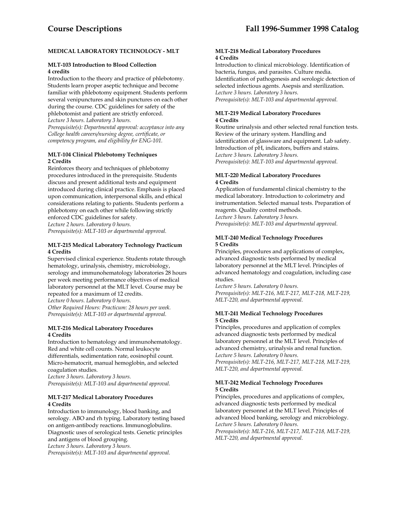# **MEDICAL LABORATORY TECHNOLOGY - MLT**

# **MLT-103 Introduction to Blood Collection 4 credits**

Introduction to the theory and practice of phlebotomy. Students learn proper aseptic technique and become familiar with phlebotomy equipment. Students perform several venipunctures and skin punctures on each other during the course. CDC guidelines for safety of the phlebotomist and patient are strictly enforced. *Lecture 3 hours. Laboratory 3 hours.* 

*Prerequisite(s): Departmental approval: acceptance into any College health careers/nursing degree, certificate, or competency program, and eligibility for ENG-101.* 

# **MLT-104 Clinical Phlebotomy Techniques 2 Credits**

Reinforces theory and techniques of phlebotomy procedures introduced in the prerequisite. Students discuss and present additional tests and equipment introduced during clinical practice. Emphasis is placed upon communication, interpersonal skills, and ethical considerations relating to patients. Students perform a phlebotomy on each other while following strictly enforced CDC guidelines for safety.

*Lecture 2 hours. Laboratory 0 hours.* 

*Prerequisite(s): MLT-103 or departmental approval.* 

#### **MLT-215 Medical Laboratory Technology Practicum 4 Credits**

Supervised clinical experience. Students rotate through hematology, urinalysis, chemistry, microbiology, serology and immunohematology laboratories 28 hours per week meeting performance objectives of medical laboratory personnel at the MLT level. Course may be repeated for a maximum of 12 credits. *Lecture 0 hours. Laboratory 0 hours. Other Required Hours: Practicum: 28 hours per week. Prerequisite(s): MLT-103 or departmental approval.* 

# **MLT-216 Medical Laboratory Procedures 4 Credits**

Introduction to hematology and immunohematology. Red and white cell counts. Normal leukocyte differentials, sedimentation rate, eosinophil count. Micro-hematocrit, manual hemoglobin, and selected coagulation studies.

*Lecture 3 hours. Laboratory 3 hours. Prerequisite(s): MLT-103 and departmental approval.* 

# **MLT-217 Medical Laboratory Procedures 4 Credits**

Introduction to immunology, blood banking, and serology. ABO and rh typing. Laboratory testing based on antigen-antibody reactions. Immunoglobulins. Diagnostic uses of serological tests. Genetic principles and antigens of blood grouping. *Lecture 3 hours. Laboratory 3 hours.* 

*Prerequisite(s): MLT-103 and departmental approval.* 

#### **MLT-218 Medical Laboratory Procedures 4 Credits**

Introduction to clinical microbiology. Identification of bacteria, fungus, and parasites. Culture media. Identification of pathogenesis and serologic detection of selected infectious agents. Asepsis and sterilization. *Lecture 3 hours. Laboratory 3 hours. Prerequisite(s): MLT-103 and departmental approval.* 

# **MLT-219 Medical Laboratory Procedures 4 Credits**

Routine urinalysis and other selected renal function tests. Review of the urinary system. Handling and identification of glassware and equipment. Lab safety. Introduction of pH, indicators, buffers and stains. *Lecture 3 hours. Laboratory 3 hours. Prerequisite(s): MLT-103 and departmental approval.* 

# **MLT-220 Medical Laboratory Procedures 4 Credits**

Application of fundamental clinical chemistry to the medical laboratory. Introduction to colorimetry and instrumentation. Selected manual tests. Preparation of reagents. Quality control methods. *Lecture 3 hours. Laboratory 3 hours. Prerequisite(s): MLT-103 and departmental approval.* 

# **MLT-240 Medical Technology Procedures 5 Credits**

Principles, procedures and applications of complex, advanced diagnostic tests performed by medical laboratory personnel at the MLT level. Principles of advanced hematology and coagulation, including case studies.

*Lecture 5 hours. Laboratory 0 hours. Prerequisite(s): MLT-216, MLT-217, MLT-218, MLT-219, MLT-220, and departmental approval.*

# **MLT-241 Medical Technology Procedures 5 Credits**

Principles, procedures and application of complex advanced diagnostic tests performed by medical laboratory personnel at the MLT level. Principles of advanced chemistry, urinalysis and renal function. *Lecture 5 hours. Laboratory 0 hours. Prerequisite(s): MLT-216, MLT-217, MLT-218, MLT-219, MLT-220, and departmental approval.* 

# **MLT-242 Medical Technology Procedures 5 Credits**

Principles, procedures and applications of complex, advanced diagnostic tests performed by medical laboratory personnel at the MLT level. Principles of advanced blood banking, serology and microbiology. *Lecture 5 hours. Laboratory 0 hours. Prerequisite(s): MLT-216, MLT-217, MLT-218, MLT-219, MLT-220, and departmental approval.*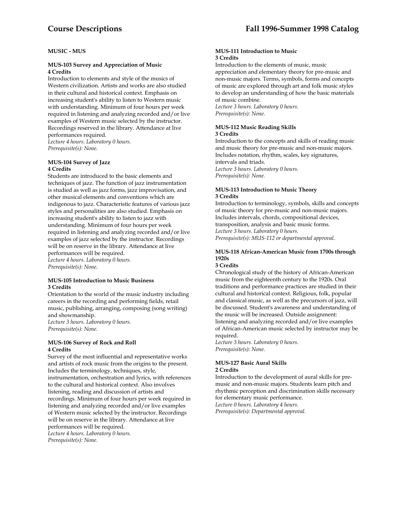# **MUSIC - MUS**

#### **MUS-103 Survey and Appreciation of Music 4 Credits**

Introduction to elements and style of the musics of Western civilization. Artists and works are also studied in their cultural and historical context. Emphasis on increasing student's ability to listen to Western music with understanding. Minimum of four hours per week required in listening and analyzing recorded and/or live examples of Western music selected by the instructor. Recordings reserved in the library. Attendance at live performances required. *Lecture 4 hours. Laboratory 0 hours.* 

*Prerequisite(s): None.* 

#### **MUS-104 Survey of Jazz 4 Credits**

Students are introduced to the basic elements and techniques of jazz. The function of jazz instrumentation is studied as well as jazz forms, jazz improvisation, and other musical elements and conventions which are indigenous to jazz. Characteristic features of various jazz styles and personalities are also studied. Emphasis on increasing student's ability to listen to jazz with understanding. Minimum of four hours per week required in listening and analyzing recorded and/or live examples of jazz selected by the instructor. Recordings will be on reserve in the library. Attendance at live performances will be required. *Lecture 4 hours. Laboratory 0 hours.* 

*Prerequisite(s): None.* 

#### **MUS-105 Introduction to Music Business 3 Credits**

Orientation to the world of the music industry including careers in the recording and performing fields, retail music, publishing, arranging, composing (song writing) and showmanship. *Lecture 3 hours. Laboratory 0 hours. Prerequisite(s): None.* 

#### **MUS-106 Survey of Rock and Roll 4 Credits**

Survey of the most influential and representative works and artists of rock music from the origins to the present. Includes the terminology, techniques, style, instrumentation, orchestration and lyrics, with references to the cultural and historical context. Also involves listening, reading and discussion of artists and recordings. Minimum of four hours per week required in listening and analyzing recorded and/or live examples of Western music selected by the instructor. Recordings will be on reserve in the library. Attendance at live performances will be required. *Lecture 4 hours. Laboratory 0 hours.* 

*Prerequisite(s): None.* 

#### **MUS-111 Introduction to Music 3 Credits**

Introduction to the elements of music, music appreciation and elementary theory for pre-music and non-music majors. Terms, symbols, forms and concepts of music are explored through art and folk music styles to develop an understanding of how the basic materials of music combine. *Lecture 3 hours. Laboratory 0 hours.* 

*Prerequisite(s): None.* 

# **MUS-112 Music Reading Skills**

## **3 Credits**

Introduction to the concepts and skills of reading music and music theory for pre-music and non-music majors. Includes notation, rhythm, scales, key signatures, intervals and triads. *Lecture 3 hours. Laboratory 0 hours. Prerequisite(s): None.* 

#### **MUS-113 Introduction to Music Theory 3 Credits**

Introduction to terminology, symbols, skills and concepts of music theory for pre-music and non-music majors. Includes intervals, chords, compositional devices, transposition, analysis and basic music forms. *Lecture 3 hours. Laboratory 0 hours. Prerequisite(s): MUS-112 or departmental approval.* 

# **MUS-118 African-American Music from 1700s through 1920s**

#### **3 Credits**

Chronological study of the history of African-American music from the eighteenth century to the 1920s. Oral traditions and performance practices are studied in their cultural and historical context. Religious, folk, popular and classical music, as well as the precursors of jazz, will be discussed. Student's awareness and understanding of the music will be increased. Outside assignment: listening and analyzing recorded and/or live examples of African-American music selected by instructor may be required.

*Lecture 3 hours. Laboratory 0 hours. Prerequisite(s): None.* 

#### **MUS-127 Basic Aural Skills 2 Credits**

Introduction to the development of aural skills for premusic and non-music majors. Students learn pitch and rhythmic perception and discrimination skills necessary

for elementary music performance. *Lecture 0 hours. Laboratory 4 hours.* 

*Prerequisite(s): Departmental approval.*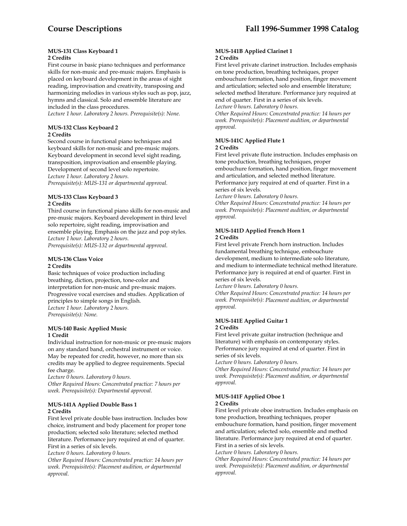#### **MUS-131 Class Keyboard 1 2 Credits**

First course in basic piano techniques and performance skills for non-music and pre-music majors. Emphasis is placed on keyboard development in the areas of sight reading, improvisation and creativity, transposing and harmonizing melodies in various styles such as pop, jazz, hymns and classical. Solo and ensemble literature are included in the class procedures.

*Lecture 1 hour. Laboratory 2 hours. Prerequisite(s): None.* 

## **MUS-132 Class Keyboard 2 2 Credits**

Second course in functional piano techniques and keyboard skills for non-music and pre-music majors. Keyboard development in second level sight reading, transposition, improvisation and ensemble playing. Development of second level solo repertoire. *Lecture 1 hour. Laboratory 2 hours. Prerequisite(s): MUS-131 or departmental approval.* 

# **MUS-133 Class Keyboard 3 2 Credits**

Third course in functional piano skills for non-music and pre-music majors. Keyboard development in third level solo repertoire, sight reading, improvisation and ensemble playing. Emphasis on the jazz and pop styles. *Lecture 1 hour. Laboratory 2 hours. Prerequisite(s): MUS-132 or departmental approval*.

# **MUS-136 Class Voice**

# **2 Credits**

Basic techniques of voice production including breathing, diction, projection, tone-color and interpretation for non-music and pre-music majors. Progressive vocal exercises and studies. Application of principles to simple songs in English. *Lecture 1 hour. Laboratory 2 hours. Prerequisite(s): None.* 

# **MUS-140 Basic Applied Music 1 Credit**

Individual instruction for non-music or pre-music majors on any standard band, orchestral instrument or voice. May be repeated for credit, however, no more than six credits may be applied to degree requirements. Special fee charge.

*Lecture 0 hours. Laboratory 0 hours. Other Required Hours: Concentrated practice: 7 hours per week. Prerequisite(s): Departmental approval.* 

# **MUS-141A Applied Double Bass 1 2 Credits**

First level private double bass instruction. Includes bow choice, instrument and body placement for proper tone production; selected solo literature; selected method literature. Performance jury required at end of quarter. First in a series of six levels.

*Lecture 0 hours. Laboratory 0 hours.* 

*Other Required Hours: Concentrated practice: 14 hours per week. Prerequisite(s): Placement audition, or departmental approval.* 

# **MUS-141B Applied Clarinet 1 2 Credits**

First level private clarinet instruction. Includes emphasis on tone production, breathing techniques, proper embouchure formation, hand position, finger movement and articulation; selected solo and ensemble literature; selected method literature. Performance jury required at end of quarter. First in a series of six levels. *Lecture 0 hours. Laboratory 0 hours.* 

*Other Required Hours: Concentrated practice: 14 hours per week. Prerequisite(s): Placement audition, or departmental approval.* 

# **MUS-141C Applied Flute 1 2 Credits**

First level private flute instruction. Includes emphasis on tone production, breathing techniques, proper embouchure formation, hand position, finger movement and articulation, and selected method literature. Performance jury required at end of quarter. First in a series of six levels.

*Lecture 0 hours. Laboratory 0 hours.* 

*Other Required Hours: Concentrated practice: 14 hours per week. Prerequisite(s): Placement audition, or departmental approval.* 

# **MUS-141D Applied French Horn 1 2 Credits**

First level private French horn instruction. Includes fundamental breathing technique, embouchure development, medium to intermediate solo literature, and medium to intermediate technical method literature. Performance jury is required at end of quarter. First in series of six levels.

*Lecture 0 hours. Laboratory 0 hours.* 

*Other Required Hours: Concentrated practice: 14 hours per week. Prerequisite(s): Placement audition, or departmental approval.* 

#### **MUS-141E Applied Guitar 1 2 Credits**

First level private guitar instruction (technique and literature) with emphasis on contemporary styles. Performance jury required at end of quarter. First in series of six levels.

*Lecture 0 hours. Laboratory 0 hours.* 

*Other Required Hours: Concentrated practice: 14 hours per week. Prerequisite(s): Placement audition, or departmental approval.* 

#### **MUS-141F Applied Oboe 1 2 Credits**

First level private oboe instruction. Includes emphasis on tone production, breathing techniques, proper embouchure formation, hand position, finger movement and articulation; selected solo, ensemble and method literature. Performance jury required at end of quarter. First in a series of six levels.

*Lecture 0 hours. Laboratory 0 hours.* 

*Other Required Hours: Concentrated practice: 14 hours per week. Prerequisite(s): Placement audition, or departmental approval.*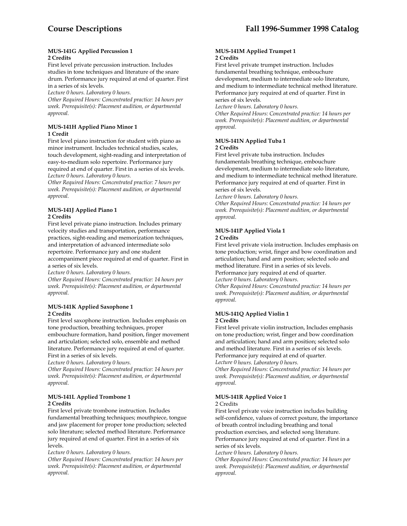#### **MUS-141G Applied Percussion 1 2 Credits**

First level private percussion instruction. Includes studies in tone techniques and literature of the snare drum. Performance jury required at end of quarter. First in a series of six levels.

*Lecture 0 hours. Laboratory 0 hours.* 

*Other Required Hours: Concentrated practice: 14 hours per week. Prerequisite(s): Placement audition, or departmental approval.* 

# **MUS-141H Applied Piano Minor 1 1 Credit**

First level piano instruction for student with piano as minor instrument. Includes technical studies, scales, touch development, sight-reading and interpretation of easy-to-medium solo repertoire. Performance jury required at end of quarter. First in a series of six levels. *Lecture 0 hours. Laboratory 0 hours.* 

*Other Required Hours: Concentrated practice: 7 hours per week. Prerequisite(s): Placement audition, or departmental approval.* 

# **MUS-141J Applied Piano 1 2 Credits**

First level private piano instruction. Includes primary velocity studies and transportation, performance practices, sight-reading and memorization techniques, and interpretation of advanced intermediate solo repertoire. Performance jury and one student accompaniment piece required at end of quarter. First in a series of six levels.

*Lecture 0 hours. Laboratory 0 hours.* 

*Other Required Hours: Concentrated practice: 14 hours per week. Prerequisite(s): Placement audition, or departmental approval.* 

# **MUS-141K Applied Saxophone 1 2 Credits**

First level saxophone instruction. Includes emphasis on tone production, breathing techniques, proper embouchure formation, hand position, finger movement and articulation; selected solo, ensemble and method literature. Performance jury required at end of quarter. First in a series of six levels.

*Lecture 0 hours. Laboratory 0 hours.* 

*Other Required Hours: Concentrated practice: 14 hours per week. Prerequisite(s): Placement audition, or departmental approval.* 

# **MUS-141L Applied Trombone 1 2 Credits**

First level private trombone instruction. Includes fundamental breathing techniques; mouthpiece, tongue and jaw placement for proper tone production; selected solo literature; selected method literature. Performance jury required at end of quarter. First in a series of six levels.

*Lecture 0 hours. Laboratory 0 hours.* 

*Other Required Hours: Concentrated practice: 14 hours per week. Prerequisite(s): Placement audition, or departmental approval.* 

# **MUS-141M Applied Trumpet 1 2 Credits**

First level private trumpet instruction. Includes fundamental breathing technique, embouchure development, medium to intermediate solo literature, and medium to intermediate technical method literature. Performance jury required at end of quarter. First in series of six levels.

*Lecture 0 hours. Laboratory 0 hours.* 

*Other Required Hours: Concentrated practice: 14 hours per week. Prerequisite(s): Placement audition, or departmental approval.* 

#### **MUS-141N Applied Tuba 1 2 Credits**

First level private tuba instruction. Includes fundamentals breathing technique, embouchure development, medium to intermediate solo literature, and medium to intermediate technical method literature. Performance jury required at end of quarter. First in series of six levels.

*Lecture 0 hours. Laboratory 0 hours.* 

*Other Required Hours: Concentrated practice: 14 hours per week. Prerequisite(s): Placement audition, or departmental approval.* 

# **MUS-141P Applied Viola 1 2 Credits**

First level private viola instruction. Includes emphasis on tone production; wrist, finger and bow coordination and articulation; hand and arm position; selected solo and method literature. First in a series of six levels. Performance jury required at end of quarter.

*Lecture 0 hours. Laboratory 0 hours.* 

*Other Required Hours: Concentrated practice: 14 hours per week. Prerequisite(s): Placement audition, or departmental approval.* 

# **MUS-141Q Applied Violin 1 2 Credits**

First level private violin instruction, Includes emphasis on tone production; wrist, finger and bow coordination and articulation; hand and arm position; selected solo and method literature. First in a series of six levels. Performance jury required at end of quarter.

*Lecture 0 hours. Laboratory 0 hours.* 

*Other Required Hours: Concentrated practice: 14 hours per week. Prerequisite(s): Placement audition, or departmental approval.* 

# **MUS-141R Applied Voice 1**

# 2 Credits

First level private voice instruction includes building self-confidence, values of correct posture, the importance of breath control including breathing and tonal production exercises, and selected song literature. Performance jury required at end of quarter. First in a series of six levels.

*Lecture 0 hours. Laboratory 0 hours.* 

*Other Required Hours: Concentrated practice: 14 hours per week. Prerequisite(s): Placement audition, or departmental approval.*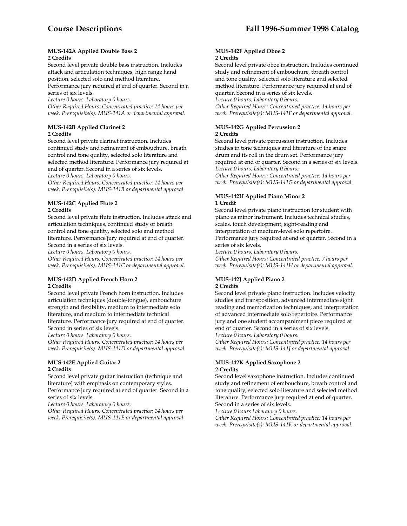## **MUS-142A Applied Double Bass 2 2 Credits**

Second level private double bass instruction. Includes attack and articulation techniques, high range hand position, selected solo and method literature.

Performance jury required at end of quarter. Second in a series of six levels.

*Lecture 0 hours. Laboratory 0 hours.* 

*Other Required Hours: Concentrated practice: 14 hours per week. Prerequisite(s): MUS-141A or departmental approval.* 

# **MUS-142B Applied Clarinet 2 2 Credits**

Second level private clarinet instruction. Includes continued study and refinement of embouchure, breath control and tone quality, selected solo literature and selected method literature. Performance jury required at end of quarter. Second in a series of six levels.

*Lecture 0 hours. Laboratory 0 hours.* 

*Other Required Hours: Concentrated practice: 14 hours per week. Prerequisite(s): MUS-141B or departmental approval.* 

# **MUS-142C Applied Flute 2 2 Credits**

Second level private flute instruction. Includes attack and articulation techniques, continued study of breath control and tone quality, selected solo and method literature. Performance jury required at end of quarter. Second in a series of six levels.

*Lecture 0 hours. Laboratory 0 hours.* 

*Other Required Hours: Concentrated practice: 14 hours per week. Prerequisite(s): MUS-141C or departmental approval.* 

# **MUS-142D Applied French Horn 2 2 Credits**

Second level private French horn instruction. Includes articulation techniques (double-tongue), embouchure strength and flexibility, medium to intermediate solo literature, and medium to intermediate technical literature. Performance jury required at end of quarter. Second in series of six levels.

*Lecture 0 hours. Laboratory 0 hours.* 

*Other Required Hours: Concentrated practice: 14 hours per week. Prerequisite(s): MUS-141D or departmental approval.* 

# **MUS-142E Applied Guitar 2 2 Credits**

Second level private guitar instruction (technique and literature) with emphasis on contemporary styles. Performance jury required at end of quarter. Second in a series of six levels.

*Lecture 0 hours. Laboratory 0 hours.* 

*Other Required Hours: Concentrated practice: 14 hours per week. Prerequisite(s): MUS-141E or departmental approval.* 

# **MUS-142F Applied Oboe 2 2 Credits**

Second level private oboe instruction. Includes continued study and refinement of embouchure, tbreath control and tone quality, selected solo literature and selected method literature. Performance jury required at end of quarter. Second in a series of six levels.

*Lecture 0 hours. Laboratory 0 hours.* 

*Other Required Hours: Concentrated practice: 14 hours per week. Prerequisite(s): MUS-141F or departmental approval.* 

# **MUS-142G Applied Percussion 2 2 Credits**

Second level private percussion instruction. Includes studies in tone techniques and literature of the snare drum and its roll in the drum set. Performance jury required at end of quarter. Second in a series of six levels. *Lecture 0 hours. Laboratory 0 hours.* 

*Other Required Hours: Concentrated practice: 14 hours per week. Prerequisite(s): MUS-141G or departmental approval.* 

# **MUS-142H Applied Piano Minor 2 1 Credit**

Second level private piano instruction for student with piano as minor instrument. Includes technical studies, scales, touch development, sight-reading and interpretation of medium-level solo repertoire. Performance jury required at end of quarter. Second in a series of six levels.

*Lecture 0 hours. Laboratory 0 hours. Other Required Hours: Concentrated practice: 7 hours per week. Prerequisite(s): MUS-141H or departmental approval.* 

#### **MUS-142J Applied Piano 2 2 Credits**

Second level private piano instruction. Includes velocity studies and transposition, advanced intermediate sight reading and memorization techniques, and interpretation of advanced intermediate solo repertoire. Performance jury and one student accompaniment piece required at end of quarter. Second in a series of six levels.

*Lecture 0 hours. Laboratory 0 hours. Other Required Hours: Concentrated practice: 14 hours per week. Prerequisite(s): MUS-141J or departmental approval.* 

# **MUS-142K Applied Saxophone 2 2 Credits**

Second level saxophone instruction. Includes continued study and refinement of embouchure, breath control and tone quality, selected solo literature and selected method literature. Performance jury required at end of quarter. Second in a series of six levels.

*Lecture 0 hours Laboratory 0 hours.* 

*Other Required Hours: Concentrated practice: 14 hours per week. Prerequisite(s): MUS-141K or departmental approval.*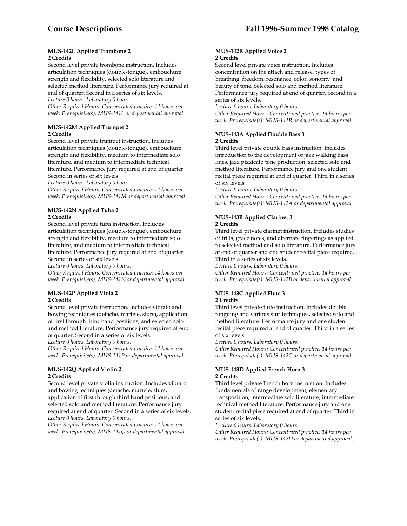#### **MUS-142L Applied Trombone 2 2 Credits**

Second level private trombone instruction. Includes articulation techniques (double-tongue), embouchure strength and flexibility, selected solo literature and selected method literature. Performance jury required at end of quarter. Second in a series of six levels.

*Lecture 0 hours. Laboratory 0 hours.* 

*Other Required Hours: Concentrated practice: 14 hours per week. Prerequisite(s): MUS-141L or departmental approval.* 

# **MUS-142M Applied Trumpet 2 2 Credits**

Second level private trumpet instruction. Includes articulation techniques (double-tongue), embouchure strength and flexibility, medium to intermediate solo literature, and medium to intermediate technical literature. Performance jury required at end of quarter. Second in series of six levels.

*Lecture 0 hours. Laboratory 0 hours.* 

*Other Required Hours: Concentrated practice: 14 hours per week. Prerequisite(s): MUS-141M or departmental approval.* 

# **MUS-142N Applied Tuba 2 2 Credits**

Second level private tuba instruction. Includes articulation techniques (double-tongue), embouchure strength and flexibility, medium to intermediate solo literature, and medium to intermediate technical literature. Performance jury required at end of quarter. Second in series of six levels.

*Lecture 0 hours. Laboratory 0 hours. Other Required Hours: Concentrated practice: 14 hours per week. Prerequisite(s): MUS-141N or departmental approval.* 

#### **MUS-142P Applied Viola 2 2 Credits**

Second level private instruction. Includes vibrato and bowing techniques (detache, martele, slurs), application of first through third hand positions, and selected solo and method literature. Performance jury required at end of quarter. Second in a series of six levels.

*Lecture 0 hours. Laboratory 0 hours.* 

*Other Required Hours: Concentrated practice: 14 hours per week. Prerequisite(s): MUS-141P or departmental approval.* 

#### **MUS-142Q Applied Violin 2 2 Credits**

Second level private violin instruction. Includes vibrato and bowing techniques (detache, martele, slurs, application of first through third hand positions, and selected solo and method literature. Performance jury required at end of quarter. Second in a series of six levels. *Lecture 0 hours. Laboratory 0 hours.* 

*Other Required Hours: Concentrated practice: 14 hours per week. Prerequisite(s): MUS-141Q or departmental approval.* 

#### **MUS-142R Applied Voice 2 2 Credits**

Second level private voice instruction. Includes concentration on the attach and release, types of breathing, freedom, resonance, color, sonority, and beauty of tone. Selected solo and method literature. Performance jury required at end of quarter. Second in a series of six levels.

*Lecture 0 hours. Laboratory 0 hours. Other Required Hours: Concentrated practice: 14 hours per week. Prerequisite(s): MUS-141R or departmental approval.* 

# **MUS-143A Applied Double Bass 3 2 Credits**

Third level private double bass instruction. Includes introduction to the development of jazz walking bass lines, jazz pizzicato tone production, selected solo and method literature. Performance jury and one student recital piece required at end of quarter. Third in a series of six levels.

*Lecture 0 hours. Laboratory 0 hours.* 

*Other Required Hours: Concentrated practice: 14 hours per week. Prerequisite(s): MUS-142A or departmental approval.* 

#### **MUS-143B Applied Clarinet 3 2 Credits**

Third level private clarinet instruction. Includes studies of trills, grace notes, and alternate fingerings as applied to selected method and solo literature. Performance jury at end of quarter and one student recital piece required. Third in a series of six levels.

*Lecture 0 hours. Laboratory 0 hours.* 

*Other Required Hours: Concentrated practice: 14 hours per week. Prerequisite(s): MUS-142B or departmental approval.* 

# **MUS-143C Applied Flute 3**

# **2 Credits**

Third level private flute instruction. Includes double tonguing and various slur techniques, selected solo and method literature. Performance jury and one student recital piece required at end of quarter. Third in a series of six levels.

*Lecture 0 hours. Laboratory 0 hours.* 

*Other Required Hours: Concentrated practice: 14 hours per week. Prerequisite(s): MUS-142C or departmental approval.* 

#### **MUS-143D Applied French Horn 3 2 Credits**

Third level private French horn instruction. Includes fundamentals of range development, elementary transposition, intermediate solo literature, intermediate technical method literature. Performance jury and one student recital piece required at end of quarter. Third in series of six levels.

*Lecture 0 hours. Laboratory 0 hours.* 

*Other Required Hours: Concentrated practice: 14 hours per week. Prerequisite(s): MUS-142D or departmental approval.*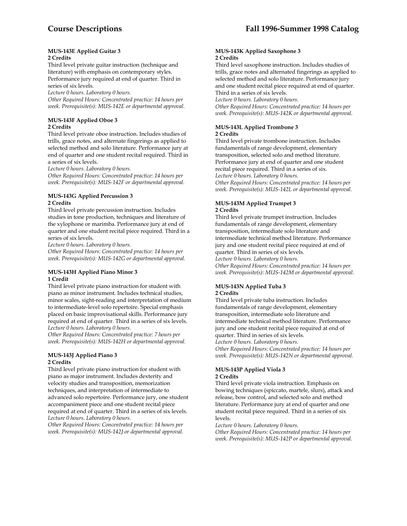#### **MUS-143E Applied Guitar 3 2 Credits**

Third level private guitar instruction (technique and literature) with emphasis on contemporary styles. Performance jury required at end of quarter. Third in series of six levels.

*Lecture 0 hours. Laboratory 0 hours.* 

*Other Required Hours: Concentrated practice: 14 hours per week. Prerequisite(s): MUS-142E or departmental approval.* 

# **MUS-143F Applied Oboe 3 2 Credits**

Third level private oboe instruction. Includes studies of trills, grace notes, and alternate fingerings as applied to selected method and solo literature. Performance jury at end of quarter and one student recital required. Third in a series of six levels.

*Lecture 0 hours. Laboratory 0 hours.* 

*Other Required Hours: Concentrated practice: 14 hours per week. Prerequisite(s): MUS-142F or departmental approval.* 

# **MUS-143G Applied Percussion 3 2 Credits**

Third level private percussion instruction. Includes studies in tone production, techniques and literature of the xylophone or marimba. Performance jury at end of quarter and one student recital piece required. Third in a series of six levels.

*Lecture 0 hours. Laboratory 0 hours.* 

*Other Required Hours: Concentrated practice: 14 hours per week. Prerequisite(s): MUS-142G or departmental approval.* 

#### **MUS-143H Applied Piano Minor 3 1 Credit**

Third level private piano instruction for student with piano as minor instrument. Includes technical studies, minor scales, sight-reading and interpretation of medium to intermediate-level solo repertoire. Special emphasis placed on basic improvisational skills. Performance jury required at end of quarter. Third in a series of six levels. *Lecture 0 hours. Laboratory 0 hours.* 

*Other Required Hours: Concentrated practice: 7 hours per week. Prerequisite(s): MUS-142H or departmental approval.* 

# **MUS-143J Applied Piano 3 2 Credits**

Third level private piano instruction for student with piano as major instrument. Includes dexterity and velocity studies and transposition, memorization techniques, and interpretation of intermediate to advanced solo repertoire. Performance jury, one student accompaniment piece and one student recital piece required at end of quarter. Third in a series of six levels. *Lecture 0 hours. Laboratory 0 hours.* 

*Other Required Hours: Concentrated practice: 14 hours per week. Prerequisite(s): MUS-142J or departmental approval*.

#### **MUS-143K Applied Saxophone 3 2 Credits**

Third level saxophone instruction. Includes studies of trills, grace notes and alternated fingerings as applied to selected method and solo literature. Performance jury and one student recital piece required at end of quarter. Third in a series of six levels.

*Lecture 0 hours. Laboratory 0 hours.* 

*Other Required Hours: Concentrated practice: 14 hours per week. Prerequisite(s): MUS-142K or departmental approval.* 

## **MUS-143L Applied Trombone 3 2 Credits**

Third level private trombone instruction. Includes fundamentals of range development, elementary transposition, selected solo and method literature. Performance jury at end of quarter and one student recital piece required. Third in a series of six. *Lecture 0 hours. Laboratory 0 hours. Other Required Hours: Concentrated practice: 14 hours per week. Prerequisite(s): MUS-142L or departmental approval.* 

# **MUS-143M Applied Trumpet 3 2 Credits**

Third level private trumpet instruction. Includes fundamentals of range development, elementary transposition, intermediate solo literature and intermediate technical method literature. Performance jury and one student recital piece required at end of quarter. Third in series of six levels. *Lecture 0 hours. Laboratory 0 hours.* 

*Other Required Hours: Concentrated practice: 14 hours per week. Prerequisite(s): MUS-142M or departmental approval.* 

# **MUS-143N Applied Tuba 3 2 Credits**

Third level private tuba instruction. Includes fundamentals of range development, elementary transposition, intermediate solo literature and intermediate technical method literature. Performance jury and one student recital piece required at end of quarter. Third in series of six levels. *Lecture 0 hours. Laboratory 0 hours.* 

*Other Required Hours: Concentrated practice: 14 hours per week. Prerequisite(s): MUS-142N or departmental approval.* 

#### **MUS-143P Applied Viola 3 2 Credits**

Third level private viola instruction. Emphasis on bowing techniques (spiccato, martele, slurs), attack and release, bow control, and selected solo and method literature. Performance jury at end of quarter and one student recital piece required. Third in a series of six levels.

*Lecture 0 hours. Laboratory 0 hours.* 

*Other Required Hours: Concentrated practice: 14 hours per week. Prerequisite(s): MUS-142P or departmental approval.*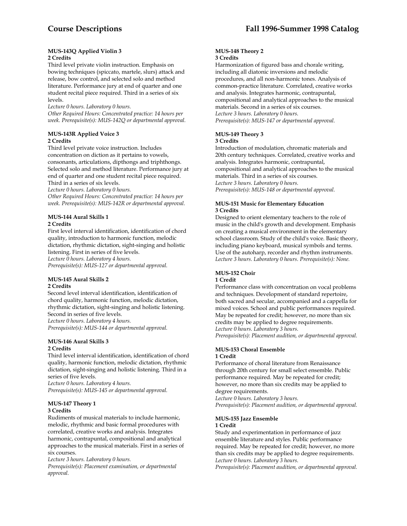#### **MUS-143Q Applied Violin 3 2 Credits**

Third level private violin instruction. Emphasis on bowing techniques (spiccato, martele, slurs) attack and release, bow control, and selected solo and method literature. Performance jury at end of quarter and one student recital piece required. Third in a series of six levels.

*Lecture 0 hours. Laboratory 0 hours.* 

*Other Required Hours: Concentrated practice: 14 hours per week. Prerequisite(s): MUS-142Q or departmental approval.* 

# **MUS-143R Applied Voice 3 2 Credits**

Third level private voice instruction. Includes concentration on diction as it pertains to vowels, consonants, articulations, dipthongs and triphthongs. Selected solo and method literature. Performance jury at end of quarter and one student recital piece required. Third in a series of six levels.

*Lecture 0 hours. Laboratory 0 hours.* 

*Other Required Hours: Concentrated practice: 14 hours per week. Prerequisite(s): MUS-142R or departmental approval.* 

# **MUS-144 Aural Skills 1**

# **2 Credits**

First level interval identification, identification of chord quality, introduction to harmonic function, melodic dictation, rhythmic dictation, sight-singing and holistic listening. First in series of five levels. *Lecture 0 hours. Laboratory 4 hours.* 

*Prerequisite(s): MUS-127 or departmental approval.* 

#### **MUS-145 Aural Skills 2 2 Credits**

Second level interval identification, identification of chord quality, harmonic function, melodic dictation, rhythmic dictation, sight-singing and holistic listening. Second in series of five levels. *Lecture 0 hours. Laboratory 4 hours. Prerequisite(s): MUS-144 or departmental approval.* 

#### **MUS-146 Aural Skills 3 2 Credits**

Third level interval identification, identification of chord quality, harmonic function, melodic dictation, rhythmic dictation, sight-singing and holistic listening. Third in a series of five levels. *Lecture 0 hours. Laboratory 4 hours. Prerequisite(s): MUS-145 or departmental approval.* 

#### **MUS-147 Theory 1 3 Credits**

Rudiments of musical materials to include harmonic, melodic, rhythmic and basic formal procedures with correlated, creative works and analysis. Integrates harmonic, contrapuntal, compositional and analytical approaches to the musical materials. First in a series of six courses.

*Lecture 3 hours. Laboratory 0 hours.* 

*Prerequisite(s): Placement examination, or departmental approval.* 

#### **MUS-148 Theory 2 3 Credits**

Harmonization of figured bass and chorale writing, including all diatonic inversions and melodic procedures, and all non-harmonic tones. Analysis of common-practice literature. Correlated, creative works and analysis. Integrates harmonic, contrapuntal, compositional and analytical approaches to the musical materials. Second in a series of six courses. *Lecture 3 hours. Laboratory 0 hours. Prerequisite(s): MUS-147 or departmental approval.* 

#### **MUS-149 Theory 3 3 Credits**

Introduction of modulation, chromatic materials and 20th century techniques. Correlated, creative works and analysis. Integrates harmonic, contrapuntal, compositional and analytical approaches to the musical materials. Third in a series of six courses. *Lecture 3 hours. Laboratory 0 hours. Prerequisite(s): MUS-148 or departmental approval.* 

# **MUS-151 Music for Elementary Education 3 Credits**

Designed to orient elementary teachers to the role of music in the child's growth and development. Emphasis on creating a musical environment in the elementary school classroom. Study of the child's voice. Basic theory, including piano keyboard, musical symbols and terms. Use of the autoharp, recorder and rhythm instruments. *Lecture 3 hours. Laboratory 0 hours. Prerequisite(s): None.* 

# **MUS-152 Choir**

# **1 Credit**

Performance class with concentration on vocal problems and techniques. Development of standard repertoire, both sacred and secular, accompanied and a cappella for mixed voices. School and public performances required. May be repeated for credit; however, no more than six credits may be applied to degree requirements. *Lecture 0 hours. Laboratory 3 hours. Prerequisite(s): Placement audition, or departmental approval.* 

#### **MUS-153 Choral Ensemble 1 Credit**

Performance of choral literature from Renaissance through 20th century for small select ensemble. Public performance required. May be repeated for credit; however, no more than six credits may be applied to degree requirements.

*Lecture 0 hours. Laboratory 3 hours.* 

*Prerequisite(s): Placement audition, or departmental approval.* 

# **MUS-155 Jazz Ensemble**

#### **1 Credit**

Study and experimentation in performance of jazz ensemble literature and styles. Public performance required. May be repeated for credit; however, no more than six credits may be applied to degree requirements. *Lecture 0 hours. Laboratory 3 hours.* 

*Prerequisite(s): Placement audition, or departmental approval.*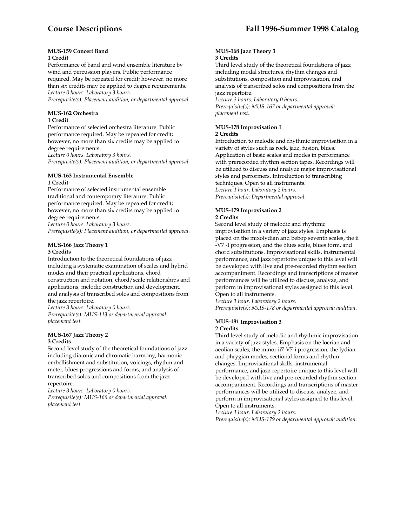# **MUS-159 Concert Band**

# **1 Credit**

Performance of band and wind ensemble literature by wind and percussion players. Public performance required. May be repeated for credit; however, no more than six credits may be applied to degree requirements. *Lecture 0 hours. Laboratory 3 hours.* 

*Prerequisite(s): Placement audition, or departmental approval.* 

#### **MUS-162 Orchestra 1 Credit**

Performance of selected orchestra literature. Public performance required. May be repeated for credit; however, no more than six credits may be applied to degree requirements.

*Lecture 0 hours. Laboratory 3 hours. Prerequisite(s): Placement audition, or departmental approval.* 

#### **MUS-163 Instrumental Ensemble 1 Credit**

Performance of selected instrumental ensemble traditional and contemporary literature. Public performance required. May be repeated for credit; however, no more than six credits may be applied to degree requirements.

*Lecture 0 hours. Laboratory 3 hours.* 

*Prerequisite(s): Placement audition, or departmental approval.* 

#### **MUS-166 Jazz Theory 1 3 Credits**

Introduction to the theoretical foundations of jazz including a systematic examination of scales and hybrid modes and their practical applications, chord construction and notation, chord/scale relationships and applications, melodic construction and development, and analysis of transcribed solos and compositions from the jazz repertoire.

*Lecture 3 hours. Laboratory 0 hours. Prerequisite(s): MUS-113 or departmental approval:* 

*placement test.* 

# **MUS-167 Jazz Theory 2 3 Credits**

Second level study of the theoretical foundations of jazz including diatonic and chromatic harmony, harmonic embellishment and substitution, voicings, rhythm and meter, blues progressions and forms, and analysis of transcribed solos and compositions from the jazz repertoire.

*Lecture 3 hours. Laboratory 0 hours. Prerequisite(s): MUS-166 or departmental approval: placement test.* 

#### **MUS-168 Jazz Theory 3 3 Credits**

Third level study of the theoretical foundations of jazz including modal structures, rhythm changes and substitutions, composition and improvisation, and analysis of transcribed solos and compositions from the jazz repertoire.

*Lecture 3 hours. Laboratory 0 hours. Prerequisite(s): MUS-167 or departmental approval: placement test.* 

# **MUS-178 Improvisation 1**

#### **2 Credits**

Introduction to melodic and rhythmic improvisation in a variety of styles such as rock, jazz, fusion, blues. Application of basic scales and modes in performance with prerecorded rhythm section tapes. Recordings will be utilized to discuss and analyze major improvisational styles and performers. Introduction to transcribing techniques. Open to all instruments. *Lecture 1 hour. Laboratory 2 hours. Prerequisite(s): Departmental approval.* 

#### **MUS-179 Improvisation 2 2 Credits**

Second level study of melodic and rhythmic

improvisation in a variety of jazz styles. Emphasis is placed on the mixolydian and bebop seventh scales, the ii -V7 -I progression, and the blues scale, blues form, and chord substitutions. Improvisational skills, instrumental performance, and jazz repertoire unique to this level will be developed with live and pre-recorded rhythm section accompaniment. Recordings and transcriptions of master performances will be utilized to discuss, analyze, and perform in improvisational styles assigned to this level. Open to all instruments.

*Lecture 1 hour. Laboratory 2 hours. Prerequisite(s): MUS-178 or departmental approval: audition.* 

#### **MUS-181 Improvisation 3 2 Credits**

Third level study of melodic and rhythmic improvisation in a variety of jazz styles. Emphasis on the locrian and aeolian scales, the minor ii7-V7-i progression, the lydian and phrygian modes, sectional forms and rhythm changes. Improvisational skills, instrumental performance, and jazz repertoire unique to this level will be developed with live and pre-recorded rhythm section accompaniment. Recordings and transcriptions of master performances will be utilized to discuss, analyze, and perform in improvisational styles assigned to this level. Open to all instruments.

*Lecture 1 hour. Laboratory 2 hours. Prerequisite(s): MUS-179 or departmental approval: audition.*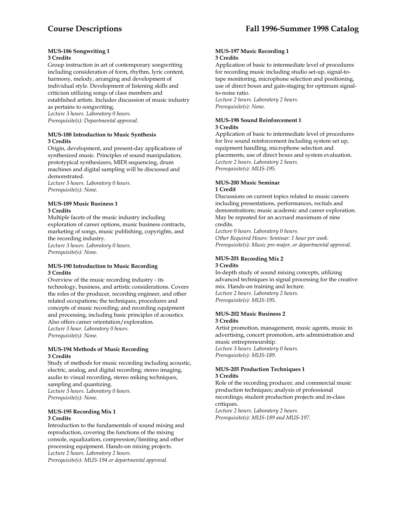#### **MUS-186 Songwriting 1 3 Credits**

Group instruction in art of contemporary songwriting including consideration of form, rhythm, lyric content, harmony, melody, arranging and development of individual style. Development of listening skills and criticism utilizing songs of class members and established artists. Includes discussion of music industry as pertains to songwriting. *Lecture 3 hours. Laboratory 0 hours. Prerequisite(s): Departmental approval.* 

## **MUS-188 Introduction to Music Synthesis 3 Credits**

Origin, development, and present-day applications of synthesized music. Principles of sound manipulation, prototypical synthesizers, MIDI sequencing, drum machines and digital sampling will be discussed and demonstrated.

*Lecture 3 hours. Laboratory 0 hours. Prerequisite(s): None.* 

#### **MUS-189 Music Business 1 3 Credits**

Multiple facets of the music industry including exploration of career options, music business contracts, marketing of songs, music publishing, copyrights, and the recording industry. *Lecture 3 hours. Laboratory 0 hours. Prerequisite(s): None.* 

#### **MUS-190 Introduction to Music Recording 3 Credits**

Overview of the music recording industry - its technology, business, and artistic considerations. Covers the roles of the producer, recording engineer, and other related occupations; the techniques, procedures and concepts of music recording; and recording equipment and processing, including basic principles of acoustics. Also offers career orientation/exploration. *Lecture 3 hour. Laboratory 0 hours. Prerequisite(s): None.* 

# **MUS-194 Methods of Music Recording 3 Credits**

Study of methods for music recording including acoustic, electric, analog, and digital recording; stereo imaging, audio to visual recording, stereo miking techniques, sampling and quantizing. *Lecture 3 hours. Laboratory 0 hours. Prerequisite(s): None.* 

#### **MUS-195 Recording Mix 1 3 Credits**

Introduction to the fundamentals of sound mixing and reproduction, covering the functions of the mixing console, equalization, compression/limiting and other processing equipment. Hands-on mixing projects. *Lecture 2 hours. Laboratory 2 hours. Prerequisite(s): MUS-194 or departmental approval.* 

#### **MUS-197 Music Recording 1 3 Credits**

Application of basic to intermediate level of procedures for recording music including studio set-up, signal-totape monitoring, microphone selection and positioning, use of direct boxes and gain-staging for optimum signalto-noise ratio.

*Lecture 2 hours. Laboratory 2 hours. Prerequisite(s): None.* 

#### **MUS-198 Sound Reinforcement 1 3 Credits**

Application of basic to intermediate level of procedures for live sound reinforcement including system set up, equipment handling, microphone selection and placements, use of direct boxes and system evaluation. *Lecture 2 hours. Laboratory 2 hours. Prerequisite(s): MUS-195.* 

# **MUS-200 Music Seminar**

# **1 Credit**

Discussions on current topics related to music careers including presentations, performances, recitals and demonstrations; music academic and career exploration. May be repeated for an accrued maximum of nine credits.

*Lecture 0 hours. Laboratory 0 hours. Other Required Hours: Seminar: 1 hour per week. Prerequisite(s): Music pre-major, or departmental approval.* 

#### **MUS-201 Recording Mix 2 3 Credits**

In-depth study of sound mixing concepts, utilizing advanced techniques in signal processing for the creative mix. Hands-on training and lecture. *Lecture 2 hours. Laboratory 2 hours. Prerequisite(s): MUS-195.* 

#### **MUS-202 Music Business 2 3 Credits**

Artist promotion, management, music agents, music in advertising, concert promotion, arts administration and music entrepreneurship. *Lecture 3 hours. Laboratory 0 hours. Prerequisite(s): MUS-189.* 

#### **MUS-205 Production Techniques 1 3 Credits**

Role of the recording producer, and commercial music production techniques; analysis of professional recordings; student production projects and in-class critiques.

*Lecture 2 hours. Laboratory 2 hours. Prerequisite(s): MUS-189 and MUS-197.*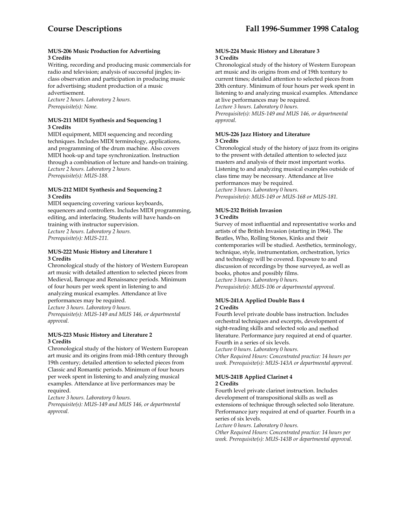## **MUS-206 Music Production for Advertising 3 Credits**

Writing, recording and producing music commercials for radio and television; analysis of successful jingles; inclass observation and participation in producing music for advertising; student production of a music advertisement.

*Lecture 2 hours. Laboratory 2 hours. Prerequisite(s): None.* 

# **MUS-211 MIDI Synthesis and Sequencing 1 3 Credits**

MIDI equipment, MIDI sequencing and recording techniques. Includes MIDI terminology, applications, and programming of the drum machine. Also covers MIDI hook-up and tape synchronization. Instruction through a combination of lecture and hands-on training. *Lecture 2 hours. Laboratory 2 hours. Prerequisite(s): MUS-188.* 

# **MUS-212 MIDI Synthesis and Sequencing 2 3 Credits**

MIDI sequencing covering various keyboards, sequencers and controllers. Includes MIDI programming, editing, and interfacing. Students will have hands-on training with instructor supervision. *Lecture 2 hours. Laboratory 2 hours. Prerequisite(s): MUS-211.* 

# **MUS-222 Music History and Literature 1 3 Credits**

Chronological study of the history of Western European art music with detailed attention to selected pieces from Medieval, Baroque and Renaissance periods. Minimum of four hours per week spent in listening to and analyzing musical examples. Attendance at live performances may be required. *Lecture 3 hours. Laboratory 0 hours.* 

*Prerequisite(s): MUS-149 and MUS 146, or departmental approval.* 

#### **MUS-223 Music History and Literature 2 3 Credits**

Chronological study of the history of Western European art music and its origins from mid-18th century through 19th century; detailed attention to selected pieces from Classic and Romantic periods. Minimum of four hours per week spent in listening to and analyzing musical examples. Attendance at live performances may be required.

*Lecture 3 hours. Laboratory 0 hours.* 

*Prerequisite(s): MUS-149 and MUS 146, or departmental approval.* 

# **MUS-224 Music History and Literature 3 3 Credits**

Chronological study of the history of Western European art music and its origins from end of 19th tcentury to current times; detailed attention to selected pieces from 20th century. Minimum of four hours per week spent in listening to and analyzing musical examples. Attendance at live performances may be required. *Lecture 3 hours. Laboratory 0 hours.* 

*Prerequisite(s): MUS-149 and MUS 146, or departmental approval.* 

# **MUS-226 Jazz History and Literature 3 Credits**

Chronological study of the history of jazz from its origins to the present with detailed attention to selected jazz masters and analysis of their most important works. Listening to and analyzing musical examples outside of class time may be necessary. Attendance at live performances may be required. *Lecture 3 hours. Laboratory 0 hours. Prerequisite(s): MUS-149 or MUS-168 or MUS-181.* 

#### **MUS-232 British Invasion 3 Credits**

Survey of most influential and representative works and artists of the British Invasion (starting in 1964). The Beatles, Who, Rolling Stones, Kinks and their contemporaries will be studied. Aesthetics, terminology, technique, style, instrumentation, orchestration, lyrics and technology will be covered. Exposure to and discussion of recordings by those surveyed, as well as books, photos and possibly films. *Lecture 3 hours. Laboratory 0 hours. Prerequisite(s): MUS-106 or departmental approval.* 

#### **MUS-241A Applied Double Bass 4 2 Credits**

Fourth level private double bass instruction. Includes orchestral techniques and excerpts, development of sight-reading skills and selected solo and method literature. Performance jury required at end of quarter. Fourth in a series of six levels.

*Lecture 0 hours. Laboratory 0 hours.* 

*Other Required Hours: Concentrated practice: 14 hours per week. Prerequisite(s): MUS-143A or departmental approval.* 

# **MUS-241B Applied Clarinet 4 2 Credits**

Fourth level private clarinet instruction. Includes development of transpositional skills as well as extensions of technique through selected solo literature. Performance jury required at end of quarter. Fourth in a series of six levels.

*Lecture 0 hours. Laboratory 0 hours.* 

*Other Required Hours: Concentrated practice: 14 hours per week. Prerequisite(s): MUS-143B or departmental approval.*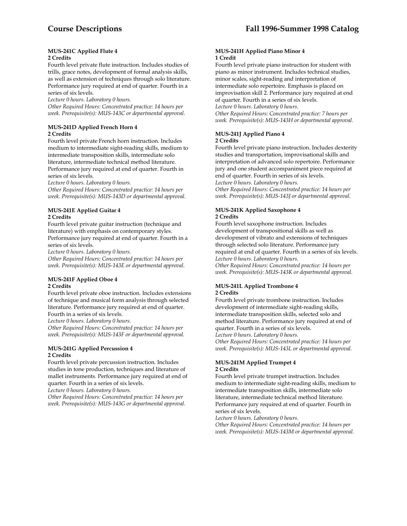#### **MUS-241C Applied Flute 4 2 Credits**

Fourth level private flute instruction. Includes studies of trills, grace notes, development of formal analysis skills, as well as extension of techniques through solo literature. Performance jury required at end of quarter. Fourth in a series of six levels.

*Lecture 0 hours. Laboratory 0 hours.* 

*Other Required Hours: Concentrated practice: 14 hours per week. Prerequisite(s): MUS-143C or departmental approval.* 

# **MUS-241D Applied French Horn 4 2 Credits**

Fourth level private French horn instruction. Includes medium to intermediate sight-reading skills, medium to intermediate transposition skills, intermediate solo literature, intermediate technical method literature. Performance jury required at end of quarter. Fourth in series of six levels.

*Lecture 0 hours. Laboratory 0 hours.* 

*Other Required Hours: Concentrated practice: 14 hours per week. Prerequisite(s): MUS-143D or departmental approval.* 

# **MUS-241E Applied Guitar 4 2 Credits**

Fourth level private guitar instruction (technique and literature) with emphasis on contemporary styles. Performance jury required at end of quarter. Fourth in a series of six levels.

*Lecture 0 hours. Laboratory 0 hours.* 

*Other Required Hours: Concentrated practice: 14 hours per week. Prerequisite(s): MUS-143E or departmental approval.* 

# **MUS-241F Applied Oboe 4 2 Credits**

Fourth level private oboe instruction. Includes extensions of technique and musical form analysis through selected literature. Performance jury required at end of quarter. Fourth in a series of six levels.

*Lecture 0 hours. Laboratory 0 hours.* 

*Other Required Hours: Concentrated practice: 14 hours per week. Prerequisite(s): MUS-143F or departmental approval.* 

#### **MUS-241G Applied Percussion 4 2 Credits**

Fourth level private percussion instruction. Includes studies in tone production, techniques and literature of mallet instruments. Performance jury required at end of quarter. Fourth in a series of six levels.

*Lecture 0 hours. Laboratory 0 hours.* 

*Other Required Hours: Concentrated practice: 14 hours per week. Prerequisite(s): MUS-143G or departmental approval.* 

#### **MUS-241H Applied Piano Minor 4 1 Credit**

Fourth level private piano instruction for student with piano as minor instrument. Includes technical studies, minor scales, sight-reading and interpretation of intermediate solo repertoire. Emphasis is placed on improvisation skill 2. Performance jury required at end of quarter. Fourth in a series of six levels.

*Lecture 0 hours. Laboratory 0 hours.* 

*Other Required Hours: Concentrated practice: 7 hours per week. Prerequisite(s): MUS-143H or departmental approval.* 

#### **MUS-241J Applied Piano 4 2 Credits**

Fourth level private piano instruction. Includes dexterity studies and transportation, improvisational skills and interpretation of advanced solo repertoire. Performance jury and one student accompaniment piece required at end of quarter. Fourth in series of six levels. *Lecture 0 hours. Laboratory 0 hours.* 

*Other Required Hours: Concentrated practice: 14 hours per week. Prerequisite(s): MUS-143J or departmental approval.* 

# **MUS-241K Applied Saxophone 4 2 Credits**

Fourth level saxophone instruction. Includes development of transpositional skills as well as development of vibrato and extensions of techniques through selected solo literature. Performance jury required at end of quarter. Fourth in a series of six levels.

*Lecture 0 hours. Laboratory 0 hours. Other Required Hours: Concentrated practice: 14 hours per* 

*week. Prerequisite(s): MUS-143K or departmental approval.* 

# **MUS-241L Applied Trombone 4 2 Credits**

Fourth level private trombone instruction. Includes development of intermediate sight-reading skills, intermediate transposition skills, selected solo and method literature. Performance jury required at end of quarter. Fourth in a series of six levels. *Lecture 0 hours. Laboratory 0 hours.* 

*Other Required Hours: Concentrated practice: 14 hours per week. Prerequisite(s): MUS-143L or departmental approval.* 

# **MUS-241M Applied Trumpet 4 2 Credits**

Fourth level private trumpet instruction. Includes medium to intermediate sight-reading skills, medium to intermediate transposition skills, intermediate solo literature, intermediate technical method literature. Performance jury required at end of quarter. Fourth in series of six levels.

*Lecture 0 hours. Laboratory 0 hours.* 

*Other Required Hours: Concentrated practice: 14 hours per week. Prerequisite(s): MUS-143M or departmental approval.*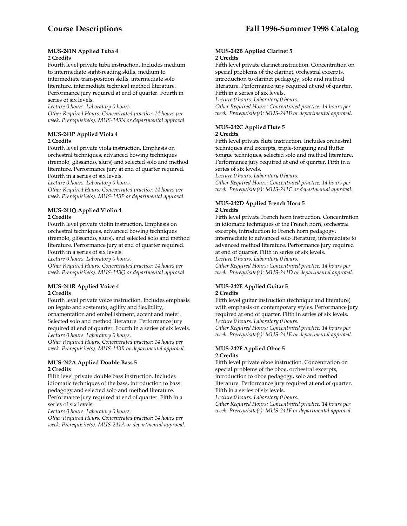#### **MUS-241N Applied Tuba 4 2 Credits**

Fourth level private tuba instruction. Includes medium to intermediate sight-reading skills, medium to intermediate transposition skills, intermediate solo literature, intermediate technical method literature.

Performance jury required at end of quarter. Fourth in series of six levels.

*Lecture 0 hours. Laboratory 0 hours.* 

*Other Required Hours: Concentrated practice: 14 hours per week. Prerequisite(s): MUS-143N or departmental approval.* 

# **MUS-241P Applied Viola 4 2 Credits**

Fourth level private viola instruction. Emphasis on orchestral techniques, advanced bowing techniques (tremolo, glissando, slurs) and selected solo and method literature. Performance jury at end of quarter required. Fourth in a series of six levels.

*Lecture 0 hours. Laboratory 0 hours.* 

*Other Required Hours: Concentrated practice: 14 hours per week. Prerequisite(s): MUS-143P or departmental approval.* 

# **MUS-241Q Applied Violin 4 2 Credits**

Fourth level private violin instruction. Emphasis on orchestral techniques, advanced bowing techniques (tremolo, glissando, slurs), and selected solo and method literature. Performance jury at end of quarter required. Fourth in a series of six levels.

*Lecture 0 hours. Laboratory 0 hours.* 

*Other Required Hours: Concentrated practice: 14 hours per week. Prerequisite(s): MUS-143Q or departmental approval.* 

# **MUS-241R Applied Voice 4 2 Credits**

Fourth level private voice instruction. Includes emphasis on legato and sostenuto, agility and flexibility, ornamentation and embellishment, accent and meter. Selected solo and method literature. Performance jury required at end of quarter. Fourth in a series of six levels. *Lecture 0 hours. Laboratory 0 hours.* 

*Other Required Hours: Concentrated practice: 14 hours per week. Prerequisite(s): MUS-143R or departmental approval.* 

# **MUS-242A Applied Double Bass 5 2 Credits**

Fifth level private double bass instruction. Includes idiomatic techniques of the bass, introduction to bass pedagogy and selected solo and method literature. Performance jury required at end of quarter. Fifth in a series of six levels.

*Lecture 0 hours. Laboratory 0 hours.* 

*Other Required Hours: Concentrated practice: 14 hours per week. Prerequisite(s): MUS-241A or departmental approval.* 

### **MUS-242B Applied Clarinet 5 2 Credits**

Fifth level private clarinet instruction. Concentration on special problems of the clarinet, orchestral excerpts, introduction to clarinet pedagogy, solo and method literature. Performance jury required at end of quarter. Fifth in a series of six levels.

*Lecture 0 hours. Laboratory 0 hours.* 

*Other Required Hours: Concentrated practice: 14 hours per week. Prerequisite(s): MUS-241B or departmental approval.* 

# **MUS-242C Applied Flute 5**

# **2 Credits**

Fifth level private flute instruction. Includes orchestral techniques and excerpts, triple-tonguing and flutter tongue techniques, selected solo and method literature. Performance jury required at end of quarter. Fifth in a series of six levels.

*Lecture 0 hours. Laboratory 0 hours.* 

*Other Required Hours: Concentrated practice: 14 hours per week. Prerequisite(s): MUS-241C or departmental approval.* 

# **MUS-242D Applied French Horn 5 2 Credits**

Fifth level private French horn instruction. Concentration in idiomatic techniques of the French horn, orchestral excerpts, introduction to French horn pedagogy, intermediate to advanced solo literature, intermediate to advanced method literature. Performance jury required at end of quarter. Fifth in series of six levels.

*Lecture 0 hours. Laboratory 0 hours.* 

*Other Required Hours: Concentrated practice: 14 hours per week. Prerequisite(s): MUS-241D or departmental approval.* 

#### **MUS-242E Applied Guitar 5 2 Credits**

Fifth level guitar instruction (technique and literature) with emphasis on contemporary styles. Performance jury required at end of quarter. Fifth in series of six levels. *Lecture 0 hours. Laboratory 0 hours.* 

*Other Required Hours: Concentrated practice: 14 hours per week. Prerequisite(s): MUS-241E or departmental approval.* 

#### **MUS-242F Applied Oboe 5 2 Credits**

Fifth level private oboe instruction. Concentration on special problems of the oboe, orchestral excerpts, introduction to oboe pedagogy, solo and method literature. Performance jury required at end of quarter. Fifth in a series of six levels.

*Lecture 0 hours. Laboratory 0 hours.* 

*Other Required Hours: Concentrated practice: 14 hours per week. Prerequisite(s): MUS-241F or departmental approval.*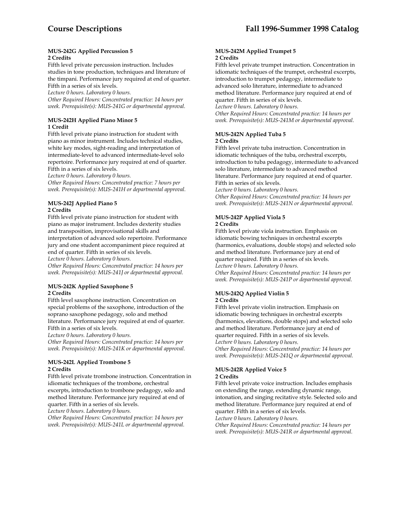#### **MUS-242G Applied Percussion 5 2 Credits**

Fifth level private percussion instruction. Includes studies in tone production, techniques and literature of the timpani. Performance jury required at end of quarter. Fifth in a series of six levels.

*Lecture 0 hours. Laboratory 0 hours.* 

*Other Required Hours: Concentrated practice: 14 hours per week. Prerequisite(s): MUS-241G or departmental approval.* 

# **MUS-242H Applied Piano Minor 5 1 Credit**

Fifth level private piano instruction for student with piano as minor instrument. Includes technical studies, white key modes, sight-reading and interpretation of intermediate-level to advanced intermediate-level solo repertoire. Performance jury required at end of quarter. Fifth in a series of six levels.

*Lecture 0 hours. Laboratory 0 hours.* 

*Other Required Hours: Concentrated practice: 7 hours per week. Prerequisite(s): MUS-241H or departmental approval.* 

# **MUS-242J Applied Piano 5 2 Credits**

Fifth level private piano instruction for student with piano as major instrument. Includes dexterity studies and transposition, improvisational skills and interpretation of advanced solo repertoire. Performance jury and one student accompaniment piece required at end of quarter. Fifth in series of six levels.

*Lecture 0 hours. Laboratory 0 hours.* 

*Other Required Hours: Concentrated practice: 14 hours per week. Prerequisite(s): MUS-241J or departmental approval.* 

# **MUS-242K Applied Saxophone 5 2 Credits**

Fifth level saxophone instruction. Concentration on special problems of the saxophone, introduction of the soprano saxophone pedagogy, solo and method literature. Performance jury required at end of quarter. Fifth in a series of six levels.

*Lecture 0 hours. Laboratory 0 hours.* 

*Other Required Hours: Concentrated practice: 14 hours per week. Prerequisite(s): MUS-241K or departmental approval.* 

# **MUS-242L Applied Trombone 5 2 Credits**

Fifth level private trombone instruction. Concentration in idiomatic techniques of the trombone, orchestral excerpts, introduction to trombone pedagogy, solo and method literature. Performance jury required at end of quarter. Fifth in a series of six levels.

*Lecture 0 hours. Laboratory 0 hours.* 

*Other Required Hours: Concentrated practice: 14 hours per week. Prerequisite(s): MUS-241L or departmental approval.* 

#### **MUS-242M Applied Trumpet 5 2 Credits**

Fifth level private trumpet instruction. Concentration in idiomatic techniques of the trumpet, orchestral excerpts, introduction to trumpet pedagogy, intermediate to advanced solo literature, intermediate to advanced method literature. Performance jury required at end of quarter. Fifth in series of six levels.

*Lecture 0 hours. Laboratory 0 hours.* 

*Other Required Hours: Concentrated practice: 14 hours per week. Prerequisite(s): MUS-241M or departmental approval.* 

# **MUS-242N Applied Tuba 5 2 Credits**

Fifth level private tuba instruction. Concentration in idiomatic techniques of the tuba, orchestral excerpts, introduction to tuba pedagogy, intermediate to advanced solo literature, intermediate to advanced method literature. Performance jury required at end of quarter. Fifth in series of six levels.

*Lecture 0 hours. Laboratory 0 hours.* 

*Other Required Hours: Concentrated practice: 14 hours per week. Prerequisite(s): MUS-241N or departmental approval.* 

#### **MUS-242P Applied Viola 5 2 Credits**

Fifth level private viola instruction. Emphasis on idiomatic bowing techniques in orchestral excerpts (harmonics, evaluations, double stops) and selected solo and method literature. Performance jury at end of quarter required. Fifth in a series of six levels. *Lecture 0 hours. Laboratory 0 hours. Other Required Hours: Concentrated practice: 14 hours per week. Prerequisite(s): MUS-241P or departmental approval.* 

# **MUS-242Q Applied Violin 5**

#### **2 Credits**

Fifth level private violin instruction. Emphasis on idiomatic bowing techniques in orchestral excerpts (harmonics, elevations, double stops) and selected solo and method literature. Performance jury at end of quarter required. Fifth in a series of six levels. *Lecture 0 hours. Laboratory 0 hours.* 

*Other Required Hours: Concentrated practice: 14 hours per week. Prerequisite(s): MUS-241Q or departmental approval.* 

#### **MUS-242R Applied Voice 5 2 Credits**

Fifth level private voice instruction. Includes emphasis on extending the range, extending dynamic range, intonation, and singing recitative style. Selected solo and method literature. Performance jury required at end of quarter. Fifth in a series of six levels.

*Lecture 0 hours. Laboratory 0 hours.* 

*Other Required Hours: Concentrated practice: 14 hours per week. Prerequisite(s): MUS-241R or departmental approval.*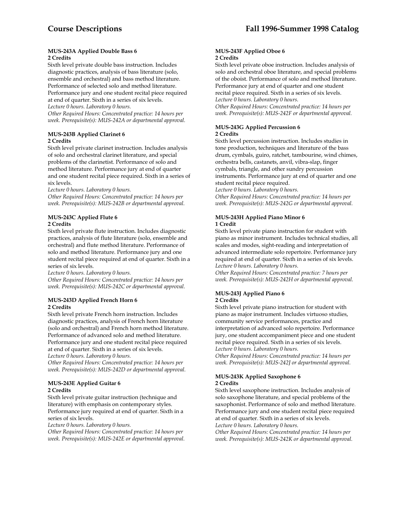#### **MUS-243A Applied Double Bass 6 2 Credits**

Sixth level private double bass instruction. Includes diagnostic practices, analysis of bass literature (solo, ensemble and orchestral) and bass method literature. Performance of selected solo and method literature.

Performance jury and one student recital piece required at end of quarter. Sixth in a series of six levels. *Lecture 0 hours. Laboratory 0 hours.* 

*Other Required Hours: Concentrated practice: 14 hours per week. Prerequisite(s): MUS-242A or departmental approval.* 

# **MUS-243B Applied Clarinet 6 2 Credits**

Sixth level private clarinet instruction. Includes analysis of solo and orchestral clarinet literature, and special problems of the clarinetist. Performance of solo and method literature. Performance jury at end of quarter and one student recital piece required. Sixth in a series of six levels.

*Lecture 0 hours. Laboratory 0 hours.* 

*Other Required Hours: Concentrated practice: 14 hours per week. Prerequisite(s): MUS-242B or departmental approval.* 

# **MUS-243C Applied Flute 6 2 Credits**

Sixth level private flute instruction. Includes diagnostic practices, analysis of flute literature (solo, ensemble and orchestral) and flute method literature. Performance of solo and method literature. Performance jury and one student recital piece required at end of quarter. Sixth in a series of six levels.

*Lecture 0 hours. Laboratory 0 hours.* 

*Other Required Hours: Concentrated practice: 14 hours per week. Prerequisite(s): MUS-242C or departmental approval.* 

# **MUS-243D Applied French Horn 6 2 Credits**

Sixth level private French horn instruction. Includes diagnostic practices, analysis of French horn literature (solo and orchestral) and French horn method literature. Performance of advanced solo and method literature. Performance jury and one student recital piece required at end of quarter. Sixth in a series of six levels. *Lecture 0 hours. Laboratory 0 hours.* 

*Other Required Hours: Concentrated practice: 14 hours per week. Prerequisite(s): MUS-242D or departmental approval.* 

# **MUS-243E Applied Guitar 6 2 Credits**

Sixth level private guitar instruction (technique and literature) with emphasis on contemporary styles. Performance jury required at end of quarter. Sixth in a series of six levels.

*Lecture 0 hours. Laboratory 0 hours.* 

*Other Required Hours: Concentrated practice: 14 hours per week. Prerequisite(s): MUS-242E or departmental approval.* 

#### **MUS-243F Applied Oboe 6 2 Credits**

Sixth level private oboe instruction. Includes analysis of solo and orchestral oboe literature, and special problems of the oboist. Performance of solo and method literature. Performance jury at end of quarter and one student recital piece required. Sixth in a series of six levels. *Lecture 0 hours. Laboratory 0 hours.* 

*Other Required Hours: Concentrated practice: 14 hours per week. Prerequisite(s): MUS-242F or departmental approval.* 

# **MUS-243G Applied Percussion 6 2 Credits**

Sixth level percussion instruction. Includes studies in tone production, techniques and literature of the bass drum, cymbals, guiro, ratchet, tambourine, wind chimes, orchestra bells, castanets, anvil, vibra-slap, finger cymbals, triangle, and other sundry percussion instruments. Performance jury at end of quarter and one student recital piece required.

*Lecture 0 hours. Laboratory 0 hours.* 

*Other Required Hours: Concentrated practice: 14 hours per week. Prerequisite(s): MUS-242G or departmental approval.* 

### **MUS-243H Applied Piano Minor 6 1 Credit**

Sixth level private piano instruction for student with piano as minor instrument. Includes technical studies, all scales and modes, sight-reading and interpretation of advanced intermediate solo repertoire. Performance jury required at end of quarter. Sixth in a series of six levels. *Lecture 0 hours. Laboratory 0 hours.* 

*Other Required Hours: Concentrated practice: 7 hours per week. Prerequisite(s): MUS-242H or departmental approval.* 

# **MUS-243J Applied Piano 6**

# **2 Credits**

Sixth level private piano instruction for student with piano as major instrument. Includes virtuoso studies, community service performances, practice and interpretation of advanced solo repertoire. Performance jury, one student accompaniment piece and one student recital piece required. Sixth in a series of six levels. *Lecture 0 hours. Laboratory 0 hours.* 

*Other Required Hours: Concentrated practice: 14 hours per week. Prerequisite(s): MUS-242J or departmental approval.* 

# **MUS-243K Applied Saxophone 6 2 Credits**

Sixth level saxophone instruction. Includes analysis of solo saxophone literature, and special problems of the saxophonist. Performance of solo and method literature. Performance jury and one student recital piece required at end of quarter. Sixth in a series of six levels. *Lecture 0 hours. Laboratory 0 hours.* 

*Other Required Hours: Concentrated practice: 14 hours per week. Prerequisite(s): MUS-242K or departmental approval.*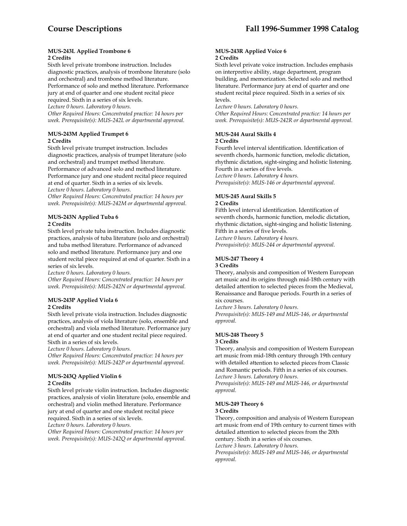#### **MUS-243L Applied Trombone 6 2 Credits**

Sixth level private trombone instruction. Includes diagnostic practices, analysis of trombone literature (solo and orchestral) and trombone method literature. Performance of solo and method literature. Performance jury at end of quarter and one student recital piece required. Sixth in a series of six levels.

*Lecture 0 hours. Laboratory 0 hours.* 

*Other Required Hours: Concentrated practice: 14 hours per week. Prerequisite(s): MUS-242L or departmental approval.* 

# **MUS-243M Applied Trumpet 6 2 Credits**

Sixth level private trumpet instruction. Includes diagnostic practices, analysis of trumpet literature (solo and orchestral) and trumpet method literature. Performance of advanced solo and method literature. Performance jury and one student recital piece required at end of quarter. Sixth in a series of six levels. *Lecture 0 hours. Laboratory 0 hours.* 

*Other Required Hours: Concentrated practice: 14 hours per week. Prerequisite(s): MUS-242M or departmental approval.* 

#### **MUS-243N Applied Tuba 6 2 Credits**

Sixth level private tuba instruction. Includes diagnostic practices, analysis of tuba literature (solo and orchestral) and tuba method literature. Performance of advanced solo and method literature. Performance jury and one student recital piece required at end of quarter. Sixth in a series of six levels.

*Lecture 0 hours. Laboratory 0 hours.* 

*Other Required Hours: Concentrated practice: 14 hours per week. Prerequisite(s): MUS-242N or departmental approval.* 

# **MUS-243P Applied Viola 6 2 Credits**

Sixth level private viola instruction. Includes diagnostic practices, analysis of viola literature (solo, ensemble and orchestral) and viola method literature. Performance jury at end of quarter and one student recital piece required. Sixth in a series of six levels.

*Lecture 0 hours. Laboratory 0 hours.* 

*Other Required Hours: Concentrated practice: 14 hours per week. Prerequisite(s): MUS-242P or departmental approval.* 

# **MUS-243Q Applied Violin 6 2 Credits**

Sixth level private violin instruction. Includes diagnostic practices, analysis of violin literature (solo, ensemble and orchestral) and violin method literature. Performance jury at end of quarter and one student recital piece required. Sixth in a series of six levels.

*Lecture 0 hours. Laboratory 0 hours.* 

*Other Required Hours: Concentrated practice: 14 hours per week. Prerequisite(s): MUS-242Q or departmental approval.* 

#### **MUS-243R Applied Voice 6 2 Credits**

Sixth level private voice instruction. Includes emphasis on interpretive ability, stage department, program building, and memorization. Selected solo and method literature. Performance jury at end of quarter and one student recital piece required. Sixth in a series of six levels.

*Lecture 0 hours. Laboratory 0 hours.* 

*Other Required Hours: Concentrated practice: 14 hours per week. Prerequisite(s): MUS-242R or departmental approval.* 

#### **MUS-244 Aural Skills 4 2 Credits**

Fourth level interval identification. Identification of seventh chords, harmonic function, melodic dictation, rhythmic dictation, sight-singing and holistic listening. Fourth in a series of five levels. *Lecture 0 hours. Laboratory 4 hours.* 

*Prerequisite(s): MUS-146 or departmental approval.* 

# **MUS-245 Aural Skills 5**

# **2 Credits**

Fifth level interval identification. Identification of seventh chords, harmonic function, melodic dictation, rhythmic dictation, sight-singing and holistic listening. Fifth in a series of five levels.

*Lecture 0 hours. Laboratory 4 hours.* 

*Prerequisite(s): MUS-244 or departmental approval.* 

#### **MUS-247 Theory 4 3 Credits**

Theory, analysis and composition of Western European art music and its origins through mid-18th century with detailed attention to selected pieces from the Medieval, Renaissance and Baroque periods. Fourth in a series of six courses.

*Lecture 3 hours. Laboratory 0 hours. Prerequisite(s): MUS-149 and MUS-146, or departmental approval.* 

# **MUS-248 Theory 5**

#### **3 Credits**

Theory, analysis and composition of Western European art music from mid-18th century through 19th century with detailed attention to selected pieces from Classic and Romantic periods. Fifth in a series of six courses. *Lecture 3 hours. Laboratory 0 hours.* 

*Prerequisite(s): MUS-149 and MUS-146, or departmental approval.* 

#### **MUS-249 Theory 6 3 Credits**

Theory, composition and analysis of Western European art music from end of 19th century to current times with detailed attention to selected pieces from the 20th century. Sixth in a series of six courses. *Lecture 3 hours. Laboratory 0 hours.* 

*Prerequisite(s): MUS-149 and MUS-146, or departmental approval.*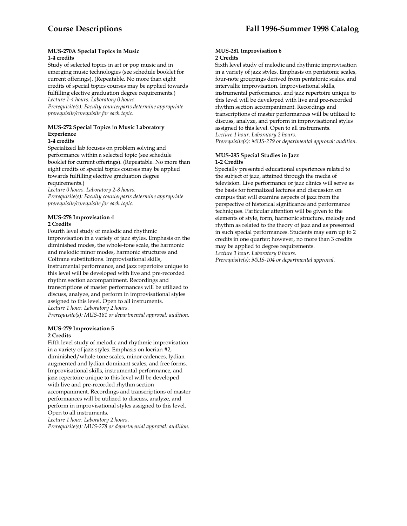#### **MUS-270A Special Topics in Music 1-4 credits**

Study of selected topics in art or pop music and in emerging music technologies (see schedule booklet for current offerings). (Repeatable. No more than eight credits of special topics courses may be applied towards fulfilling elective graduation degree requirements.) *Lecture 1-4 hours. Laboratory 0 hours. Prerequisite(s): Faculty counterparts determine appropriate prerequisite/corequisite for each topic.* 

# **MUS-272 Special Topics in Music Laboratory Experience**

# **1-4 credits**

Specialized lab focuses on problem solving and performance within a selected topic (see schedule booklet for current offerings). (Repeatable. No more than eight credits of special topics courses may be applied towards fulfilling elective graduation degree requirements.)

*Lecture 0 hours. Laboratory 2-8 hours. Prerequisite(s): Faculty counterparts determine appropriate prerequisite/corequisite for each topic*.

#### **MUS-278 Improvisation 4 2 Credits**

Fourth level study of melodic and rhythmic improvisation in a variety of jazz styles. Emphasis on the diminished modes, the whole-tone scale, the harmonic and melodic minor modes, harmonic structures and Coltrane substitutions. Improvisational skills, instrumental performance, and jazz repertoire unique to this level will be developed with live and pre-recorded rhythm section accompaniment. Recordings and transcriptions of master performances will be utilized to discuss, analyze, and perform in improvisational styles assigned to this level. Open to all instruments. *Lecture 1 hour. Laboratory 2 hours.* 

*Prerequisite(s): MUS-181 or departmental approval: audition.* 

# **MUS-279 Improvisation 5 2 Credits**

Fifth level study of melodic and rhythmic improvisation in a variety of jazz styles. Emphasis on locrian #2, diminished/whole-tone scales, minor cadences, lydian augmented and lydian dominant scales, and free forms. Improvisational skills, instrumental performance, and jazz repertoire unique to this level will be developed with live and pre-recorded rhythm section accompaniment. Recordings and transcriptions of master performances will be utilized to discuss, analyze, and perform in improvisational styles assigned to this level. Open to all instruments.

*Lecture 1 hour. Laboratory 2 hours*.

*Prerequisite(s): MUS-278 or departmental approval: audition.* 

#### **MUS-281 Improvisation 6 2 Credits**

Sixth level study of melodic and rhythmic improvisation in a variety of jazz styles. Emphasis on pentatonic scales, four-note groupings derived from pentatonic scales, and intervallic improvisation. Improvisational skills, instrumental performance, and jazz repertoire unique to this level will be developed with live and pre-recorded rhythm section accompaniment. Recordings and transcriptions of master performances will be utilized to discuss, analyze, and perform in improvisational styles assigned to this level. Open to all instruments. *Lecture 1 hour. Laboratory 2 hours. Prerequisite(s): MUS-279 or departmental approval: audition.* 

# **MUS-295 Special Studies in Jazz 1-2 Credits**

Specially presented educational experiences related to the subject of jazz, attained through the media of television. Live performance or jazz clinics will serve as the basis for formalized lectures and discussion on campus that will examine aspects of jazz from the perspective of historical significance and performance techniques. Particular attention will be given to the elements of style, form, harmonic structure, melody and rhythm as related to the theory of jazz and as presented in such special performances. Students may earn up to 2 credits in one quarter; however, no more than 3 credits may be applied to degree requirements. *Lecture 1 hour. Laboratory 0 hours.* 

*Prerequisite(s): MUS-104 or departmental approval.*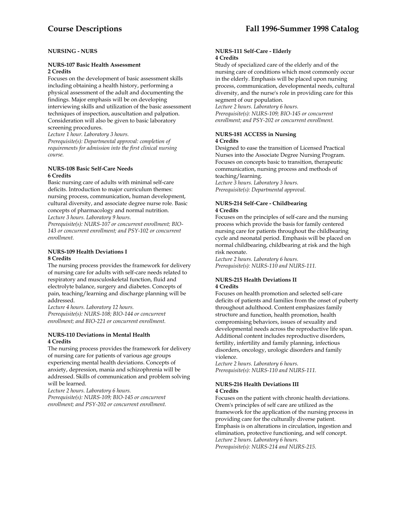# **NURSING - NURS**

### **NURS-107 Basic Health Assessment 2 Credits**

Focuses on the development of basic assessment skills including obtaining a health history, performing a physical assessment of the adult and documenting the findings. Major emphasis will be on developing interviewing skills and utilization of the basic assessment techniques of inspection, auscultation and palpation. Consideration will also be given to basic laboratory screening procedures.

*Lecture 1 hour. Laboratory 3 hours.* 

*Prerequisite(s): Departmental approval: completion of requirements for admission into the first clinical nursing course.* 

#### **NURS-108 Basic Self-Care Needs 6 Credits**

Basic nursing care of adults with minimal self-care deficits. Introduction to major curriculum themes: nursing process, communication, human development, cultural diversity, and associate degree nurse role. Basic concepts of pharmacology and normal nutrition. *Lecture 3 hours. Laboratory 9 hours.* 

*Prerequisite(s): NURS-107 or concurrent enrollment; BIO-143 or concurrent enrollment; and PSY-102 or concurrent enrollment.* 

# **NURS-109 Health Deviations I 8 Credits**

The nursing process provides the framework for delivery of nursing care for adults with self-care needs related to respiratory and musculoskeletal function, fluid and electrolyte balance, surgery and diabetes. Concepts of pain, teaching/learning and discharge planning will be addressed.

*Lecture 4 hours. Laboratory 12 hours. Prerequisite(s): NURS-108; BIO-144 or concurrent enrollment; and BIO-221 or concurrent enrollment*.

#### **NURS-110 Deviations in Mental Health 4 Credits**

The nursing process provides the framework for delivery of nursing care for patients of various age groups experiencing mental health deviations. Concepts of anxiety, depression, mania and schizophrenia will be addressed. Skills of communication and problem solving will be learned.

*Lecture 2 hours. Laboratory 6 hours. Prerequisite(s): NURS-109; BIO-145 or concurrent enrollment; and PSY-202 or concurrent enrollment.* 

#### **NURS-111 Self-Care - Elderly 4 Credits**

Study of specialized care of the elderly and of the nursing care of conditions which most commonly occur in the elderly. Emphasis will be placed upon nursing process, communication, developmental needs, cultural diversity, and the nurse's role in providing care for this segment of our population.

*Lecture 2 hours. Laboratory 6 hours. Prerequisite(s): NURS-109; BIO-145 or concurrent enrollment; and PSY-202 or concurrent enrollment.* 

# **NURS-181 ACCESS in Nursing 4 Credits**

Designed to ease the transition of Licensed Practical Nurses into the Associate Degree Nursing Program. Focuses on concepts basic to transition, therapeutic communication, nursing process and methods of teaching/learning.

*Lecture 3 hours. Laboratory 3 hours. Prerequisite(s): Departmental approval.* 

### **NURS-214 Self-Care - Childbearing 4 Credits**

Focuses on the principles of self-care and the nursing process which provide the basis for family centered nursing care for patients throughout the childbearing cycle and neonatal period. Emphasis will be placed on normal childbearing, childbearing at risk and the high risk neonate.

*Lecture 2 hours. Laboratory 6 hours. Prerequisite(s): NURS-110 and NURS-111.* 

#### **NURS-215 Health Deviations II 4 Credits**

Focuses on health promotion and selected self-care deficits of patients and families from the onset of puberty throughout adulthood. Content emphasizes family structure and function, health promotion, health compromising behaviors, issues of sexuality and developmental needs across the reproductive life span. Additional content includes reproductive disorders, fertility, infertility and family planning, infectious disorders, oncology, urologic disorders and family violence.

*Lecture 2 hours. Laboratory 6 hours. Prerequisite(s): NURS-110 and NURS-111.* 

#### **NURS-216 Health Deviations III 4 Credits**

Focuses on the patient with chronic health deviations. Orem's principles of self care are utilized as the framework for the application of the nursing process in providing care for the culturally diverse patient. Emphasis is on alterations in circulation, ingestion and elimination, protective functioning, and self concept. *Lecture 2 hours. Laboratory 6 hours. Prerequisite(s): NURS-214 and NURS-215.*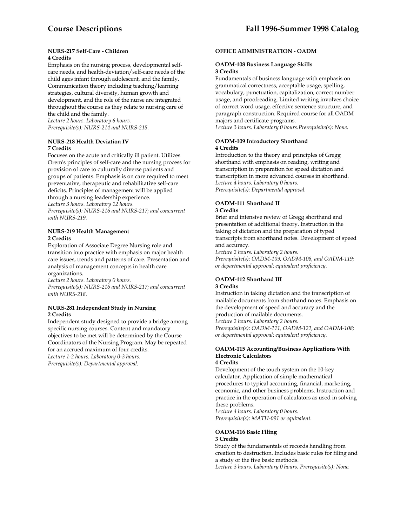#### **NURS-217 Self-Care - Children 4 Credits**

Emphasis on the nursing process, developmental selfcare needs, and health-deviation/self-care needs of the child ages infant through adolescent, and the family. Communication theory including teaching/learning strategies, cultural diversity, human growth and development, and the role of the nurse are integrated throughout the course as they relate to nursing care of the child and the family. *Lecture 2 hours. Laboratory 6 hours.* 

*Prerequisite(s): NURS-214 and NURS-215.* 

### **NURS-218 Health Deviation IV 7 Credits**

Focuses on the acute and critically ill patient. Utilizes Orem's principles of self-care and the nursing process for provision of care to culturally diverse patients and groups of patients. Emphasis is on care required to meet preventative, therapeutic and rehabilitative self-care deficits. Principles of management will be applied through a nursing leadership experience. *Lecture 3 hours. Laboratory 12 hours. Prerequisite(s): NURS-216 and NURS-217; and concurrent with NURS-219.* 

### **NURS-219 Health Management 2 Credits**

Exploration of Associate Degree Nursing role and transition into practice with emphasis on major health care issues, trends and patterns of care. Presentation and analysis of management concepts in health care organizations.

*Lecture 2 hours. Laboratory 0 hours. Prerequisite(s): NURS-216 and NURS-217; and concurrent with NURS-218*.

# **NURS-281 Independent Study in Nursing 2 Credits**

Independent study designed to provide a bridge among specific nursing courses. Content and mandatory objectives to be met will be determined by the Course Coordinators of the Nursing Program. May be repeated for an accrued maximum of four credits. *Lecture 1-2 hours. Laboratory 0-3 hours. Prerequisite(s): Departmental approval*.

### **OFFICE ADMINISTRATION - OADM**

#### **OADM-108 Business Language Skills 3 Credits**

Fundamentals of business language with emphasis on grammatical correctness, acceptable usage, spelling, vocabulary, punctuation, capitalization, correct number usage, and proofreading. Limited writing involves choice of correct word usage, effective sentence structure, and paragraph construction. Required course for all OADM majors and certificate programs.

*Lecture 3 hours. Laboratory 0 hours.Prerequisite(s): None.* 

#### **OADM-109 Introductory Shorthand 4 Credits**

Introduction to the theory and principles of Gregg shorthand with emphasis on reading, writing and transcription in preparation for speed dictation and transcription in more advanced courses in shorthand. *Lecture 4 hours. Laboratory 0 hours. Prerequisite(s): Departmental approval.* 

# **OADM-111 Shorthand II**

#### **3 Credits**

Brief and intensive review of Gregg shorthand and presentation of additional theory. Instruction in the taking of dictation and the preparation of typed transcripts from shorthand notes. Development of speed and accuracy.

*Lecture 2 hours. Laboratory 2 hours. Prerequisite(s): OADM-109, OADM-108, and OADM-119; or departmental approval: equivalent proficiency.* 

# **OADM-112 Shorthand III**

### **3 Credits**

Instruction in taking dictation and the transcription of mailable documents from shorthand notes. Emphasis on the development of speed and accuracy and the production of mailable documents. *Lecture 2 hours. Laboratory 2 hours. Prerequisite(s): OADM-111, OADM-121, and OADM-108;* 

*or departmental approval: equivalent proficiency.* 

# **OADM-115 Accounting/Business Applications With Electronic Calculator**s

#### **4 Credits**

Development of the touch system on the 10-key calculator. Application of simple mathematical procedures to typical accounting, financial, marketing, economic, and other business problems. Instruction and practice in the operation of calculators as used in solving these problems.

*Lecture 4 hours. Laboratory 0 hours. Prerequisite(s): MATH-091 or equivalent*.

# **OADM-116 Basic Filing**

# **3 Credits**

Study of the fundamentals of records handling from creation to destruction. Includes basic rules for filing and a study of the five basic methods.

*Lecture 3 hours. Laboratory 0 hours. Prerequisite(s): None.*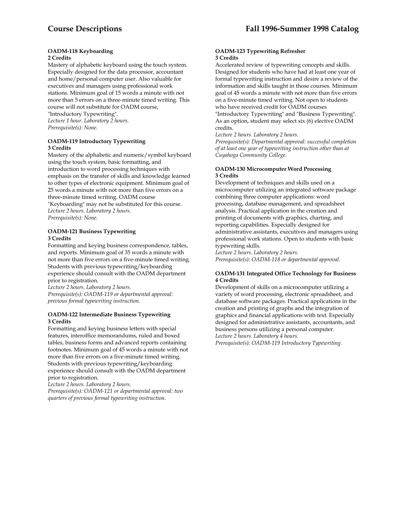#### **OADM-118 Keyboarding 2 Credits**

Mastery of alphabetic keyboard using the touch system. Especially designed for the data processor, accountant and home/personal computer user. Also valuable for executives and managers using professional work stations. Minimum goal of 15 words a minute with not more than 5 errors on a three-minute timed writing. This course will not substitute for OADM course, "Introductory Typewriting". *Lecture 1 hour. Laboratory 2 hours. Prerequisite(s): None.* 

#### **OADM-119 Introductory Typewriting 3 Credits**

Mastery of the alphabetic and numeric/symbol keyboard using the touch system, basic formatting, and introduction to word processing techniques with emphasis on the transfer of skills and knowledge learned to other types of electronic equipment. Minimum goal of 25 words a minute with not more than five errors on a three-minute timed writing. OADM course "Keyboarding" may not be substituted for this course. *Lecture 2 hours. Laboratory 2 hours. Prerequisite(s): None.* 

### **OADM-121 Business Typewriting 3 Credits**

Formatting and keying business correspondence, tables, and reports. Minimum goal of 35 words a minute with not more than five errors on a five-minute timed writing. Students with previous typewriting/keyboarding experience should consult with the OADM department prior to registration.

*Lecture 2 hours. Laboratory 2 hours. Prerequisite(s): OADM-119 or departmental approval: previous formal typewriting instruction.* 

#### **OADM-122 Intermediate Business Typewriting 3 Credits**

Formatting and keying business letters with special features, interoffice memorandums, ruled and boxed tables, business forms and advanced reports containing footnotes. Minimum goal of 45 words a minute with not more than five errors on a five-minute timed writing. Students with previous typewriting/keyboarding experience should consult with the OADM department prior to registration.

*Lecture 2 hours. Laboratory 2 hours.* 

*Prerequisite(s): OADM-121 or departmental approval: two quarters of previous formal typewriting instruction.* 

#### **OADM-123 Typewriting Refresher 3 Credits**

Accelerated review of typewriting concepts and skills. Designed for students who have had at least one year of formal typewriting instruction and desire a review of the information and skills taught in those courses. Minimum goal of 45 words a minute with not more than five errors on a five-minute timed writing. Not open to students who have received credit for OADM courses

"Introductory Typewriting" and "Business Typewriting". As an option, student may select six (6) elective OADM credits.

*Lecture 2 hours. Laboratory 2 hours.* 

*Prerequisite(s): Departmental approval: successful completion of at least one year of typewriting instruction other than at Cuyahoga Community College.* 

### **OADM-130 Microcomputer Word Processing 3 Credits**

Development of techniques and skills used on a microcomputer utilizing an integrated software package combining three computer applications: word processing, database management, and spreadsheet analysis. Practical application in the creation and printing of documents with graphics, charting, and reporting capabilities. Especially designed for administrative assistants, executives and managers using professional work stations. Open to students with basic typewriting skills.

*Lecture 2 hours. Laboratory 2 hours. Prerequisite(s): OADM-118 or departmental approval.* 

#### **OADM-131 Integrated Office Technology for Business 4 Credits**

Development of skills on a microcomputer utilizing a variety of word processing, electronic spreadsheet, and database software packages. Practical applications in the creation and printing of graphs and the integration of graphics and financial applications with text. Especially designed for administrative assistants, accountants, and business persons utilizing a personal computer. *Lecture 2 hours. Laboratory 4 hours. Prerequisite(s): OADM-119 Introductory Typewriting.*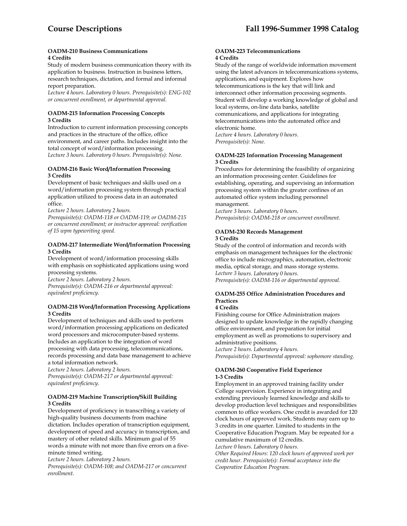#### **OADM-210 Business Communications 4 Credits**

Study of modern business communication theory with its application to business. Instruction in business letters, research techniques, dictation, and formal and informal report preparation.

*Lecture 4 hours. Laboratory 0 hours. Prerequisite(s): ENG-102 or concurrent enrollment, or departmental approval.* 

### **OADM-215 Information Processing Concepts 3 Credits**

Introduction to current information processing concepts and practices in the structure of the office, office environment, and career paths. Includes insight into the total concept of word/information processing. *Lecture 3 hours. Laboratory 0 hours. Prerequisite(s): None.* 

#### **OADM-216 Basic Word/Information Processing 3 Credits**

Development of basic techniques and skills used on a word/information processing system through practical application utilized to process data in an automated office.

*Lecture 2 hours. Laboratory 2 hours.* 

*Prerequisite(s): OADM-118 or OADM-119; or OADM-215 or concurrent enrollment; or instructor approval: verification of 15 wpm typewriting speed.* 

### **OADM-217 Intermediate Word/Information Processing 3 Credits**

Development of word/information processing skills with emphasis on sophisticated applications using word processing systems.

*Lecture 2 hours. Laboratory 2 hours. Prerequisite(s): OADM-216 or departmental approval: equivalent proficiency.* 

# **OADM-218 Word/Information Processing Applications 3 Credits**

Development of techniques and skills used to perform word/information processing applications on dedicated word processors and microcomputer-based systems. Includes an application to the integration of word processing with data processing, telecommunications, records processing and data base management to achieve a total information network.

*Lecture 2 hours. Laboratory 2 hours. Prerequisite(s): OADM-217 or departmental approval: equivalent proficiency.* 

# **OADM-219 Machine Transcription/Skill Building 3 Credits**

Development of proficiency in transcribing a variety of high-quality business documents from machine dictation. Includes operation of transcription equipment, development of speed and accuracy in transcription, and mastery of other related skills. Minimum goal of 55 words a minute with not more than five errors on a fiveminute timed writing.

*Lecture 2 hours. Laboratory 2 hours.* 

*Prerequisite(s): OADM-108; and OADM-217 or concurrent enrollment*.

#### **OADM-223 Telecommunications 4 Credits**

Study of the range of worldwide information movement using the latest advances in telecommunications systems, applications, and equipment. Explores how telecommunications is the key that will link and interconnect other information processing segments. Student will develop a working knowledge of global and local systems, on-line data banks, satellite communications, and applications for integrating telecommunications into the automated office and electronic home.

*Lecture 4 hours. Laboratory 0 hours. Prerequisite(s): None.* 

# **OADM-225 Information Processing Management 3 Credits**

Procedures for determining the feasibility of organizing an information processing center. Guidelines for establishing, operating, and supervising an information processing system within the greater confines of an automated office system including personnel management.

*Lecture 3 hours. Laboratory 0 hours. Prerequisite(s): OADM-218 or concurrent enrollment.* 

# **OADM-230 Records Management 3 Credits**

Study of the control of information and records with emphasis on management techniques for the electronic office to include micrographics, automation, electronic media, optical storage, and mass storage systems. *Lecture 3 hours. Laboratory 0 hours.* 

*Prerequisite(s): OADM-116 or departmental approval.* 

# **OADM-255 Office Administration Procedures and Practices**

# **4 Credits**

Finishing course for Office Administration majors designed to update knowledge in the rapidly changing office environment, and preparation for initial employment as well as promotions to supervisory and administrative positions. *Lecture 2 hours. Laboratory 4 hours.* 

*Prerequisite(s): Departmental approval: sophomore standing.* 

# **OADM-260 Cooperative Field Experience 1-3 Credits**

Employment in an approved training facility under College supervision. Experience in integrating and extending previously learned knowledge and skills to develop production level techniques and responsibilities common to office workers. One credit is awarded for 120 clock hours of approved work. Students may earn up to 3 credits in one quarter. Limited to students in the Cooperative Education Program. May be repeated for a cumulative maximum of 12 credits. *Lecture 0 hours. Laboratory 0 hours.* 

*Other Required Hours: 120 clock hours of approved work per credit hour. Prerequisite(s): Formal acceptance into the Cooperative Education Program.*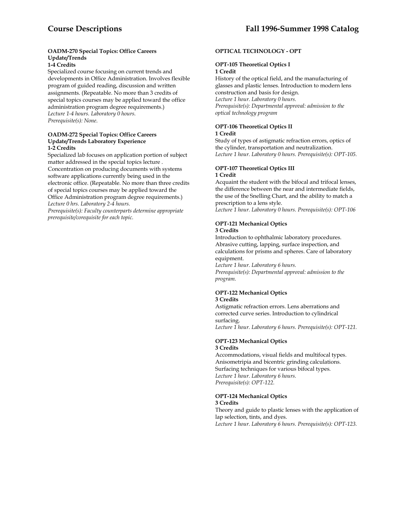# **OADM-270 Special Topics: Office Careers Update/Trends**

**1-4 Credits** 

Specialized course focusing on current trends and developments in Office Administration. Involves flexible program of guided reading, discussion and written assignments. (Repeatable. No more than 3 credits of special topics courses may be applied toward the office administration program degree requirements.) *Lecture 1-4 hours. Laboratory 0 hours. Prerequisite(s): None*.

#### **OADM-272 Special Topics: Office Careers Update/Trends Laboratory Experience 1-2 Credits**

Specialized lab focuses on application portion of subject matter addressed in the special topics lecture . Concentration on producing documents with systems software applications currently being used in the electronic office. (Repeatable. No more than three credits of special topics courses may be applied toward the Office Administration program degree requirements.) *Lecture 0 hrs. Laboratory 2-4 hours.* 

*Prerequisite(s): Faculty counterparts determine appropriate prerequisite/corequisite for each topic.* 

# **OPTICAL TECHNOLOGY - OPT**

#### **OPT-105 Theoretical Optics I 1 Credit**

History of the optical field, and the manufacturing of glasses and plastic lenses. Introduction to modern lens construction and basis for design. *Lecture 1 hour. Laboratory 0 hours. Prerequisite(s): Departmental approval: admission to the optical technology program* 

# **OPT-106 Theoretical Optics II**

#### **1 Credit**

Study of types of astigmatic refraction errors, optics of the cylinder, transportation and neutralization. *Lecture 1 hour. Laboratory 0 hours. Prerequisite(s): OPT-105.* 

# **OPT-107 Theoretical Optics III 1 Credit**

Acquaint the student with the bifocal and trifocal lenses, the difference between the near and intermediate fields, the use of the Snelling Chart, and the ability to match a prescription to a lens style. *Lecture 1 hour. Laboratory 0 hours. Prerequisite(s): OPT-106* 

# **OPT-121 Mechanical Optics**

#### **3 Credits**

Introduction to ophthalmic laboratory procedures. Abrasive cutting, lapping, surface inspection, and calculations for prisms and spheres. Care of laboratory equipment.

*Lecture 1 hour. Laboratory 6 hours. Prerequisite(s): Departmental approval: admission to the program.* 

# **OPT-122 Mechanical Optics**

# **3 Credits**

Astigmatic refraction errors. Lens aberrations and corrected curve series. Introduction to cylindrical surfacing. *Lecture 1 hour. Laboratory 6 hours. Prerequisite(s): OPT-121.* 

### **OPT-123 Mechanical Optics 3 Credits**

Accommodations, visual fields and multifocal types. Anisometripia and bicentric grinding calculations. Surfacing techniques for various bifocal types. *Lecture 1 hour. Laboratory 6 hours. Prerequisite(s): OPT-122.* 

#### **OPT-124 Mechanical Optics 3 Credits**

Theory and guide to plastic lenses with the application of lap selection, tints, and dyes. *Lecture 1 hour. Laboratory 6 hours. Prerequisite(s): OPT-123.*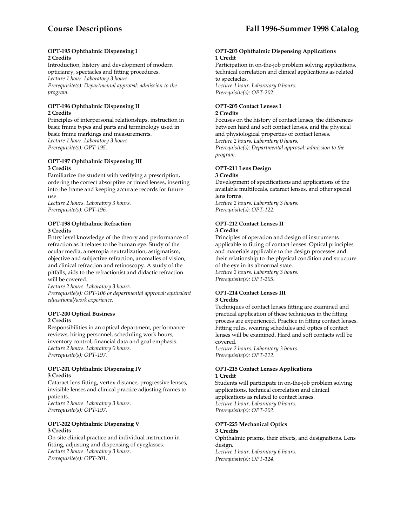#### **OPT-195 Ophthalmic Dispensing I 2 Credits**

Introduction, history and development of modern opticianry, spectacles and fitting procedures. *Lecture 1 hour. Laboratory 3 hours. Prerequisite(s): Departmental approval: admission to the program.* 

#### **OPT-196 Ophthalmic Dispensing II 2 Credits**

Principles of interpersonal relationships, instruction in basic frame types and parts and terminology used in basic frame markings and measurements. *Lecture 1 hour. Laboratory 3 hours. Prerequisite(s): OPT-195.* 

### **OPT-197 Ophthalmic Dispensing III 3 Credits**

Familiarize the student with verifying a prescription, ordering the correct absorptive or tinted lenses, inserting into the frame and keeping accurate records for future use.

*Lecture 2 hours. Laboratory 3 hours. Prerequisite(s): OPT-196.* 

# **OPT-198 Ophthalmic Refraction 3 Credits**

Entry level knowledge of the theory and performance of refraction as it relates to the human eye. Study of the ocular media, ametropia neutralization, astigmatism, objective and subjective refraction, anomalies of vision, and clinical refraction and retinoscopy. A study of the pitfalls, aids to the refractionist and didactic refraction will be covered.

*Lecture 2 hours. Laboratory 3 hours. Prerequisite(s): OPT-106 or departmental approval: equivalent educational/work experience.* 

#### **OPT-200 Optical Business 2 Credits**

Responsibilities in an optical department, performance reviews, hiring personnel, scheduling work hours, inventory control, financial data and goal emphasis. *Lecture 2 hours. Laboratory 0 hours. Prerequisite(s): OPT-197.* 

# **OPT-201 Ophthalmic Dispensing IV 3 Credits**

Cataract lens fitting, vertex distance, progressive lenses, invisible lenses and clinical practice adjusting frames to patients. *Lecture 2 hours. Laboratory 3 hours.* 

*Prerequisite(s): OPT-197.* 

### **OPT-202 Ophthalmic Dispensing V 3 Credits**

On-site clinical practice and individual instruction in fitting, adjusting and dispensing of eyeglasses. *Lecture 2 hours. Laboratory 3 hours. Prerequisite(s): OPT-201*.

#### **OPT-203 Ophthalmic Dispensing Applications 1 Credit**

Participation in on-the-job problem solving applications, technical correlation and clinical applications as related to spectacles. *Lecture 1 hour. Laboratory 0 hours. Prerequisite(s): OPT-202.* 

# **OPT-205 Contact Lenses I**

### **2 Credits**

Focuses on the history of contact lenses, the differences between hard and soft contact lenses, and the physical and physiological properties of contact lenses. *Lecture 2 hours. Laboratory 0 hours. Prerequisite(s): Departmental approval: admission to the program.* 

### **OPT-211 Lens Design 3 Credits**

Development of specifications and applications of the available multifocals, cataract lenses, and other special lens forms. *Lecture 2 hours. Laboratory 3 hours. Prerequisite(s): OPT-122.* 

# **OPT-212 Contact Lenses II**

# **3 Credits**

Principles of operation and design of instruments applicable to fitting of contact lenses. Optical principles and materials applicable to the design processes and their relationship to the physical condition and structure of the eye in its abnormal state. *Lecture 2 hours. Laboratory 3 hours. Prerequisite(s): OPT-205.* 

# **OPT-214 Contact Lenses III**

# **3 Credits**

Techniques of contact lenses fitting are examined and practical application of these techniques in the fitting process are experienced. Practice in fitting contact lenses. Fitting rules, wearing schedules and optics of contact lenses will be examined. Hard and soft contacts will be covered.

*Lecture 2 hours. Laboratory 3 hours. Prerequisite(s): OPT-212.* 

# **OPT-215 Contact Lenses Applications 1 Credit**

Students will participate in on-the-job problem solving applications, technical correlation and clinical applications as related to contact lenses. *Lecture 1 hour. Laboratory 0 hours. Prerequisite(s): OPT-202.* 

# **OPT-225 Mechanical Optics**

# **3 Credits**

Ophthalmic prisms, their effects, and designations. Lens design. *Lecture 1 hour. Laboratory 6 hours.* 

*Prerequisite(s): OPT-124*.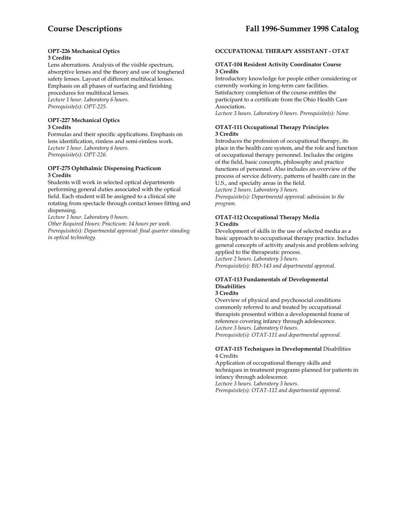#### **OPT-226 Mechanical Optics 3 Credits**

Lens aberrations. Analysis of the visible spectrum, absorptive lenses and the theory and use of toughened safety lenses. Layout of different multifocal lenses. Emphasis on all phases of surfacing and finishing procedures for multifocal lenses. *Lecture 1 hour. Laboratory 6 hours. Prerequisite(s): OPT-225.* 

### **OPT-227 Mechanical Optics 3 Credits**

Formulas and their specific applications. Emphasis on lens identification, rimless and semi-rimless work. *Lecture 1 hour. Laboratory 6 hours. Prerequisite(s): OPT-226.* 

# **OPT-275 Ophthalmic Dispensing Practicum 3 Credits**

Students will work in selected optical departments performing general duties associated with the optical field. Each student will be assigned to a clinical site rotating from spectacle through contact lenses fitting and dispensing.

*Lecture 1 hour. Laboratory 0 hours.* 

*Other Required Hours: Practicum: 14 hours per week. Prerequisite(s): Departmental approval: final quarter standing in optical technology.* 

# **OCCUPATIONAL THERAPY ASSISTANT - OTAT**

#### **OTAT-104 Resident Activity Coordinator Course 3 Credits**

Introductory knowledge for people either considering or currently working in long-term care facilities. Satisfactory completion of the course entitles the participant to a certificate from the Ohio Health Care Association. *Lecture 3 hours. Laboratory 0 hours. Prerequisite(s): None.* 

# **OTAT-111 Occupational Therapy Principles 3 Credits**

Introduces the profession of occupational therapy, its place in the health care system, and the role and function of occupational therapy personnel. Includes the origins of the field, basic concepts, philosophy and practice functions of personnel. Also includes an overview of the process of service delivery, patterns of health care in the U.S., and specialty areas in the field.

*Lecture 2 hours. Laboratory 3 hours. Prerequisite(s): Departmental approval: admission to the program.* 

# **OTAT-112 Occupational Therapy Media**

# **3 Credits**

Development of skills in the use of selected media as a basic approach to occupational therapy practice. Includes general concepts of activity analysis and problem solving applied to the therapeutic process.

*Lecture 2 hours. Laboratory 3 hours.* 

*Prerequisite(s): BIO-143 and departmental approval.* 

#### **OTAT-113 Fundamentals of Developmental Disabilities 3 Credits**

Overview of physical and psychosocial conditions commonly referred to and treated by occupational therapists presented within a developmental frame of reference covering infancy through adolescence. *Lecture 3 hours. Laboratory 0 hours. Prerequisite(s): OTAT-111 and departmental approval.* 

#### **OTAT-115 Techniques in Developmental** Disabilities 4 Credits

Application of occupational therapy skills and techniques in treatment programs planned for patients in infancy through adolescence. *Lecture 3 hours. Laboratory 3 hours. Prerequisite(s): OTAT-112 and departmental approval.*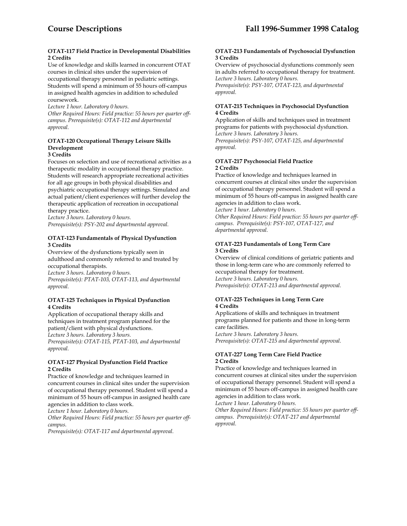#### **OTAT-117 Field Practice in Developmental Disabilities 2 Credits**

Use of knowledge and skills learned in concurrent OTAT courses in clinical sites under the supervision of occupational therapy personnel in pediatric settings. Students will spend a minimum of 55 hours off-campus in assigned health agencies in addition to scheduled coursework.

*Lecture 1 hour. Laboratory 0 hours.* 

*Other Required Hours: Field practice: 55 hours per quarter offcampus. Prerequisite(s): OTAT-112 and departmental approval.* 

# **OTAT-120 Occupational Therapy Leisure Skills Development**

**3 Credits** 

Focuses on selection and use of recreational activities as a therapeutic modality in occupational therapy practice. Students will research appropriate recreational activities for all age groups in both physical disabilities and psychiatric occupational therapy settings. Simulated and actual patient/client experiences will further develop the therapeutic application of recreation in occupational therapy practice.

*Lecture 3 hours. Laboratory 0 hours. Prerequisite(s): PSY-202 and departmental approval.* 

# **OTAT-123 Fundamentals of Physical Dysfunction 3 Credits**

Overview of the dysfunctions typically seen in adulthood and commonly referred to and treated by occupational therapists. *Lecture 3 hours. Laboratory 0 hours.* 

*Prerequisite(s): PTAT-103, OTAT-113, and departmental approval.* 

# **OTAT-125 Techniques in Physical Dysfunction 4 Credits**

Application of occupational therapy skills and techniques in treatment program planned for the patient/client with physical dysfunctions. *Lecture 3 hours. Laboratory 3 hours.* 

*Prerequisite(s): OTAT-115, PTAT-103, and departmental approval.* 

# **OTAT-127 Physical Dysfunction Field Practice 2 Credits**

Practice of knowledge and techniques learned in concurrent courses in clinical sites under the supervision of occupational therapy personnel. Student will spend a minimum of 55 hours off-campus in assigned health care agencies in addition to class work.

*Lecture 1 hour. Laboratory 0 hours.* 

*Other Required Hours: Field practice: 55 hours per quarter offcampus.* 

*Prerequisite(s): OTAT-117 and departmental approval.* 

### **OTAT-213 Fundamentals of Psychosocial Dysfunction 3 Credits**

Overview of psychosocial dysfunctions commonly seen in adults referred to occupational therapy for treatment. *Lecture 3 hours. Laboratory 0 hours.* 

*Prerequisite(s): PSY-107, OTAT-123, and departmental approval.* 

# **OTAT-215 Techniques in Psychosocial Dysfunction 4 Credits**

Application of skills and techniques used in treatment programs for patients with psychosocial dysfunction. *Lecture 3 hours. Laboratory 3 hours. Prerequisite(s): PSY-107, OTAT-125, and departmental approval.* 

# **OTAT-217 Psychosocial Field Practice 2 Credits**

Practice of knowledge and techniques learned in concurrent courses at clinical sites under the supervision of occupational therapy personnel. Student will spend a minimum of 55 hours off-campus in assigned health care agencies in addition to class work.

*Lecture 1 hour. Laboratory 0 hours.* 

*Other Required Hours: Field practice: 55 hours per quarter offcampus. Prerequisite(s): PSY-107, OTAT-127, and departmental approval.* 

# **OTAT-223 Fundamentals of Long Term Care 3 Credits**

Overview of clinical conditions of geriatric patients and those in long-term care who are commonly referred to occupational therapy for treatment. *Lecture 3 hours. Laboratory 0 hours. Prerequisite(s): OTAT-213 and departmental approval.* 

# **OTAT-225 Techniques in Long Term Care 4 Credits**

Applications of skills and techniques in treatment programs planned for patients and those in long-term care facilities. *Lecture 3 hours. Laboratory 3 hours.* 

*Prerequisite(s): OTAT-215 and departmental approval.* 

# **OTAT-227 Long Term Care Field Practice 2 Credits**

Practice of knowledge and techniques learned in concurrent courses at clinical sites under the supervision of occupational therapy personnel. Student will spend a minimum of 55 hours off-campus in assigned health care agencies in addition to class work.

*Lecture 1 hour. Laboratory 0 hours.* 

*Other Required Hours: Field practice: 55 hours per quarter offcampus. Prerequisite(s): OTAT-217 and departmental approval.*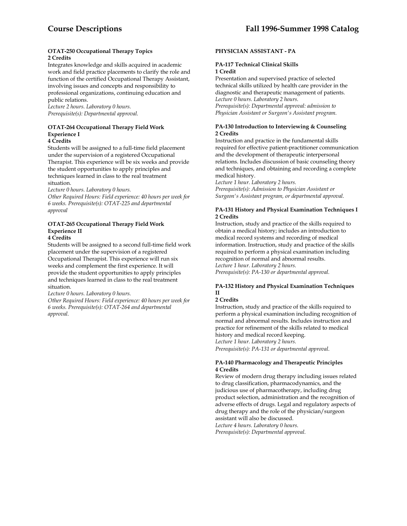### **OTAT-250 Occupational Therapy Topics 2 Credits**

Integrates knowledge and skills acquired in academic work and field practice placements to clarify the role and function of the certified Occupational Therapy Assistant, involving issues and concepts and responsibility to professional organizations, continuing education and public relations.

*Lecture 2 hours. Laboratory 0 hours. Prerequisite(s): Departmental approval.* 

# **OTAT-264 Occupational Therapy Field Work Experience I**

**4 Credits** 

Students will be assigned to a full-time field placement under the supervision of a registered Occupational Therapist. This experience will be six weeks and provide the student opportunities to apply principles and techniques learned in class to the real treatment situation.

*Lecture 0 hours. Laboratory 0 hours.* 

*Other Required Hours: Field experience: 40 hours per week for 6 weeks. Prerequisite(s): OTAT-225 and departmental approval* 

#### **OTAT-265 Occupational Therapy Field Work Experience II 4 Credits**

Students will be assigned to a second full-time field work placement under the supervision of a registered Occupational Therapist. This experience will run six weeks and complement the first experience. It will provide the student opportunities to apply principles and techniques learned in class to the real treatment situation.

*Lecture 0 hours. Laboratory 0 hours.* 

*Other Required Hours: Field experience: 40 hours per week for 6 weeks. Prerequisite(s): OTAT-264 and departmental approval.* 

# **PHYSICIAN ASSISTANT - PA**

# **PA-117 Technical Clinical Skills 1 Credit**

Presentation and supervised practice of selected technical skills utilized by health care provider in the diagnostic and therapeutic management of patients. *Lecture 0 hours. Laboratory 2 hours. Prerequisite(s): Departmental approval: admission to Physician Assistant or Surgeon's Assistant program.* 

**PA-130 Introduction to Interviewing & Counseling 2 Credits** 

Instruction and practice in the fundamental skills required for effective patient-practitioner communication and the development of therapeutic interpersonal relations. Includes discussion of basic counseling theory and techniques, and obtaining and recording a complete medical history.

*Lecture 1 hour. Laboratory 2 hours. Prerequisite(s): Admission to Physician Assistant or Surgeon's Assistant program, or departmental approval.* 

# **PA-131 History and Physical Examination Techniques I 2 Credits**

Instruction, study and practice of the skills required to obtain a medical history; includes an introduction to medical record systems and recording of medical information. Instruction, study and practice of the skills required to perform a physical examination including recognition of normal and abnormal results. *Lecture 1 hour. Laboratory 2 hours. Prerequisite(s): PA-130 or departmental approval.* 

# **PA-132 History and Physical Examination Techniques II**

# **2 Credits**

Instruction, study and practice of the skills required to perform a physical examination including recognition of normal and abnormal results. Includes instruction and practice for refinement of the skills related to medical history and medical record keeping. *Lecture 1 hour. Laboratory 2 hours. Prerequisite(s): PA-131 or departmental approval*.

# **PA-140 Pharmacology and Therapeutic Principles 4 Credits**

Review of modern drug therapy including issues related to drug classification, pharmacodynamics, and the judicious use of pharmacotherapy, including drug product selection, administration and the recognition of adverse effects of drugs. Legal and regulatory aspects of drug therapy and the role of the physician/surgeon assistant will also be discussed. *Lecture 4 hours. Laboratory 0 hours.* 

*Prerequisite(s): Departmental approval.*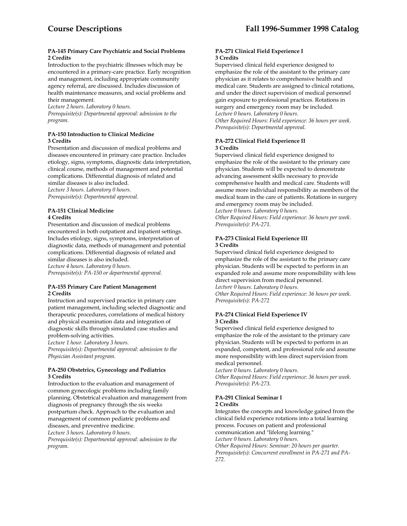#### **PA-145 Primary Care Psychiatric and Social Problems 2 Credits**

Introduction to the psychiatric illnesses which may be encountered in a primary-care practice. Early recognition and management, including appropriate community agency referral, are discussed. Includes discussion of health maintenance measures, and social problems and their management.

*Lecture 2 hours. Laboratory 0 hours.* 

*Prerequisite(s): Departmental approval: admission to the program.* 

# **PA-150 Introduction to Clinical Medicine 3 Credits**

Presentation and discussion of medical problems and diseases encountered in primary care practice. Includes etiology, signs, symptoms, diagnostic data interpretation, clinical course, methods of management and potential complications. Differential diagnosis of related and similar diseases is also included.

*Lecture 3 hours. Laboratory 0 hours. Prerequisite(s): Departmental approval.* 

# **PA-151 Clinical Medicine 4 Credits**

Presentation and discussion of medical problems encountered in both outpatient and inpatient settings. Includes etiology, signs, symptoms, interpretation of diagnostic data, methods of management and potential complications. Differential diagnosis of related and similar diseases is also included.

*Lecture 4 hours. Laboratory 0 hours. Prerequisite(s): PA-150 or departmental approval.* 

# **PA-155 Primary Care Patient Management 2 Credits**

Instruction and supervised practice in primary care patient management, including selected diagnostic and therapeutic procedures, correlations of medical history and physical examination data and integration of diagnostic skills through simulated case studies and problem-solving activities.

*Lecture 1 hour. Laboratory 3 hours.* 

*Prerequisite(s): Departmental approval: admission to the Physician Assistant program.* 

#### **PA-250 Obstetrics, Gynecology and Pediatrics 3 Credits**

Introduction to the evaluation and management of common gynecologic problems including family planning. Obstetrical evaluation and management from diagnosis of pregnancy through the six weeks postpartum check. Approach to the evaluation and management of common pediatric problems and diseases, and preventive medicine. *Lecture 3 hours. Laboratory 0 hours.* 

*Prerequisite(s): Departmental approval: admission to the program.* 

# **PA-271 Clinical Field Experience I 3 Credits**

Supervised clinical field experience designed to emphasize the role of the assistant to the primary care physician as it relates to comprehensive health and medical care. Students are assigned to clinical rotations, and under the direct supervision of medical personnel gain exposure to professional practices. Rotations in surgery and emergency room may be included. *Lecture 0 hours. Laboratory 0 hours. Other Required Hours: Field experience: 36 hours per week. Prerequisite(s): Departmental approval.* 

# **PA-272 Clinical Field Experience II 3 Credits**

Supervised clinical field experience designed to emphasize the role of the assistant to the primary care physician. Students will be expected to demonstrate advancing assessment skills necessary to provide comprehensive health and medical care. Students will assume more individual responsibility as members of the medical team in the care of patients. Rotations in surgery and emergency room may be included.

*Lecture 0 hours. Laboratory 0 hours.* 

*Other Required Hours: Field experience: 36 hours per week. Prerequisite(s): PA-271.* 

# **PA-273 Clinical Field Experience III 3 Credits**

Supervised clinical field experience designed to emphasize the role of the assistant to the primary care physician. Students will be expected to perform in an expanded role and assume more responsibility with less direct supervision from medical personnel.

*Lecture 0 hours. Laboratory 0 hours.* 

*Other Required Hours: Field experience: 36 hours per week. Prerequisite(s): PA-272* 

# **PA-274 Clinical Field Experience IV 3 Credits**

Supervised clinical field experience designed to emphasize the role of the assistant to the primary care physician. Students will be expected to perform in an expanded, competent, and professional role and assume more responsibility with less direct supervision from medical personnel.

*Lecture 0 hours. Laboratory 0 hours. Other Required Hours: Field experience: 36 hours per week. Prerequisite(s): PA-273.* 

# **PA-291 Clinical Seminar I**

# **2 Credits**

Integrates the concepts and knowledge gained from the clinical field experience rotations into a total learning process. Focuses on patient and professional communication and "lifelong learning." *Lecture 0 hours. Laboratory 0 hours. Other Required Hours: Seminar: 20 hours per quarter. Prerequisite(s): Concurrent enrollment in PA-271 and PA-272.*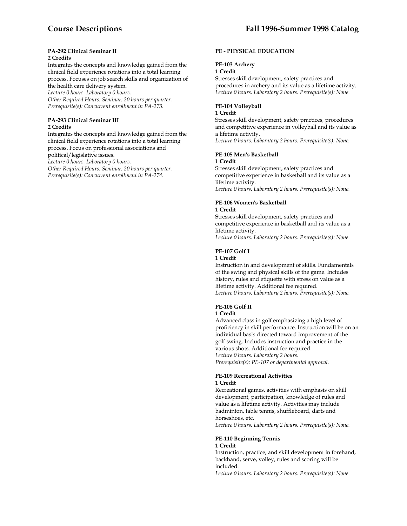#### **PA-292 Clinical Seminar II 2 Credits**

Integrates the concepts and knowledge gained from the clinical field experience rotations into a total learning process. Focuses on job search skills and organization of the health care delivery system.

*Lecture 0 hours. Laboratory 0 hours.* 

*Other Required Hours: Seminar: 20 hours per quarter. Prerequisite(s): Concurrent enrollment in PA-273.* 

# **PA-293 Clinical Seminar III 2 Credits**

Integrates the concepts and knowledge gained from the clinical field experience rotations into a total learning process. Focus on professional associations and political/legislative issues. *Lecture 0 hours. Laboratory 0 hours.* 

*Other Required Hours: Seminar: 20 hours per quarter. Prerequisite(s): Concurrent enrollment in PA-274.* 

# **PE - PHYSICAL EDUCATION**

# **PE-103 Archery**

#### **1 Credit**

Stresses skill development, safety practices and procedures in archery and its value as a lifetime activity. *Lecture 0 hours. Laboratory 2 hours. Prerequisite(s): None.* 

### **PE-104 Volleyball**

#### **1 Credit**

Stresses skill development, safety practices, procedures and competitive experience in volleyball and its value as a lifetime activity.

*Lecture 0 hours. Laboratory 2 hours. Prerequisite(s): None.* 

# **PE-105 Men's Basketball**

#### **1 Credit**

Stresses skill development, safety practices and competitive experience in basketball and its value as a lifetime activity. *Lecture 0 hours. Laboratory 2 hours. Prerequisite(s): None.* 

# **PE-106 Women's Basketball**

#### **1 Credit**

Stresses skill development, safety practices and competitive experience in basketball and its value as a lifetime activity.

*Lecture 0 hours. Laboratory 2 hours. Prerequisite(s): None.* 

#### **PE-107 Golf I**

#### **1 Credit**

Instruction in and development of skills. Fundamentals of the swing and physical skills of the game. Includes history, rules and etiquette with stress on value as a lifetime activity. Additional fee required. *Lecture 0 hours. Laboratory 2 hours. Prerequisite(s): None.* 

# **PE-108 Golf II**

# **1 Credit**

Advanced class in golf emphasizing a high level of proficiency in skill performance. Instruction will be on an individual basis directed toward improvement of the golf swing. Includes instruction and practice in the various shots. Additional fee required. *Lecture 0 hours. Laboratory 2 hours. Prerequisite(s): PE-107 or departmental approval.* 

# **PE-109 Recreational Activities**

# **1 Credit**

Recreational games, activities with emphasis on skill development, participation, knowledge of rules and value as a lifetime activity. Activities may include badminton, table tennis, shuffleboard, darts and horseshoes, etc.

*Lecture 0 hours. Laboratory 2 hours. Prerequisite(s): None.* 

#### **PE-110 Beginning Tennis 1 Credit**

Instruction, practice, and skill development in forehand, backhand, serve, volley, rules and scoring will be included. *Lecture 0 hours. Laboratory 2 hours. Prerequisite(s): None.*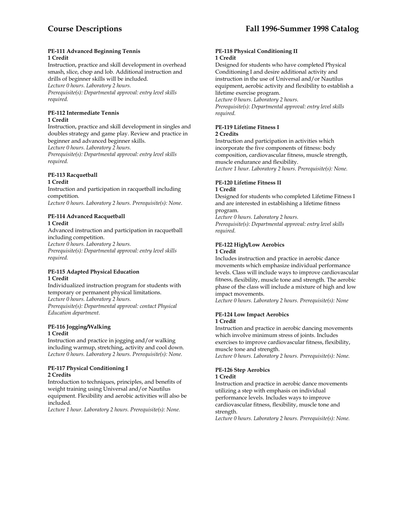#### **PE-111 Advanced Beginning Tennis 1 Credit**

Instruction, practice and skill development in overhead smash, slice, chop and lob. Additional instruction and drills of beginner skills will be included. *Lecture 0 hours. Laboratory 2 hours. Prerequisite(s): Departmental approval: entry level skills required.* 

# **PE-112 Intermediate Tennis**

# **1 Credit**

Instruction, practice and skill development in singles and doubles strategy and game play. Review and practice in beginner and advanced beginner skills. *Lecture 0 hours. Laboratory 2 hours.* 

*Prerequisite(s): Departmental approval: entry level skills required.* 

# **PE-113 Racquetball**

#### **1 Credit**

Instruction and participation in racquetball including competition.

*Lecture 0 hours. Laboratory 2 hours. Prerequisite(s): None*.

#### **PE-114 Advanced Racquetball 1 Credit**

Advanced instruction and participation in racquetball including competition.

*Lecture 0 hours. Laboratory 2 hours.* 

*Prerequisite(s): Departmental approval: entry level skills required.* 

#### **PE-115 Adapted Physical Education 1 Credit**

Individualized instruction program for students with temporary or permanent physical limitations. *Lecture 0 hours. Laboratory 2 hours. Prerequisite(s): Departmental approval: contact Physical Education department.* 

# **PE-116 Jogging/Walking**

# **1 Credit**

Instruction and practice in jogging and/or walking including warmup, stretching, activity and cool down. *Lecture 0 hours. Laboratory 2 hours. Prerequisite(s): None.* 

# **PE-117 Physical Conditioning I 2 Credits**

Introduction to techniques, principles, and benefits of weight training using Universal and/or Nautilus equipment. Flexibility and aerobic activities will also be included.

*Lecture 1 hour. Laboratory 2 hours. Prerequisite(s): None.* 

### **PE-118 Physical Conditioning II 1 Credit**

Designed for students who have completed Physical Conditioning I and desire additional activity and instruction in the use of Universal and/or Nautilus equipment, aerobic activity and flexibility to establish a lifetime exercise program. *Lecture 0 hours. Laboratory 2 hours.* 

*Prerequisite(s): Departmental approval: entry level skills required.* 

# **PE-119 Lifetime Fitness I**

#### **2 Credits**

Instruction and participation in activities which incorporate the five components of fitness: body composition, cardiovascular fitness, muscle strength, muscle endurance and flexibility. *Lecture 1 hour. Laboratory 2 hours. Prerequisite(s): None.* 

# **PE-120 Lifetime Fitness II**

# **1 Credit**

Designed for students who completed Lifetime Fitness I and are interested in establishing a lifetime fitness program.

*Lecture 0 hours. Laboratory 2 hours.* 

*Prerequisite(s): Departmental approval: entry level skills required.* 

# **PE-122 High/Low Aerobics**

#### **1 Credit**

Includes instruction and practice in aerobic dance movements which emphasize individual performance levels. Class will include ways to improve cardiovascular fitness, flexibility, muscle tone and strength. The aerobic phase of the class will include a mixture of high and low impact movements.

*Lecture 0 hours. Laboratory 2 hours. Prerequisite(s): None* 

#### **PE-124 Low Impact Aerobics 1 Credit**

Instruction and practice in aerobic dancing movements which involve minimum stress of joints. Includes exercises to improve cardiovascular fitness, flexibility, muscle tone and strength. *Lecture 0 hours. Laboratory 2 hours. Prerequisite(s): None.* 

# **PE-126 Step Aerobics**

# **1 Credit**

Instruction and practice in aerobic dance movements utilizing a step with emphasis on individual performance levels. Includes ways to improve cardiovascular fitness, flexibility, muscle tone and strength.

*Lecture 0 hours. Laboratory 2 hours. Prerequisite(s): None.*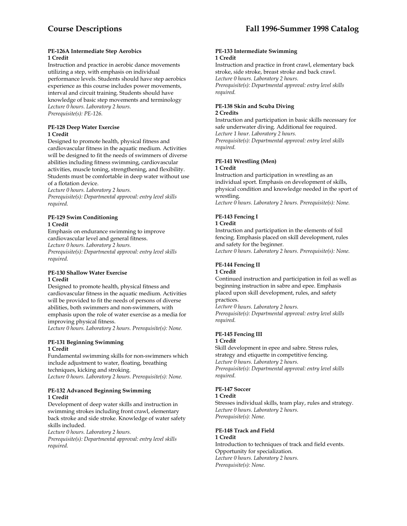#### **PE-126A Intermediate Step Aerobics 1 Credit**

Instruction and practice in aerobic dance movements utilizing a step, with emphasis on individual performance levels. Students should have step aerobics experience as this course includes power movements, interval and circuit training. Students should have knowledge of basic step movements and terminology *Lecture 0 hours. Laboratory 2 hours. Prerequisite(s): PE-126.* 

#### **PE-128 Deep Water Exercise 1 Credit**

Designed to promote health, physical fitness and cardiovascular fitness in the aquatic medium. Activities will be designed to fit the needs of swimmers of diverse abilities including fitness swimming, cardiovascular activities, muscle toning, strengthening, and flexibility. Students must be comfortable in deep water without use of a flotation device.

*Lecture 0 hours. Laboratory 2 hours.* 

*Prerequisite(s): Departmental approval: entry level skills required.* 

# **PE-129 Swim Conditioning 1 Credit**

Emphasis on endurance swimming to improve cardiovascular level and general fitness. *Lecture 0 hours. Laboratory 2 hours. Prerequisite(s): Departmental approval: entry level skills required.* 

#### **PE-130 Shallow Water Exercise 1 Credit**

Designed to promote health, physical fitness and cardiovascular fitness in the aquatic medium. Activities will be provided to fit the needs of persons of diverse abilities, both swimmers and non-swimmers, with emphasis upon the role of water exercise as a media for improving physical fitness.

*Lecture 0 hours. Laboratory 2 hours. Prerequisite(s): None.* 

# **PE-131 Beginning Swimming 1 Credit**

Fundamental swimming skills for non-swimmers which include adjustment to water, floating, breathing techniques, kicking and stroking. *Lecture 0 hours. Laboratory 2 hours. Prerequisite(s): None.* 

# **PE-132 Advanced Beginning Swimming 1 Credit**

Development of deep water skills and instruction in swimming strokes including front crawl, elementary back stroke and side stroke. Knowledge of water safety skills included.

*Lecture 0 hours. Laboratory 2 hours.* 

*Prerequisite(s): Departmental approval: entry level skills required.* 

#### **PE-133 Intermediate Swimming 1 Credit**

Instruction and practice in front crawl, elementary back stroke, side stroke, breast stroke and back crawl. *Lecture 0 hours. Laboratory 2 hours. Prerequisite(s): Departmental approval: entry level skills required.* 

# **PE-138 Skin and Scuba Diving 2 Credits**

Instruction and participation in basic skills necessary for safe underwater diving. Additional fee required. *Lecture 1 hour. Laboratory 2 hours. Prerequisite(s): Departmental approval: entry level skills required.* 

# **PE-141 Wrestling (Men)**

#### **1 Credit**

Instruction and participation in wrestling as an individual sport. Emphasis on development of skills, physical condition and knowledge needed in the sport of wrestling.

*Lecture 0 hours. Laboratory 2 hours. Prerequisite(s): None.* 

# **PE-143 Fencing I**

# **1 Credit**

Instruction and participation in the elements of foil fencing. Emphasis placed on skill development, rules and safety for the beginner. *Lecture 0 hours. Laboratory 2 hours. Prerequisite(s): None.* 

#### **PE-144 Fencing II 1 Credit**

Continued instruction and participation in foil as well as beginning instruction in sabre and epee. Emphasis placed upon skill development, rules, and safety practices.

*Lecture 0 hours. Laboratory 2 hours. Prerequisite(s): Departmental approval: entry level skills required.* 

#### **PE-145 Fencing III 1 Credit**

Skill development in epee and sabre. Stress rules, strategy and etiquette in competitive fencing. *Lecture 0 hours. Laboratory 2 hours. Prerequisite(s): Departmental approval: entry level skills required*.

# **PE-147 Soccer**

#### **1 Credit**

Stresses individual skills, team play, rules and strategy. *Lecture 0 hours. Laboratory 2 hours. Prerequisite(s): None.* 

# **PE-148 Track and Field**

**1 Credit**  Introduction to techniques of track and field events. Opportunity for specialization. *Lecture 0 hours. Laboratory 2 hours. Prerequisite(s): None.*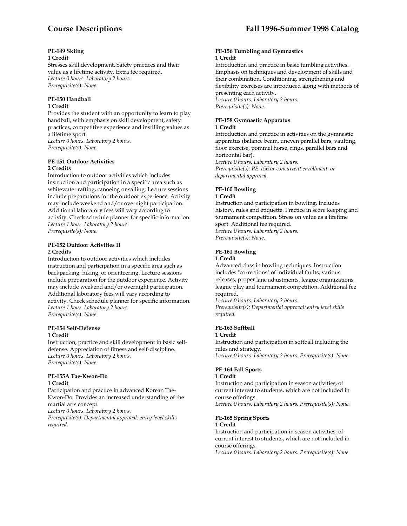#### **PE-149 Skiing 1 Credit**

Stresses skill development. Safety practices and their value as a lifetime activity. Extra fee required. *Lecture 0 hours. Laboratory 2 hours. Prerequisite(s): None.* 

#### **PE-150 Handball 1 Credit**

Provides the student with an opportunity to learn to play handball, with emphasis on skill development, safety practices, competitive experience and instilling values as a lifetime sport. *Lecture 0 hours. Laboratory 2 hours. Prerequisite(s): None.* 

#### **PE-151 Outdoor Activities 2 Credits**

Introduction to outdoor activities which includes instruction and participation in a specific area such as whitewater rafting, canoeing or sailing. Lecture sessions include preparations for the outdoor experience. Activity may include weekend and/or overnight participation. Additional laboratory fees will vary according to activity. Check schedule planner for specific information. *Lecture 1 hour. Laboratory 2 hours. Prerequisite(s): None.* 

# **PE-152 Outdoor Activities II 2 Credits**

Introduction to outdoor activities which includes instruction and participation in a specific area such as backpacking, hiking, or orienteering. Lecture sessions include preparation for the outdoor experience. Activity may include weekend and/or overnight participation. Additional laboratory fees will vary according to activity. Check schedule planner for specific information. *Lecture 1 hour. Laboratory 2 hours. Prerequisite(s): None.* 

# **PE-154 Self-Defense 1 Credit**

Instruction, practice and skill development in basic selfdefense. Appreciation of fitness and self-discipline. *Lecture 0 hours. Laboratory 2 hours. Prerequisite(s): None.* 

#### **PE-155A Tae-Kwon-Do 1 Credit**

Participation and practice in advanced Korean Tae-Kwon-Do. Provides an increased understanding of the martial arts concept.

*Lecture 0 hours. Laboratory 2 hours.* 

*Prerequisite(s): Departmental approval: entry level skills required.* 

#### **PE-156 Tumbling and Gymnastics 1 Credit**

Introduction and practice in basic tumbling activities. Emphasis on techniques and development of skills and their combination. Conditioning, strengthening and flexibility exercises are introduced along with methods of presenting each activity. *Lecture 0 hours. Laboratory 2 hours. Prerequisite(s): None.* 

#### **PE-158 Gymnastic Apparatus 1 Credit**

Introduction and practice in activities on the gymnastic apparatus (balance beam, uneven parallel bars, vaulting, floor exercise, pommel horse, rings, parallel bars and horizontal bar). *Lecture 0 hours. Laboratory 2 hours.* 

*Prerequisite(s): PE-156 or concurrent enrollment, or departmental approval.* 

# **PE-160 Bowling**

# **1 Credit**

Instruction and participation in bowling. Includes history, rules and etiquette. Practice in score keeping and tournament competition. Stress on value as a lifetime sport. Additional fee required. *Lecture 0 hours. Laboratory 2 hours. Prerequisite(s): None.* 

# **PE-161 Bowling**

#### **1 Credit**

Advanced class in bowling techniques. Instruction includes "corrections" of individual faults, various releases, proper lane adjustments, league organizations, league play and tournament competition. Additional fee required.

*Lecture 0 hours. Laboratory 2 hours. Prerequisite(s): Departmental approval: entry level skills required.* 

# **PE-163 Softball**

**1 Credit** 

Instruction and participation in softball including the rules and strategy.

*Lecture 0 hours. Laboratory 2 hours. Prerequisite(s): None.* 

# **PE-164 Fall Sports**

#### **1 Credit**

Instruction and participation in season activities, of current interest to students, which are not included in course offerings.

*Lecture 0 hours. Laboratory 2 hours. Prerequisite(s): None.* 

# **PE-165 Spring Sports**

**1 Credit** 

Instruction and participation in season activities, of current interest to students, which are not included in course offerings.

*Lecture 0 hours. Laboratory 2 hours. Prerequisite(s): None.*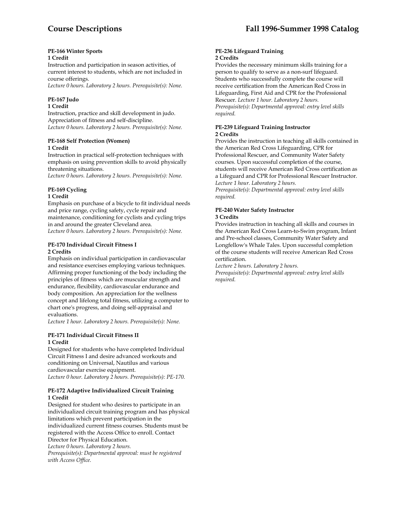# **PE-166 Winter Sports**

# **1 Credit**

Instruction and participation in season activities, of current interest to students, which are not included in course offerings.

*Lecture 0 hours. Laboratory 2 hours. Prerequisite(s): None.* 

# **PE-167 Judo**

# **1 Credit**

Instruction, practice and skill development in judo. Appreciation of fitness and self-discipline. *Lecture 0 hours. Laboratory 2 hours. Prerequisite(s): None.* 

# **PE-168 Self Protection (Women) 1 Credit**

Instruction in practical self-protection techniques with emphasis on using prevention skills to avoid physically threatening situations.

*Lecture 0 hours. Laboratory 2 hours. Prerequisite(s): None.* 

# **PE-169 Cycling**

# **1 Credit**

Emphasis on purchase of a bicycle to fit individual needs and price range, cycling safety, cycle repair and maintenance, conditioning for cyclists and cycling trips in and around the greater Cleveland area. *Lecture 0 hours. Laboratory 2 hours. Prerequisite(s): None.* 

# **PE-170 Individual Circuit Fitness I 2 Credits**

Emphasis on individual participation in cardiovascular and resistance exercises employing various techniques. Affirming proper functioning of the body including the principles of fitness which are muscular strength and endurance, flexibility, cardiovascular endurance and body composition. An appreciation for the wellness concept and lifelong total fitness, utilizing a computer to chart one's progress, and doing self-appraisal and evaluations.

*Lecture 1 hour. Laboratory 2 hours. Prerequisite(s): None.* 

# **PE-171 Individual Circuit Fitness II 1 Credit**

Designed for students who have completed Individual Circuit Fitness I and desire advanced workouts and conditioning on Universal, Nautilus and various cardiovascular exercise equipment. *Lecture 0 hour. Laboratory 2 hours. Prerequisite(s): PE-170.* 

#### **PE-172 Adaptive Individualized Circuit Training 1 Credit**

Designed for student who desires to participate in an individualized circuit training program and has physical limitations which prevent participation in the individualized current fitness courses. Students must be registered with the Access Office to enroll. Contact Director for Physical Education. *Lecture 0 hours. Laboratory 2 hours.* 

*Prerequisite(s): Departmental approval: must be registered with Access Office.* 

#### **PE-236 Lifeguard Training 2 Credits**

Provides the necessary minimum skills training for a person to qualify to serve as a non-surf lifeguard. Students who successfully complete the course will receive certification from the American Red Cross in Lifeguarding, First Aid and CPR for the Professional Rescuer. *Lecture 1 hour. Laboratory 2 hours. Prerequisite(s): Departmental approval: entry level skills required.* 

#### **PE-239 Lifeguard Training Instructor 2 Credits**

Provides the instruction in teaching all skills contained in the American Red Cross Lifeguarding, CPR for Professional Rescuer, and Community Water Safety courses. Upon successful completion of the course, students will receive American Red Cross certification as a Lifeguard and CPR for Professional Rescuer Instructor. *Lecture 1 hour. Laboratory 2 hours.* 

*Prerequisite(s): Departmental approval: entry level skills required.* 

### **PE-240 Water Safety Instructor 3 Credits**

Provides instruction in teaching all skills and courses in the American Red Cross Learn-to-Swim program, Infant and Pre-school classes, Community Water Safety and Longfellow's Whale Tales. Upon successful completion of the course students will receive American Red Cross certification.

*Lecture 2 hours. Laboratory 2 hours.* 

*Prerequisite(s): Departmental approval: entry level skills required.*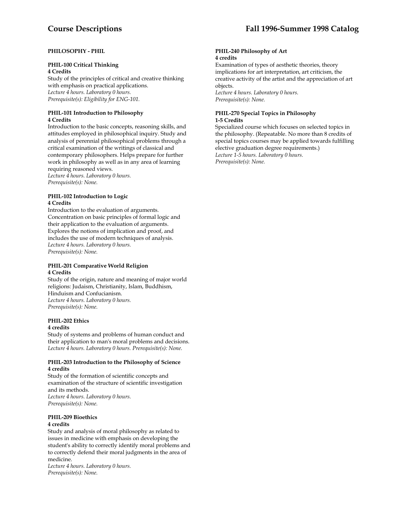# **PHILOSOPHY - PHIL**

# **PHIL-100 Critical Thinking**

**4 Credits** 

Study of the principles of critical and creative thinking with emphasis on practical applications. *Lecture 4 hours. Laboratory 0 hours. Prerequisite(s): Eligibility for ENG-101.* 

# **PHIL-101 Introduction to Philosophy 4 Credits**

Introduction to the basic concepts, reasoning skills, and attitudes employed in philosophical inquiry. Study and analysis of perennial philosophical problems through a critical examination of the writings of classical and contemporary philosophers. Helps prepare for further work in philosophy as well as in any area of learning requiring reasoned views. *Lecture 4 hours. Laboratory 0 hours.* 

*Prerequisite(s): None.* 

#### **PHIL-102 Introduction to Logic 4 Credits**

Introduction to the evaluation of arguments. Concentration on basic principles of formal logic and their application to the evaluation of arguments. Explores the notions of implication and proof, and includes the use of modern techniques of analysis. *Lecture 4 hours. Laboratory 0 hours. Prerequisite(s): None.* 

# **PHIL-201 Comparative World Religion 4 Credits**

Study of the origin, nature and meaning of major world religions: Judaism, Christianity, Islam, Buddhism, Hinduism and Confucianism. *Lecture 4 hours. Laboratory 0 hours. Prerequisite(s): None.* 

# **PHIL-202 Ethics**

**4 credits** 

Study of systems and problems of human conduct and their application to man's moral problems and decisions. *Lecture 4 hours. Laboratory 0 hours. Prerequisite(s): None.* 

# **PHIL-203 Introduction to the Philosophy of Science 4 credits**

Study of the formation of scientific concepts and examination of the structure of scientific investigation and its methods. *Lecture 4 hours. Laboratory 0 hours. Prerequisite(s): None.* 

#### **PHIL-209 Bioethics 4 credits**

Study and analysis of moral philosophy as related to issues in medicine with emphasis on developing the student's ability to correctly identify moral problems and to correctly defend their moral judgments in the area of medicine.

*Lecture 4 hours. Laboratory 0 hours. Prerequisite(s): None.* 

#### **PHIL-240 Philosophy of Art 4 credits**

Examination of types of aesthetic theories, theory implications for art interpretation, art criticism, the creative activity of the artist and the appreciation of art objects. *Lecture 4 hours. Laboratory 0 hours. Prerequisite(s): None.* 

**PHIL-270 Special Topics in Philosophy 1-5 Credits** 

Specialized course which focuses on selected topics in the philosophy. (Repeatable. No more than 8 credits of special topics courses may be applied towards fulfilling elective graduation degree requirements.) *Lecture 1-5 hours. Laboratory 0 hours. Prerequisite(s): None.*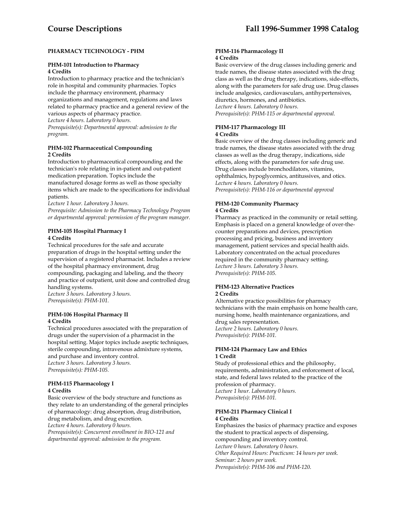# **PHARMACY TECHNOLOGY - PHM**

# **PHM-101 Introduction to Pharmacy 4 Credits**

Introduction to pharmacy practice and the technician's role in hospital and community pharmacies. Topics include the pharmacy environment, pharmacy organizations and management, regulations and laws related to pharmacy practice and a general review of the various aspects of pharmacy practice.

*Lecture 4 hours. Laboratory 0 hours.* 

*Prerequisite(s): Departmental approval: admission to the program.* 

### **PHM-102 Pharmaceutical Compounding 2 Credits**

Introduction to pharmaceutical compounding and the technician's role relating in in-patient and out-patient medication preparation. Topics include the manufactured dosage forms as well as those specialty items which are made to the specifications for individual patients.

*Lecture 1 hour. Laboratory 3 hours.* 

*Prerequisite: Admission to the Pharmacy Technology Program or departmental approval: permission of the program manager*.

# **PHM-105 Hospital Pharmacy I 4 Credits**

Technical procedures for the safe and accurate preparation of drugs in the hospital setting under the supervision of a registered pharmacist. Includes a review of the hospital pharmacy environment, drug compounding, packaging and labeling, and the theory and practice of outpatient, unit dose and controlled drug handling systems.

*Lecture 3 hours. Laboratory 3 hours. Prerequisite(s): PHM-101.* 

### **PHM-106 Hospital Pharmacy II 4 Credits**

Technical procedures associated with the preparation of drugs under the supervision of a pharmacist in the hospital setting. Major topics include aseptic techniques, sterile compounding, intravenous admixture systems, and purchase and inventory control. *Lecture 3 hours. Laboratory 3 hours. Prerequisite(s): PHM-105.* 

# **PHM-115 Pharmacology I 4 Credits**

Basic overview of the body structure and functions as they relate to an understanding of the general principles of pharmacology: drug absorption, drug distribution, drug metabolism, and drug excretion. *Lecture 4 hours. Laboratory 0 hours.* 

*Prerequisite(s): Concurrent enrollment in BIO-121 and departmental approval: admission to the program.* 

#### **PHM-116 Pharmacology II 4 Credits**

Basic overview of the drug classes including generic and trade names, the disease states associated with the drug class as well as the drug therapy, indications, side-effects, along with the parameters for safe drug use. Drug classes include analgesics, cardiovasculars, antihypertensives, diuretics, hormones, and antibiotics. *Lecture 4 hours. Laboratory 0 hours. Prerequisite(s): PHM-115 or departmental approval.* 

# **PHM-117 Pharmacology III**

# **4 Credits**

Basic overview of the drug classes including generic and trade names, the disease states associated with the drug classes as well as the drug therapy, indications, side effects, along with the parameters for safe drug use. Drug classes include bronchodilators, vitamins, ophthalmics, hypoglycemics, antitussives, and otics. *Lecture 4 hours. Laboratory 0 hours. Prerequisite(s): PHM-116 or departmental approval* 

### **PHM-120 Community Pharmacy 4 Credits**

Pharmacy as practiced in the community or retail setting. Emphasis is placed on a general knowledge of over-thecounter preparations and devices, prescription processing and pricing, business and inventory management, patient services and special health aids. Laboratory concentrated on the actual procedures required in the community pharmacy setting. *Lecture 3 hours. Laboratory 3 hours. Prerequisite(s): PHM-105.* 

# **PHM-123 Alternative Practices**

# **2 Credits**

Alternative practice possibilities for pharmacy technicians with the main emphasis on home health care, nursing home, health maintenance organizations, and drug sales representation. *Lecture 2 hours. Laboratory 0 hours. Prerequisite(s): PHM-101.* 

# **PHM-124 Pharmacy Law and Ethics 1 Credit**

Study of professional ethics and the philosophy, requirements, administration, and enforcement of local, state, and federal laws related to the practice of the profession of pharmacy. *Lecture 1 hour. Laboratory 0 hours. Prerequisite(s): PHM-101.* 

# **PHM-211 Pharmacy Clinical I 4 Credits**

Emphasizes the basics of pharmacy practice and exposes the student to practical aspects of dispensing, compounding and inventory control. *Lecture 0 hours. Laboratory 0 hours. Other Required Hours: Practicum: 14 hours per week. Seminar: 2 hours per week. Prerequisite(s): PHM-106 and PHM-120*.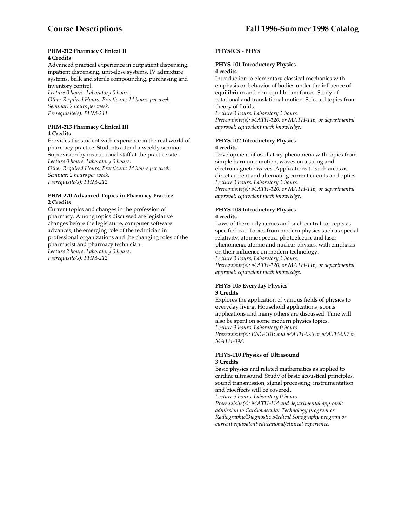#### **PHM-212 Pharmacy Clinical II 4 Credits**

Advanced practical experience in outpatient dispensing, inpatient dispensing, unit-dose systems, IV admixture systems, bulk and sterile compounding, purchasing and inventory control.

*Lecture 0 hours. Laboratory 0 hours. Other Required Hours: Practicum: 14 hours per week. Seminar: 2 hours per week. Prerequisite(s): PHM-211.* 

### **PHM-213 Pharmacy Clinical III 4 Credits**

Provides the student with experience in the real world of pharmacy practice. Students attend a weekly seminar. Supervision by instructional staff at the practice site. *Lecture 0 hours. Laboratory 0 hours. Other Required Hours: Practicum: 14 hours per week. Seminar: 2 hours per week. Prerequisite(s): PHM-212.* 

#### **PHM-270 Advanced Topics in Pharmacy Practice 2 Credits**

Current topics and changes in the profession of pharmacy. Among topics discussed are legislative changes before the legislature, computer software advances, the emerging role of the technician in professional organizations and the changing roles of the pharmacist and pharmacy technician. *Lecture 2 hours. Laboratory 0 hours. Prerequisite(s): PHM-212.* 

# **PHYSICS - PHYS**

# **PHYS-101 Introductory Physics 4 credits**

Introduction to elementary classical mechanics with emphasis on behavior of bodies under the influence of equilibrium and non-equilibrium forces. Study of rotational and translational motion. Selected topics from theory of fluids.

*Lecture 3 hours. Laboratory 3 hours.* 

*Prerequisite(s): MATH-120, or MATH-116, or departmental approval: equivalent math knowledge.* 

#### **PHYS-102 Introductory Physics 4 credits**

Development of oscillatory phenomena with topics from simple harmonic motion, waves on a string and electromagnetic waves. Applications to such areas as direct current and alternating current circuits and optics. *Lecture 3 hours. Laboratory 3 hours.* 

*Prerequisite(s): MATH-120, or MATH-116, or departmental approval: equivalent math knowledge.* 

# **PHYS-103 Introductory Physics 4 credits**

Laws of thermodynamics and such central concepts as specific heat. Topics from modern physics such as special relativity, atomic spectra, photoelectric and laser phenomena, atomic and nuclear physics, with emphasis on their influence on modern technology.

*Lecture 3 hours. Laboratory 3 hours.* 

*Prerequisite(s): MATH-120, or MATH-116, or departmental approval: equivalent math knowledge.* 

# **PHYS-105 Everyday Physics**

**3 Credits** 

Explores the application of various fields of physics to everyday living. Household applications, sports applications and many others are discussed. Time will also be spent on some modern physics topics. *Lecture 3 hours. Laboratory 0 hours. Prerequisite(s): ENG-101; and MATH-096 or MATH-097 or MATH-098.* 

#### **PHYS-110 Physics of Ultrasound 3 Credits**

Basic physics and related mathematics as applied to cardiac ultrasound. Study of basic acoustical principles, sound transmission, signal processing, instrumentation and bioeffects will be covered.

*Lecture 3 hours. Laboratory 0 hours.* 

*Prerequisite(s): MATH-114 and departmental approval: admission to Cardiovascular Technology program or Radiography/Diagnostic Medical Sonography program or current equivalent educational/clinical experience.*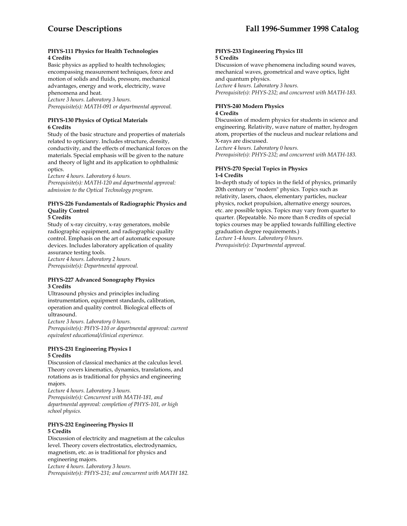### **PHYS-111 Physics for Health Technologies 4 Credits**

Basic physics as applied to health technologies; encompassing measurement techniques, force and motion of solids and fluids, pressure, mechanical advantages, energy and work, electricity, wave phenomena and heat.

*Lecture 3 hours. Laboratory 3 hours. Prerequisite(s): MATH-091 or departmental approval.* 

# **PHYS-130 Physics of Optical Materials 6 Credits**

Study of the basic structure and properties of materials related to opticianry. Includes structure, density, conductivity, and the effects of mechanical forces on the materials. Special emphasis will be given to the nature and theory of light and its application to ophthalmic optics.

*Lecture 4 hours. Laboratory 6 hours.* 

*Prerequisite(s): MATH-120 and departmental approval: admission to the Optical Technology program*.

# **PHYS-226 Fundamentals of Radiographic Physics and Quality Control**

**5 Credits** 

Study of x-ray circuitry, x-ray generators, mobile radiographic equipment, and radiographic quality control. Emphasis on the art of automatic exposure devices. Includes laboratory application of quality assurance testing tools.

*Lecture 4 hours. Laboratory 2 hours.* 

*Prerequisite(s): Departmental approval.* 

# **PHYS-227 Advanced Sonography Physics 3 Credits**

Ultrasound physics and principles including instrumentation, equipment standards, calibration, operation and quality control. Biological effects of ultrasound.

*Lecture 3 hours. Laboratory 0 hours.* 

*Prerequisite(s): PHYS-110 or departmental approval: current equivalent educational/clinical experience.* 

# **PHYS-231 Engineering Physics I 5 Credits**

Discussion of classical mechanics at the calculus level. Theory covers kinematics, dynamics, translations, and rotations as is traditional for physics and engineering majors.

*Lecture 4 hours. Laboratory 3 hours. Prerequisite(s): Concurrent with MATH-181, and departmental approval: completion of PHYS-101, or high school physics.* 

# **PHYS-232 Engineering Physics II 5 Credits**

Discussion of electricity and magnetism at the calculus level. Theory covers electrostatics, electrodynamics, magnetism, etc. as is traditional for physics and engineering majors. *Lecture 4 hours. Laboratory 3 hours. Prerequisite(s): PHYS-231; and concurrent with MATH 182.* 

#### **PHYS-233 Engineering Physics III 5 Credits**

Discussion of wave phenomena including sound waves, mechanical waves, geometrical and wave optics, light and quantum physics. *Lecture 4 hours. Laboratory 3 hours. Prerequisite(s): PHYS-232; and concurrent with MATH-183.* 

# **PHYS-240 Modern Physics**

# **4 Credits**

Discussion of modern physics for students in science and engineering. Relativity, wave nature of matter, hydrogen atom, properties of the nucleus and nuclear relations and X-rays are discussed.

*Lecture 4 hours. Laboratory 0 hours. Prerequisite(s): PHYS-232; and concurrent with MATH-183.* 

#### **PHYS-270 Special Topics in Physics 1-4 Credits**

In-depth study of topics in the field of physics, primarily 20th century or "modern" physics. Topics such as relativity, lasers, chaos, elementary particles, nuclear physics, rocket propulsion, alternative energy sources, etc. are possible topics. Topics may vary from quarter to quarter. (Repeatable. No more than 8 credits of special topics courses may be applied towards fulfilling elective graduation degree requirements.)

*Lecture 1-4 hours. Laboratory 0 hours. Prerequisite(s): Departmental approval.*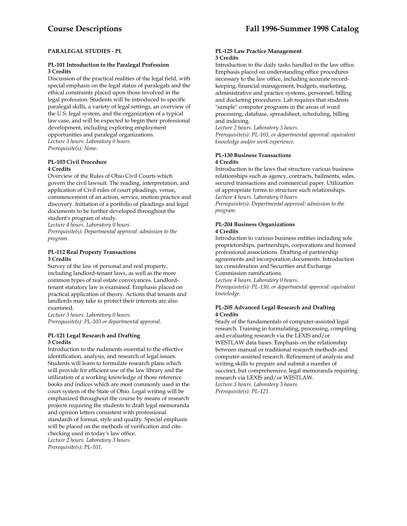### **PARALEGAL STUDIES - PL**

#### **PL-101 Introduction to the Paralegal Profession 3 Credits**

Discussion of the practical realities of the legal field, with special emphasis on the legal status of paralegals and the ethical constraints placed upon those involved in the legal profession. Students will be introduced to specific paralegal skills, a variety of legal settings, an overview of the U.S. legal system, and the organization of a typical law case, and will be expected to begin their professional development, including exploring employment opportunities and paralegal organizations. *Lecture 3 hours. Laboratory 0 hours. Prerequisite(s): None.* 

#### **PL-103 Civil Procedure 4 Credits**

Overview of the Rules of Ohio Civil Courts which govern the civil lawsuit. The reading, interpretation, and application of Civil rules of court pleadings, venue, commencement of an action, service, motion practice and discovery. Initiation of a portfolio of pleadings and legal documents to be further developed throughout the student's program of study.

*Lecture 4 hours. Laboratory 0 hours.* 

*Prerequisite(s): Departmental approval: admission to the program.* 

### **PL-112 Real Property Transactions 3 Credits**

Survey of the law of personal and real property, including landlord-tenant laws, as well as the more common types of real estate conveyances. Landlordtenant statutory law is examined. Emphasis placed on practical application of theory. Actions that tenants and landlords may take to protect their interests are also examined.

*Lecture 3 hours. Laboratory 0 hours. Prerequisite(s): PL-103 or departmental approval.* 

#### **PL-121 Legal Research and Drafting 3 Credits**

Introduction to the rudiments essential to the effective identification, analysis, and research of legal issues. Students will learn to formulate research plans which will provide for efficient use of the law library and the utilization of a working knowledge of those reference books and indices which are most commonly used in the court system of the State of Ohio. Legal writing will be emphasized throughout the course by means of research projects requiring the students to draft legal memoranda and opinion letters consistent with professional standards of format, style and quality. Special emphasis will be placed on the methods of verification and citechecking used in today's law office. *Lecture 2 hours. Laboratory 3 hours. Prerequisite(s): PL-101.* 

#### **PL-125 Law Practice Management 3 Credits**

Introduction to the daily tasks handled in the law office. Emphasis placed on understanding office procedures necessary to the law office, including accurate recordkeeping, financial management, budgets, marketing, administrative and practice systems, personnel, billing and docketing procedures. Lab requires that students "sample" computer programs in the areas of word processing, database, spreadsheet, scheduling, billing and indexing.

*Lecture 2 hours. Laboratory 3 hours.* 

*Prerequisite(s): PL-103, or departmental approval: equivalent knowledge and/or work experience*.

#### **PL-130 Business Transactions 4 Credits**

Introduction to the laws that structure various business relationships such as agency, contracts, bailments, sales, secured transactions and commercial paper. Utilization of appropriate forms to structure such relationships. *Lecture 4 hours. Laboratory 0 hours.* 

*Prerequisite(s): Departmental approval: admission to the program.* 

#### **PL-204 Business Organizations 4 Credits**

Introduction to various business entities including sole proprietorships, partnerships, corporations and licensed professional associations. Drafting of partnership agreements and incorporation documents. Introduction tax consideration and Securities and Exchange Commission ramifications.

*Lecture 4 hours. Laboratory 0 hours.* 

*Prerequisite(s): PL-130, or departmental approval: equivalent knowledge.* 

# **PL-205 Advanced Legal Research and Drafting 4 Credits**

Study of the fundamentals of computer-assisted legal research. Training in formulating, processing, compiling and evaluating research via the LEXIS and/or WESTLAW data bases. Emphasis on the relationship between manual or traditional research methods and computer-assisted research. Refinement of analysis and writing skills to prepare and submit a number of succinct, but comprehensive, legal memoranda requiring research via LEXIS and/or WESTLAW. *Lecture 3 hours. Laboratory 3 hours. Prerequisite(s): PL-121.*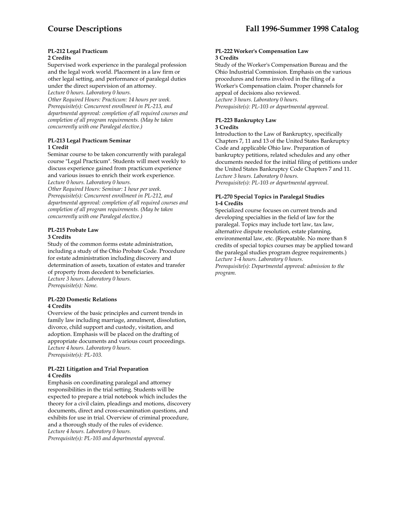# **PL-212 Legal Practicum**

# **2 Credits**

Supervised work experience in the paralegal profession and the legal work world. Placement in a law firm or other legal setting, and performance of paralegal duties under the direct supervision of an attorney.

*Lecture 0 hours. Laboratory 0 hours.* 

*Other Required Hours: Practicum: 14 hours per week. Prerequisite(s): Concurrent enrollment in PL-213, and departmental approval: completion of all required courses and completion of all program requirements. (May be taken concurrently with one Paralegal elective.)* 

#### **PL-213 Legal Practicum Seminar 1 Credit**

Seminar course to be taken concurrently with paralegal course "Legal Practicum". Students will meet weekly to discuss experience gained from practicum experience and various issues to enrich their work experience. *Lecture 0 hours. Laboratory 0 hours.* 

*Other Required Hours: Seminar: 1 hour per week. Prerequisite(s): Concurrent enrollment in PL-212, and departmental approval: completion of all required courses and completion of all program requirements. (May be taken concurrently with one Paralegal elective.)* 

#### **PL-215 Probate Law 3 Credits**

Study of the common forms estate administration, including a study of the Ohio Probate Code. Procedure for estate administration including discovery and determination of assets, taxation of estates and transfer of property from decedent to beneficiaries. *Lecture 3 hours. Laboratory 0 hours. Prerequisite(s): None.* 

#### **PL-220 Domestic Relations 4 Credits**

Overview of the basic principles and current trends in family law including marriage, annulment, dissolution, divorce, child support and custody, visitation, and adoption. Emphasis will be placed on the drafting of appropriate documents and various court proceedings. *Lecture 4 hours. Laboratory 0 hours. Prerequisite(s): PL-103.* 

#### **PL-221 Litigation and Trial Preparation 4 Credits**

Emphasis on coordinating paralegal and attorney responsibilities in the trial setting. Students will be expected to prepare a trial notebook which includes the theory for a civil claim, pleadings and motions, discovery documents, direct and cross-examination questions, and exhibits for use in trial. Overview of criminal procedure, and a thorough study of the rules of evidence. *Lecture 4 hours. Laboratory 0 hours. Prerequisite(s): PL-103 and departmental approval.* 

#### **PL-222 Worker's Compensation Law 3 Credits**

Study of the Worker's Compensation Bureau and the Ohio Industrial Commission. Emphasis on the various procedures and forms involved in the filing of a Worker's Compensation claim. Proper channels for appeal of decisions also reviewed. *Lecture 3 hours. Laboratory 0 hours. Prerequisite(s): PL-103 or departmental approval.* 

# **PL-223 Bankruptcy Law 3 Credits**

Introduction to the Law of Bankruptcy, specifically Chapters 7, 11 and 13 of the United States Bankruptcy Code and applicable Ohio law. Preparation of bankruptcy petitions, related schedules and any other documents needed for the initial filing of petitions under the United States Bankruptcy Code Chapters 7 and 11. *Lecture 3 hours. Laboratory 0 hours. Prerequisite(s): PL-103 or departmental approval.* 

# **PL-270 Special Topics in Paralegal Studies 1-4 Credits**

Specialized course focuses on current trends and developing specialties in the field of law for the paralegal. Topics may include tort law, tax law, alternative dispute resolution, estate planning, environmental law, etc. (Repeatable. No more than 8 credits of special topics courses may be applied toward the paralegal studies program degree requirements.) *Lecture 1-4 hours. Laboratory 0 hours. Prerequisite(s): Departmental approval: admission to the program.*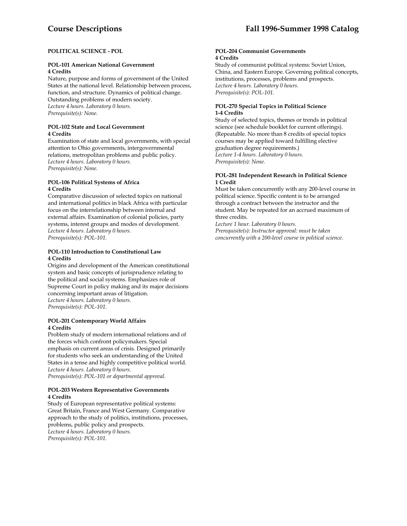# **POLITICAL SCIENCE - POL**

# **POL-101 American National Government 4 Credits**

Nature, purpose and forms of government of the United States at the national level. Relationship between process, function, and structure. Dynamics of political change. Outstanding problems of modern society. *Lecture 4 hours. Laboratory 0 hours. Prerequisite(s): None.* 

#### **POL-102 State and Local Government 4 Credits**

Examination of state and local governments, with special attention to Ohio governments, intergovernmental relations, metropolitan problems and public policy. *Lecture 4 hours. Laboratory 0 hours. Prerequisite(s): None.* 

#### **POL-106 Political Systems of Africa 4 Credits**

Comparative discussion of selected topics on national and international politics in black Africa with particular focus on the interrelationship between internal and external affairs. Examination of colonial policies, party systems, interest groups and modes of development. *Lecture 4 hours. Laboratory 0 hours. Prerequisite(s): POL-101.* 

# **POL-110 Introduction to Constitutional Law 4 Credits**

Origins and development of the American constitutional system and basic concepts of jurisprudence relating to the political and social systems. Emphasizes role of Supreme Court in policy making and its major decisions concerning important areas of litigation. *Lecture 4 hours. Laboratory 0 hours. Prerequisite(s): POL-101.* 

# **POL-201 Contemporary World Affairs 4 Credits**

Problem study of modern international relations and of the forces which confront policymakers. Special emphasis on current areas of crisis. Designed primarily for students who seek an understanding of the United States in a tense and highly competitive political world. *Lecture 4 hours. Laboratory 0 hours. Prerequisite(s): POL-101 or departmental approval.* 

#### **POL-203 Western Representative Governments 4 Credits**

Study of European representative political systems: Great Britain, France and West Germany. Comparative approach to the study of politics, institutions, processes, problems, public policy and prospects. *Lecture 4 hours. Laboratory 0 hours. Prerequisite(s): POL-101.* 

#### **POL-204 Communist Governments 4 Credits**

Study of communist political systems: Soviet Union, China, and Eastern Europe. Governing political concepts, institutions, processes, problems and prospects. *Lecture 4 hours. Laboratory 0 hours. Prerequisite(s): POL-101.* 

# **POL-270 Special Topics in Political Science 1-4 Credits**

Study of selected topics, themes or trends in political science (see schedule booklet for current offerings). (Repeatable. No more than 8 credits of special topics courses may be applied toward fulfilling elective graduation degree requirements.) *Lecture 1-4 hours. Laboratory 0 hours. Prerequisite(s): None.* 

# **POL-281 Independent Research in Political Science 1 Credit**

Must be taken concurrently with any 200-level course in political science. Specific content is to be arranged through a contract between the instructor and the student. May be repeated for an accrued maximum of three credits.

*Lecture 1 hour. Laboratory 0 hours.* 

*Prerequisite(s): Instructor approval: must be taken concurrently with a 200-level course in political science.*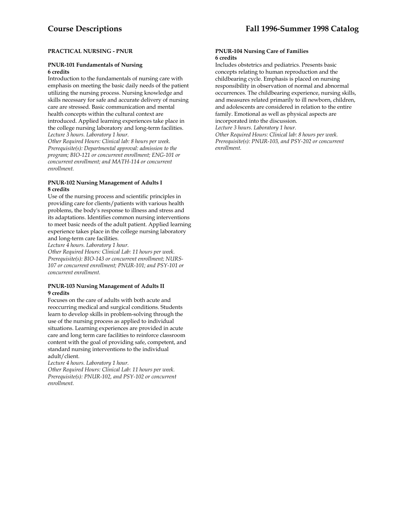# **PRACTICAL NURSING - PNUR**

### **PNUR-101 Fundamentals of Nursing 6 credits**

Introduction to the fundamentals of nursing care with emphasis on meeting the basic daily needs of the patient utilizing the nursing process. Nursing knowledge and skills necessary for safe and accurate delivery of nursing care are stressed. Basic communication and mental health concepts within the cultural context are introduced. Applied learning experiences take place in the college nursing laboratory and long-term facilities. *Lecture 3 hours. Laboratory 1 hour.* 

*Other Required Hours: Clinical lab: 8 hours per week. Prerequisite(s): Departmental approval: admission to the program; BIO-121 or concurrent enrollment; ENG-101 or concurrent enrollment; and MATH-114 or concurrent enrollment.* 

#### **PNUR-102 Nursing Management of Adults I 8 credits**

Use of the nursing process and scientific principles in providing care for clients/patients with various health problems, the body's response to illness and stress and its adaptations. Identifies common nursing interventions to meet basic needs of the adult patient. Applied learning experience takes place in the college nursing laboratory and long-term care facilities.

*Lecture 4 hours. Laboratory 1 hour.* 

*Other Required Hours: Clinical Lab: 11 hours per week. Prerequisite(s): BIO-143 or concurrent enrollment; NURS-107 or concurrent enrollment; PNUR-101; and PSY-101 or concurrent enrollment.* 

#### **PNUR-103 Nursing Management of Adults II 9 credits**

Focuses on the care of adults with both acute and reoccurring medical and surgical conditions. Students learn to develop skills in problem-solving through the use of the nursing process as applied to individual situations. Learning experiences are provided in acute care and long term care facilities to reinforce classroom content with the goal of providing safe, competent, and standard nursing interventions to the individual adult/client.

*Lecture 4 hours. Laboratory 1 hour.* 

*Other Required Hours: Clinical Lab: 11 hours per week. Prerequisite(s): PNUR-102, and PSY-102 or concurrent enrollment.* 

#### **PNUR-104 Nursing Care of Families 6 credits**

Includes obstetrics and pediatrics. Presents basic concepts relating to human reproduction and the childbearing cycle. Emphasis is placed on nursing responsibility in observation of normal and abnormal occurrences. The childbearing experience, nursing skills, and measures related primarily to ill newborn, children, and adolescents are considered in relation to the entire family. Emotional as well as physical aspects are

incorporated into the discussion.

*Lecture 3 hours. Laboratory 1 hour. Other Required Hours: Clinical lab: 8 hours per week. Prerequisite(s): PNUR-103, and PSY-202 or concurrent enrollment.*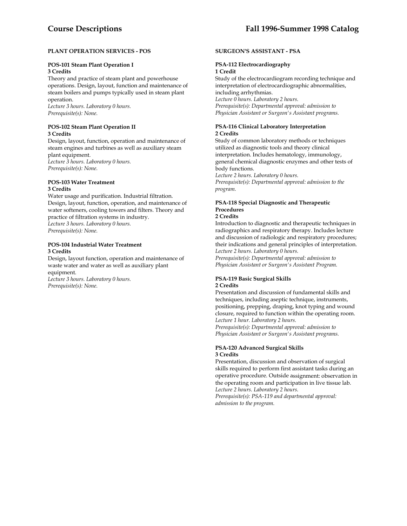# **PLANT OPERATION SERVICES - POS**

#### **POS-101 Steam Plant Operation I 3 Credits**

Theory and practice of steam plant and powerhouse operations. Design, layout, function and maintenance of steam boilers and pumps typically used in steam plant operation.

*Lecture 3 hours. Laboratory 0 hours. Prerequisite(s): None.* 

#### **POS-102 Steam Plant Operation II 3 Credits**

Design, layout, function, operation and maintenance of steam engines and turbines as well as auxiliary steam plant equipment. *Lecture 3 hours. Laboratory 0 hours. Prerequisite(s): None.* 

#### **POS-103 Water Treatment 3 Credits**

Water usage and purification. Industrial filtration. Design, layout, function, operation, and maintenance of water softeners, cooling towers and filters. Theory and practice of filtration systems in industry. *Lecture 3 hours. Laboratory 0 hours. Prerequisite(s): None.* 

### **POS-104 Industrial Water Treatment 3 Credits**

Design, layout function, operation and maintenance of waste water and water as well as auxiliary plant equipment.

*Lecture 3 hours. Laboratory 0 hours. Prerequisite(s): None.* 

# **SURGEON'S ASSISTANT - PSA**

# **PSA-112 Electrocardiography**

# **1 Credit**

Study of the electrocardiogram recording technique and interpretation of electrocardiographic abnormalities, including arrhythmias. *Lecture 0 hours. Laboratory 2 hours. Prerequisite(s): Departmental approval: admission to* 

*Physician Assistant or Surgeon's Assistant programs.* 

### **PSA-116 Clinical Laboratory Interpretation 2 Credits**

Study of common laboratory methods or techniques utilized as diagnostic tools and theory clinical interpretation. Includes hematology, immunology, general chemical diagnostic enzymes and other tests of body functions.

*Lecture 2 hours. Laboratory 0 hours. Prerequisite(s): Departmental approval: admission to the program.* 

# **PSA-118 Special Diagnostic and Therapeutic Procedures**

# **2 Credits**

Introduction to diagnostic and therapeutic techniques in radiographics and respiratory therapy. Includes lecture and discussion of radiologic and respiratory procedures; their indications and general principles of interpretation. *Lecture 2 hours. Laboratory 0 hours.* 

*Prerequisite(s): Departmental approval: admission to Physician Assistant or Surgeon's Assistant Program.* 

#### **PSA-119 Basic Surgical Skills 2 Credits**

Presentation and discussion of fundamental skills and techniques, including aseptic technique, instruments, positioning, prepping, draping, knot typing and wound closure, required to function within the operating room. *Lecture 1 hour. Laboratory 2 hours.* 

*Prerequisite(s): Departmental approval: admission to Physician Assistant or Surgeon's Assistant programs.* 

#### **PSA-120 Advanced Surgical Skills 3 Credits**

Presentation, discussion and observation of surgical skills required to perform first assistant tasks during an operative procedure. Outside assignment: observation in the operating room and participation in live tissue lab. *Lecture 2 hours. Laboratory 2 hours.* 

*Prerequisite(s): PSA-119 and departmental approval: admission to the program.*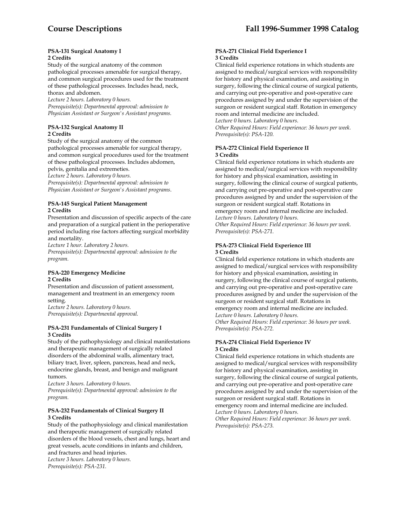#### **PSA-131 Surgical Anatomy I 2 Credits**

Study of the surgical anatomy of the common pathological processes amenable for surgical therapy, and common surgical procedures used for the treatment of these pathological processes. Includes head, neck, thorax and abdomen.

*Lecture 2 hours. Laboratory 0 hours. Prerequisite(s): Departmental approval: admission to Physician Assistant or Surgeon's Assistant programs.* 

# **PSA-132 Surgical Anatomy II 2 Credits**

Study of the surgical anatomy of the common pathological processes amenable for surgical therapy, and common surgical procedures used for the treatment of these pathological processes. Includes abdomen, pelvis, genitalia and extremeties.

*Lecture 2 hours. Laboratory 0 hours.* 

*Prerequisite(s): Departmental approval: admission to Physician Assistant or Surgeon's Assistant programs*.

### **PSA-145 Surgical Patient Management 2 Credits**

Presentation and discussion of specific aspects of the care and preparation of a surgical patient in the perioperative period including rise factors affecting surgical morbidity and mortality.

*Lecture 1 hour. Laboratory 2 hours.* 

*Prerequisite(s): Departmental approval: admission to the program.* 

#### **PSA-220 Emergency Medicine 2 Credits**

Presentation and discussion of patient assessment, management and treatment in an emergency room setting.

*Lecture 2 hours. Laboratory 0 hours. Prerequisite(s): Departmental approval.* 

#### **PSA-231 Fundamentals of Clinical Surgery I 3 Credits**

Study of the pathophysiology and clinical manifestations and therapeutic management of surgically related disorders of the abdominal walls, alimentary tract, biliary tract, liver, spleen, pancreas, head and neck, endocrine glands, breast, and benign and malignant tumors.

*Lecture 3 hours. Laboratory 0 hours. Prerequisite(s): Departmental approval: admission to the program.* 

# **PSA-232 Fundamentals of Clinical Surgery II 3 Credits**

Study of the pathophysiology and clinical manifestation and therapeutic management of surgically related disorders of the blood vessels, chest and lungs, heart and great vessels, acute conditions in infants and children, and fractures and head injuries. *Lecture 3 hours. Laboratory 0 hours. Prerequisite(s): PSA-231.* 

# **PSA-271 Clinical Field Experience I 3 Credits**

Clinical field experience rotations in which students are assigned to medical/surgical services with responsibility for history and physical examination, and assisting in surgery, following the clinical course of surgical patients, and carrying out pre-operative and post-operative care procedures assigned by and under the supervision of the surgeon or resident surgical staff. Rotation in emergency room and internal medicine are included.

*Lecture 0 hours. Laboratory 0 hours. Other Required Hours: Field experience: 36 hours per week. Prerequisite(s): PSA-120.* 

# **PSA-272 Clinical Field Experience II 3 Credits**

Clinical field experience rotations in which students are assigned to medical/surgical services with responsibility for history and physical examination, assisting in surgery, following the clinical course of surgical patients, and carrying out pre-operative and post-operative care procedures assigned by and under the supervision of the surgeon or resident surgical staff. Rotations in emergency room and internal medicine are included. *Lecture 0 hours. Laboratory 0 hours.* 

*Other Required Hours: Field experience: 36 hours per week. Prerequisite(s): PSA-271.* 

# **PSA-273 Clinical Field Experience III 3 Credits**

Clinical field experience rotations in which students are assigned to medical/surgical services with responsibility for history and physical examination, assisting in surgery, following the clinical course of surgical patients, and carrying out pre-operative and post-operative care procedures assigned by and under the supervision of the surgeon or resident surgical staff. Rotations in emergency room and internal medicine are included. *Lecture 0 hours. Laboratory 0 hours.* 

*Other Required Hours: Field experience: 36 hours per week. Prerequisite(s): PSA-272.* 

# **PSA-274 Clinical Field Experience IV 3 Credits**

Clinical field experience rotations in which students are assigned to medical/surgical services with responsibility for history and physical examination, assisting in surgery, following the clinical course of surgical patients, and carrying out pre-operative and post-operative care procedures assigned by and under the supervision of the surgeon or resident surgical staff. Rotations in

emergency room and internal medicine are included. *Lecture 0 hours. Laboratory 0 hours.* 

*Other Required Hours: Field experience: 36 hours per week. Prerequisite(s): PSA-273.*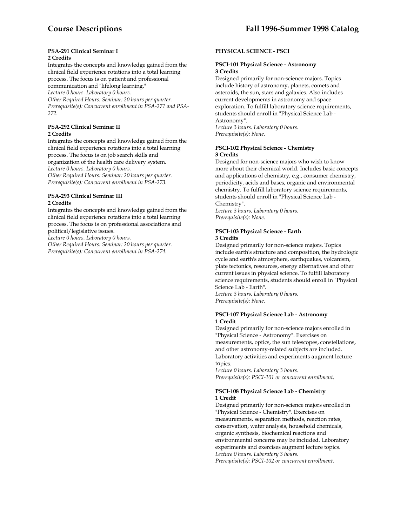#### **PSA-291 Clinical Seminar I 2 Credits**

Integrates the concepts and knowledge gained from the clinical field experience rotations into a total learning process. The focus is on patient and professional communication and "lifelong learning." *Lecture 0 hours. Laboratory 0 hours. Other Required Hours: Seminar: 20 hours per quarter. Prerequisite(s): Concurrent enrollment in PSA-271 and PSA-272.* 

#### **PSA-292 Clinical Seminar II 2 Credits**

Integrates the concepts and knowledge gained from the clinical field experience rotations into a total learning process. The focus is on job search skills and organization of the health care delivery system. *Lecture 0 hours. Laboratory 0 hours. Other Required Hours: Seminar: 20 hours per quarter. Prerequisite(s): Concurrent enrollment in PSA-273.* 

# **PSA-293 Clinical Seminar III 2 Credits**

Integrates the concepts and knowledge gained from the clinical field experience rotations into a total learning process. The focus is on professional associations and political/legislative issues.

*Lecture 0 hours. Laboratory 0 hours.* 

*Other Required Hours: Seminar: 20 hours per quarter. Prerequisite(s): Concurrent enrollment in PSA-274.* 

# **PHYSICAL SCIENCE - PSCI**

### **PSCI-101 Physical Science - Astronomy 3 Credits**

Designed primarily for non-science majors. Topics include history of astronomy, planets, comets and asteroids, the sun, stars and galaxies. Also includes current developments in astronomy and space exploration. To fulfill laboratory science requirements, students should enroll in "Physical Science Lab - Astronomy".

*Lecture 3 hours. Laboratory 0 hours. Prerequisite(s): None.* 

# **PSCI-102 Physical Science - Chemistry 3 Credits**

Designed for non-science majors who wish to know more about their chemical world. Includes basic concepts and applications of chemistry, e.g., consumer chemistry, periodicity, acids and bases, organic and environmental chemistry. To fulfill laboratory science requirements, students should enroll in "Physical Science Lab - Chemistry".

*Lecture 3 hours. Laboratory 0 hours. Prerequisite(s): None.* 

# **PSCI-103 Physical Science - Earth 3 Credits**

Designed primarily for non-science majors. Topics include earth's structure and composition, the hydrologic cycle and earth's atmosphere, earthquakes, volcanism, plate tectonics, resources, energy alternatives and other current issues in physical science. To fulfill laboratory science requirements, students should enroll in "Physical Science Lab - Earth". *Lecture 3 hours. Laboratory 0 hours.* 

*Prerequisite(s): None.* 

#### **PSCI-107 Physical Science Lab - Astronomy 1 Credit**

Designed primarily for non-science majors enrolled in "Physical Science - Astronomy". Exercises on measurements, optics, the sun telescopes, constellations, and other astronomy-related subjects are included. Laboratory activities and experiments augment lecture topics.

*Lecture 0 hours. Laboratory 3 hours. Prerequisite(s): PSCI-101 or concurrent enrollment*.

# **PSCI-108 Physical Science Lab - Chemistry 1 Credit**

Designed primarily for non-science majors enrolled in "Physical Science - Chemistry". Exercises on measurements, separation methods, reaction rates, conservation, water analysis, household chemicals, organic synthesis, biochemical reactions and environmental concerns may be included. Laboratory experiments and exercises augment lecture topics. *Lecture 0 hours. Laboratory 3 hours. Prerequisite(s): PSCI-102 or concurrent enrollment.*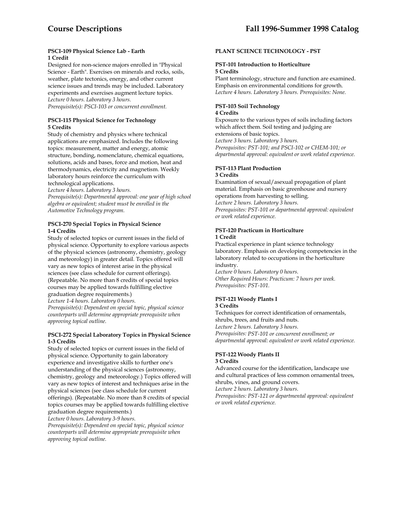#### **PSCI-109 Physical Science Lab - Earth 1 Credit**

Designed for non-science majors enrolled in "Physical Science - Earth". Exercises on minerals and rocks, soils, weather, plate tectonics, energy, and other current science issues and trends may be included. Laboratory experiments and exercises augment lecture topics. *Lecture 0 hours. Laboratory 3 hours. Prerequisite(s): PSCI-103 or concurrent enrollment.* 

# **PSCI-115 Physical Science for Technology 5 Credits**

Study of chemistry and physics where technical applications are emphasized. Includes the following topics: measurement, matter and energy, atomic structure, bonding, nomenclature, chemical equations, solutions, acids and bases, force and motion, heat and thermodynamics, electricity and magnetism. Weekly laboratory hours reinforce the curriculum with technological applications.

*Lecture 4 hours. Laboratory 3 hours.* 

*Prerequisite(s): Departmental approval: one year of high school algebra or equivalent; student must be enrolled in the Automotive Technology program.* 

# **PSCI-270 Special Topics in Physical Science 1-4 Credits**

Study of selected topics or current issues in the field of physical science. Opportunity to explore various aspects of the physical sciences (astronomy, chemistry, geology and meteorology) in greater detail. Topics offered will vary as new topics of interest arise in the physical sciences (see class schedule for current offerings). (Repeatable. No more than 8 credits of special topics courses may be applied towards fulfilling elective graduation degree requirements.) *Lecture 1-4 hours. Laboratory 0 hours. Prerequisite(s): Dependent on special topic, physical science counterparts will determine appropriate prerequisite when approving topical outline.* 

# **PSCI-272 Special Laboratory Topics in Physical Science 1-3 Credits**

Study of selected topics or current issues in the field of physical science. Opportunity to gain laboratory experience and investigative skills to further one's understanding of the physical sciences (astronomy, chemistry, geology and meteorology.) Topics offered will vary as new topics of interest and techniques arise in the physical sciences (see class schedule for current offerings). (Repeatable. No more than 8 credits of special topics courses may be applied towards fulfilling elective graduation degree requirements.)

*Lecture 0 hours. Laboratory 3-9 hours.* 

*Prerequisite(s): Dependent on special topic, physical science counterparts will determine appropriate prerequisite when approving topical outline.* 

# **PLANT SCIENCE TECHNOLOGY - PST**

#### **PST-101 Introduction to Horticulture 5 Credits**

Plant terminology, structure and function are examined. Emphasis on environmental conditions for growth. *Lecture 4 hours. Laboratory 3 hours. Prerequisites: None.* 

# **PST-103 Soil Technology**

### **4 Credits**

Exposure to the various types of soils including factors which affect them. Soil testing and judging are extensions of basic topics. *Lecture 3 hours. Laboratory 3 hours. Prerequisites: PST-101; and PSCI-102 or CHEM-101; or departmental approval: equivalent or work related experience.* 

#### **PST-113 Plant Production 3 Credits**

Examination of sexual/asexual propagation of plant material. Emphasis on basic greenhouse and nursery operations from harvesting to selling. *Lecture 2 hours. Laboratory 3 hours. Prerequisites: PST-101 or departmental approval: equivalent or work related experience.* 

# **PST-120 Practicum in Horticulture 1 Credit**

Practical experience in plant science technology laboratory. Emphasis on developing competencies in the laboratory related to occupations in the horticulture industry.

*Lecture 0 hours. Laboratory 0 hours. Other Required Hours: Practicum: 7 hours per week. Prerequisites: PST-101.* 

# **PST-121 Woody Plants I**

# **3 Credits**

Techniques for correct identification of ornamentals, shrubs, trees, and fruits and nuts. *Lecture 2 hours. Laboratory 3 hours. Prerequisites: PST-101 or concurrent enrollment; or departmental approval: equivalent or work related experience.* 

#### **PST-122 Woody Plants II 3 Credits**

Advanced course for the identification, landscape use and cultural practices of less common ornamental trees, shrubs, vines, and ground covers.

*Lecture 2 hours. Laboratory 3 hours.* 

*Prerequisites: PST-121 or departmental approval: equivalent or work related experience.*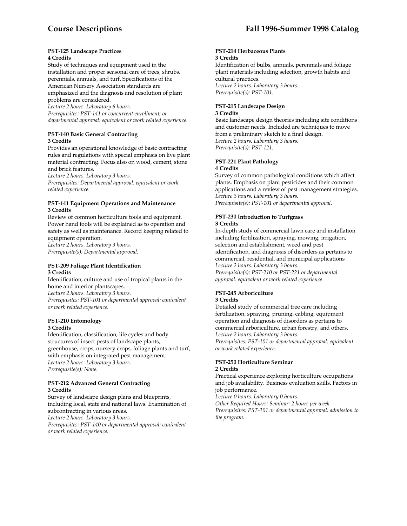#### **PST-125 Landscape Practices 4 Credits**

Study of techniques and equipment used in the installation and proper seasonal care of trees, shrubs, perennials, annuals, and turf. Specifications of the American Nursery Association standards are

emphasized and the diagnosis and resolution of plant problems are considered.

*Lecture 2 hours. Laboratory 6 hours. Prerequisites: PST-141 or concurrent enrollment; or departmental approval: equivalent or work related experience.* 

# **PST-140 Basic General Contracting 3 Credits**

Provides an operational knowledge of basic contracting rules and regulations with special emphasis on live plant material contracting. Focus also on wood, cement, stone and brick features.

*Lecture 2 hours. Laboratory 3 hours.* 

*Prerequisites: Departmental approval: equivalent or work related experience.* 

#### **PST-141 Equipment Operations and Maintenance 3 Credits**

Review of common horticulture tools and equipment. Power hand tools will be explained as to operation and safety as well as maintenance. Record keeping related to equipment operation.

*Lecture 2 hours. Laboratory 3 hours. Prerequisite(s): Departmental approval.* 

# **PST-209 Foliage Plant Identification 3 Credits**

Identification, culture and use of tropical plants in the home and interior plantscapes. *Lecture 2 hours. Laboratory 3 hours. Prerequisites: PST-101 or departmental approval: equivalent or work related experience*.

# **PST-210 Entomology**

# **3 Credits**

Identification, classification, life cycles and body structures of insect pests of landscape plants, greenhouse, crops, nursery crops, foliage plants and turf, with emphasis on integrated pest management. *Lecture 2 hours. Laboratory 3 hours. Prerequisite(s): None.* 

#### **PST-212 Advanced General Contracting 3 Credits**

Survey of landscape design plans and blueprints, including local, state and national laws. Examination of subcontracting in various areas. *Lecture 2 hours. Laboratory 3 hours. Prerequisites: PST-140 or departmental approval: equivalent or work related experience.* 

#### **PST-214 Herbaceous Plants 3 Credits**

Identification of bulbs, annuals, perennials and foliage plant materials including selection, growth habits and cultural practices. *Lecture 2 hours. Laboratory 3 hours. Prerequisite(s): PST-101*.

# **PST-215 Landscape Design**

#### **3 Credits**

Basic landscape design theories including site conditions and customer needs. Included are techniques to move from a preliminary sketch to a final design. *Lecture 2 hours. Laboratory 3 hours. Prerequisite(s): PST-121.* 

# **PST-221 Plant Pathology**

# **4 Credits**

Survey of common pathological conditions which affect plants. Emphasis on plant pesticides and their common applications and a review of pest management strategies. *Lecture 3 hours. Laboratory 3 hours. Prerequisite(s): PST-101 or departmental approval.* 

# **PST-230 Introduction to Turfgrass**

# **3 Credits**

In-depth study of commercial lawn care and installation including fertilization, spraying, mowing, irrigation, selection and establishment, weed and pest identification, and diagnosis of disorders as pertains to commercial, residential, and municipal applications *Lecture 2 hours. Laboratory 3 hours. Prerequisite(s): PST-210 or PST-221 or departmental approval: equivalent or work related experience*.

# **PST-245 Arboriculture**

# **3 Credits**

Detailed study of commercial tree care including fertilization, spraying, pruning, cabling, equipment operation and diagnosis of disorders as pertains to commercial arboriculture, urban forestry, and others. *Lecture 2 hours. Laboratory 3 hours. Prerequisites: PST-101 or departmental approval: equivalent or work related experience*.

# **PST-250 Horticulture Seminar 2 Credits**

Practical experience exploring horticulture occupations and job availability. Business evaluation skills. Factors in job performance.

*Lecture 0 hours. Laboratory 0 hours.* 

*Other Required Hours: Seminar: 2 hours per week.* 

*Prerequisites: PST-101 or departmental approval: admission to the program.*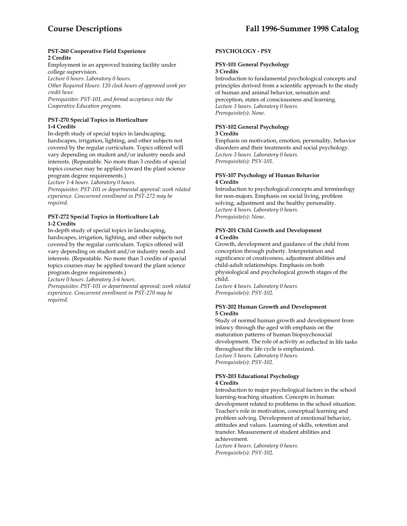#### **PST-260 Cooperative Field Experience 2 Credits**

Employment in an approved training facility under college supervision. *Lecture 0 hours. Laboratory 0 hours. Other Required Hours: 120 clock hours of approved work per credit hour. Prerequisites: PST-101, and formal acceptance into the Cooperative Education program.* 

# **PST-270 Special Topics in Horticulture 1-4 Credits**

In-depth study of special topics in landscaping, hardscapes, irrigation, lighting, and other subjects not covered by the regular curriculum. Topics offered will vary depending on student and/or industry needs and interests. (Repeatable. No more than 3 credits of special topics courses may be applied toward the plant science program degree requirements.)

*Lecture 1-4 hours. Laboratory 0 hours.* 

*Prerequisites: PST-101 or departmental approval: work related experience. Concurrent enrollment in PST-272 may be required.* 

### **PST-272 Special Topics in Horticulture Lab 1-2 Credits**

In-depth study of special topics in landscaping, hardscapes, irrigation, lighting, and other subjects not covered by the regular curriculum. Topics offered will vary depending on student and/or industry needs and interests. (Repeatable. No more than 3 credits of special topics courses may be applied toward the plant science program degree requirements.)

*Lecture 0 hours. Laboratory 3-6 hours.* 

*Prerequisites: PST-101 or departmental approval: work related experience. Concurrent enrollment in PST-270 may be required.* 

# **PSYCHOLOGY - PSY**

# **PSY-101 General Psychology 3 Credits**

Introduction to fundamental psychological concepts and principles derived from a scientific approach to the study of human and animal behavior, sensation and perception, states of consciousness and learning. *Lecture 3 hours. Laboratory 0 hours. Prerequisite(s): None.* 

# **PSY-102 General Psychology**

# **3 Credits**

Emphasis on motivation, emotion, personality, behavior disorders and their treatments and social psychology. *Lecture 3 hours. Laboratory 0 hours. Prerequisite(s): PSY-101.* 

# **PSY-107 Psychology of Human Behavior 4 Credits**

Introduction to psychological concepts and terminology for non-majors. Emphasis on social living, problem solving, adjustment and the healthy personality. *Lecture 4 hours. Laboratory 0 hours. Prerequisite(s): None.* 

### **PSY-201 Child Growth and Development 4 Credits**

Growth, development and guidance of the child from conception through puberty. Interpretation and significance of creativeness, adjustment abilities and child-adult relationships. Emphasis on both physiological and psychological growth stages of the child.

*Lecture 4 hours. Laboratory 0 hours. Prerequisite(s): PSY-102.* 

#### **PSY-202 Human Growth and Development 5 Credits**

Study of normal human growth and development from infancy through the aged with emphasis on the maturation patterns of human biopsychosocial development. The role of activity as reflected in life tasks throughout the life cycle is emphasized. *Lecture 5 hours. Laboratory 0 hours. Prerequisite(s): PSY-102.* 

#### **PSY-203 Educational Psychology 4 Credits**

Introduction to major psychological factors in the school learning-teaching situation. Concepts in human development related to problems in the school situation. Teacher's role in motivation, conceptual learning and problem solving. Development of emotional behavior, attitudes and values. Learning of skills, retention and transfer. Measurement of student abilities and achievement. *Lecture 4 hours. Laboratory 0 hours.* 

*Prerequisite(s): PSY-102.*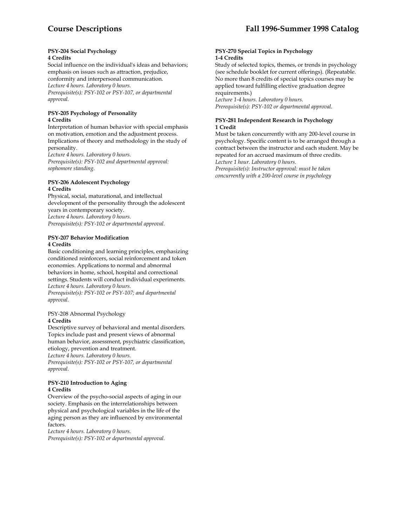#### **PSY-204 Social Psychology 4 Credits**

Social influence on the individual's ideas and behaviors; emphasis on issues such as attraction, prejudice, conformity and interpersonal communication. *Lecture 4 hours. Laboratory 0 hours. Prerequisite(s): PSY-102 or PSY-107, or departmental approval.* 

### **PSY-205 Psychology of Personality 4 Credits**

Interpretation of human behavior with special emphasis on motivation, emotion and the adjustment process. Implications of theory and methodology in the study of personality.

*Lecture 4 hours. Laboratory 0 hours. Prerequisite(s): PSY-102 and departmental approval: sophomore standing.* 

#### **PSY-206 Adolescent Psychology 4 Credits**

Physical, social, maturational, and intellectual development of the personality through the adolescent years in contemporary society. *Lecture 4 hours. Laboratory 0 hours. Prerequisite(s): PSY-102 or departmental approval.* 

#### **PSY-207 Behavior Modification 4 Credits**

Basic conditioning and learning principles, emphasizing conditioned reinforcers, social reinforcement and token economies. Applications to normal and abnormal behaviors in home, school, hospital and correctional settings. Students will conduct individual experiments. *Lecture 4 hours. Laboratory 0 hours. Prerequisite(s): PSY-102 or PSY-107; and departmental approval.* 

#### PSY-208 Abnormal Psychology **4 Credits**

Descriptive survey of behavioral and mental disorders. Topics include past and present views of abnormal human behavior, assessment, psychiatric classification, etiology, prevention and treatment. *Lecture 4 hours. Laboratory 0 hours. Prerequisite(s): PSY-102 or PSY-107, or departmental approval.* 

# **PSY-210 Introduction to Aging 4 Credits**

Overview of the psycho-social aspects of aging in our society. Emphasis on the interrelationships between physical and psychological variables in the life of the aging person as they are influenced by environmental factors.

*Lecture 4 hours. Laboratory 0 hours.* 

*Prerequisite(s): PSY-102 or departmental approval.* 

#### **PSY-270 Special Topics in Psychology 1-4 Credits**

Study of selected topics, themes, or trends in psychology (see schedule booklet for current offerings). (Repeatable. No more than 8 credits of special topics courses may be applied toward fulfilling elective graduation degree requirements.)

*Lecture 1-4 hours. Laboratory 0 hours. Prerequisite(s): PSY-102 or departmental approval.* 

# **PSY-281 Independent Research in Psychology 1 Credit**

Must be taken concurrently with any 200-level course in psychology. Specific content is to be arranged through a contract between the instructor and each student. May be repeated for an accrued maximum of three credits. *Lecture 1 hour. Laboratory 0 hours.* 

*Prerequisite(s): Instructor approval: must be taken concurrently with a 200-level course in psychology*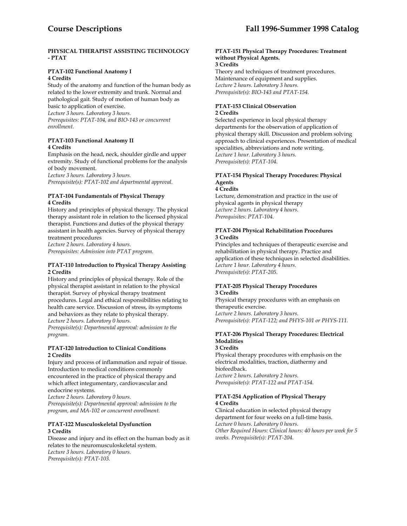# **PHYSICAL THERAPIST ASSISTING TECHNOLOGY - PTAT**

### **PTAT-102 Functional Anatomy I 4 Credits**

Study of the anatomy and function of the human body as related to the lower extremity and trunk. Normal and pathological gait. Study of motion of human body as basic to application of exercise.

*Lecture 3 hours. Laboratory 3 hours.* 

*Prerequisites: PTAT-104, and BIO-143 or concurrent enrollment.* 

### **PTAT-103 Functional Anatomy II 4 Credits**

Emphasis on the head, neck, shoulder girdle and upper extremity. Study of functional problems for the analysis of body movement.

*Lecture 3 hours. Laboratory 3 hours. Prerequisite(s): PTAT-102 and departmental approval.* 

# **PTAT-104 Fundamentals of Physical Therapy 4 Credits**

History and principles of physical therapy. The physical therapy assistant role in relation to the licensed physical therapist. Functions and duties of the physical therapy assistant in health agencies. Survey of physical therapy treatment procedures

*Lecture 2 hours. Laboratory 4 hours. Prerequisites: Admission into PTAT program.* 

# **PTAT-110 Introduction to Physical Therapy Assisting 2 Credits**

History and principles of physical therapy. Role of the physical therapist assistant in relation to the physical therapist. Survey of physical therapy treatment procedures. Legal and ethical responsibilities relating to health care service. Discussion of stress, its symptoms and behaviors as they relate to physical therapy. *Lecture 2 hours. Laboratory 0 hours.* 

*Prerequisite(s): Departmental approval: admission to the* 

*program.* 

# **PTAT-120 Introduction to Clinical Conditions 2 Credits**

Injury and process of inflammation and repair of tissue. Introduction to medical conditions commonly encountered in the practice of physical therapy and which affect integumentary, cardiovascular and endocrine systems.

*Lecture 2 hours. Laboratory 0 hours. Prerequisite(s): Departmental approval: admission to the program, and MA-102 or concurrent enrollment.* 

# **PTAT-122 Musculoskeletal Dysfunction 3 Credits**

Disease and injury and its effect on the human body as it relates to the neuromusculoskeletal system. *Lecture 3 hours. Laboratory 0 hours. Prerequisite(s): PTAT-103.* 

# **PTAT-151 Physical Therapy Procedures: Treatment without Physical Agents.**

### **3 Credits**

Theory and techniques of treatment procedures. Maintenance of equipment and supplies. *Lecture 2 hours. Laboratory 3 hours. Prerequisite(s): BIO-143 and PTAT-154.* 

#### **PTAT-153 Clinical Observation 2 Credits**

Selected experience in local physical therapy departments for the observation of application of physical therapy skill. Discussion and problem solving approach to clinical experiences. Presentation of medical specialities, abbreviations and note writing. *Lecture 1 hour. Laboratory 3 hours. Prerequisite(s): PTAT-104*.

# **PTAT-154 Physical Therapy Procedures: Physical Agents**

# **4 Credits**

Lecture, demonstration and practice in the use of physical agents in physical therapy *Lecture 2 hours. Laboratory 4 hours. Prerequisites: PTAT-104.* 

# **PTAT-204 Physical Rehabilitation Procedures 3 Credits**

Principles and techniques of therapeutic exercise and rehabilitation in physical therapy. Practice and application of these techniques in selected disabilities. *Lecture 1 hour. Laboratory 4 hours. Prerequisite(s): PTAT-205*.

#### **PTAT-205 Physical Therapy Procedures 3 Credits**

Physical therapy procedures with an emphasis on therapeutic exercise. *Lecture 2 hours. Laboratory 3 hours. Prerequisite(s): PTAT-122; and PHYS-101 or PHYS-111.* 

#### **PTAT-206 Physical Therapy Procedures: Electrical Modalities 3 Credits**

Physical therapy procedures with emphasis on the electrical modalities, traction, diathermy and biofeedback. *Lecture 2 hours. Laboratory 2 hours. Prerequisite(s): PTAT-122 and PTAT-154.* 

# **PTAT-254 Application of Physical Therapy 4 Credits**

Clinical education in selected physical therapy department for four weeks on a full-time basis. *Lecture 0 hours. Laboratory 0 hours. Other Required Hours: Clinical hours: 40 hours per week for 5 weeks. Prerequisite(s): PTAT-204.*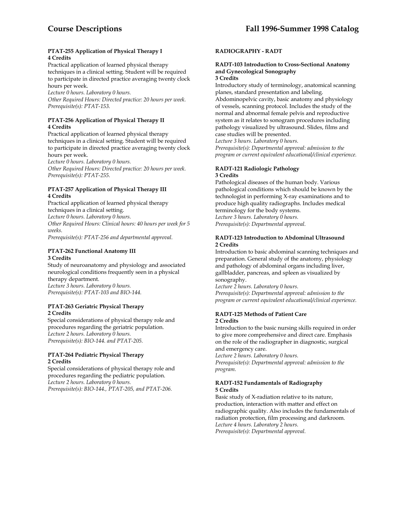#### **PTAT-255 Application of Physical Therapy I 4 Credits**

Practical application of learned physical therapy techniques in a clinical setting. Student will be required to participate in directed practice averaging twenty clock hours per week.

*Lecture 0 hours. Laboratory 0 hours.* 

*Other Required Hours: Directed practice: 20 hours per week. Prerequisite(s): PTAT-153.* 

## **PTAT-256 Application of Physical Therapy II 4 Credits**

Practical application of learned physical therapy techniques in a clinical setting. Student will be required to participate in directed practice averaging twenty clock hours per week.

*Lecture 0 hours. Laboratory 0 hours.* 

*Other Required Hours: Directed practice: 20 hours per week. Prerequisite(s): PTAT-255.* 

## **PTAT-257 Application of Physical Therapy III 4 Credits**

Practical application of learned physical therapy techniques in a clinical setting. *Lecture 0 hours. Laboratory 0 hours.* 

*Other Required Hours: Clinical hours: 40 hours per week for 5 weeks.* 

*Prerequisite(s): PTAT-256 and departmental approval.* 

# **PTAT-262 Functional Anatomy III 3 Credits**

Study of neuroanatomy and physiology and associated neurological conditions frequently seen in a physical therapy department. *Lecture 3 hours. Laboratory 0 hours. Prerequisite(s): PTAT-103 and BIO-144.* 

# **PTAT-263 Geriatric Physical Therapy 2 Credits**

Special considerations of physical therapy role and procedures regarding the geriatric population. *Lecture 2 hours. Laboratory 0 hours. Prerequisite(s): BIO-144. and PTAT-205.* 

## **PTAT-264 Pediatric Physical Therapy 2 Credits**

Special considerations of physical therapy role and procedures regarding the pediatric population. *Lecture 2 hours. Laboratory 0 hours. Prerequisite(s): BIO-144., PTAT-205, and PTAT-206.* 

# **RADIOGRAPHY - RADT**

#### **RADT-103 Introduction to Cross-Sectional Anatomy and Gynecological Sonography 3 Credits**

Introductory study of terminology, anatomical scanning planes, standard presentation and labeling.

Abdominopelvic cavity, basic anatomy and physiology of vessels, scanning protocol. Includes the study of the normal and abnormal female pelvis and reproductive system as it relates to sonogram procedures including pathology visualized by ultrasound. Slides, films and case studies will be presented.

*Lecture 3 hours. Laboratory 0 hours.* 

*Prerequisite(s): Departmental approval: admission to the program or current equivalent educational/clinical experience.* 

#### **RADT-121 Radiologic Pathology 3 Credits**

Pathological diseases of the human body. Various pathological conditions which should be known by the technologist in performing X-ray examinations and to produce high quality radiographs. Includes medical terminology for the body systems. *Lecture 3 hours. Laboratory 0 hours. Prerequisite(s): Departmental approval.* 

#### **RADT-123 Introduction to Abdominal Ultrasound 2 Credits**

Introduction to basic abdominal scanning techniques and preparation. General study of the anatomy, physiology and pathology of abdominal organs including liver, gallbladder, pancreas, and spleen as visualized by sonography.

*Lecture 2 hours. Laboratory 0 hours. Prerequisite(s): Departmental approval: admission to the program or current equivalent educational/clinical experience.* 

#### **RADT-125 Methods of Patient Care 2 Credits**

Introduction to the basic nursing skills required in order to give more comprehensive and direct care. Emphasis on the role of the radiographer in diagnostic, surgical and emergency care.

*Lecture 2 hours. Laboratory 0 hours. Prerequisite(s): Departmental approval: admission to the program.* 

#### **RADT-152 Fundamentals of Radiography 5 Credits**

Basic study of X-radiation relative to its nature, production, interaction with matter and effect on radiographic quality. Also includes the fundamentals of radiation protection, film processing and darkroom. *Lecture 4 hours. Laboratory 2 hours. Prerequisite(s): Departmental approval.*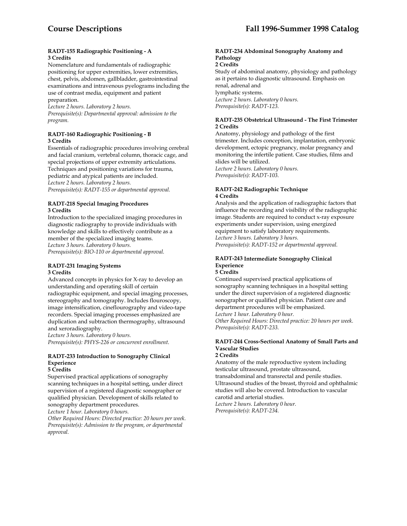#### **RADT-155 Radiographic Positioning - A 3 Credits**

Nomenclature and fundamentals of radiographic positioning for upper extremities, lower extremities, chest, pelvis, abdomen, gallbladder, gastrointestinal examinations and intravenous pyelograms including the use of contrast media, equipment and patient preparation.

*Lecture 2 hours. Laboratory 2 hours. Prerequisite(s): Departmental approval: admission to the program.* 

#### **RADT-160 Radiographic Positioning - B 3 Credits**

Essentials of radiographic procedures involving cerebral and facial cranium, vertebral column, thoracic cage, and special projections of upper extremity articulations. Techniques and positioning variations for trauma, pediatric and atypical patients are included. *Lecture 2 hours. Laboratory 2 hours. Prerequisite(s): RADT-155 or departmental approval.* 

#### **RADT-218 Special Imaging Procedures 3 Credits**

Introduction to the specialized imaging procedures in diagnostic radiography to provide individuals with knowledge and skills to effectively contribute as a member of the specialized imaging teams. *Lecture 3 hours. Laboratory 0 hours. Prerequisite(s): BIO-110 or departmental approval.* 

#### **RADT-231 Imaging Systems 3 Credits**

Advanced concepts in physics for X-ray to develop an understanding and operating skill of certain radiographic equipment, and special imaging processes, stereography and tomography. Includes flouroscopy, image intensification, cineflourography and video-tape recorders. Special imaging processes emphasized are duplication and subtraction thermography, ultrasound and xeroradiography.

*Lecture 3 hours. Laboratory 0 hours. Prerequisite(s): PHYS-226 or concurrent enrollment*.

# **RADT-233 Introduction to Sonography Clinical Experience**

## **5 Credits**

Supervised practical applications of sonography scanning techniques in a hospital setting, under direct supervision of a registered diagnostic sonographer or qualified physician. Development of skills related to sonography department procedures.

*Lecture 1 hour. Laboratory 0 hours.* 

*Other Required Hours: Directed practice: 20 hours per week. Prerequisite(s): Admission to the program, or departmental approval.* 

## **RADT-234 Abdominal Sonography Anatomy and Pathology**

**2 Credits** 

Study of abdominal anatomy, physiology and pathology as it pertains to diagnostic ultrasound. Emphasis on renal, adrenal and lymphatic systems. *Lecture 2 hours. Laboratory 0 hours. Prerequisite(s): RADT-123.* 

#### **RADT-235 Obstetrical Ultrasound - The First Trimester 2 Credits**

Anatomy, physiology and pathology of the first trimester. Includes conception, implantation, embryonic development, ectopic pregnancy, molar pregnancy and monitoring the infertile patient. Case studies, films and slides will be utilized. *Lecture 2 hours. Laboratory 0 hours.* 

*Prerequisite(s): RADT-103.* 

#### **RADT-242 Radiographic Technique 4 Credits**

Analysis and the application of radiographic factors that influence the recording and visibility of the radiographic image. Students are required to conduct x-ray exposure experiments under supervision, using energized equipment to satisfy laboratory requirements. *Lecture 3 hours. Laboratory 3 hours. Prerequisite(s): RADT-152 or departmental approval.* 

# **RADT-243 Intermediate Sonography Clinical Experience**

# **5 Credits**

Continued supervised practical applications of sonography scanning techniques in a hospital setting under the direct supervision of a registered diagnostic sonographer or qualified physician. Patient care and department procedures will be emphasized. *Lecture 1 hour. Laboratory 0 hour.* 

*Other Required Hours: Directed practice: 20 hours per week. Prerequisite(s): RADT-233.* 

# **RADT-244 Cross-Sectional Anatomy of Small Parts and Vascular Studies**

#### **2 Credits**

Anatomy of the male reproductive system including testicular ultrasound, prostate ultrasound, transabdominal and transrectal and penile studies. Ultrasound studies of the breast, thyroid and ophthalmic studies will also be covered. Introduction to vascular carotid and arterial studies. *Lecture 2 hours. Laboratory 0 hour.* 

*Prerequisite(s): RADT-234.*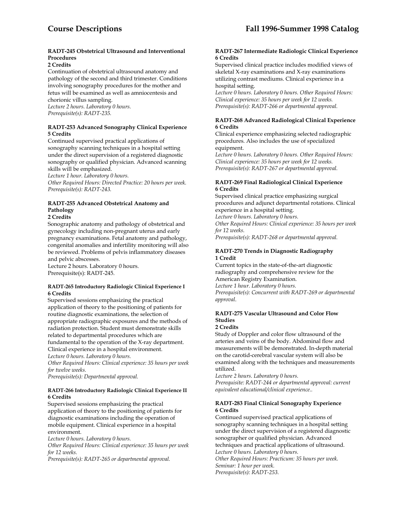## **RADT-245 Obstetrical Ultrasound and Interventional Procedures**

#### **2 Credits**

Continuation of obstetrical ultrasound anatomy and pathology of the second and third trimester. Conditions involving sonography procedures for the mother and fetus will be examined as well as amniocentesis and chorionic villus sampling. *Lecture 2 hours. Laboratory 0 hours. Prerequisite(s): RADT-235.* 

#### **RADT-253 Advanced Sonography Clinical Experience 5 Credits**

Continued supervised practical applications of sonography scanning techniques in a hospital setting under the direct supervision of a registered diagnostic sonography or qualified physician. Advanced scanning skills will be emphasized.

*Lecture 1 hour. Laboratory 0 hours.* 

*Other Required Hours: Directed Practice: 20 hours per week. Prerequisite(s): RADT-243.* 

# **RADT-255 Advanced Obstetrical Anatomy and Pathology**

**2 Credits** 

Sonographic anatomy and pathology of obstetrical and gynecology including non-pregnant uterus and early pregnancy examinations. Fetal anatomy and pathology, congenital anomalies and infertility monitoring will also be reviewed. Problems of pelvis inflammatory diseases and pelvic abscesses.

Lecture 2 hours. Laboratory 0 hours. Prerequisite(s): RADT-245.

#### **RADT-265 Introductory Radiologic Clinical Experience I 6 Credits**

Supervised sessions emphasizing the practical application of theory to the positioning of patients for routine diagnostic examinations, the selection of appropriate radiographic exposures and the methods of radiation protection. Student must demonstrate skills related to departmental procedures which are fundamental to the operation of the X-ray department. Clinical experience in a hospital environment. *Lecture 0 hours. Laboratory 0 hours.* 

*Other Required Hours: Clinical experience: 35 hours per week for twelve weeks.* 

*Prerequisite(s): Departmental approval.* 

## **RADT-266 Introductory Radiologic Clinical Experience II 6 Credits**

Supervised sessions emphasizing the practical application of theory to the positioning of patients for diagnostic examinations including the operation of mobile equipment. Clinical experience in a hospital environment.

*Lecture 0 hours. Laboratory 0 hours.* 

*Other Required Hours: Clinical experience: 35 hours per week for 12 weeks.* 

*Prerequisite(s): RADT-265 or departmental approval.* 

#### **RADT-267 Intermediate Radiologic Clinical Experience 6 Credits**

Supervised clinical practice includes modified views of skeletal X-ray examinations and X-ray examinations utilizing contrast mediums. Clinical experience in a hospital setting.

*Lecture 0 hours. Laboratory 0 hours. Other Required Hours: Clinical experience: 35 hours per week for 12 weeks. Prerequisite(s): RADT-266 or departmental approval.* 

#### **RADT-268 Advanced Radiological Clinical Experience 6 Credits**

Clinical experience emphasizing selected radiographic procedures. Also includes the use of specialized equipment.

*Lecture 0 hours. Laboratory 0 hours. Other Required Hours: Clinical experience: 35 hours per week for 12 weeks. Prerequisite(s): RADT-267 or departmental approval.* 

#### **RADT-269 Final Radiological Clinical Experience 6 Credits**

Supervised clinical practice emphasizing surgical procedures and adjunct departmental rotations. Clinical experience in a hospital setting.

*Lecture 0 hours. Laboratory 0 hours. Other Required Hours: Clinical experience: 35 hours per week for 12 weeks.* 

*Prerequisite(s): RADT-268 or departmental approval.* 

## **RADT-270 Trends in Diagnostic Radiography 1 Credit**

Current topics in the state-of-the-art diagnostic radiography and comprehensive review for the American Registry Examination. *Lecture 1 hour. Laboratory 0 hours. Prerequisite(s): Concurrent with RADT-269 or departmental approval*.

# **RADT-275 Vascular Ultrasound and Color Flow Studies**

#### **2 Credits**

Study of Doppler and color flow ultrasound of the arteries and veins of the body. Abdominal flow and measurements will be demonstrated. In-depth material on the carotid-cerebral vascular system will also be examined along with the techniques and measurements utilized.

*Lecture 2 hours. Laboratory 0 hours. Prerequisite: RADT-244 or departmental approval: current equivalent educational/clinical experience..* 

#### **RADT-283 Final Clinical Sonography Experience 6 Credits**

Continued supervised practical applications of sonography scanning techniques in a hospital setting under the direct supervision of a registered diagnostic sonographer or qualified physician. Advanced techniques and practical applications of ultrasound. *Lecture 0 hours. Laboratory 0 hours. Other Required Hours: Practicum: 35 hours per week. Seminar: 1 hour per week.* 

*Prerequisite(s): RADT-253.*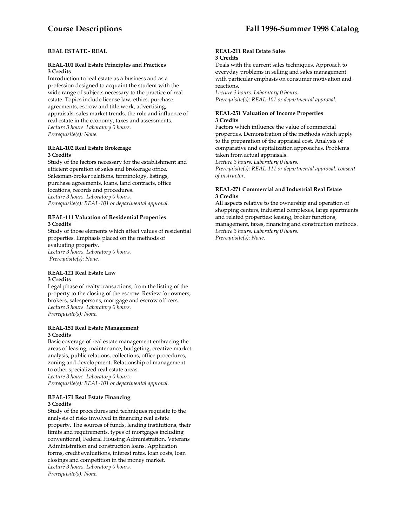# **REAL ESTATE - REAL**

#### **REAL-101 Real Estate Principles and Practices 3 Credits**

Introduction to real estate as a business and as a profession designed to acquaint the student with the wide range of subjects necessary to the practice of real estate. Topics include license law, ethics, purchase agreements, escrow and title work, advertising, appraisals, sales market trends, the role and influence of real estate in the economy, taxes and assessments. *Lecture 3 hours. Laboratory 0 hours. Prerequisite(s): None.* 

#### **REAL-102 Real Estate Brokerage 3 Credits**

Study of the factors necessary for the establishment and efficient operation of sales and brokerage office. Salesman-broker relations, terminology, listings, purchase agreements, loans, land contracts, office locations, records and procedures. *Lecture 3 hours. Laboratory 0 hours. Prerequisite(s): REAL-101 or departmental approval.* 

#### **REAL-111 Valuation of Residential Properties 3 Credits**

Study of those elements which affect values of residential properties. Emphasis placed on the methods of evaluating property. *Lecture 3 hours. Laboratory 0 hours. Prerequisite(s): None.* 

#### **REAL-121 Real Estate Law 3 Credits**

Legal phase of realty transactions, from the listing of the property to the closing of the escrow. Review for owners, brokers, salespersons, mortgage and escrow officers. *Lecture 3 hours. Laboratory 0 hours. Prerequisite(s): None.* 

#### **REAL-151 Real Estate Management 3 Credits**

Basic coverage of real estate management embracing the areas of leasing, maintenance, budgeting, creative market analysis, public relations, collections, office procedures, zoning and development. Relationship of management to other specialized real estate areas. *Lecture 3 hours. Laboratory 0 hours. Prerequisite(s): REAL-101 or departmental approval.* 

#### **REAL-171 Real Estate Financing 3 Credits**

Study of the procedures and techniques requisite to the analysis of risks involved in financing real estate property. The sources of funds, lending institutions, their limits and requirements, types of mortgages including conventional, Federal Housing Administration, Veterans Administration and construction loans. Application forms, credit evaluations, interest rates, loan costs, loan closings and competition in the money market. *Lecture 3 hours. Laboratory 0 hours. Prerequisite(s): None.* 

#### **REAL-211 Real Estate Sales 3 Credits**

Deals with the current sales techniques. Approach to everyday problems in selling and sales management with particular emphasis on consumer motivation and reactions.

*Lecture 3 hours. Laboratory 0 hours. Prerequisite(s): REAL-101 or departmental approval.* 

#### **REAL-251 Valuation of Income Properties 3 Credits**

Factors which influence the value of commercial properties. Demonstration of the methods which apply to the preparation of the appraisal cost. Analysis of comparative and capitalization approaches. Problems taken from actual appraisals.

*Lecture 3 hours. Laboratory 0 hours. Prerequisite(s): REAL-111 or departmental approval: consent of instructor.* 

#### **REAL-271 Commercial and Industrial Real Estate 3 Credits**

All aspects relative to the ownership and operation of shopping centers, industrial complexes, large apartments and related properties: leasing, broker functions, management, taxes, financing and construction methods. *Lecture 3 hours. Laboratory 0 hours. Prerequisite(s): None.*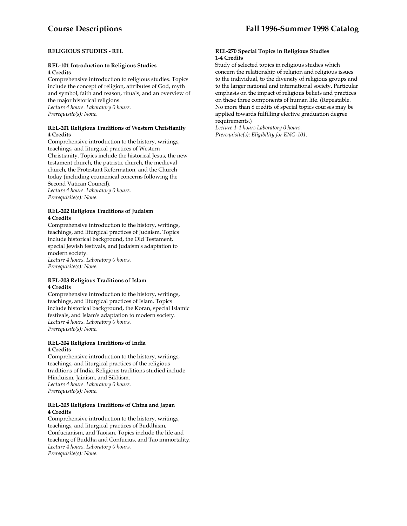#### **RELIGIOUS STUDIES - REL**

#### **REL-101 Introduction to Religious Studies 4 Credits**

Comprehensive introduction to religious studies. Topics include the concept of religion, attributes of God, myth and symbol, faith and reason, rituals, and an overview of the major historical religions. *Lecture 4 hours. Laboratory 0 hours. Prerequisite(s): None.* 

#### **REL-201 Religious Traditions of Western Christianity 4 Credits**

Comprehensive introduction to the history, writings, teachings, and liturgical practices of Western Christianity. Topics include the historical Jesus, the new testament church, the patristic church, the medieval church, the Protestant Reformation, and the Church today (including ecumenical concerns following the Second Vatican Council). *Lecture 4 hours. Laboratory 0 hours. Prerequisite(s): None.* 

### **REL-202 Religious Traditions of Judaism 4 Credits**

Comprehensive introduction to the history, writings, teachings, and liturgical practices of Judaism. Topics include historical background, the Old Testament, special Jewish festivals, and Judaism's adaptation to modern society.

*Lecture 4 hours. Laboratory 0 hours. Prerequisite(s): None.* 

#### **REL-203 Religious Traditions of Islam 4 Credits**

Comprehensive introduction to the history, writings, teachings, and liturgical practices of Islam. Topics include historical background, the Koran, special Islamic festivals, and Islam's adaptation to modern society. *Lecture 4 hours. Laboratory 0 hours. Prerequisite(s): None.* 

### **REL-204 Religious Traditions of India 4 Credits**

Comprehensive introduction to the history, writings, teachings, and liturgical practices of the religious traditions of India. Religious traditions studied include Hinduism, Jainism, and Sikhism. *Lecture 4 hours. Laboratory 0 hours. Prerequisite(s): None.* 

#### **REL-205 Religious Traditions of China and Japan 4 Credits**

Comprehensive introduction to the history, writings, teachings, and liturgical practices of Buddhism, Confucianism, and Taoism. Topics include the life and teaching of Buddha and Confucius, and Tao immortality. *Lecture 4 hours. Laboratory 0 hours. Prerequisite(s): None.* 

#### **REL-270 Special Topics in Religious Studies 1-4 Credits**

Study of selected topics in religious studies which concern the relationship of religion and religious issues to the individual, to the diversity of religious groups and to the larger national and international society. Particular emphasis on the impact of religious beliefs and practices on these three components of human life. (Repeatable. No more than 8 credits of special topics courses may be applied towards fulfilling elective graduation degree requirements.)

*Lecture 1-4 hours Laboratory 0 hours. Prerequisite(s): Eligibility for ENG-101.*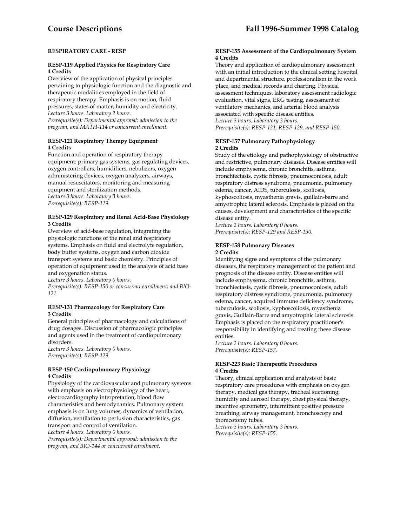#### **RESPIRATORY CARE - RESP**

#### **RESP-119 Applied Physics for Respiratory Care 4 Credits**

Overview of the application of physical principles pertaining to physiologic function and the diagnostic and therapeutic modalities employed in the field of respiratory therapy. Emphasis is on motion, fluid pressures, states of matter, humidity and electricity. *Lecture 3 hours. Laboratory 2 hours. Prerequisite(s): Departmental approval: admission to the program, and MATH-114 or concurrent enrollment.* 

#### **RESP-121 Respiratory Therapy Equipment 4 Credits**

Function and operation of respiratory therapy equipment: primary gas systems, gas regulating devices, oxygen controllers, humidifiers, nebulizers, oxygen administering devices, oxygen analyzers, airways, manual resuscitators, monitoring and measuring equipment and sterilization methods. *Lecture 3 hours. Laboratory 3 hours. Prerequisite(s): RESP-119.* 

#### **RESP-129 Respiratory and Renal Acid-Base Physiology 3 Credits**

Overview of acid-base regulation, integrating the physiologic functions of the renal and respiratory systems. Emphasis on fluid and electrolyte regulation, body buffer systems, oxygen and carbon dioxide transport systems and basic chemistry. Principles of operation of equipment used in the analysis of acid base and oxygenation status.

*Lecture 3 hours. Laboratory 0 hours. Prerequisite(s): RESP-150 or concurrent enrollment; and BIO-121.* 

#### **RESP-131 Pharmacology for Respiratory Care 3 Credits**

General principles of pharmacology and calculations of drug dosages. Discussion of pharmacologic principles and agents used in the treatment of cardiopulmonary disorders.

*Lecture 3 hours. Laboratory 0 hours. Prerequisite(s): RESP-129.* 

#### **RESP-150 Cardiopulmonary Physiology 4 Credits**

Physiology of the cardiovascular and pulmonary systems with emphasis on electrophysiology of the heart, electrocardiography interpretation, blood flow characteristics and hemodynamics. Pulmonary system emphasis is on lung volumes, dynamics of ventilation, diffusion, ventilation to perfusion characteristics, gas transport and control of ventilation. *Lecture 4 hours. Laboratory 0 hours.* 

*Prerequisite(s): Departmental approval: admission to the program, and BIO-144 or concurrent enrollment*.

#### **RESP-155 Assessment of the Cardiopulmonary System 4 Credits**

Theory and application of cardiopulmonary assessment with an initial introduction to the clinical setting hospital and departmental structure, professionalism in the work place, and medical records and charting. Physical assessment techniques, laboratory assessment radiologic evaluation, vital signs, EKG testing, assessment of ventilatory mechanics, and arterial blood analysis associated with specific disease entities. *Lecture 3 hours. Laboratory 3 hours. Prerequisite(s): RESP-121, RESP-129, and RESP-150.* 

#### **RESP-157 Pulmonary Pathophysiology 2 Credits**

Study of the etiology and pathophysiology of obstructive and restrictive, pulmonary diseases. Disease entities will include emphysema, chronic bronchitis, asthma, bronchiectasis, cystic fibrosis, pneumoconiosis, adult respiratory distress syndrome, pneumonia, pulmonary edema, cancer, AIDS, tuberculosis, scoliosis, kyphoscoliosis, myasthenia gravis, guillain-barre and amyotrophic lateral sclerosis. Emphasis is placed on the causes, development and characteristics of the specific disease entity.

*Lecture 2 hours. Laboratory 0 hours. Prerequisite(s): RESP-129 and RESP-150.* 

#### **RESP-158 Pulmonary Diseases 2 Credits**

Identifying signs and symptoms of the pulmonary diseases, the respiratory management of the patient and prognosis of the disease entity. Disease entities will include emphysema, chronic bronchitis, asthma, bronchiectasis, cystic fibrosis, pneumoconiosis, adult respiratory distress syndrome, pneumonia, pulmonary edema, cancer, acquired immune deficiency syndrome, tuberculosis, scoliosis, kyphoscoliosis, myasthenia gravis, Guillain-Barre and amyotrophic lateral sclerosis. Emphasis is placed on the respiratory practitioner's responsibility in identifying and treating these disease entities.

*Lecture 2 hours. Laboratory 0 hours. Prerequisite(s): RESP-157.* 

#### **RESP-223 Basic Therapeutic Procedures 4 Credits**

Theory, clinical application and analysis of basic respiratory care procedures with emphasis on oxygen therapy, medical gas therapy, tracheal suctioning, humidity and aerosol therapy, chest physical therapy, incentive spirometry, intermittent positive pressure breathing, airway management, bronchoscopy and thoracotomy tubes.

*Lecture 3 hours. Laboratory 3 hours. Prerequisite(s): RESP-155.*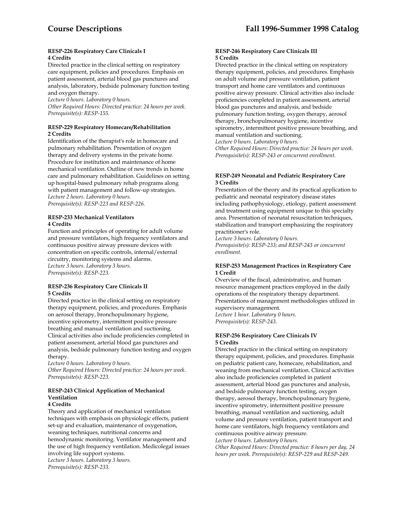#### **RESP-226 Respiratory Care Clinicals I 4 Credits**

Directed practice in the clinical setting on respiratory care equipment, policies and procedures. Emphasis on patient assessment, arterial blood gas punctures and analysis, laboratory, bedside pulmonary function testing and oxygen therapy.

*Lecture 0 hours. Laboratory 0 hours.* 

*Other Required Hours: Directed practice: 24 hours per week. Prerequisite(s): RESP-155.* 

#### **RESP-229 Respiratory Homecare/Rehabilitation 2 Credits**

Identification of the therapist's role in homecare and pulmonary rehabilitation. Presentation of oxygen therapy and delivery systems in the private home. Procedure for institution and maintenance of home mechanical ventilation. Outline of new trends in home care and pulmonary rehabilitation. Guidelines on setting up hospital-based pulmonary rehab programs along with patient management and follow-up strategies. *Lecture 2 hours. Laboratory 0 hours. Prerequisite(s): RESP-223 and RESP-226.* 

#### **RESP-233 Mechanical Ventilators 4 Credits**

Function and principles of operating for adult volume and pressure ventilators, high frequency ventilators and continuous positive airway pressure devices with concentration on specific controls, internal/external circuitry, monitoring systems and alarms. *Lecture 3 hours. Laboratory 3 hours. Prerequisite(s): RESP-223.* 

#### **RESP-236 Respiratory Care Clinicals II 5 Credits**

Directed practice in the clinical setting on respiratory therapy equipment, policies, and procedures. Emphasis on aerosol therapy, bronchopulmonary hygiene, incentive spirometry, intermittent positive pressure breathing and manual ventilation and suctioning. Clinical activities also include proficiencies completed in patient assessment, arterial blood gas punctures and analysis, bedside pulmonary function testing and oxygen therapy.

*Lecture 0 hours. Laboratory 0 hours. Other Required Hours: Directed practice: 24 hours per week. Prerequisite(s): RESP-223.* 

# **RESP-243 Clinical Application of Mechanical Ventilation**

#### **4 Credits**

Theory and application of mechanical ventilation techniques with emphasis on physiologic effects, patient set-up and evaluation, maintenance of oxygenation, weaning techniques, nutritional concerns and hemodynamic monitoring. Ventilator management and the use of high frequency ventilation. Medicolegal issues involving life support systems. *Lecture 3 hours. Laboratory 3 hours.* 

*Prerequisite(s): RESP-233.* 

#### **RESP-246 Respiratory Care Clinicals III 5 Credits**

Directed practice in the clinical setting on respiratory therapy equipment, policies, and procedures. Emphasis on adult volume and pressure ventilation, patient transport and home care ventilators and continuous positive airway pressure. Clinical activities also include proficiencies completed in patient assessment, arterial blood gas punctures and analysis, and bedside pulmonary function testing, oxygen therapy, aerosol therapy, bronchopulmonary hygiene, incentive spirometry, intermittent positive pressure breathing, and manual ventilation and suctioning.

*Lecture 0 hours. Laboratory 0 hours.* 

*Other Required Hours: Directed practice: 24 hours per week. Prerequisite(s): RESP-243 or concurrent enrollment.* 

## **RESP-249 Neonatal and Pediatric Respiratory Care 3 Credits**

Presentation of the theory and its practical application to pediatric and neonatal respiratory disease states including pathophysiology, etiology, patient assessment and treatment using equipment unique to this specialty area. Presentation of neonatal resuscitation techniques, stabilization and transport emphasizing the respiratory practitioner's role.

*Lecture 3 hours. Laboratory 0 hours. Prerequisite(s): RESP-233; and RESP-243 or concurrent enrollment.* 

#### **RESP-253 Management Practices in Respiratory Care 1 Credit**

Overview of the fiscal, administrative, and human resource management practices employed in the daily operations of the respiratory therapy department. Presentations of management methodologies utilized in supervisory management. *Lecture 1 hour. Laboratory 0 hours. Prerequisite(s): RESP-243*.

#### **RESP-256 Respiratory Care Clinicals IV 5 Credits**

Directed practice in the clinical setting on respiratory therapy equipment, policies, and procedures. Emphasis on pediatric patient care, homecare, rehabilitation, and weaning from mechanical ventilation. Clinical activities also include proficiencies completed in patient assessment, arterial blood gas punctures and analysis, and bedside pulmonary function testing, oxygen therapy, aerosol therapy, bronchopulmonary hygiene, incentive spirometry, intermittent positive pressure breathing, manual ventilation and suctioning, adult volume and pressure ventilation, patient transport and home care ventilators, high frequency ventilators and continuous positive airway pressure.

*Lecture 0 hours. Laboratory 0 hours.* 

*Other Required Hours: Directed practice: 8 hours per day, 24 hours per week. Prerequisite(s): RESP-229 and RESP-249.*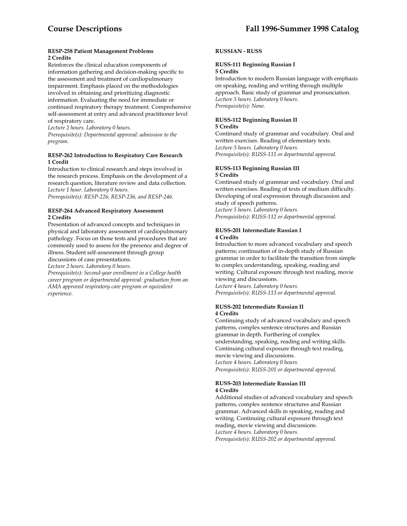#### **RESP-258 Patient Management Problems 2 Credits**

Reinforces the clinical education components of information gathering and decision-making specific to the assessment and treatment of cardiopulmonary impairment. Emphasis placed on the methodologies involved in obtaining and prioritizing diagnostic information. Evaluating the need for immediate or continued respiratory therapy treatment. Comprehensive self-assessment at entry and advanced practitioner level of respiratory care.

*Lecture 2 hours. Laboratory 0 hours.* 

*Prerequisite(s): Departmental approval: admission to the program.* 

#### **RESP-262 Introduction to Respiratory Care Research 1 Credit**

Introduction to clinical research and steps involved in the research process. Emphasis on the development of a research question, literature review and data collection. *Lecture 1 hour. Laboratory 0 hours.* 

*Prerequisite(s): RESP-226, RESP-236, and RESP-246.* 

#### **RESP-264 Advanced Respiratory Assessment 2 Credits**

Presentation of advanced concepts and techniques in physical and laboratory assessment of cardiopulmonary pathology. Focus on those tests and procedures that are commonly used to assess for the presence and degree of illness. Student self-assessment through group discussions of case presentations.

*Lecture 2 hours. Laboratory 0 hours.* 

*Prerequisite(s): Second-year enrollment in a College health career program or departmental approval: graduation from an AMA approved respiratory care program or equivalent experience.* 

## **RUSSIAN - RUSS**

#### **RUSS-111 Beginning Russian I 5 Credits**

Introduction to modern Russian language with emphasis on speaking, reading and writing through multiple approach. Basic study of grammar and pronunciation. *Lecture 5 hours. Laboratory 0 hours. Prerequisite(s): None.* 

#### **RUSS-112 Beginning Russian II 5 Credits**

Continued study of grammar and vocabulary. Oral and written exercises. Reading of elementary texts. *Lecture 5 hours. Laboratory 0 hours. Prerequisite(s): RUSS-111 or departmental approval.* 

#### **RUSS-113 Beginning Russian III 5 Credits**

Continued study of grammar and vocabulary. Oral and written exercises. Reading of texts of medium difficulty. Developing of oral expression through discussion and study of speech patterns. *Lecture 5 hours. Laboratory 0 hours.* 

*Prerequisite(s): RUSS-112 or departmental approval.* 

#### **RUSS-201 Intermediate Russian I 4 Credits**

Introduction to more advanced vocabulary and speech patterns; continuation of in-depth study of Russian grammar in order to facilitate the transition from simple to complex understanding, speaking, reading and writing. Cultural exposure through text reading, movie viewing and discussions.

*Lecture 4 hours. Laboratory 0 hours. Prerequisite(s): RUSS-113 or departmental approval.* 

#### **RUSS-202 Intermediate Russian II 4 Credits**

Continuing study of advanced vocabulary and speech patterns, complex sentence structures and Russian grammar in depth. Furthering of complex understanding, speaking, reading and writing skills. Continuing cultural exposure through text reading, movie viewing and discussions. *Lecture 4 hours. Laboratory 0 hours. Prerequisite(s): RUSS-201 or departmental approval*.

#### **RUSS-203 Intermediate Russian III 4 Credits**

Additional studies of advanced vocabulary and speech patterns, complex sentence structures and Russian grammar. Advanced skills in speaking, reading and writing. Continuing cultural exposure through text reading, movie viewing and discussions. *Lecture 4 hours. Laboratory 0 hours. Prerequisite(s): RUSS-202 or departmental approval.*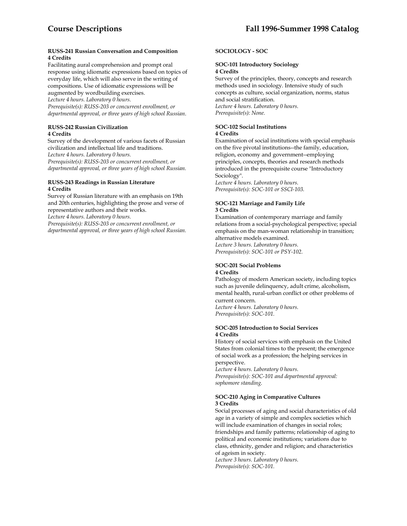#### **RUSS-241 Russian Conversation and Composition 4 Credits**

Facilitating aural comprehension and prompt oral response using idiomatic expressions based on topics of everyday life, which will also serve in the writing of compositions. Use of idiomatic expressions will be

augmented by wordbuilding exercises. *Lecture 4 hours. Laboratory 0 hours. Prerequisite(s): RUSS-203 or concurrent enrollment, or departmental approval, or three years of high school Russian*.

#### **RUSS-242 Russian Civilization 4 Credits**

Survey of the development of various facets of Russian civilization and intellectual life and traditions.

*Lecture 4 hours. Laboratory 0 hours.* 

*Prerequisite(s): RUSS-203 or concurrent enrollment, or departmental approval, or three years of high school Russian.* 

#### **RUSS-243 Readings in Russian Literature 4 Credits**

Survey of Russian literature with an emphasis on 19th and 20th centuries, highlighting the prose and verse of representative authors and their works.

*Lecture 4 hours. Laboratory 0 hours.* 

*Prerequisite(s): RUSS-203 or concurrent enrollment, or departmental approval, or three years of high school Russian.* 

# **SOCIOLOGY - SOC**

# **SOC-101 Introductory Sociology 4 Credits**

Survey of the principles, theory, concepts and research methods used in sociology. Intensive study of such concepts as culture, social organization, norms, status and social stratification. *Lecture 4 hours. Laboratory 0 hours. Prerequisite(s): None.* 

# **SOC-102 Social Institutions**

#### **4 Credits**

Examination of social institutions with special emphasis on the five pivotal institutions--the family, education, religion, economy and government--employing principles, concepts, theories and research methods introduced in the prerequisite course "Introductory Sociology".

*Lecture 4 hours. Laboratory 0 hours. Prerequisite(s): SOC-101 or SSCI-103.* 

#### **SOC-121 Marriage and Family Life 3 Credits**

Examination of contemporary marriage and family relations from a social-psychological perspective; special emphasis on the man-woman relationship in transition; alternative models examined. *Lecture 3 hours. Laboratory 0 hours. Prerequisite(s): SOC-101 or PSY-102.* 

# **SOC-201 Social Problems**

#### **4 Credits**

Pathology of modern American society, including topics such as juvenile delinquency, adult crime, alcoholism, mental health, rural-urban conflict or other problems of current concern. *Lecture 4 hours. Laboratory 0 hours. Prerequisite(s): SOC-101.* 

#### **SOC-205 Introduction to Social Services 4 Credits**

History of social services with emphasis on the United States from colonial times to the present; the emergence of social work as a profession; the helping services in perspective.

*Lecture 4 hours. Laboratory 0 hours. Prerequisite(s): SOC-101 and departmental approval: sophomore standing.* 

#### **SOC-210 Aging in Comparative Cultures 3 Credits**

Social processes of aging and social characteristics of old age in a variety of simple and complex societies which will include examination of changes in social roles; friendships and family patterns; relationship of aging to political and economic institutions; variations due to class, ethnicity, gender and religion; and characteristics of ageism in society.

*Lecture 3 hours. Laboratory 0 hours. Prerequisite(s): SOC-101.*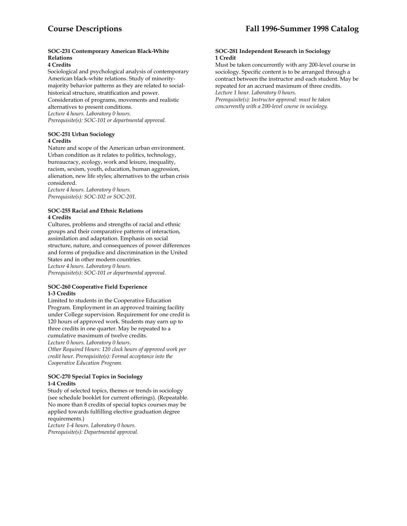# **SOC-231 Contemporary American Black-White Relations**

## **4 Credits**

Sociological and psychological analysis of contemporary American black-white relations. Study of minoritymajority behavior patterns as they are related to socialhistorical structure, stratification and power. Consideration of programs, movements and realistic alternatives to present conditions. *Lecture 4 hours. Laboratory 0 hours. Prerequisite(s): SOC-101 or departmental approval.* 

## **SOC-251 Urban Sociology 4 Credits**

Nature and scope of the American urban environment. Urban condition as it relates to politics, technology, bureaucracy, ecology, work and leisure, inequality, racism, sexism, youth, education, human aggression, alienation, new life styles; alternatives to the urban crisis considered.

*Lecture 4 hours. Laboratory 0 hours. Prerequisite(s): SOC-102 or SOC-201.* 

#### **SOC-255 Racial and Ethnic Relations 4 Credits**

Cultures, problems and strengths of racial and ethnic groups and their comparative patterns of interaction, assimilation and adaptation. Emphasis on social structure, nature, and consequences of power differences and forms of prejudice and discrimination in the United States and in other modern countries. *Lecture 4 hours. Laboratory 0 hours.* 

*Prerequisite(s): SOC-101 or departmental approval.* 

#### **SOC-260 Cooperative Field Experience 1-3 Credits**

Limited to students in the Cooperative Education Program. Employment in an approved training facility under College supervision. Requirement for one credit is 120 hours of approved work. Students may earn up to three credits in one quarter. May be repeated to a cumulative maximum of twelve credits.

*Lecture 0 hours. Laboratory 0 hours.* 

*Other Required Hours: 120 clock hours of approved work per credit hour. Prerequisite(s): Formal acceptance into the Cooperative Education Program.* 

### **SOC-270 Special Topics in Sociology 1-4 Credits**

Study of selected topics, themes or trends in sociology (see schedule booklet for current offerings). (Repeatable. No more than 8 credits of special topics courses may be applied towards fulfilling elective graduation degree requirements.)

*Lecture 1-4 hours. Laboratory 0 hours. Prerequisite(s): Departmental approval.* 

#### **SOC-281 Independent Research in Sociology 1 Credit**

Must be taken concurrently with any 200-level course in sociology. Specific content is to be arranged through a contract between the instructor and each student. May be repeated for an accrued maximum of three credits. *Lecture 1 hour. Laboratory 0 hours. Prerequisite(s): Instructor approval: must be taken* 

*concurrently with a 200-level course in sociology.*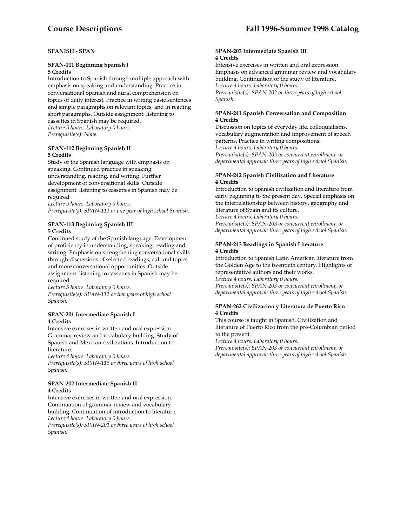## **SPANISH - SPAN**

## **SPAN-111 Beginning Spanish I 5 Credits**

Introduction to Spanish through multiple approach with emphasis on speaking and understanding. Practice in conversational Spanish and aural comprehension on topics of daily interest. Practice in writing basic sentences and simple paragraphs on relevant topics, and in reading short paragraphs. Outside assignment: listening to cassettes in Spanish may be required. *Lecture 5 hours. Laboratory 0 hours. Prerequisite(s): None.* 

#### **SPAN-112 Beginning Spanish II 5 Credits**

Study of the Spanish language with emphasis on speaking. Continued practice in speaking, understanding, reading, and writing. Further development of conversational skills. Outside assignment: listening to cassettes in Spanish may be required.

*Lecture 5 hours. Laboratory 0 hours. Prerequisite(s): SPAN-111 or one year of high school Spanish.* 

# **SPAN-113 Beginning Spanish III 5 Credits**

Continued study of the Spanish language. Development of proficiency in understanding, speaking, reading and writing. Emphasis on strengthening conversational skills through discussions of selected readings, cultural topics and more conversational opportunities. Outside assignment: listening to cassettes in Spanish may be required.

*Lecture 5 hours. Laboratory 0 hours. Prerequisite(s): SPAN-112 or two years of high school Spanish.* 

#### **SPAN-201 Intermediate Spanish I 4 Credits**

Intensive exercises in written and oral expression. Grammar review and vocabulary building. Study of Spanish and Mexican civilizations. Introduction to literature.

*Lecture 4 hours. Laboratory 0 hours.* 

*Prerequisite(s): SPAN-113 or three years of high school Spanish.* 

# **SPAN-202 Intermediate Spanish II 4 Credits**

Intensive exercises in written and oral expression. Continuation of grammar review and vocabulary building. Continuation of introduction to literature. *Lecture 4 hours. Laboratory 0 hours.* 

*Prerequisite(s): SPAN-201 or three years of high school Spanish.* 

#### **SPAN-203 Intermediate Spanish III 4 Credits**

Intensive exercises in written and oral expression. Emphasis on advanced grammar review and vocabulary building. Continuation of the study of literature. *Lecture 4 hours. Laboratory 0 hours. Prerequisite(s): SPAN-202 or three years of high school Spanish.* 

#### **SPAN-241 Spanish Conversation and Composition 4 Credits**

Discussion on topics of everyday life, colloquialisms, vocabulary augmentation and improvement of speech patterns. Practice in writing compositions. *Lecture 4 hours. Laboratory 0 hours. Prerequisite(s): SPAN-203 or concurrent enrollment, or* 

*departmental approval: three years of high school Spanish.* 

# **SPAN-242 Spanish Civilization and Literature 4 Credits**

Introduction to Spanish civilization and literature from early beginning to the present day. Special emphasis on the interrelationship between history, geography and literature of Spain and its culture.

*Lecture 4 hours. Laboratory 0 hours. Prerequisite(s): SPAN-203 or concurrent enrollment, or departmental approval: three years of high school Spanish.* 

# **SPAN-243 Readings in Spanish Literature 4 Credits**

Introduction to Spanish Latin American literature from the Golden Age to the twentieth century. Highlights of representative authors and their works.

*Lecture 4 hours. Laboratory 0 hours.* 

*Prerequisite(s): SPAN-203 or concurrent enrollment, or departmental approval: three years of high school Spanish.* 

#### **SPAN-262 Civilizacion y Literatura de Puerto Rico 4 Credits**

This course is taught in Spanish. Civilization and literature of Puerto Rico from the pre-Columbian period to the present.

*Lecture 4 hours. Laboratory 0 hours. Prerequisite(s): SPAN-203 or concurrent enrollment, or departmental approval: three years of high school Spanish.*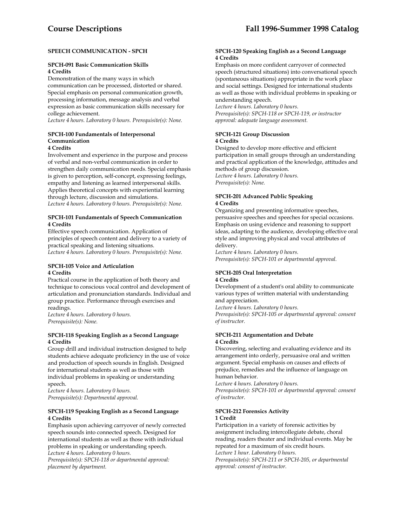# **SPEECH COMMUNICATION - SPCH**

#### **SPCH-091 Basic Communication Skills 4 Credits**

Demonstration of the many ways in which communication can be processed, distorted or shared. Special emphasis on personal communication growth, processing information, message analysis and verbal expression as basic communication skills necessary for college achievement.

*Lecture 4 hours. Laboratory 0 hours. Prerequisite(s): None.* 

# **SPCH-100 Fundamentals of Interpersonal Communication**

# **4 Credits**

Involvement and experience in the purpose and process of verbal and non-verbal communication in order to strengthen daily communication needs. Special emphasis is given to perception, self-concept, expressing feelings, empathy and listening as learned interpersonal skills. Applies theoretical concepts with experiential learning through lecture, discussion and simulations. *Lecture 4 hours. Laboratory 0 hours. Prerequisite(s): None.* 

#### **SPCH-101 Fundamentals of Speech Communication 4 Credits**

Effective speech communication. Application of principles of speech content and delivery to a variety of practical speaking and listening situations. *Lecture 4 hours. Laboratory 0 hours. Prerequisite(s): None.* 

## **SPCH-105 Voice and Articulation 4 Credits**

Practical course in the application of both theory and technique to conscious vocal control and development of articulation and pronunciation standards. Individual and group practice. Performance through exercises and readings.

*Lecture 4 hours. Laboratory 0 hours. Prerequisite(s): None.* 

#### **SPCH-118 Speaking English as a Second Language 4 Credits**

Group drill and individual instruction designed to help students achieve adequate proficiency in the use of voice and production of speech sounds in English. Designed for international students as well as those with individual problems in speaking or understanding speech.

*Lecture 4 hours. Laboratory 0 hours. Prerequisite(s): Departmental approval.* 

#### **SPCH-119 Speaking English as a Second Language 4 Credits**

Emphasis upon achieving carryover of newly corrected speech sounds into connected speech. Designed for international students as well as those with individual problems in speaking or understanding speech. *Lecture 4 hours. Laboratory 0 hours.* 

*Prerequisite(s): SPCH-118 or departmental approval: placement by department.* 

#### **SPCH-120 Speaking English as a Second Language 4 Credits**

Emphasis on more confident carryover of connected speech (structured situations) into conversational speech (spontaneous situations) appropriate in the work place and social settings. Designed for international students as well as those with individual problems in speaking or understanding speech.

*Lecture 4 hours. Laboratory 0 hours. Prerequisite(s): SPCH-118 or SPCH-119, or instructor approval: adequate language assessment.* 

# **SPCH-121 Group Discussion 4 Credits**

Designed to develop more effective and efficient participation in small groups through an understanding and practical application of the knowledge, attitudes and methods of group discussion. *Lecture 4 hours. Laboratory 0 hours.* 

*Prerequisite(s): None.* 

#### **SPCH-201 Advanced Public Speaking 4 Credits**

Organizing and presenting informative speeches, persuasive speeches and speeches for special occasions. Emphasis on using evidence and reasoning to support ideas, adapting to the audience, developing effective oral style and improving physical and vocal attributes of delivery.

*Lecture 4 hours. Laboratory 0 hours. Prerequisite(s): SPCH-101 or departmental approval.* 

#### **SPCH-205 Oral Interpretation 4 Credits**

Development of a student's oral ability to communicate various types of written material with understanding and appreciation.

*Lecture 4 hours. Laboratory 0 hours.* 

*Prerequisite(s): SPCH-105 or departmental approval: consent of instructor.* 

#### **SPCH-211 Argumentation and Debate 4 Credits**

Discovering, selecting and evaluating evidence and its arrangement into orderly, persuasive oral and written argument. Special emphasis on causes and effects of prejudice, remedies and the influence of language on human behavior.

*Lecture 4 hours. Laboratory 0 hours.* 

*Prerequisite(s): SPCH-101 or departmental approval: consent of instructor*.

#### **SPCH-212 Forensics Activity 1 Credit**

Participation in a variety of forensic activities by assignment including intercollegiate debate, choral reading, readers theater and individual events. May be repeated for a maximum of six credit hours.

*Lecture 1 hour. Laboratory 0 hours.* 

*Prerequisite(s): SPCH-211 or SPCH-205, or departmental approval: consent of instructor.*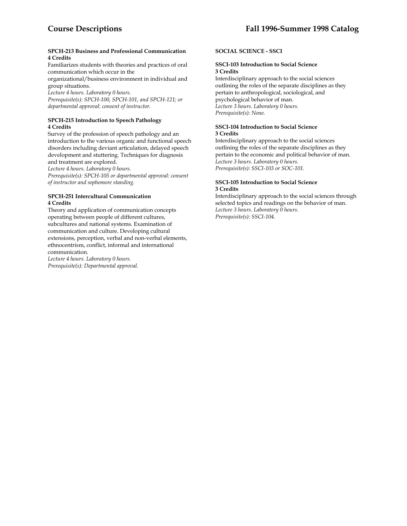#### **SPCH-213 Business and Professional Communication 4 Credits**

Familiarizes students with theories and practices of oral communication which occur in the

organizational/business environment in individual and group situations.

*Lecture 4 hours. Laboratory 0 hours.* 

*Prerequisite(s): SPCH-100, SPCH-101, and SPCH-121; or departmental approval: consent of instructor.* 

# **SPCH-215 Introduction to Speech Pathology 4 Credits**

Survey of the profession of speech pathology and an introduction to the various organic and functional speech disorders including deviant articulation, delayed speech development and stuttering. Techniques for diagnosis and treatment are explored.

*Lecture 4 hours. Laboratory 0 hours.* 

*Prerequisite(s): SPCH-105 or departmental approval: consent of instructor and sophomore standing.* 

#### **SPCH-251 Intercultural Communication 4 Credits**

Theory and application of communication concepts operating between people of different cultures, subcultures and national systems. Examination of communication and culture. Developing cultural extensions, perception, verbal and non-verbal elements, ethnocentrism, conflict, informal and international communication.

*Lecture 4 hours. Laboratory 0 hours. Prerequisite(s): Departmental approval.* 

# **SOCIAL SCIENCE - SSCI**

#### **SSCI-103 Introduction to Social Science 3 Credits**

Interdisciplinary approach to the social sciences outlining the roles of the separate disciplines as they pertain to anthropological, sociological, and psychological behavior of man. *Lecture 3 hours. Laboratory 0 hours. Prerequisite(s): None.* 

#### **SSCI-104 Introduction to Social Science 3 Credits**

Interdisciplinary approach to the social sciences outlining the roles of the separate disciplines as they pertain to the economic and political behavior of man. *Lecture 3 hours. Laboratory 0 hours. Prerequisite(s): SSCI-103 or SOC-101.* 

#### **SSCI-105 Introduction to Social Science 3 Credits**

Interdisciplinary approach to the social sciences through selected topics and readings on the behavior of man. *Lecture 3 hours. Laboratory 0 hours. Prerequisite(s): SSCI-104.*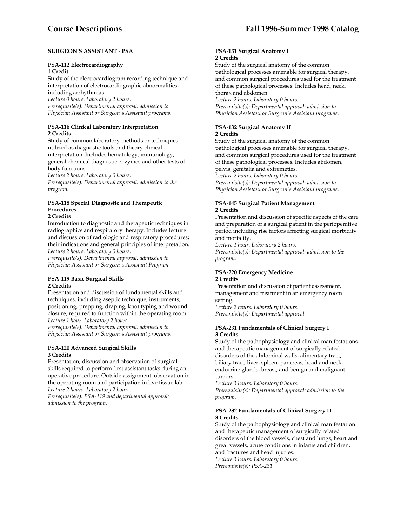## **SURGEON'S ASSISTANT - PSA**

#### **PSA-112 Electrocardiography 1 Credit**

Study of the electrocardiogram recording technique and interpretation of electrocardiographic abnormalities, including arrhythmias.

*Lecture 0 hours. Laboratory 2 hours.* 

*Prerequisite(s): Departmental approval: admission to Physician Assistant or Surgeon's Assistant programs.* 

## **PSA-116 Clinical Laboratory Interpretation 2 Credits**

Study of common laboratory methods or techniques utilized as diagnostic tools and theory clinical interpretation. Includes hematology, immunology, general chemical diagnostic enzymes and other tests of body functions.

*Lecture 2 hours. Laboratory 0 hours.* 

*Prerequisite(s): Departmental approval: admission to the program.* 

# **PSA-118 Special Diagnostic and Therapeutic Procedures**

# **2 Credits**

Introduction to diagnostic and therapeutic techniques in radiographics and respiratory therapy. Includes lecture and discussion of radiologic and respiratory procedures; their indications and general principles of interpretation. *Lecture 2 hours. Laboratory 0 hours.* 

*Prerequisite(s): Departmental approval: admission to Physician Assistant or Surgeon's Assistant Program.* 

#### **PSA-119 Basic Surgical Skills 2 Credits**

Presentation and discussion of fundamental skills and techniques, including aseptic technique, instruments, positioning, prepping, draping, knot typing and wound closure, required to function within the operating room. *Lecture 1 hour. Laboratory 2 hours.* 

*Prerequisite(s): Departmental approval: admission to Physician Assistant or Surgeon's Assistant programs.* 

#### **PSA-120 Advanced Surgical Skills 3 Credits**

Presentation, discussion and observation of surgical skills required to perform first assistant tasks during an operative procedure. Outside assignment: observation in the operating room and participation in live tissue lab. *Lecture 2 hours. Laboratory 2 hours.* 

*Prerequisite(s): PSA-119 and departmental approval: admission to the program.* 

#### **PSA-131 Surgical Anatomy I 2 Credits**

Study of the surgical anatomy of the common pathological processes amenable for surgical therapy, and common surgical procedures used for the treatment of these pathological processes. Includes head, neck, thorax and abdomen.

*Lecture 2 hours. Laboratory 0 hours. Prerequisite(s): Departmental approval: admission to Physician Assistant or Surgeon's Assistant programs.* 

#### **PSA-132 Surgical Anatomy II 2 Credits**

Study of the surgical anatomy of the common pathological processes amenable for surgical therapy, and common surgical procedures used for the treatment of these pathological processes. Includes abdomen, pelvis, genitalia and extremeties.

*Lecture 2 hours. Laboratory 0 hours.* 

*Prerequisite(s): Departmental approval: admission to Physician Assistant or Surgeon's Assistant programs.* 

## **PSA-145 Surgical Patient Management 2 Credits**

Presentation and discussion of specific aspects of the care and preparation of a surgical patient in the perioperative period including rise factors affecting surgical morbidity and mortality.

*Lecture 1 hour. Laboratory 2 hours. Prerequisite(s): Departmental approval: admission to the program.* 

#### **PSA-220 Emergency Medicine 2 Credits**

Presentation and discussion of patient assessment, management and treatment in an emergency room setting. *Lecture 2 hours. Laboratory 0 hours.* 

*Prerequisite(s): Departmental approval.* 

#### **PSA-231 Fundamentals of Clinical Surgery I 3 Credits**

Study of the pathophysiology and clinical manifestations and therapeutic management of surgically related disorders of the abdominal walls, alimentary tract, biliary tract, liver, spleen, pancreas, head and neck, endocrine glands, breast, and benign and malignant tumors.

*Lecture 3 hours. Laboratory 0 hours. Prerequisite(s): Departmental approval: admission to the program.* 

# **PSA-232 Fundamentals of Clinical Surgery II 3 Credits**

Study of the pathophysiology and clinical manifestation and therapeutic management of surgically related disorders of the blood vessels, chest and lungs, heart and great vessels, acute conditions in infants and children, and fractures and head injuries. *Lecture 3 hours. Laboratory 0 hours. Prerequisite(s): PSA-231.*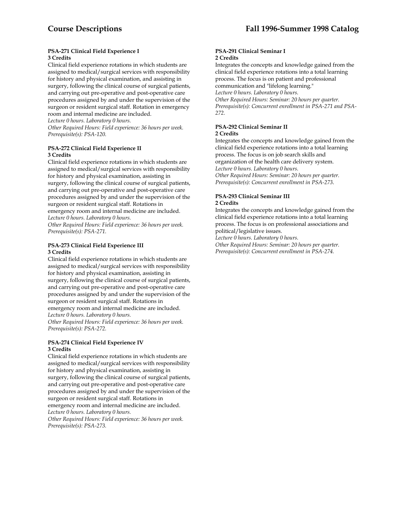#### **PSA-271 Clinical Field Experience I 3 Credits**

Clinical field experience rotations in which students are assigned to medical/surgical services with responsibility for history and physical examination, and assisting in surgery, following the clinical course of surgical patients, and carrying out pre-operative and post-operative care procedures assigned by and under the supervision of the surgeon or resident surgical staff. Rotation in emergency room and internal medicine are included.

*Lecture 0 hours. Laboratory 0 hours.* 

*Other Required Hours: Field experience: 36 hours per week. Prerequisite(s): PSA-120.* 

#### **PSA-272 Clinical Field Experience II 3 Credits**

Clinical field experience rotations in which students are assigned to medical/surgical services with responsibility for history and physical examination, assisting in surgery, following the clinical course of surgical patients, and carrying out pre-operative and post-operative care procedures assigned by and under the supervision of the surgeon or resident surgical staff. Rotations in emergency room and internal medicine are included. *Lecture 0 hours. Laboratory 0 hours. Other Required Hours: Field experience: 36 hours per week.* 

*Prerequisite(s): PSA-271.* 

#### **PSA-273 Clinical Field Experience III 3 Credits**

Clinical field experience rotations in which students are assigned to medical/surgical services with responsibility for history and physical examination, assisting in surgery, following the clinical course of surgical patients, and carrying out pre-operative and post-operative care procedures assigned by and under the supervision of the surgeon or resident surgical staff. Rotations in emergency room and internal medicine are included. *Lecture 0 hours. Laboratory 0 hours.* 

*Other Required Hours: Field experience: 36 hours per week. Prerequisite(s): PSA-272.* 

#### **PSA-274 Clinical Field Experience IV 3 Credits**

Clinical field experience rotations in which students are assigned to medical/surgical services with responsibility for history and physical examination, assisting in surgery, following the clinical course of surgical patients, and carrying out pre-operative and post-operative care procedures assigned by and under the supervision of the surgeon or resident surgical staff. Rotations in emergency room and internal medicine are included. *Lecture 0 hours. Laboratory 0 hours. Other Required Hours: Field experience: 36 hours per week.* 

*Prerequisite(s): PSA-273.* 

#### **PSA-291 Clinical Seminar I 2 Credits**

Integrates the concepts and knowledge gained from the clinical field experience rotations into a total learning process. The focus is on patient and professional communication and "lifelong learning." *Lecture 0 hours. Laboratory 0 hours. Other Required Hours: Seminar: 20 hours per quarter. Prerequisite(s): Concurrent enrollment in PSA-271 and PSA-272.* 

## **PSA-292 Clinical Seminar II 2 Credits**

Integrates the concepts and knowledge gained from the clinical field experience rotations into a total learning process. The focus is on job search skills and organization of the health care delivery system. *Lecture 0 hours. Laboratory 0 hours. Other Required Hours: Seminar: 20 hours per quarter. Prerequisite(s): Concurrent enrollment in PSA-273*.

#### **PSA-293 Clinical Seminar III 2 Credits**

Integrates the concepts and knowledge gained from the clinical field experience rotations into a total learning process. The focus is on professional associations and political/legislative issues.

*Lecture 0 hours. Laboratory 0 hours.* 

*Other Required Hours: Seminar: 20 hours per quarter. Prerequisite(s): Concurrent enrollment in PSA-274.*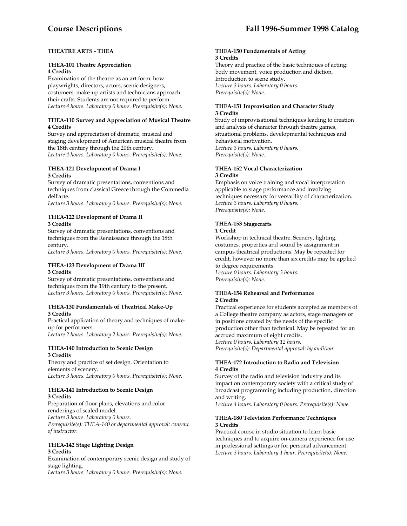# **THEATRE ARTS - THEA**

#### **THEA-101 Theatre Appreciation 4 Credits**

Examination of the theatre as an art form: how playwrights, directors, actors, scenic designers, costumers, make-up artists and technicians approach their crafts. Students are not required to perform. *Lecture 4 hours. Laboratory 0 hours. Prerequisite(s): None.* 

#### **THEA-110 Survey and Appreciation of Musical Theatre 4 Credits**

Survey and appreciation of dramatic, musical and staging development of American musical theatre from the 18th century through the 20th century. *Lecture 4 hours. Laboratory 0 hours. Prerequisite(s): None.* 

#### **THEA-121 Development of Drama I 3 Credits**

Survey of dramatic presentations, conventions and techniques from classical Greece through the Commedia dell'arte.

*Lecture 3 hours. Laboratory 0 hours. Prerequisite(s): None.* 

## **THEA-122 Development of Drama II 3 Credits**

Survey of dramatic presentations, conventions and techniques from the Renaissance through the 18th century.

*Lecture 3 hours. Laboratory 0 hours. Prerequisite(s): None.* 

#### **THEA-123 Development of Drama III 3 Credits**

Survey of dramatic presentations, conventions and techniques from the 19th century to the present. *Lecture 3 hours. Laboratory 0 hours. Prerequisite(s): None.* 

#### **THEA-130 Fundamentals of Theatrical Make-Up 3 Credits**

Practical application of theory and techniques of makeup for performers.

*Lecture 2 hours. Laboratory 2 hours. Prerequisite(s): None.* 

#### **THEA-140 Introduction to Scenic Design 3 Credits**

Theory and practice of set design. Orientation to elements of scenery. *Lecture 3 hours. Laboratory 0 hours. Prerequisite(s): None.* 

#### **THEA-141 Introduction to Scenic Design 3 Credits**

Preparation of floor plans, elevations and color renderings of scaled model. *Lecture 3 hours. Laboratory 0 hours. Prerequisite(s): THEA-140 or departmental approval: consent of instructor.* 

#### **THEA-142 Stage Lighting Design 3 Credits**

Examination of contemporary scenic design and study of stage lighting. *Lecture 3 hours. Laboratory 0 hours. Prerequisite(s): None.* 

#### **THEA-150 Fundamentals of Acting 3 Credits**

Theory and practice of the basic techniques of acting: body movement, voice production and diction. Introduction to scene study. *Lecture 3 hours. Laboratory 0 hours. Prerequisite(s): None.* 

## **THEA-151 Improvisation and Character Study 3 Credits**

Study of improvisational techniques leading to creation and analysis of character through theatre games, situational problems, developmental techniques and behavioral motivation. *Lecture 3 hours. Laboratory 0 hours. Prerequisite(s): None.* 

# **THEA-152 Vocal Characterization 3 Credits**

Emphasis on voice training and vocal interpretation applicable to stage performance and involving techniques necessary for versatility of characterization. *Lecture 3 hours. Laboratory 0 hours. Prerequisite(s): None.* 

# **THEA-153 Stagecrafts**

#### **1 Credit**

Workshop in technical theatre. Scenery, lighting, costumes, properties and sound by assignment in campus theatrical productions. May be repeated for credit, however no more than six credits may be applied to degree requirements. *Lecture 0 hours. Laboratory 3 hours. Prerequisite(s): None.* 

#### **THEA-154 Rehearsal and Performance 2 Credits**

Practical experience for students accepted as members of a College theatre company as actors, stage managers or in positions created by the needs of the specific production other than technical. May be repeated for an accrued maximum of eight credits. *Lecture 0 hours. Laboratory 12 hours. Prerequisite(s): Departmental approval: by audition.* 

#### **THEA-172 Introduction to Radio and Television 4 Credits**

Survey of the radio and television industry and its impact on contemporary society with a critical study of broadcast programming including production, direction and writing.

*Lecture 4 hours. Laboratory 0 hours. Prerequisite(s): None.* 

#### **THEA-180 Television Performance Techniques 3 Credits**

Practical course in studio situation to learn basic techniques and to acquire on-camera experience for use in professional settings or for personal advancement. *Lecture 3 hours. Laboratory 1 hour. Prerequisite(s): None.*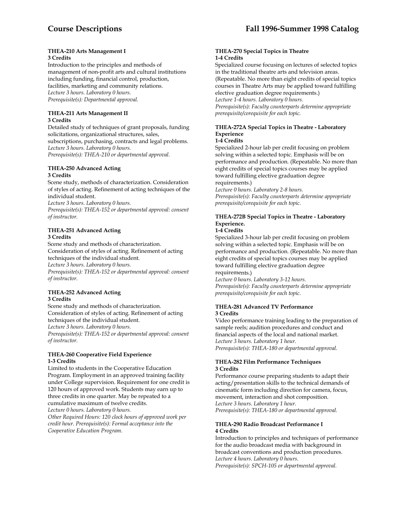#### **THEA-210 Arts Management I 3 Credits**

Introduction to the principles and methods of management of non-profit arts and cultural institutions including funding, financial control, production, facilities, marketing and community relations. *Lecture 3 hours. Laboratory 0 hours. Prerequisite(s): Departmental approval.* 

#### **THEA-211 Arts Management II 3 Credits**

Detailed study of techniques of grant proposals, funding solicitations, organizational structures, sales, subscriptions, purchasing, contracts and legal problems. *Lecture 3 hours. Laboratory 0 hours. Prerequisite(s): THEA-210 or departmental approval.* 

## **THEA-250 Advanced Acting 3 Credits**

Scene study, methods of characterization. Consideration of styles of acting. Refinement of acting techniques of the individual student.

*Lecture 3 hours. Laboratory 0 hours.* 

*Prerequisite(s): THEA-152 or departmental approval: consent of instructor.* 

# **THEA-251 Advanced Acting 3 Credits**

Scene study and methods of characterization. Consideration of styles of acting. Refinement of acting techniques of the individual student. *Lecture 3 hours. Laboratory 0 hours. Prerequisite(s): THEA-152 or departmental approval: consent of instructor.* 

#### **THEA-252 Advanced Acting 3 Credits**

Scene study and methods of characterization. Consideration of styles of acting. Refinement of acting techniques of the individual student. *Lecture 3 hours. Laboratory 0 hours. Prerequisite(s): THEA-152 or departmental approval: consent of instructor.* 

#### **THEA-260 Cooperative Field Experience 1-3 Credits**

Limited to students in the Cooperative Education Program. Employment in an approved training facility under College supervision. Requirement for one credit is 120 hours of approved work. Students may earn up to three credits in one quarter. May be repeated to a cumulative maximum of twelve credits.

*Lecture 0 hours. Laboratory 0 hours.* 

*Other Required Hours: 120 clock hours of approved work per credit hour. Prerequisite(s): Formal acceptance into the Cooperative Education Program.* 

#### **THEA-270 Special Topics in Theatre 1-4 Credits**

Specialized course focusing on lectures of selected topics in the traditional theatre arts and television areas. (Repeatable. No more than eight credits of special topics courses in Theatre Arts may be applied toward fulfilling elective graduation degree requirements.) *Lecture 1-4 hours. Laboratory 0 hours. Prerequisite(s): Faculty counterparts determine appropriate* 

*prerequisite/corequisite for each topic.* 

# **THEA-272A Special Topics in Theatre - Laboratory Experience**

#### **1-4 Credits**

Specialized 2-hour lab per credit focusing on problem solving within a selected topic. Emphasis will be on performance and production. (Repeatable. No more than eight credits of special topics courses may be applied toward fulfilling elective graduation degree requirements.)

*Lecture 0 hours. Laboratory 2-8 hours. Prerequisite(s): Faculty counterparts determine appropriate prerequisite/corequisite for each topic.* 

# **THEA-272B Special Topics in Theatre - Laboratory Experience.**

#### **1-4 Credits**

Specialized 3-hour lab per credit focusing on problem solving within a selected topic. Emphasis will be on performance and production. (Repeatable. No more than eight credits of special topics courses may be applied toward fulfilling elective graduation degree requirements.)

*Lecture 0 hours. Laboratory 3-12 hours. Prerequisite(s): Faculty counterparts determine appropriate prerequisite/corequisite for each topic.* 

#### **THEA-281 Advanced TV Performance 3 Credits**

Video performance training leading to the preparation of sample reels; audition procedures and conduct and financial aspects of the local and national market. *Lecture 3 hours. Laboratory 1 hour. Prerequisite(s): THEA-180 or departmental approval.* 

#### **THEA-282 Film Performance Techniques 3 Credits**

Performance course preparing students to adapt their acting/presentation skills to the technical demands of cinematic form including direction for camera, focus, movement, interaction and shot composition. *Lecture 3 hours. Laboratory 1 hour. Prerequisite(s): THEA-180 or departmental approval.* 

#### **THEA-290 Radio Broadcast Performance I 4 Credits**

Introduction to principles and techniques of performance for the audio broadcast media with background in broadcast conventions and production procedures. *Lecture 4 hours. Laboratory 0 hours. Prerequisite(s): SPCH-105 or departmental approval.*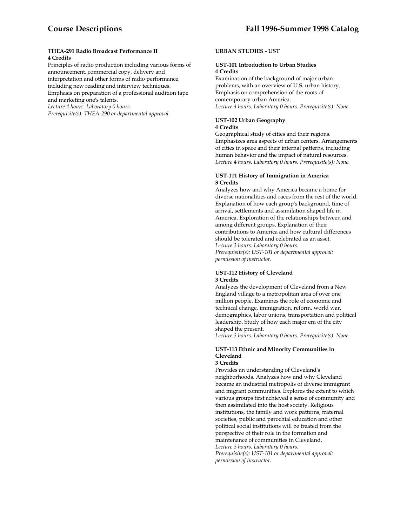#### **THEA-291 Radio Broadcast Performance II 4 Credits**

Principles of radio production including various forms of announcement, commercial copy, delivery and interpretation and other forms of radio performance, including new reading and interview techniques. Emphasis on preparation of a professional audition tape

and marketing one's talents. *Lecture 4 hours. Laboratory 0 hours.* 

*Prerequisite(s): THEA-290 or departmental approval.* 

#### **URBAN STUDIES - UST**

#### **UST-101 Introduction to Urban Studies 4 Credits**

Examination of the background of major urban problems, with an overview of U.S. urban history. Emphasis on comprehension of the roots of contemporary urban America. *Lecture 4 hours. Laboratory 0 hours. Prerequisite(s): None.* 

#### **UST-102 Urban Geography 4 Credits**

Geographical study of cities and their regions. Emphasizes area aspects of urban centers. Arrangements of cities in space and their internal patterns, including human behavior and the impact of natural resources. *Lecture 4 hours. Laboratory 0 hours. Prerequisite(s): None.* 

#### **UST-111 History of Immigration in America 3 Credits**

Analyzes how and why America became a home for diverse nationalities and races from the rest of the world. Explanation of how each group's background, time of arrival, settlements and assimilation shaped life in America. Exploration of the relationships between and among different groups. Explanation of their contributions to America and how cultural differences should be tolerated and celebrated as an asset. *Lecture 3 hours. Laboratory 0 hours. Prerequisite(s): UST-101 or departmental approval: permission of instructor.* 

#### **UST-112 History of Cleveland 3 Credits**

Analyzes the development of Cleveland from a New England village to a metropolitan area of over one million people. Examines the role of economic and technical change, immigration, reform, world war, demographics, labor unions, transportation and political leadership. Study of how each major era of the city shaped the present.

*Lecture 3 hours. Laboratory 0 hours. Prerequisite(s): None.* 

# **UST-113 Ethnic and Minority Communities in Cleveland**

#### **3 Credits**

Provides an understanding of Cleveland's neighborhoods. Analyzes how and why Cleveland became an industrial metropolis of diverse immigrant and migrant communities. Explores the extent to which various groups first achieved a sense of community and then assimilated into the host society. Religious institutions, the family and work patterns, fraternal societies, public and parochial education and other political social institutions will be treated from the perspective of their role in the formation and maintenance of communities in Cleveland, *Lecture 3 hours. Laboratory 0 hours. Prerequisite(s): UST-101 or departmental approval: permission of instructor.*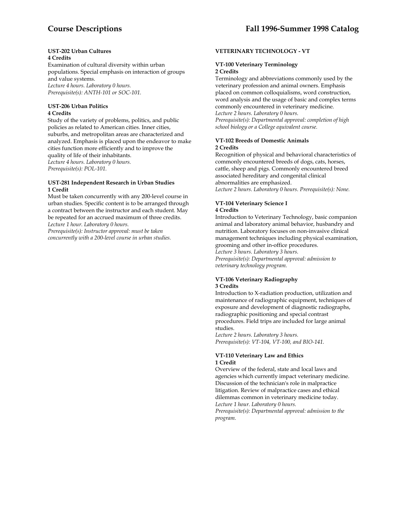#### **UST-202 Urban Cultures 4 Credits**

Examination of cultural diversity within urban populations. Special emphasis on interaction of groups and value systems. *Lecture 4 hours. Laboratory 0 hours. Prerequisite(s): ANTH-101 or SOC-101.* 

#### **UST-206 Urban Politics 4 Credits**

Study of the variety of problems, politics, and public policies as related to American cities. Inner cities, suburbs, and metropolitan areas are characterized and analyzed. Emphasis is placed upon the endeavor to make cities function more efficiently and to improve the quality of life of their inhabitants. *Lecture 4 hours. Laboratory 0 hours. Prerequisite(s): POL-101.* 

#### **UST-281 Independent Research in Urban Studies 1 Credit**

Must be taken concurrently with any 200-level course in urban studies. Specific content is to be arranged through a contract between the instructor and each student. May be repeated for an accrued maximum of three credits. *Lecture 1 hour. Laboratory 0 hours.* 

*Prerequisite(s): Instructor approval: must be taken concurrently with a 200-level course in urban studies.* 

# **VETERINARY TECHNOLOGY - VT**

#### **VT-100 Veterinary Terminology 2 Credits**

Terminology and abbreviations commonly used by the veterinary profession and animal owners. Emphasis placed on common colloquialisms, word construction, word analysis and the usage of basic and complex terms commonly encountered in veterinary medicine. *Lecture 2 hours. Laboratory 0 hours. Prerequisite(s): Departmental approval: completion of high school biology or a College equivalent course.* 

#### **VT-102 Breeds of Domestic Animals 2 Credits**

Recognition of physical and behavioral characteristics of commonly encountered breeds of dogs, cats, horses, cattle, sheep and pigs. Commonly encountered breed associated hereditary and congenital clinical abnormalities are emphasized. *Lecture 2 hours. Laboratory 0 hours. Prerequisite(s): None.* 

#### **VT-104 Veterinary Science I 4 Credits**

Introduction to Veterinary Technology, basic companion animal and laboratory animal behavior, husbandry and nutrition. Laboratory focuses on non-invasive clinical management techniques including physical examination, grooming and other in-office procedures. *Lecture 3 hours. Laboratory 3 hours.* 

*Prerequisite(s): Departmental approval: admission to veterinary technology program.* 

#### **VT-106 Veterinary Radiography 3 Credits**

Introduction to X-radiation production, utilization and maintenance of radiographic equipment, techniques of exposure and development of diagnostic radiographs, radiographic positioning and special contrast procedures. Field trips are included for large animal studies.

*Lecture 2 hours. Laboratory 3 hours. Prerequisite(s): VT-104, VT-100, and BIO-141.* 

#### **VT-110 Veterinary Law and Ethics 1 Credit**

Overview of the federal, state and local laws and agencies which currently impact veterinary medicine. Discussion of the technician's role in malpractice litigation. Review of malpractice cases and ethical dilemmas common in veterinary medicine today. *Lecture 1 hour. Laboratory 0 hours.* 

*Prerequisite(s): Departmental approval: admission to the program.*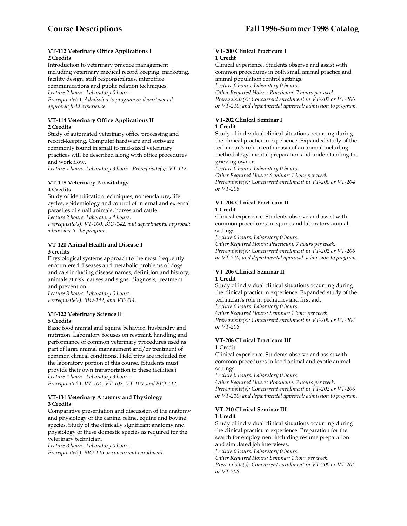#### **VT-112 Veterinary Office Applications I 2 Credits**

Introduction to veterinary practice management including veterinary medical record keeping, marketing, facility design, staff responsibilities, interoffice communications and public relation techniques. *Lecture 2 hours. Laboratory 0 hours. Prerequisite(s): Admission to program or departmental approval: field experience.* 

# **VT-114 Veterinary Office Applications II 2 Credits**

Study of automated veterinary office processing and record-keeping. Computer hardware and software commonly found in small to mid-sized veterinary practices will be described along with office procedures and work flow.

*Lecture 1 hours. Laboratory 3 hours. Prerequisite(s): VT-112.* 

#### **VT-118 Veterinary Parasitology 4 Credits**

Study of identification techniques, nomenclature, life cycles, epidemiology and control of internal and external parasites of small animals, horses and cattle.

*Lecture 2 hours. Laboratory 4 hours.* 

*Prerequisite(s): VT-100, BIO-142, and departmental approval: admission to the program.* 

# **VT-120 Animal Health and Disease I 3 credits**

Physiological systems approach to the most frequently encountered diseases and metabolic problems of dogs and cats including disease names, definition and history, animals at risk, causes and signs, diagnosis, treatment and prevention.

*Lecture 3 hours. Laboratory 0 hours. Prerequisite(s): BIO-142, and VT-214.* 

#### **VT-122 Veterinary Science II 5 Credits**

Basic food animal and equine behavior, husbandry and nutrition. Laboratory focuses on restraint, handling and performance of common veterinary procedures used as part of large animal management and/or treatment of common clinical conditions. Field trips are included for the laboratory portion of this course. (Students must provide their own transportation to these facilities.) *Lecture 4 hours. Laboratory 3 hours. Prerequisite(s): VT-104, VT-102, VT-100, and BIO-142.* 

# **VT-131 Veterinary Anatomy and Physiology 3 Credits**

Comparative presentation and discussion of the anatomy and physiology of the canine, feline, equine and bovine species. Study of the clinically significant anatomy and physiology of these domestic species as required for the veterinary technician.

*Lecture 3 hours. Laboratory 0 hours.* 

*Prerequisite(s): BIO-145 or concurrent enrollment.* 

#### **VT-200 Clinical Practicum I 1 Credit**

Clinical experience. Students observe and assist with common procedures in both small animal practice and animal population control settings.

*Lecture 0 hours. Laboratory 0 hours.* 

*Other Required Hours: Practicum: 7 hours per week. Prerequisite(s): Concurrent enrollment in VT-202 or VT-206 or VT-210; and departmental approval: admission to program.* 

# **VT-202 Clinical Seminar I 1 Credit**

Study of individual clinical situations occurring during the clinical practicum experience. Expanded study of the technician's role in euthanasia of an animal including methodology, mental preparation and understanding the grieving owner.

*Lecture 0 hours. Laboratory 0 hours.* 

*Other Required Hours: Seminar: 1 hour per week. Prerequisite(s): Concurrent enrollment in VT-200 or VT-204 or VT-208.* 

# **VT-204 Clinical Practicum II 1 Credit**

Clinical experience. Students observe and assist with common procedures in equine and laboratory animal settings.

*Lecture 0 hours. Laboratory 0 hours.* 

*Other Required Hours: Practicum: 7 hours per week. Prerequisite(s): Concurrent enrollment in VT-202 or VT-206 or VT-210; and departmental approval: admission to program.* 

#### **VT-206 Clinical Seminar II 1 Credit**

Study of individual clinical situations occurring during the clinical practicum experience. Expanded study of the technician's role in pediatrics and first aid.

*Lecture 0 hours. Laboratory 0 hours.* 

*Other Required Hours: Seminar: 1 hour per week. Prerequisite(s): Concurrent enrollment in VT-200 or VT-204 or VT-208.* 

# **VT-208 Clinical Practicum III**

#### 1 Credit

Clinical experience. Students observe and assist with common procedures in food animal and exotic animal settings.

*Lecture 0 hours. Laboratory 0 hours.* 

*Other Required Hours: Practicum: 7 hours per week. Prerequisite(s): Concurrent enrollment in VT-202 or VT-206 or VT-210; and departmental approval: admission to program.* 

#### **VT-210 Clinical Seminar III 1 Credit**

Study of individual clinical situations occurring during the clinical practicum experience. Preparation for the search for employment including resume preparation and simulated job interviews.

*Lecture 0 hours. Laboratory 0 hours.* 

*Other Required Hours: Seminar: 1 hour per week.* 

*Prerequisite(s): Concurrent enrollment in VT-200 or VT-204 or VT-208.*